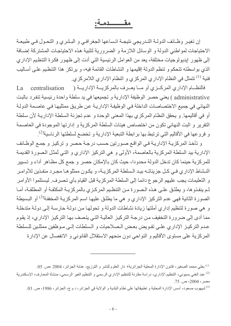# مقــــــــدمـة:

إن تغير وظائف الدولــة التـدريجي نتيجـة اتـساعها الجغرافـي و البـشري و التحـول فـي طبيعـة الاحتياجات لمواطني الدولة و الوسائل اللازمة و الضرورية لتلبية هذه الاحتياجات المشتركة إضافة إلى ظهور إيديولوجيات مختلفة، يعد من العوامل الرئيسية التي أدت إلى ظهور فكرة التنظيم الإداري الذي بواسطته تتحكم و تنظم الدولة إقليمها و النشاطات القائمة فيه، و يرتكز هذا التنظيم على أساليب فنية <sup>(1)</sup> تتمثّل في النظام الإداري المركزي و النظام الإداري اللامركزي<sub>.</sub>

فالنظـــام الإداري المركـــزي أو مــــا يعـــرف بالمركزيــــة الإداريـــة ( centralisation  $L_a$ administrative ) يعني حصر الوظيفة الإدارية و تجميعها في يد سلطة واحدة رئيسية تنفرد بالبت النهائي في جميع الاختصاصات الداخلة في الوظيفة الإدارية عن طريق ممثليها في عاصمة الدولة أو في أقاليمها. و يحقق النظام المركزي بهذا المعنى الوحدة و عدم تجزئة السلطة الإدارية لأن سلطة النقرير و البت النهائي تكون من اختصاص هيئات السلطة المركزية و إدارتها الموجودة في العاصمة و فروعها في الأقاليم التي ترتبط بها برابطة التبعية الإدارية و تخضع لسلطتها الرئاسية<sup>(2)</sup>.

و تأخذ المركزية الإدارية في الواقع صورتين حسب درجة حصر و تركيز و جمع الوظائف الإدارية بيد السلطة المركزية بالعاصمة، الأولى و هي التركيز الإداري و التي تُمثل الصورة القديمة للمركزية حينما كان تدخل الدولة محدودا، حيث كان بالإمكان حصر و جمع كل مظـاهر أداء و تسيير النشاط الإداري فـي كـل جزيئاتـه بيـد الـسلطـة المركزيــة، و يكـون ممثلوهـا مجـرد منفـذين للأوامـر و التعليمات يجب عليهم الرجو ع دائما إلى السلطة المركز ية قبل القيام بأي تصر ف ِ ليستلمو ا الأو امر ثم ينفذوها، و يطلق على هذه الصورة من التنظيم المركزي بالمركزية المكثفة أو المطلقة، أمـا الصورة الثانية فهي عدم التركيز الإداري و هي ما يطلق عليها اسم المركزيـة المخففة<sup>(3)</sup> أو البسيطة و هي صورة لتنظيم إداري أملتها زيادة نشاطات الدولة و تحولها من دولة حارسة إلى دولة متدخلة مما أدى إلى ضرورة التخفيف من درجة التركيز العالية التي يتصف بها التركيز الإداري، إذ يقوم عدم التركيـز الإدار ي علـى تفـويض بعـض الـصلاحيات و الـسلطات إلـى مـوظفين ممثلـين للـسلطـة المركزية على مستوى الأقاليم و النواحي دون منحهم الاستقلال القانوني و الانفصال عن الإدارة

<sup>&</sup>lt;sup>(1)</sup> بعلى محمد الصغير ، قانون الإدارة المحلية الجزائرية، دار العلوم للنشر و التوزيع، عنابة الجزائر ، 2004 ،ص<sub>.</sub> 05<sub>.</sub>

<sup>&</sup>lt;sup>(2)</sup> عبد الغني بسيوني، التنظيم الإداري، دراسة مقارنة للتنظيم الإداري الرسمي و التنظيم الغير الرسمي، منشأة المعارف، الإسكندرية مصر ، 2004، ص. 75.

<sup>&</sup>lt;sup>(3)</sup>شيهوب مسعود، أسس الإدارة المحلية و تطبيقاتها على نظام البلدية و الولاية في الجزائر ، د م ج، الجزائر ، 1986، ص 20.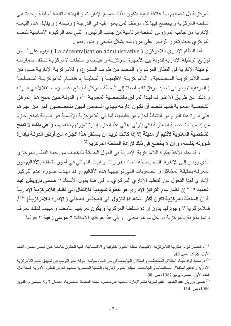المركزية بل تجمعهم بها علاقة تبعية فتكون بذلك جميع الإدارات و الهيئات تابعة لسلطة واحدة هي السلطة المركزية و يخضع فيها كل موظف لمن يعلو عليه في الدرجة ( رئيسه ) و يقابل هذه التبعية الإدارية من جانب المرؤوس السلطة الرئاسية من جانب الرئيس و التي تعد الركيزة الأساسية للنظام المركزي حيث تتقرر للرئيس على مرؤوسه بشكل طبيعي و بدون نص.

أما النظام الإداري اللامركزي ( La décentralisation administrative ) فيقوم على أساس توزيع الوظيفة الإدارية للدولة بين الأجهزة المركزية و هيئات و سلطات لامركزية تستقل بممارسة الوظيفة الإدارية في النطاق المرسوم و المحدد من طرف المشرع، و للامركزية الإدارية صورتان همــا اللامركزيــة المــصلحية و اللامركزيــة الإقليميــة ( المحليــة )، فنظــام اللامركزيــة المــصلحية ( المرفقية ) يبدو في تحديد مرفق تابع أصلا إلى السلطة المركزية يُمنح أعضاؤه استقلالا في إدارته و ذلك عن طريق الاعتراف لهذا المرفق بالشخصية المعنوية <sup>(1)</sup>، و الدولـة حين تمنح هذا المرفق الشخصية المعنوية فإنها تقصد أن تكون إدارته بأيدي أشخاص فنيين متخصصين أقدر من غير هم على إدارة هذا النوع من النشاط لجزء من إقليمها، أما في اللامركزية الإقليمية فإن الدولـة تمنح لجزء من إقليمها الشخصية المعنوية لكي يتولى أهالي هذا الجزء إدارة شؤونهم بأنفسهم، و هي بذلك لا تمنح الشخصية المعنوية لإقليم أو مدينة إلا إذا كانت تريد أن يستقل هذا الجزء من أرض الدولـة بـإدارة شوونه بنفسه، و أن لا يخضع في ذلك لإرادة السلطة المركزية<sup>(2)</sup>.

و قد جاء الأخذ بفكرة اللامركزية الإدارية في الدول الحديثة للتخفيف من حدة النظام المركزي الذي يؤدي إلى الإنفراد النام بسلطة اتخاذ القرارات و البت النهائي في أمور متعلقة بالأقاليم دون المعرفة بحقيقة المشاكل و الصعوبات التي تواجهها هذه الأقاليم، و قد مهدت صورة عدم التركيز الإداري لهذا التحول عن التنظيم الإداري المركزي، و في هذا يقول الأستاذ " حسني درويش عبد الحميد " " إن نظام عدم التركيز الإدار ي هو خطوة تمهيدية للانتقال إلى نظـام اللامر كزيـة الإداريـة إذ أن السلطة المركزية تكون أكثر استعدادا للنزول إل*ى* المجلس المحلى ( الإدارة اللامركزية) <sup>3)</sup>. فاللامركزية لا وجود لها بدون إرادة السلطة المركزية و يكون تعريفها غامضا و مبهما لذلك تعرف دائما مقارنة بالمركزية أو بكل ما هو محلي و في هذا عرفتها الأستاذة " موسى زهية " بقولها

<sup>(!)</sup> د العطار فؤاد، نظرية اللامركزية الإقليمية، مجلة العلوم القانونية و الاقتصادية، كلية الحقوق جامعة عين شمس مصر ، العدد الأول، 1966 ،ص 40.

<sup>&</sup>lt;sup>(2)</sup> د. محمد فؤاد مهنا، استقلال المحافظات و استقلال الجامعات في ظل اتجاه سياسة الدولـة نحو التوسـع فـي تطبيق نظـام اللامر كزيـة الإدارية و تدعيم استقلال المحافظات و الجامعات، مجلة العلوم الإدارية، الشعبة المصرية للمعهد الدولي للعلوم الإدارية السنة 24، العدد الأول، مصر ، يونيو 1982، ص. 08.

<sup>&</sup>lt;sup>(3)</sup> حسنى درويش عبد الحميد ، تقييم تجربة نظام الإدارة المحلية في مصر ، مجلـة المحمـاة المصرية، العددان 7 و8 سبتمبر و أكتوبر 1989، ص. 114.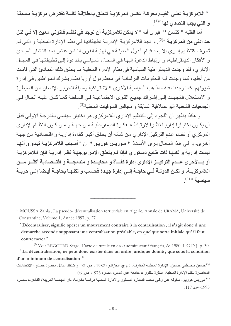" اللامركزيــة تعنــى القيــام بحركــة عكس المركزيــة تتعلـق بـانطلاقـة ثـانيــة تفتـرض مركزيــة مـسبقة و التي يجب التصدي لها »(!)<sub>.</sub>

أما الفقيه " كلسن " فير ي أنه « لا يمكن للامركزية أن توجد في نظام قانوني معين إلا في ظل حد أدنى من المركزيـة <sup>»(2)</sup> . و تجد اللامركزيـة الإداريـة تطبيقاتهـا فـي نظـم الإدارـة المحليـة و التـي لـم تُعرف كتنظيم إداري إلا بعد قيام الدول الحديثـة في نهايـة القرن الثـامن عشر بعد انتشار المبـادئ و الأفكار الديمقر اطية، و ارتباط الدعوة إليها في المجال السياسي بالدعوة إلى تطبيقاتها في المجال الإدار ي، فقد وجدت الديمقر اطية السياسية في نظام الإدارة المحلية مـا يحقق تلك المبـاديَّ التـي قامت من أجلها، كما وجدت فيه الحكومات البرلمانية في معظم دول أوربا نظام يشرك المواطنين في إدارة شؤونهم. كما وجدت فيه المذاهب السياسية الأخرى كالاشتراكية وسيلة لتحرير الإنسان من السيطرة و الاستغلال فاتجهت إلى إشراك جميع القوى الاجتماعية في السلطة كما كان عليه الحال في الجمعيات الشعبية اليوغسلافية السابقة و مجالس السوفيات المحلية<sup>(3)</sup>.

و هكذا يظهر أن اللجوء إلى التنظيم الإداري اللامركزي هو اختيار سياسي بالدرجة الأولى قبل أن يكون اختيارا إداريا نظرا لارتباطه بفكرة الديمقراطية من جهة و من كون النظام الإداري المركزي أو نظام عدم التركيز الإداري من شأنه أن يحقق أكبر كفاءة إدارية و اقتصادية من جهة أخرى، و في هذا المجال يرى الأستاذ " موريس هوريو " أن « أسباب اللامركزيـة تبدو و أنهـا ليست إدارية و لكنها ذات طابع دستوري فإذا لم يتعلق الأمر بوجهة نظر إدارية فإن اللامركزية أو بسالأحرى عــدم التركيــز الإداري إدارة كفـــأة و محايــدة و مندمجـــة و اقتـــصـادية أكثـــر مـــن اللامركزيــة، و لكـن الدولــة فــى حاجــة إلــى إدارة جيـدة فحـسب و لكنـهــا بحاجــة أيـضـا إلــى حريــة  $^{(4)$  «بىياسىية»

<sup>&</sup>lt;sup>(1)</sup> MOUSSA Zahia, La pseudo- décentralisation territoriale en Algerie, Annale de URAMA, Université de Constantine, Volume 1, Année 1997, p. 27.

<sup>&</sup>quot;Décentraliser, signifie opérer un mouvement contraire à la centralisation, il s'agit donc d'une démarche seconde supposant une centralisation préalable, en quelque sorte initiale qu'il faut contrecarrer<sup>"</sup>

<sup>&</sup>lt;sup>(2)</sup> Voir REGOURD Serge, L'acte de tutelle en droit administratif français, éd 1980, L G D J, p. 30. "La décentralisation, ne peut donc exister dans un ordre juridique donné, que sous la condition d'un minimum de centralisation »

حسين مصطفى حسين، الإدار ة المحليـة المقار نـة، د م ج، الجز ائـر ، 1982 ، ص 02. و كـذلك عـادل محمـو د حمـدي، الاتجاهـات  $^{(3)}$ المعاصر ة لنظم الإدار ة المحلية، مذكر ة دكتور اه، جامعة عين شمس، مصر ، 1973، ص. 06. <sup>(4)</sup> موريس هوريو، منقولة عن زكي محمد النجار، الدستور والإدارة المحلية دراسة مقارنة، دار النهضة العربية، القاهرة، مصر، 1995) $(117, 1995)$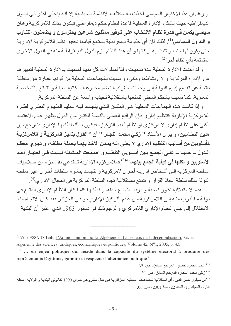و رغم أن هذا الاختيار السياسي أخذت به مختلف الأنظمة السياسية إلا أنـه يتجلـى أكثـر فـى الدول الديمقر اطية حيث تشكل الإدارة المحلية قاعدة لنظام حكم ديمقر اطي فيكون بذلك للامر كزية رهان سياسي يكمن في قدرة نظام الانتخاب على توفير ممثلين شرعين يحترمون و يضمنون التنـاوب و ا**لتداول السياسي**<sup>(1)</sup>. لذلك فإن أي حكومة ديمقر اطية يستتبع قيامها تحقيق نظام اللامر كزية الإداريـة حتى يكون لها سند، و نتبت به أركانها و أن هذا النظام ألزم للدول الديمقراطية منه في الدول الأخرى المتمتعة بأي نظام أخر<sup>(2)</sup>.

و قد أخذت الإدار ة المحلبة عدة تسميات وفقا لمدلو لات كل منهـا فسميت بـالإدار ة المحلبـة لتمبيز هـا عن الإدار ة المركزية و لأن نشاطها وطني، و سميت بالجماعات المحلية من كونها عبـار ة عن منطقـة ناتجة عن تقسيم إقليم الدولـة إلـى وحدات جغرافيـة تضم مجموعـة سكانية معينـة و تتمتـع بالشخصية المعنوية، كما سميت بالحكم المحلي لتمتعها باستقلالية تنفيذية واسعة عن السلطة المركزية.

و إذا كانت هذه الجماعات المحلية هي المكان الذي يتجسد فيه عمليا المفهوم النظري لفكرة اللامر كزية الإدارية كتنظيم إدارى فإن الواقع العملي بالنسبة للكثير من الدول يُظهر عدم الاعتماد الكلي على نظـام إداري لا مركزي أو نظـام لعدم التركيز ، فيكون بذلك نظامهـا الإداري يتـأرجح بـين هذين النظاميين، و يرى الأستاذ " **زكي محمد النجار "** أن « ا**لقول بتميز المركزيـة و اللامركزيـة** كأسلوبين من أساليب التنظيم الإداري لا يعني أنــه يمكن الأخذ بـهمـا بـصفة مطلقـة، و تجرى معظم الـدول ـــ حاليــا ـــ علــى الـجمــع بــين أســلوبي التنظـيم و أصــبحت المــشكلـة ليـست فــى اختيــار أحـد ا**لأسلوبين و لكنها في كيفية الجمع بينهما** »<sup>(3)</sup> فاللامركزية الإدارية تستدعى نقل جزء من صلاحيات السلطة المركزية إلى أشخاص إدارية أخرى لامركزية و تتجسد بنشوء سلطات أخرى غير سلطة الدولة تملك سلطة اتخاذ القرار و تتمتع باستقلالية تجاه السلطة المركزية في المجال الإداري<sup>(4)</sup>.

هذه الاستقلالية تكون نسبية و يزداد اتساع مداها و نطاقها كلما كان النظام الإداري المتبع في دولـة مـا أقرب منـه إلـى اللامركزيـة مـن عدم التركيـز الإداري، و فـى الجزائـر فقد كـان الاتجـاه منـذ الاستقلال إلى تبني النظام الإداري اللامركزي و تُرجم ذلك في دستور 1963 الذي اعتبر أن البلدية

<sup>&</sup>lt;sup>(1)</sup> Voir ESSAID Taib, L'Administration locale Algérienne : Les enjeux de la décentralisation, Revue Algérienne des sciences juridiques, économiques et politiques, Volume 42, N°1, 2005, p. 43.

<sup>&</sup>quot; ... en enjeu politique qui réside dans la capacité du système électoral à produire des représentants légitimes, garantir et respecter l'alternance politique<sup>"</sup>

<sup>2)</sup> عادل محمود حمدي، المرجع السابق، ص 69. <sup>(3)</sup> زكى محمد النجار ، المرجع السابق، ص<sub>. 29.</sub>

<sup>&</sup>lt;sup>(4)</sup> بن طيفور نصر الدين، أي استقلالية للجماعات المحلية الجزائرية في ظل مشروعي جوان 1999 لقانوني البلدية و الولاية، مجلة إدارة، المجلد 11، العدد 22، سنة 2001، ص. 06.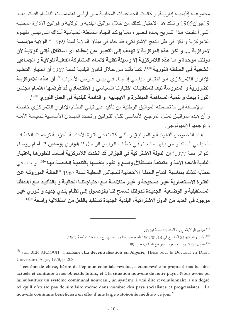مجموعــة إقليميــة إداريــة. و كانــت الجماعــات المحليــة مــن أولــي اهتمامــات النظــام القــائم بعــد 19جوان1965 و تأكد هذا الاختيار كذلك من خلال مواثيق البلدية و الولايـة و قوانين الإدارة المحليـة التيى أعقبت هذا التـاريخ بمـدة قـصيرة ممـا يؤكـد اتجـاه الـسلطة الـسياسية آنـذاك إلـى تبنـى مفهـوم اللامركزية و لكن في ظل النهج الاشتراكي، فقد جاء في ميثاق الولاية لسنة 1969 « ا**لولاية مؤسسة** لامركزية .... و لكن هذه المركزيـة لا تهدف إلـى التعبير عن إعطـاء أي استقلال ذاتـى للولايـة لأن دولتنـا موحدة و مـا هذه اللامركزيـة إلا وسـيلة تقنيـة لإنمـاء المشاركة الفعليـة للولايـة و الجمـاهير ا**لشعبية في السلطة الثوريـة** »<sup>(1)</sup>، كمـا تأكـد مـن خـلال قـانون البلديـة لـسنة 1967 أن اختيـار التنظـيم الإداري اللامركـزي هـو اختيـار سياسـي إذ جـاء فـي بيـان عـرض الأسـباب " أ**ن هـذه اللامركزيــة** الضرورية و المدروسة تبعا للمتطلبات اختيارنـا السياسي و الاقتصادي قد فرضـها اهتمـام مجلس الثورة ببعث و تنمية المساهمة المباشرة و الايجابية و الدائمة للبلدية في العمل الثوري »2).

بالإضافة إلى ما تضمنته المواثيق الوطنية من تأكيد على تبني النظام الإداري اللامركزي خاصـة و أن هذه المواثيق تمثـل المرجـع الأساسـي لكـل القـوانين و تحـدد المبــاديً الأساسـية لـسياسة الأمــة و توجهها الإيديولوجي.

هذه النصوص القانونيـة و المواثيـق و التـى كانـت فـى فتـرة الأحاديـة الحزبيـة ترجمـت الخطـاب السياسي السائد و من بينهـا مـا جـاء فـي خطـاب الـرئيس الراحل " هواري بومدين " أمـام رؤسـاء الدوائر سنة 1977° إن الدولة الاشتراكية في الجزائر قد اتخذت اللامركزية أساسا لتطورها باعتبار البلدية قاعدة الأمة و متمتعة باستقلال واسع و تقوم بنفسها بالتنمية الخاصـة بها <sup>3)«</sup>. و جـاء في خطابه كذلك بمناسبة افتتاح الحملة الانتخابية للمجالس المحلبة لسنة 1967 «الحالية الموروثية عن الفتـرة الاسـتعماريـة غيـر صـحيحة و غيـر متلائمـة مـع احتياجاتنــا الحاليــة و بـالتأكيـد مــع أهـدافنـا المستقبلية و الوضـعية الجديدة لـدولتنا تسمح لنـا بالوصـول إلـى نظـام بلـدي جديـد و ثـوري غيـر موجود في العديد من الدول الاشتراكية، البلدية الجديدة تستفيد بالفعل من استقلالية واسعة <sup>»(4)</sup>

 $^{(1)}$ ميثاق الولاية، ج ر، العدد 44 لسنة 1969.

الأمر رقم 67-24 المؤرخ في 1967/01/18 المتضمن القانون البلدي، ج ر، العدد 6 لسنة 1967.

<sup>)</sup> منقول عن شيهوب مسعود، المرجع السابق، ص. 99.

<sup>&</sup>lt;sup>(4)</sup> voir BEN AKZOUH Châabane, La décentralisation en Algerie, Thèse pour le Doctorat en Droit, Université d'Alger, 1978, p. 208.

<sup>&</sup>quot; cet état de chose, hérité de l'époque coloniale révolue, s'étant révèle impropre à nos besoins actuels et contraire à nos objectifs futurs, et à la situation nouvelle de notre pays. Nous avons pu lui substituer un système communal nouveau, un système à vrai dire révolutionnaire à un degré tel qu'il n'existe pas de similaire même dans nombre des pays socialistes et progressistes. La nouvelle commune bénéficiera en effet d'une large autonomie médité à ce jour »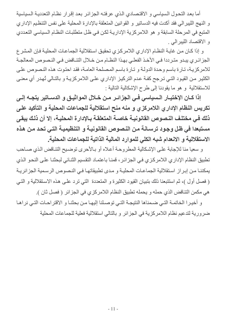أما بعد التحول السياسي و الاقتصادي الذي عرفته الجزائر بعد إقرار نظام التعددية السياسية و النهج الليبر الى فقد أكدت فيه الدساتير و القوانين المتعلقة بالإدار ة المحلية على نفس التنظيم الإدار ي المتبع في المرحلة السابقة و هو اللامركزية الإداريـة لكن في ظل متطلبـات النظـام الـسياسي التعددي و الاقتصاد الليبرالي .

و إذا كـان مـن غايـة النظـام الإداري اللامركـزي تحقيق استقلالية الجماعـات المحليـة فـإن المشر ع الجزائري يبدو مترددا في الأخذ الفعلي بهذا النظام من خلال التناقض في النصوص المعالجة للامركزية، تـارة باسم وحدة الدولـة و تـارة باسم المصلحة العامـة، فقد احتوت هذه النصوص علـى الكثير من القيود التي ترجح كفـة عدم التركيز الإداري علـى اللامركزيـة و بالتـالي تُهدر أي معنـى للاستقلالية و هو ما يقودنا إلى طرح الإشكالية التالية :

إذا كــان الإختيــار الــسياسـي فــي الـجزائــر مــن خــلال المواثيــق و الدســـاتير يتجــه إلــي تكريس النظام الإداري اللامركزي و منه منح استقلالية للجماعات المحلية و التأكيد على ذلك في مختلف النصوص القانونية خاصة المتعلقة بالإدارة المحلية، إلا أن ذلك يبقى مستبعدا في ظل وجود ترسـانـة مـن النـصوص القانونيـة و التنظيميـة التـى تحد مـن هذه الاستقلالية و الانعدام شبه الكلي للموارد المالية الذاتية للجماعات المحلية.

و سعيا منا للإجابة على الإشكالية المطروحة أعلاه أو بالأحرى توضيح التناقض الذي صـاحب تطبيق النظام الإداري اللامركزي في الجزائر ، قمنـا باعتمـاد التقسيم الثنـائي لبحثنـا علـى النحو الذي يمكننـا مـن إبـراز اسـتقلالية الجماعـات المحليـة و مـدى تطبيقاتهـا فـى النـصوص الرسـمية الجزائريـة ( فصل أول )، ثم استتبعنا ذلك بتبيان القيود الكثيرة و المتعددة التي ترد على هذه الاستقلالية و التي هي مكمن التناقض الذي حمله و يحمله تطبيق النظام اللامركزي في الجز ائر ( فصل ثان ).

و أخيرا الخاتمة التي ضمناها النتيجة التي توصلنا إليها من بحثنا و الاقتراحات التي نراها ضر و ربة لتدعيم نظام اللامر كزية في الجز ائر و بالتالي استقلالية فعلية للجماعات المحلية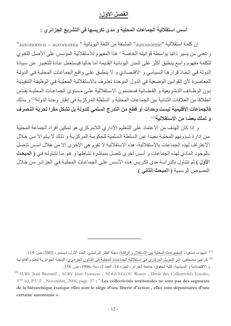### الفصل الأول:

أسس استقلالية الجماعات المحلية و مدى تكريسها في التشريع الجزائر ي :

إن كلمة استقلالية "autonomie" المشتقة من اللغة اليونانية " autonomos – autonomia" و تعني من يسير ذاتيا بواسطة قوانينه الخاصة" هذا المفهوم للاستقلالية المؤسس على الأصل اللغوي للكلمة مفهوم واسع ينطبق أكثر على المدن اليونانية القديمة أما حاليا فيستعمل عادة للتعبير عن سبادة الدولة في اتخاذ قرار ها السياسي و الاقتصادي و لا ينطبق على واقع الجماعات المحلية في الدولة المعاصرة لأن القوانين الوضعية في الدول الموحدة تعترف بالاستقلالية المحلية في الوظيفة التنفيذية دون الوظائف التشر بعية و القضائية فمضمون الاستقلالية علـى مـستوى الجماعـات المحليـة بقـاس انطلاقا من العلاقات الثنائية بين الجماعات المحلية و السلطة المركزية في إطار وحدة الدولة<sup>(2)</sup> و بذلك فالجماعات الإقليمية ليست وحدات أو قطع من التدرج السلمي للدولة بل تشكل مقرا لحرية التصرف و تملك بعضا من الاستقلالية<sup>(3)</sup>

و إذا كان الهدف من الاعتماد على التنظيم الإداري اللامركزي هو تمكين أفراد الجماعة المحلية من إدارة شوونهم المحلية بعيدا عن السلطة السلمية للحكومة المركزيـة و ذلك لا يتم إلا من خلال الاعتراف لهذه الجماعات بالاستقلالية، هذه الاستقلالية لا تقوم هي الأخرى إلا من خلال أسس تتصل بالوجود المادي لهذه الجماعات و أسس أخرى تتصل بمباشرة نشاطها و هو ما نتناولـه فـي ( المعبحث الأول ) ثم نتناول بالدر اسة مدى تكريس هذه الأسس على الجماعات المحلية في الجزائر من خلال النصوص الر سمية ( المبحث الثاني ).

<sup>&</sup>lt;sup>(1)</sup> شبيهو ب مسعود، المجمو عات المحلية بين الاستقلال و الر قابة، مجلة الفكر البر لماني، العدد الأول، ديسمبر ، 2002، ص 119. <sup>(2)</sup> كراجي مصطفى، أثر التمويل المركزي في استقلالية الجماعات المحلية في القانون الجزائري، المجلـة الجزائريـة للعلوم القانونيـة و الاقتصادية و السياسية، كلية الحقوق، جامعة الجزائر، الجزء 34، العدد 2، سنة ،1996، ص 358.

<sup>&</sup>lt;sup>(3)</sup> AUBY Jean Bernard, AUBY Jean François, NOGUELLOU Rozen, Droit des Collectivités Locales, 3<sup>eme</sup> éd, P.U.F, Novembre, 2004, page. 57 : "Les collectivités territoriales ne sont pas des segments de la hiérarchique étatique elles sont le siège d'une liberté d'action, elles sont dépositaires d'une certaine autonomie ».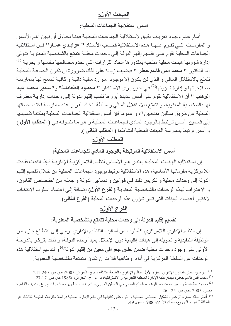# المبحث الأول:

أسس استقلالية الجماعات المحلية:

أمـام عـدم و جـو د تـعر بـف دقيـق لاسـتقلاليـة الـجماعـات المحليـة فإننـا نـحـاو ل أن نبـين أهـم الأسـس و المقومـات التـى تقـوم عليهـا هـذه الاسـتقلالية فحـسب الأسـتاذ " عوابـدى عمـار " فـإن اسـتقلالية الجماعات المحلية تقوم على تقسيم إقليم الدولـة إلـى وحدات محليـة تتمتـع بالشخصية المعنويـة تتولى إدارة شؤونها هيئات محلية منتخبة بمقدور ها اتخاذ القرارات التي تخدم مصىالحها بنفسها و بحريـة <sup>(1)</sup> أما الدكتور " محمد أنس قاسم جعفر " فيضيف زيادة على ذلك ضرورة أن تكون الجماعة المحلية تتمتع بالاستقلال الممالي و الذي لن يكون إلا بوجود موارد مالية ذاتية و كافية تسمح لها بممارسة صلاحياتها و إدارة شؤونها<sup>(2)</sup> في حين يرى الأستاذان " محمود الطعامنــة" و "سـمير محمـد عبـد الوهاب " أن الاستقلالية تقوم على أسس عديدة أبرز ها تقسيم إقليم الدولة إلى وحدات إداريـة معترف لها بالشخصية المعنوية، و تتمتع بالاستقلال المالي و سلطة اتخاذ القرار عند ممارسة اختصاصاتها المحلية عن طريق ممثلين منتخبين<sup>(3</sup>)، و عموما فإن أسس استقلالية الجماعات المحلية يمكننـا تقسيمها إلى قسمين: أسس ترتبط بـالوجود المـادي للجماعـات المحليـة و هو مـا نتناولـه فـي ( المطلب الأول ) و أسس ترتبط بممارسة الهيئات المحلية لنشاطها ( المطلب الثاني ).

# المطلب الأول:

أسس الاستقلالية المرتبطة بالوجود المادي للجماعات المحلية:

إن استقلالية الهيئـات المحليـة يعتبـر هـو الأسـاس لنظـام اللامركزيـة الإداريـة فـإذا انتفت فقدت اللامركزية مقوماتها الأساسية، هذه الاستقلالية ترتبط بوجود الجماعات المحلية من خلال تقسيم إقليم الدولة إلى وحدات محلية و تكريس ذلك في قوانين و دساتير الدولة و جعله من اختصاص القانون، و الاعتراف لهذه الوحدات بالشخصية المعنوية (الفرع الأول) إضافة إلى اعتماد أسلوب الانتخاب لاختيار أعضاء الهيئات التي تدير شؤون هذه الوحدات المحلية (الفرع الثاني).

# الفرع الأول:

# تقسيم إقليم الدولة إلى وحدات محلية تتمتع بالشخصية المعنوية:

إن النظام الإداري اللامركزي كأسلوب من أساليب التنظيم الإداري يرمي إلى اقتطاع جزء من الوظيفة التنفيذية و تحويله إلى هيئات إقليمية دون الإخلال بمبدأ وحدة الدولـة، و ذلك يتركـز بالدرجـة الأولى على وجود وحدات محلية ضمن نطاق جغرافي معين من إقليم الدولة<sup>(4)</sup> و لتدعيم استقلالية هذه الوحدات عن السلطة المركزية في أداء وظائفها فلا بد أن تكون متمتعة بالشخصية المعنوية.

<sup>&</sup>lt;sup>(1)</sup> عو ابدي عمار ،القانون الإدار ي الجز ء الأول النظام الإدار ي، الطبعة الثالثة، د م ج، الجز ائر ،2005، ص ص. 240-241.

<sup>&</sup>lt;sup>(2)</sup> محمد أنس قاسم جعفر ، ديمقر اطية الإدار ة المحلية الليبر الية و الاشتر اكية، د <sub>.</sub> م <sub>.</sub> ج، الجز ائر ، ،1985 ص ص 17-27.

<sup>&</sup>lt;sup>(3)</sup>محمود الطعامنة و سمير محمد عبد الوهاب، الحكم المحلي في الوطن العربي و اتجاهات التطوير، منشورات م <sub>.</sub> ع <sub>.</sub> ت <u>إ</u> ، القاهرة مصر، 2005 اص ص. 25 - 26.

<sup>&</sup>lt;sup>(4)</sup> أنظر خالد سمارة الزغبي، تشكيل المجالس المحلية و أثره على كفايتها في نظم الإدارة المحليةدر اسة مقارنة، الطبعة الثالثة، دار الثقافة للنشر و التوزيع، عمان الأردن، 1988، ص. 49.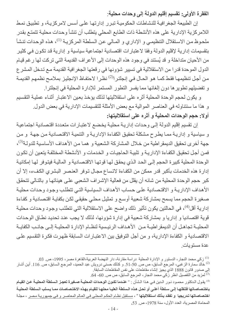الفقرة الأولى: تقسيم إقليم الدولة إلى وحدات محلية:

إن الطبيعة الجغرافية للنشاطات الحكومية تبرر إدارتها على أسس لامركزية، و تطبيق نمط اللامر كزية الإدارية على هذه الأنشطة ذات الطابع المحلي يتطلب أن تنشأ وحدات محلية تتمتع بقدر ملحوظ من الاستقلال التنظيمي و الإداري و المـالي عن الـسلطـة المركزيـة <sup>(1)</sup>، هذه الوحدات تنشأ بتقسيمات إدارية لإقليم الدولة وفقا لاعتبارات اقتصادية اجتماعية سياسية و إدارية قد تكون في كثير من الأحيان متداخلة و قد يُستند في وجود هذه الوحدات إلى الأعراف القديمة التي تركت لها رغم قيـام الدول الموحدة قدرا من الاستقلالية في تسيير شؤونها في رقعتها الجغرافية القديمة مع تدخل المشر ع من أجل تنظيمهـا فقط كمـا هو الحـال فـي إنجلتر ا<sup>(2)</sup> نظـر ا لاحتفـاظ الإنجليز بملامـح نظمهم القديمـة و تفضيلهم تطوير ها دون إلغائها مما يفسر التطور المستمر للإدارة المحلية في إنجلترا.

و يكون لحجم الوحدة المحلية أثر ه على استقلاليتها لذلك يؤخذ بعين الاعتبار أثناء عملية التقسيم و هذا ما سنتناوله في العناصر الموالية مع بعض الأمثلة للتقسيمات الإدارية في بعض الدول. أولا: حجم الوحدات المحلية و أثره على استقلاليتها:

إن تقسيم إقليم الدولة إلى وحدات إدارية محلية يخضع لاعتبارات متعددة اقتصادية اجتماعية و سياسية و إدارية مما يطرح مشكلة تحقيق الكفاءة الإدارية و التنمية الاقتصادية من جهة و من جهة أخرى تحقيق الديمقر اطية من خلال المشاركة الشعبية و همـا من الأهداف الأساسية للدولة<sup>(3)</sup>، فمن أجل تحقيق الكفاءة الإدارية و تلبية الحاجيات و الخدمات و الأنشطة المختلفة يتعين أن تكون الوحدة المحلية كبيرة الحجم إلى الحد الذي يحقق لها قوتها الاقتصادية و المالية فيتوفر لها إمكانية إدارة هذه الخدمات بأكبر قدر ممكن من الكفاءة لاتساع مجال توفر العنصر البشرى الكفء، إلا أن كبر حجم الوحدة المحلية من شانه أن يقلل من فعالية الإشر إف الشعبي على هيئاتها و بالتالي تتحقق الأهداف الإداريـة و الاقتصـادية علـى حساب الأهداف الـسياسية التـى تتطلب وجود وحدات محليـة صغيرة الحجم مما يسمح بمشاركة شعبية أوسع و تمثيل محلي حقيقي لكن بكفاية اقتصادية و كفاءة إدارية أقل<sup>(4)</sup>، في الحالتين يكون تأثير ذلك واضح على الاستقلالية التي تتطلب وجود وحدات محلية قوية اقتصاديا و إداريا و بمشاركة شعبية في إدارة شؤونها، لذلك لا يجب عند تحديد نطـاق الوحدات المحليــة تجاهـل أن الديمقر اطيــة مــن الأهـداف الرئيـسية لنظــام الإدار ة المحليــة إلــي جانــب الكفايــة الاقتصادية و الكفاءة الإدارية، و من أجل التوفيق بين الاعتبارات السابقة ظهرت فكرة التقسيم على عدة مستوبات

<sup>&</sup>lt;sup>(1)</sup> زكي محمد النجار ، الدستور و الإدارة المحلية دراسة مقارنة، دار النهضة العربية،القاهرة مصر ، 1995، ص. 03.

<sup>&</sup>lt;sup>(2)</sup> خالد سمارة الزغبي، المرجع السابق، ص ص 50-51. و كذلك حسني درويش عبد الحميد، المرجع السابق، ص 116. أين أشار إلى صدور قانون 1888 الذي يجيز إنشاء مقاطعات على نفس المقاطعات السابقة. <sup>(3)</sup> لمزيد من التفصيل انظر زكي محمد النجار ، المرجع السابق، ص ص. 60- 64.

<sup>&</sup>lt;sup>(4)</sup> يقول الدكتور محمود نـور الـدين فـي هـذا الـشأن : « ع**نـدما تكـون الوحـدات المحليـة صـغيرة تعجـز الـسلطة المحليـة عـن القيـام** باختصاصاتها فتنقلها إلى سلطة أعلى أو تحل هذه السلطة العليـا محلهـا للقيـام بـهذه الاختصاصات ممـا يـسلب الـسلطة المحليـة ا**ختصاصاتها تدريجيا و تفقد بذلك استقلاليتها** » ، مستقبل نظام الحكم المحلي في العالم المعاصر و في جمهورية مصر ، مجلة المحاماة المصر ية، العدد الأول، سنة 1978، ص. 53.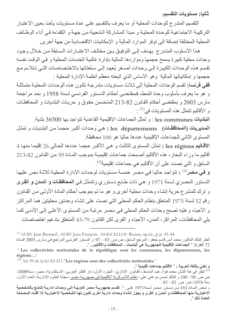ثانيا: مستويات التقسيم:

النقسيم المتدرج للوحدات المحلية أو ما يعرف بالنقسيم على عدة مستويات يأخذ بعين الاعتبار التركيبة الاجتماعية للوحدة المحلية و مبدأ المشاركة الشعبية من جهة و الكفاءة في أداء الوظائف المحلية المختلفة إضافة إلى توفر الموارد المالية و الإمكانيات الاقتصادية من جهة أخرى.

هذا الأسلوب المتدرج يهدف إلى التوفيق بين مختلف الاعتبارات السابقة من خلال وجود وحدات محلية كبيرة يسمح حجمها ومواردها المالية بإدارة غالبية الخدمات المحلية و في الوقت نفسه تقسم هذه الوحدات الكبيرة إلى وحدات أصخر يُعهد إلى سلطاتها بالاختصاصات التي تتلاءم مع حجمها و إمكانياتها المالية وهو الأساس الذي اتبعته معظم أنظمة الإدارة المحلية :

ففي فرنسا: تقسم الوحدات المحلية إلى ثلاث مستويات متدرجة تكون هذه الوحدات المحلية متماثلة و هو ما يعرف بأسلوب وحدة النمط، فبمقتضىي أحكام الدستور الفرنسي لسنة 1958 و بعد مراجعة مارس 2003 و بمقتضىي أحكام القانون 82-213 المتضمن حقوق و حريات البلديات و المحافظات و الأقاليم تتمثل هذه المستويات في<sup>(1)</sup> :

البلديات les communes : و تمثّل الجماعات الإقليمية القاعدية تتواجد بها 36500 بلدية. المديريات (المحافظات) : les départements : هي وحدات أكبر حجمـا من البلديات و تمثّل المستوى الثاني للجماعات الإقليمية عددها حاليا هو 100 محافظة.

الأقاليم les régions : تمثل المستوى الثالث و هي الأكبر حجما عددها الحالي 26 إقليما منها 4 أقاليم ما وراء البحار ، هذه الأقاليم أصبحت جماعات إقليمية بموجب المـادة 59 من القـانون 82-213 السابق و التي نصت على أن الأقاليم هي جماعات إقليمية<sup>(2)</sup>.

و في مصر<sup>(3)</sup> : تتواجد حاليا في مصر خمسة مستويات لوحدات الإدارة المحلية ثلاثـة نص عليهـا الدستور المصري لسنة 1971 و هي ذات طابع دستوري وتتمثل في ا**لمحافظات و المدن و القر**ى و ترك للمشرع حرية إنشاء وحدات محلية أخرى و هو ما تم بموجب أحكام المادة الأولى من القانون رقم 52 لسنة 1975 المتعلق بنظام الحكم المحلي التي نصت على إنشاء وحدتين محليتين هما المراكز و الأحياء وعليه تصبح وحدات الحكم المحلي في مصر مرتبة من المستوى الأعلى إلى الأدنى كما يلي المحافظات، المراكز، المدن، الأحياء و القرى لكن القانون 79-43 المتعلق بتدعيم اختصاصات

أنظر كذلك الدكتور. محمد أنس قاسم جعفر ، المرجع السابق، ص ص. 83 – 97. و الدستور. الفرنسي المراجع في مـارس 2003 المـادة 72 الفقر 33 « الجماعات الإقليمية للجمهورية هي البلديات ، المحافظات والأقاليم... ".

 $\binom{1}{1}$  AUBY Jean Bernard, AUBY Jean François, NOGUELLOU Rozen, op.cit.., p p. 43-44.

<sup>&</sup>quot;Les collectivités territoriales de la république sont les communes, les départements, les régions..."

 $^{(2)}$  Art 59 de la loi 82-213 "Les régions sont des collectivités territoriales"

و تعني باللغة العربية : « الأقاليم جماعات إقليمية ». <sup>(3)</sup> أنظّر في هذا الشأن محمد فؤاد عبد الباسط ، القانون الإداري، الجزء الأول، دار الفكر العربي، الإسكندرية، مصر، سنة2000، ص ص. 98 - 108 و كذلك شمس مر غني علي ، نظام اللامركزية الإقليمية في جمهوريـة مصر ، مجلـة العلوم الإداريـة، العدد الأول، سنة 1976، ص ص 82 - 83 .

و تنص المـادة 161 مـن دسـتور مـصـر لـسنة1971 علـى : « **تقسم جمهوريــة مـصر العربيــة إلـى وحـدات إداريــة تتمتـع بالشخصية** الاعتبارية منها المحافظات و المدن و القرى و يجوز إنشاء وحدات إدارية أخرى تكون لها الشخصية الاعتبارية إذا اقتت المصلحة العامة ذلك ».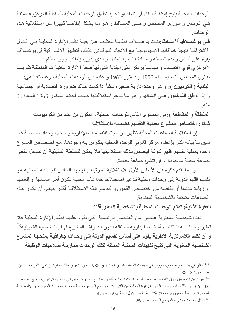الوحدات المحلية يتيح إمكانية إلغاء أو إنشاء أو تحديد نطاق الوحدات المحلية للسلطة المركزية ممثلة في الرئيس و الـوزير المختص و حتـى المحـافظ و هـو مـا يـشكل إنقاصـا كبيـرا مـن اسـتقلالية هـذه الوحدات

في يوغسلافيا<sup>(1)</sup> سـابقا:بنـت يوغسلافيا نظامـا يختلـف عـن بقيـة نظـم الإدارة المحليـة فـي الـدول الاشتر اكية نتيجة خلافاتها الإيديولوجية مع الإتحاد السوفياتي آنذاك، فتطبيق الاشتر اكية في يو غسلافيا يقوم على أساس وحدة السلطة و سيادة الشعب العامل و الذي بدوره يتطلب وجود نظام لامركزي قوي اقتصاديا و سياسيا يرتكز على البلدية التي لها صفة الإدارة الذاتية ثم المنطقة تكريسا لقانون المجالس الشعبية لسنة 1952 و دستور 1963 و عليه فإن الوحدات المحلية ليوغسلافيا هي: ا**لبلدية ( الكوميون ):** و هي وحدة إدارية صغيرة تنشأ إذا كانت هناك ضرورة اقتصادية أو اجتماعية و إذ ا **وافق النـاخبون** علـى إنشائها و هو مـا يدعم استقلاليتها حسب أحكـام دستور 1963 المـادة 96 منه

المنطقة ( المقاطعة ):هي المستوى الثاني للوحدات المحلية و تتكون من عدد من الكوميونات . ثالثًا : اختصاص المشرع بعملية التقسيم كضمانة للاستقلالية

إن استقلالية الجماعات المحلية تظهر من حيث التقسيمات الإدارية و حجم الوحدات المحلية كما سبق لنا بيانه أكثر بإعطاء مركز قانوني للوحدة المحلية يتكرس بـه وجودهـا، مـع اختصـاص المشر ع وحده بعملية تقسيم إقليم الدولة فيضمن بذلك استقلاليتها فلا يمكن للسلطة التنفيذية أن تتدخل لتلغي جماعة محلية موجودة أو أن تتشئ جماعة جديدة.

و مما نقدم ذكره فإن الأساس الأول للاستقلالية المرتبط بالوجود المادي للجماعة المحلية هو تقسيم إقليم الدولـة إلـى وحدات محليـة تدعى اصـطلاحا جماعـات محليـة يكون أمـر إنشائـها أو إلغائهـا أو زيادة عددها أو إنقاصه من اختصاص القانون و لتدعيم هذه الاستقلالية أكثر ينبغي أن تكون هذه الجماعات متمتعة بالشخصبة المعنوبة

الفقرة الثانية: تمتع الوحدات المحلية بالشخصية المعنوية<sup>(2)</sup>:

تعد الشخصية المعنوية عنصرا من العناصر الرئيسية التي يقوم عليها نظام الإدارة المحلية فلا تعتبر وحدات هذا النظام أشخاصـا إداريـة <u>مستقلة</u> بـدون اعتراف المشرع لهـا بالشخصية القانونيـة<sup>(3)</sup> و أن نظام اللامركزية الإدارية يقوم على أساس تقسيم الدولة إلى وحدات جغرافية يمنحها المشرع الشخصية المعنوية التي تتيح للهيئات المحلية الممثلة لتلك الوحدات ممارسة صلاحيات الوظيفة

99) عادل محمود حمدي ، المرجع السابق، ص. 99.

<sup>&</sup>lt;sup>(1)</sup> أنظر في هذا عمر صدوق، دروس في الهيئات المحلية المقارنة، د م ج، 1988، ص. 64. و خالد سمارة الزغبي، المرجع السابق، ص ص.87 - 88.

<sup>&</sup>lt;sup>(2)</sup> لمزيد من التفاصيل حول الشخصية المعنوية للجماعات المحلية أنظر عوابدي عمار ،دروس في القانون الإداري، د م ج، ص ص 100 - 106. و كذلك ماجد راغب الحلو ،الإدارة المحلية بين اللامركزية و عدم التركيز ، مجلة الحقوق للبحوث القانونية و الاقتصادية الصادرة عن كلية الحقوق جامعة الإسكندرية، العدد الأول، سنة 1975، ص 8 .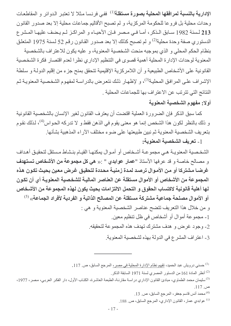الإدارية بالنسبة لمرافقها المحلية بصورة مستقلة<sup>(1)</sup> ففي فرنسا مثلا لا تعتبر الدوائر و المقاطعات وحدات محلية بل فروعا للحكومة المركزية، و لم تصبح الأقاليم جماعات محلية إلا بعد صدور القانون 213 لسنة 1982 سـابق الـذكر ، أمـا فـي مـصر فـإن الأحيـاء و المراكـز لـم يـضف عليهـا المـشر ع الدستوري صفة وحدة محلية<sup>(2)</sup> و لم تصبح كذلك إلا بعد صدور القانون رقم 52 لسنة 1975 المتعلق بنظام الحكم المحلي و الذي بموجبه منحت الشخصية المعنوية، و عليه يكون للاعتراف بالشخصية المعنوية لوحدات الإدارة المحلية أهمية قصوى في التنظيم الإداري نظرا لعدم اقتصار فكرة الشخصية القانونية على الأشخاص الطبيعية و أن اللامركزية الإقليمية تتحقق بمنح جزء من إقليم الدولـة و سلطـة الإشراف على المرافق المحلية<sup>(3)</sup>، و لإظهار ذلك نتعرض بالدراسة لمفهوم الشخصية المعنوية ثم النتائج التي تترتب عن الاعتراف بها للجماعات المحلية .

# أولا: مفهوم الشخصية المعنوية

كما سبق الذكر فإن الضرورة العملية اقتضت أن يعترف القانون لغير الإنسان بالشخصية القانونية و ذلك بالنظر لكون هذا الشخص إنما هو معنى يقوم في الذهن فقط و لا تدركه الحواس<sup>(4)</sup>، لذلك نقوم بتعريف الشخصية المعنوية ثم نبين طبيعتها على ضوء مختلف الآراء المذهبية بشأنها. [ ـ تعريف الشخصية المعنوية:

الشخصية المعنويـة هـي مجموعـة أشـخاص أو أمـوال يمكنهـا القيـام بنـشاط مـستقل لتحقيـق أهـداف و مصالح خاصة و قد عرفها الأستاذ "عمار عوابدي " :« هي كل مجموعة من الأشخاص تستهدف غرضـا مشتركا أو مـن الأمـوال ترصـد لمـدة زمنيـة محـددة لتحقيق غرض معين بحيث تكـون هذه المجموعة من الأشخاص أو الأموال مستقلة عن العناصر الماليـة للشخصية المعنويـة أي أن تكون لها أهلية قانونية لاكتساب الحقوق و التحمل الالتزامات بحيث يكون لهذه المجموعة من الأشخاص أو الأموال مصلحة جماعية مشتركة مستقلة عن المصالح الذاتية و الفردية لأفراد الجماعة» <sup>(5)</sup> و من خلال هذا التعريف تتضح عناصر الشخصية المعنوية و هي : 1- مجموعة أموال أو أشخاص في ظل تنظيم معين. 2- وجود غرض و هدف مشترك تهدف هذه المجموعة لتحقيقه. 3- اعتراف المشرع في الدولة بهذه لشخصبة المعنوية.

أنظر المادة 161 من الدستور المصرى لسنة 1971 السابقة الذكر .  $\,$ 

- <sup>(4)</sup> محمد أنس قاسم جعفر ، المرجع السابق، ص. 13.
- <sup>(5)</sup> عوابدي عمار ، القانون الإداري، المرجع السابق، ص. 188.

<sup>&</sup>lt;sup>(1)</sup> حسني در ويش عبد الحميد، <u>تقييم نظام الإدار ة المحلية في مصر ،</u> المرجع السابق، ص 117 ـ

<sup>&</sup>lt;sup>(3)</sup>سليمان محمد الطماوي، مبادئ القانون الإداري دراسة مقارنـة، الطبعـة العاشرة، الكتـاب الأول، دار الفكر العربـي، مصر، 1977، ص 117.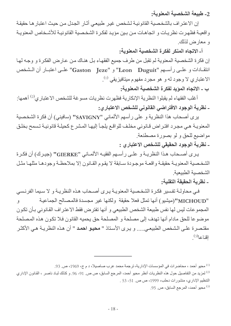2- طبيعة الشخصية المعنوية:

إن الاعتراف بالشخصية القانونية لشخص غير طبيعي أثـار الجدل من حيث اعتبار هـا حقيقـة واقعية فظهرت نظريات و اتجاهات من بين مؤيد لفكرة الشخصية القانونية للأشخاص المعنوية و معارض لذلك.

أ- الاتجاه المنكر لفكرة الشخصية المعنوية:

إن فكرة الشخصية المعنوية لم تقبل من طرف جميع الفقهاء بل هناك من عارض الفكرة و وجه لها انتقادات و علمي رأسمه "Leon Duguit" و "Gaston Jeze" علمي اعتبار أن الشخص الاعتبا*ري لا و*جود له و هو مجرد مفهوم ميتافيزيقي <sup>(1)</sup>.

ب - الاتجاه المؤيد لفكرة الشخصية المعلوية:

أغلب الفقهاء لم يقبلوا النظرية الإنكارية فظهرت نظريات مسوغة للشخص الاعتباري<sup>(2)</sup> أهمها: ـ نظرية الوجود الافتراضى القانونى للشخص الاعتبارى:

يرى أصحاب هذا النظرية و على رأسهم الألماني "SAVIGNY" (سافيني) أن فكرة الشخصية المعنوية هي مجرد افتراض قانوني مخلف للواقع يلجأ إليها المشرع كحيلة قانونية تسمح بخلق مواضيع للحق و لو بصورة مصطنعة<sub>.</sub>

ـ نظرية الوجود الحقيقى للشخص الاعتبار :

يـري أصـحاب هـذا النظريــة و علــي ر أســهم الفقيــه الألمــاني "GIERKE" (جيـرك) أن فكـر ة الشخصية المعنويية حقيقية واقعية موجودة سبابقة لا يقوم القبانون إلا بملاحظية وجودهيا مثلهيا مثل الشخصبة الطبيعية

ـ نظرية الحقيقة التقنية:

في محاولـة تفسير فكرة الشخصية المعنويـة يرى أصـحاب هذه النظريـة و لا سـيما الفرنـسي "MICHOUD"(ميشيو) أنها تمثل فعلا حقيقة ولكنها غير مجسدة فالمصالح الجماعية ٯ المجموعات ليس لها نفس طبيعة الشخص الطبيعي و أنها تفتر ض فقط الاعتر اف القانوني بـأن تكون موضوعا للحق مادام أنها تهدف إلى مصلحة و المصلحة حق يحميه القانون فلا تكون هذه المصلحة مقتصرة على الشخص الطبيعي..... و يرى الأستاذ " محيو احمد " أن هذه النظريـة هـي الأكثـر اقناعا<sup>(3)</sup>

<sup>(1)</sup> محيو أحمد ، محاضرات في المؤسسات الإدارية، ترجمة محمد عرب صاصيلا، د م ج، 1969، ص. 93.

<sup>&</sup>lt;sup>(2)</sup> لمزيد من التفاصيل حول هذه النظريات أنظر محيو أحمد، المرجع السابق، ص ص\_ 91- 96\_ و كذلك لبـاد ناصـر ، القـانون الإداري التنظيم الإداري، منشورات دحلب، 1999، ص ص. 51- 53 .

<sup>&</sup>lt;sup>(3)</sup> محيو أحمد، المرجع السابق، ص<sub>. 95.</sub>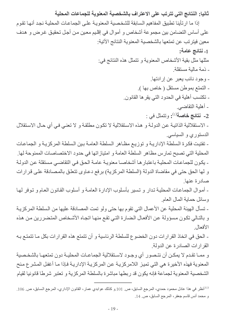ثانيا: النتائج التي تترتب على الاعتراف بالشخصية المعنوية للجماعات المحلية

إذا ما ارتأينا تطبيق المفاهيم السابقة للشخصية المعنوية على الجماعات المحلية نجد أنها تقوم على أساس التضامن بين مجموعة أشخاص و أموال في إقليم معين من أجل تحقيق غرض و هدف معين فيترتب عن تمتعها بالشخصية المعنوية النتائج الآتية: 1- نتائج عامة: مثلها مثل بقية الأشخاص المعنوية و تتمثل هذه النتائج في: - ذمة مالية مستقلة. - وجود نائب يعبر عن إر ادتها. - التمتع بموطن مستقل (خاص بها ). - تكتسب أهلية في الحدود التي يقر ها القانون. - أهلية التقاضي. 2- ن**تائج خاصة**<sup>(1)</sup>: وتتمثل في : - الاستقلالية الذاتيـة عن الدولـة و هذه الاستقلالية لا تكون مطلقـة و لا تعنـي فـي أي حـال الاستقلال الدستوري و السياسي. - تفتيت فكرة السلطة الإداريـة و توزيـع مظـاهر السلطة العامـة بين السلطة المركزيـة و الجماعـات المحلية التي تصبح تمارس مظاهر السلطة العامة و امتياز اتها في حدود الاختصاصات الممنوحة لها. - يكون للجماعـات المحليـة بـاعتبار هـا أشخاصــا معنويـة عامـة الحـق فـي التقاضـي مستقلة عن الدولـة و لها الحق حتى في مقاضاة الدولة (السلطة المركزية) برفع دعاوى تتعلق بالمصادقة على قرارات صادرة عنها - أموال الجماعات المحلية تدار و تسير بأسلوب الإدارة العامة و أسلوب القانون العام و توفر لها وسائل حماية المال العام ـ تسأل الهيئة المحلية عن الأعمال التي تقوم بها حتى ولو تمت المصادقة عليها من السلطة المركزيـة و بالتالي تكون مسؤولة عن الأفعال الضارة التي تقع منها اتجاه الأشخاص المتضررين من هذه الأفعال ـ الحق في اتخاذ القرارات دون الخضوع للسلطة الرئاسية و أن تتمتع هذه القرارات بكل مـا تتمتـع بـه القرارات الصادرة عن الدولة. و ممـا تقدم لا يمكـن أن نتـصور أي وجـود لاسـتقلالية الجماعـات المحليـة دون تمتعهـا بالشخـصية المعنو ية فهذه الأخير ة هي التي تميز اللامر كز يـة عن المر كز يـة الإدار يـة فـإذا مـا أغفل المشر ع منح الشخصية المعنوية لجماعة فإنه يكون قد ربطها مباشرة بالسلطة المركزية و تعتبر شرطا قانونيا لقيام

<sup>&</sup>lt;sup>(1)</sup> أنظر في هذا عادل محمود حمدي، المرجع السابق، ص<sub>. 101.</sub>و كذلك عوابدي عمار ، القانون الإداري، المرجع السابق، ص<sub>. 106.</sub> و محمد أنس قاسم جعفر ، المرجع السابق، ص. 14.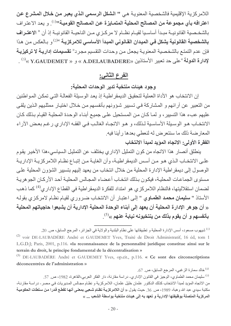اللامر كزية الإقليمية فالشخصية المعنوية هي " الشكل الرسمي الذي يعبر من خلال المشرع عن اعترافه بأي مجموعة من المصالح المحلية المتمـايزة عن المصـالح القوميـة''<sup>(1)</sup>. و بعد الاعتراف بالشخصية القانونيــة مبـدأ أساسـيا لقيـام نظــام لا مركـزي مـن الناحيــة القانونيــة إذ أن « الاعتــرا**ف** بالشخصية القانونية يشكل في الميدان القانوني المبدأ الأساسي للامركزية <sup>»(2)</sup> و بـالعكس من هذا فإن عدم التمتـع بالشخصية المعنويـة يجعل مـن وحدات التقسيم مجرد<sup>«</sup> تقسيمات إ**داريـة لا تركيزيـة**  $^{(3)}$ لإدارة الدولة "على حد تعبير الأستاذين «A.DELAUBADERE » و « Y.GAUDEMET » ( )

### الفرع الثاني:

## وجود هيئات منتخبة تدير الوحدات المحلية:

إن الانتخاب هو الأداة العملية لتحقيق الديمقر اطية إذ يعد الوسيلة الفعالـة التـى تمكن المـواطنين من التعبير عن آرائهم و المشاركة في تسبير شؤونهم بأنفسهم من خلال اختيار ممثليهم الذين يلقى عليهم عبء هذا التسيير ، و لمـا كـان مـن المستحيل علـى جميـع أبنـاء الوحدة المحليـة القيـام بـذلك كـان الانتخـاب هـو الوسـيلة الأساسـية لـذلك، و هـو الاتجـاه الغالـب فـي الفقـه الإداري ر غـم بعـض الآراء المعار ضنة ذلك ما سنتعر ض له لنعطي بعدها ر أينا فيه. الفقرة الأولى: الاتجاه المؤيد لمبدأ الانتخاب

ينطلق أنصار هذا الاتجاه من كون التمثيل الإداري يختلف عن التمثيل السياسي،هذا الأخير يقوم على الانتخـاب الـذي هـو مـن أسـس الديمقر اطيـة، وأن الغايـة مـن إتبـاع نظـام اللامركزيـة الإداريـة الوصول إلى ديمقر اطية الإدارة المحلية من خلال انتخاب من يعهد إليهم بتسيير الشؤون المحلية على مستوى الجماعات المحلية، فيكون بذلك انتخاب أعضاء المجالس المحلية أحد الأركان الجوهرية لضمان استقلاليتها، فالنظام اللامركزي هو امتداد للفكرة الديمقر اطية في القطاع الإداري<sup>(4)</sup> كما ذهب الأستاذ " **سليمان محمد الطمـاوي** " إلـى اعتبـار أن الانتخـاب ضـروري لقيـام نظـام لامركـزي بقولـه « أن جوهر الإدارة المحلية أن يعهد إلى أبناء الوحدة المحلية الإدارية أن يشبعوا حاجياتهم المحلية  $\mathcal{L}^{(5)}$ بأنفسهم و أن يقوم بذلك من ينتخبونه نيابة عنهم  $\mathcal{L}^{(5)}$ 

(1) شيهوب مسعود، أسس الإدارة المحلية و تطبيقاتها على نظام البلدية والولاية في الجزائر، المرجع السابق، ص 20. <sup>(2)</sup> voir DE-LAUBADÉRE André et GAUDEMET Yves, Traité de Droit Administratif, 16 éd, tom 1 L.G.D.J; Paris, 2001, p.116. «la reconnaissance de la personnalité juridique constitue ainsi sur le terrain du droit, le principe fondamental de la décentralisation »

<sup>(3)</sup> DE-LAUBADÉRE André et GAUDEMET Yves, op.cit., p.116. « Ce sont des circonscriptions déconcentrées de l'administration »

<sup>(4)</sup> خالد سمار ة الز غبي، المرجع السابق، ص. 67.

<sup>(5)</sup> سليمان محمد الطماوي، الوجيز في القانون الإداري- دراسة مقارنة، دار الفكر العربي،القاهرة، 1982، ص. 57. من الاتجاه المؤيد لمبدأ الانتخاب كذلك الدكتور عثمان خليل عثمان، اللامركزية و نظـام مجـالس المديريات فـي مصـر ـ در اسـة مقارنـة، مكتبة سيدي عبد الله وهبة، 1989، ص<sub>. 36.</sub> حيث يقول « أ**ن اللامركزية نظام شعبي بمعني أنها تقطع قدرا من سلطات الحكومية** المركزية المتصلة بوظيفتها الإدارية و تعهد به إلى هيئات منتخبة بواسطة الشعب ... »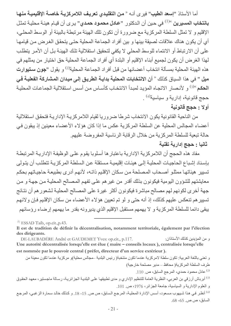أما الأستاذ "إسعد الطيب" فيرى أنـه « من التقليدي تعريف اللامركزيـة خاصـة الإقليميـة منـهـا **بانتخاب المسيرين** »<sup>(1)</sup> في حين أن الدكتور "**عـادل محمـود حمـدي**" يـرى أن قيـام هيئـة محليـة تمثـل الإقليم و لا تمثل السلطة المركزية مع ضرورة أن تكون تلك الهيئة مرتبطة بالبيئة أو الوسط المحلي، أي أن يكون هناك علاقات لصيقة بينها و بين أفراد الجماعة المحلية حتى يتحقق الغرض من قيامها على أن الارتباط أو الانتماء للوسط المحلي لا يكفي لتحقيق استقلالية تلك الهيئـة بل أن الأمـر يتطلب لهذا الغرض أن يكون لجميع أبناء الإقليم أو البلدة أي أفراد الجماعة المحلية حق اختيار من يمثلهم في هذه الهيئة المحلية بمسألة انتخاب أعضائها من قبل أفراد الجماعة المحلية<sup>(2)</sup> و يقول "**جون ستيوارت** ميل " في هذا السياق كذلك « أن الانتخابات المحلية بدايـة الطريـق إلـى ميدان المشاركة الفعليـة فـي الحكم »<sup>(3)</sup> و لأنصـار الاتجـاء المؤيد لمبدأ الانتخـاب كأسـاس مـن أسـس اسـتقلالية الجماعـات المحليـة حجج قانونية، إدارية و سياسية<sup>(4)</sup> .

### أولا : حجج قانونية

من الناحية القانونية يكون الانتخاب شرطا ضروريا لقيام اللامركزيـة الإداريـة فتحقق استقلالية أعضـاء المجالس المـحلية عن السلطـة المركزيـة عكس مـا إذا كـان هؤ لاء الأعضـاء معينين إذ يبقون فـى حالة تبعية للسلطة المركزية من خلال الرقابة الرئاسية المفروضة عليهم.

# ثانيا : حجج إدارية تقنية

مفاد هذه الحجج أن اللامركزية الإدارية باعتبار ها أسلوبا يقوم على الوظيفة الإدارية المرتبطة بإسناد إشباع الحاجيات المحلية إلى هيئات إقليمية مستقلة عن السلطة المركزية تتطلب أن يتولى تسيير هيئاتها ممثلو أصحاب المصلحة من سكان الإقليم ذاتـه، لأنهم أدرى بطبيعة حاجيـاتهم بحكم معايشتهم للشؤون اليومية فيكونون بذلك أقدر من غير هم على تفهم المصىالح المحلية من جهة و من جهة أخرى لكونهم لهم مصالح مباشرة فيكونون أكثر غيرة على المصالح المحلية لشعور هم أن نتائج تسيير هم تنعكس عليهم كذلك، إذ أنه حتى و لو تم تعيين هؤلاء الأعضـاء من سكان الإقليم فـإن ولائـهم يبقى دائما للسلطة المركزية و لا يهمهم مستقبل الإقليم الذي يديرونه بقدر ما يهمهم إرضاء رؤسائهم

 $^{(1)}$  ESSAD Taib, op.cit., p.43.

و من المؤيدين كذلك الأستاذان: DE-LAUBADÉRE André et GAUDEMET Yves: op.cit., p.117. Une autorité décentralisée lorsqu'elle est élue (maire - conseils locaux), centralisée lorsqu'elle est nommée par le pouvoir central (préfet, directeur d'un service extérieur).

و تعني باللغة العربية: تكون سلطة لامركزية عندما تكون منتخبة( رئيس البلدية ــمجالس محلية)و مركزية عندما تكون معينة من طرف السلطة المركزية( محافظ ــ مدير مصلحة خارجية) عادل محمود حمدي، المرجع السابق، ص. 110.  $^{(2)}$ 

<sup>(3)</sup> أبرباش أرزقي بن العربي، النظرية العامة للتنظيم الإداري و مدى تطبيقها على البلدية الجزائرية، رسالة ماجستير، معهد الحقوق و العلوم الإدارية و السياسية، جامعة الجز ائر ، 1976، ص. 101.

<sup>(4)</sup> أنظر في هذا شبهوب مسعود، أسس الإدارة المحلية، المرجع السابق، ص ص<sub>. 1</sub>5- 18<sub>.</sub> و كذلك خالد سمارة الزغبي، المرجع السابق، ص ص. 65- 68.

Il est de tradition de définir la décentralisation, notamment territoriale, également par l'élection des dirigeants.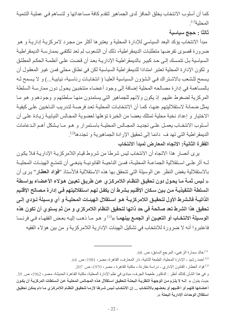كما أن أسلوب الانتخاب يخلق الحافز لدى الجماهير لتقدم كافة مساعداتها و لتساهم فـي عمليـة التنميـة المحلية (1).

ثالثا : حجج سياسية

مبدأ الانتخاب يؤكد البعد السياسي للإدارة المحلية و يعتبر ها أكثر من مجرد لامركزيـة إداريـة و هو ضرورة قصوى تفرضها متطلبات الديمقراطية، ذلك أن الشعوب لم تعد تكتفي بممارسة الديمقراطية السياسية بل تتمسك إلى حد كبير بالديمقر اطية الإداريـة بعد أن قضت علـى أنظمـة الحكم المطلـق و لكون الإدارة المحلية تعتبر امتدادا للديمقراطية السياسية لكن في نطاق محلي فمن غير المعقول أن يسمح للشعب بالاشتراك في الشؤون السياسية العليا ( انتخابات رئاسية، نيابية...) و لا يسمح لـه بالمساهمة في إدارة مصالحه المحلية إضافة إلى وجود أعضاء منتخبين يحول دون ممارسة السلطة المركزية لضغوط عليهم إذ يكون ولائهم للجماهير التي يستمدون منها سلطتهم و وجودهم و هو ما يمثل ضمانة لاستقلاليتهم عنها، كما أن الانتخابات المحلية تعد فرصـة لتدريب النـاخبين علـى كيفيـة الاختيار و إعداد نخبة محلية تمتلك بعضا من الخبرة تؤهلها لعضوية المجالس النيابية زيادة على أن أسلوب الانتخــاب يعمــل علــى تجديــد المجــالس المحليــة بـاســتمر ار و هــو مــا يــشكل أهـم الــدعامات الديمقر اطية التي تهد ف دائما إلى تحقيق الإرادة الجماهيرية و تجددها<sup>(2)</sup>. الفقرة الثانية: الاتجاه المعارض لمبدأ الانتخاب

يرى أنصار هذا الاتجاه أن الانتخاب ليس شرطا من شروط قيام اللامركزية الإدارية فلا يكون لــه أثر علــى اسـتقلالية الجماعــة المحليــة، فمـن الناحيــة القانونيــة ينبغــى أن تتمتــع الـهيئــات المحليــة بالاستقلالية بغض النظر عن الوسيلة التي تتحقق بها هذه الاستقلالية فالأستاذ "فؤاد العطار" يرى أن « ليس ثمــة مــا يحـول دون تحقيق النظــام اللامركـزي عن طريـق تعيـين هوَلاء الأعضـاء بواسـطة السلطة التنفيذيــة مـن بـين سـكان الإقلـيم بـشرط أن يكفـل لـهـم اسـتقلاليتـهم فـي إدارـة مـصـالـح الإقلـيم الذاتيــة فالـشرط الأول لتحقيـق اللامركزيــة هـو اسـتقلال الـهيئــات المحليــة و أي وسـيلـة تـوَدي إلـي تحقيق هذا الشرط تعد صالحة في حد ذاتها لتحقيق النظام اللامركزي و من ثم يستوي أن تكون هذه ا**لوسـيلة الانتخـاب أو التعيـين أو الجمـع بينـهمـا** »<sup>(3)</sup> و هـو مـا ذهـب إليـه بعـض الفقهـاء فـي فرنـسا فاعتبروا أنه لا ضرورة للانتخاب في تشكيل الهيئات الإدارية اللامركزية و من بين هؤلاء الفقيه

خالد سمار ة الز غبي، المرجع السابق، ص. 68.  $^{(1)}$ 

<sup>&</sup>lt;sup>(2)</sup> أحمد رشيد ، الإدارة المحلية، الطبعة الثانية، دار المعارف، القاهرة، مصر ، 1981، ص<sub>. 64.</sub>

<sup>&</sup>lt;sup>(3)</sup> فؤاد العطار ، القانون الإداري - دراسة مقارنة-، مكتبة القاهرة ، مصر ، 1970، ص. 207.

و في هذا الشأن كذلك أنظر : الدكتور طعيمة الجرف، مبادئ في نظم الإدارة المحلية، مكتبة القاهرة الحديثة، مصر، 1962، ص. 59. حيث يقول « إنــه لا يلـزم مـن الوجهـة النظريـة البحتـة لتحقيـق اسـتقلال هذه المجـالس المحليـة عـن الـسلطات المركزيـة أن يكـون أعضائها كلهم أو أغلبهم أو بعضهم بالانتخاب ... إن الانتخاب ليس شرطا لازمـا لتحقيق النظـام اللامركـزي مـا دام يمكن تحقيق استقلال الوحدات الإدارية البحتة ».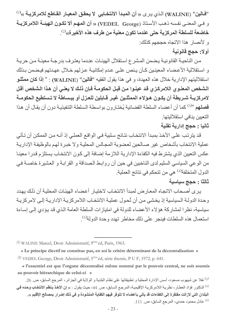"فَالين" (WALINE) الذي يرى « أن المبدأ الانتخابي لا يحقق المعيار القاطع للامركزيـة »<sup>(1)</sup> و في المعنى نفسه ذهب الأستاذ (VEDEL George) « أن المهم ألا تكون الهيئـة اللامركزيـة خاضعة للسلطة المركزية حتى عندما تكون معنية من طرف هذه الأخيرة»<sup>(2)</sup>.

و لأنصار هذا الاتجاه حججهم كذلك: أولا: حجج قانونية

من الناحيـة القانونيـة يـضمن المشر ع اسـتقلال الـهيئـات عنـدما يعتـرف بدرجـة معينـة مـن حريـة و استقلالية الأعضاء المعينـين كـأن يـنص علـى عـدم إمكانيــة عـزلـهم خـلال عهـدتهم فيـضمن بـذلك استقلاليتهم الإدارية خلال هذه العهدة، و في هذا يقول الفقيه "فالين" (WALINE) : « إذا كان ممثلو الشخص المعنوي اللامركزي قد عينوا من قبل الحكومـة فـإن ذلك لا يعنـي أن هذا الشخص أقل لامركزيــة شـريطة أن يكـون هـولاء الممثلـين غيـر قــابلين للعـزل أو ببـساطة لا تـستطيع الـحكومــة فصلهم »<sup>(3)</sup> كما أن أعضاء السلطة القضائية يُختـارون بواسطة السلطة التنفيذيـة دون أن يقـال أن هذا التعبين بنافى استقلاليتها

#### ثانيا : حجج إدارية تقنية

قد يترتب على الأخذ بمبدأ الانتخاب نتائج سلبية في الواقع العملي إذ أنـه من الممكن أن تـأتي عملية الانتخاب بأشخاص غير صـالحين لعضوية المجـالس المحليـة ولا خبـرة لـهم بالوظيفـة الإداريـة عكس التعيين الذي يشترط فيه الكفاءة الإدارية اللازمة إضافة إلى كون الانتخاب يستلزم قدرا معينا من الوعي السياسي السليم لدى الناخبين في حين أن ر و ابـط الـصداقة و القر ابـة و العشير ة خاصــة فـي الدول المتخلفة<sup>(4)</sup> هي من تتحكم في نتائج العملية<sub>.</sub>

### ثالثا : حجج سياسية

يرى أصحاب الاتجاه المعارض لمبدأ الانتخاب لاختيار أعضاء الهيئات المحلية أن ذلك يهدد وحدة الدولـة السياسية إذ يخشى من أن تُحول عمليـة الانتخـاب اللامركزيـة الإداريـة إلـى لامركزيـة سياسية، نظر ا لمشاركة هؤ لاء الأعضاء للدولة في امتياز ات السلطة العامة الذي قد يؤدي إلى إساءة استعمال هذه السلطات فينجر على ذلك مخاطر تهدد وحدة الدولة<sup>(5)</sup>.

<sup>(1)</sup> WALINE Marcel, Droit Administratif, 9<sup>éme</sup> éd, Paris, 1963.

« Le principe électif ne constitue pas, en soi le critère déterminant de la décentralisation » <sup>(2)</sup> VEDEL George, Droit Administratif, 5<sup>éme</sup> éd, série themis, P U F, 1972, p. 641.

<sup>(3)</sup> نقلا عن شيهوب مسعود، أسس الإدارة المحلية و تطبيقاتها على نظام البلدية و الولاية في الجزائر ، المرجع السابق، ص 26. <sup>(4)</sup> الدكتور فؤاد العطار ، نظرية اللامركزية الإقليمية، المرجع السابق، ص 44، حيث يقول : « إ**ن الأخذ بنظم الانتخاب وحده في** البلدان التي لازالت مفتقرة إلى الكفاءات قد يأتي بأعضاء لا تتوفر فيهم الكفاية المنشودة و في ذلك إضرار بمصالح الإقليم ». <sup>(5)</sup> عادل محمود حمدي، المرجع السابق، ص. 111.

<sup>«</sup> l'essentiel est que l'organe décentralisé même nommé par le pouvoir central, ne soit soumis au pouvoir hiérarchique de celui-ci »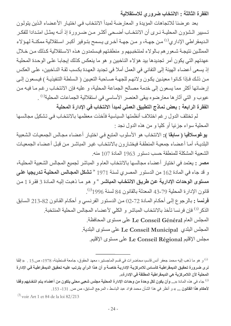الفقرة الثالثة : الانتخاب ضرورى للاستقلالية

بعد عرضنا للاتجاهات المؤيدة و المعارضة لمبدأ الانتخاب في اختيار الأعضاء الذين يتولون تسبير الشؤون المحليـة نـرى أن الانتخـاب أضـحى أكثـر مـن ضـرورة إذ أنــه يمثـل امتـدادا للفكـر الـديمقراطي الإداري<sup>(1)</sup> مـن جهـة، و مـن جهـة أخـرى يـسمح بتـوفير أكبـر اسـتقلالية ممكنــة لهـؤلاء الممثلين نتيجـة شـعور هم بـالولاء لمنتخبـيهم و منطقتهم فيستمدون هـذه الاسـتقلالية كـذلك مـن خـلال عهدتهم التي يكون أمر تجديدها بيد هؤلاء الناخبين و هو ما ينعكس كذلك إيجابـا علـى الوحدة المحليـة إذ يسعى أعضاء الهيئة إلى النفاني في العمل أملا في تجديد العهدة بكسب ثقة النـاخبين، علـى العكس من ذلك فإذا كـانوا معينـين يكـون ولائـهـم للجهـة صـاحبة النعيـين ( الـسلطـة التنفيذيـة ) فيسعون إلـي إرضائها أكثر مما يسعون إلى خدمة مصالح الجماعة المحلية، و عليه فإن الانتخاب رغم ما فيه من عيوب و التي أثار ها معار ضوه يبقى العنصر الأساسي في استقلالية الجماعات المحلية<sup>(1)</sup> . الفقرة الرابعة : بعض نماذج التطبيق العملى لمبدأ الانتخاب في الإدارة المحلية

لم تختلف الدول ر غم اختلاف أنظمتها السباسبة فأخذت معظمها بالانتخاب في تشكيل مجالسها المحلية سواء جزئيا أو كليا و من هذه الدول نجد :

يوغوسلافيا ( سابقا ): الانتخاب هو الأسلوب المتبع في اختيار أعضاء مجالس الجمعيات الشعبية البلديـة، أمـا أعضـاء جمعيـة المنطقـة فيختـارون بالانتخـاب غيـر المباشـر مـن قبـل أعـضـاء الجمعيـات الشعبية المشكلة للمنطقة حسب دستور 1963 المادة 107 منه.

مصر : يعتمد في اختيار أعضاء مجالسها بالانتخاب العام و المباشر لجميع المجالس الشعبية المحلية، و قد جاء في المادة 162 من الدستور المصر ي لسنة 1971 « **تشكل المجـالس المحليـة تدريجيا علـ**ي مستوى الوحدات الإدارية عن طريق الانتخاب المباشر " و هو ما ذهبت إليه المادة 3 فقرة 1 من قانون الإدارة المحلية 79-43 المعدلة بالقانون 84 لسنة 1996<sup>(2)</sup>.

فرنسا : بالرجوع إلى أحكام المـادة 72-02 من الدستور الفرنسي و أحكـام القـانون 82-213 السابق الذكر<sup>(3)</sup> فإن فرنسا تأخذ بالانتخاب المباشر و الكلى لأعضاء المجالس المحلية المنتخبة<sub>.</sub>

المجلس العام Le Conseil Général على مستوى المحافظة.

المجلس البلدي Le Conseil Municipal على مستوى البلدية.

مجلس الإقليم Le Conseil Régional على مستوى الإقليم.

 $^{(3)}$  voir Art 1 et 84 de la loi 82/213

<sup>&</sup>lt;sup>(1)</sup> و هو ما ذهب إليه محمد جعفر أنس قاسم، محاضرات في قسم الماجستير ، معهد الحقوق، جامعة قسنطينة، 1978، ص.15 <sub>. «</sub>إ**ننا** نرى ضرورة تحقيق الديمقراطية كأساس للامركزية الإدارية خاصة و أن هذا الرأى يترتب عليه تحقيق الديمقراطية في الإدارة المحلية لأن اللامركزية هي الديمقراطية المطلقة في الإدارة».

<sup>&</sup>lt;sup>(2)</sup> جاء في هذه المادة «... وأن يكون لكل وحدة من وحدات الإدارة المحلية مجلس شعبي محلي يتكون من أعضاء يتم انتخابهم وفقا لأحكام هذا القانون ... » و أنظر في هذا الشأن محمد فؤاد عبد الباسط ، المرجع السابق، ص ص. 131- 153.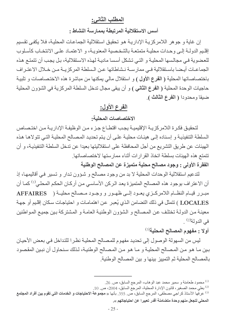# المطلب الثاني:

#### أسس الاستقلالية المرتبطة بممارسة النشاط :

إن غاية و جو هر اللامركزية الإدارية هو تحقيق استقلالية الجماعات المحلية، فلا يكفي تقسيم إقليم الدولـة إلـى وحدات محليـة متمتعـة بالشخصية المعنويـة، و الاعتمـاد علـى الانتخـاب كأسـلوب للعضوية في مجالسها المحلية و التي تشكل أسسا مادية لهذه الاستقلالية، بل يجب أن تتمتع هذه الجماعـات أيـضا باسـتقلالية فـي ممار سـة نـشاطاتها عـن الـسلطة المركز يــة مـن خـلال الاعتـر اف باختصاصاتها المحلية ( الفرع الأول ) و استقلال مالي يمكنها من مباشرة هذه الاختصاصات و تلبية حاجيات الوحدة المحلية ( ا**لفرع الثاني )** و أن يبقى مجال تدخل السلطة المركزية في الشؤون المحلية ضيقا ومحدودا (الفرع الثالث ).

# الفرع الأول:

#### الاختصاصات المحلبة:

لتحقيق فكرة اللامركزية الإقليمية يجب اقتطاع جزء من الوظيفة الإدارية من اختصاص السلطة التنفيذيـة و إسنـاده إلـى هيئـات مـحليـة علـى أن يـتم تـحديـد المـصـالح المـحليـة التـى تتولاهـا هـذه الهيئات عن طر بق التشر بع من أجل المحافظة على استقلاليتها بعيدا عن تدخل السلطة التنفيذيـة، و أن تتمتع هذه الهيئات بسلطة اتخاذ القرارات أثناء ممارستها لاختصاصاتها.

# الفقرة الأولى : وجود مصالح محلية متميزة عن المصالح الوطنية

لتدعيم استقلالية الوحدات المحلية لا بد من وجود مصـالح و شـؤون تـدار و تسير فـي أقاليمهـا، إذ أن الاعتراف بوجود هذه المصـالح المتميزة يعد الـركن الأساسـي مـن أركـان الـحكـم المحلـي<sup>(1)</sup> كمـا أن مبرر قيام النظام اللامركزي يعـود إلـى ظهـور و وجـود مـصالح محليـة ( AFFAIRES LOCALES ) تتمثّل في ذلك التضامن الذي يُعبر عن اهتمامات و احتياجات سكان إقليم أو جهة معينـة مـن الدولـة تختلف عن المصـالح و الشؤون الوطنيـة العامـة و المشتركة بـين جميـع المـواطنين في الدو لة<sup>(2)</sup> .

#### أولا : مفهوم المصالح المحلية<sup>(3)</sup>

ليس من السهولة الوصول إلى تحديد مفهوم للمصالح المحلية نظرا للتداخل في بعض الأحيان بين مـا هـو مـن المـصـالح المحليـة و مـا هـو مـن المـصـالح الوطنيـة، لـذلك سـنـحاول أن نبـين المقصـود بالمصـالح المحلية ثم التمييز بينها و بين المصـالح الوطنية.

.2) بعلى محمد الصغير ، قانون الإدار ة المحلية، المرجع السابق، 2004، ص. 10.

محمود طعامنة و سمير محمد عبد الوهاب، المرجع السابق، ص 26.  $\alpha$ .

<sup>&</sup>lt;sup>(3)</sup> عر فها الأستاذ كر اجي مصطفى، المرجع السابق، ص<sub>. 355.</sub> بأنها « **مجموعة الاحتياجات و الخدمات التي تقوم بين أفراد المجتمع** المحلي لتجعل منهم وحدة متضامنة أقدر تعبيرا عن احتياجاتهم ».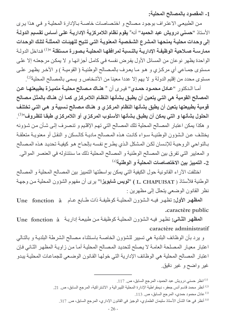1- المقصود بالمصالح المحلية:

من الطبيعي الاعتراف بوجود مصالح و اختصاصات خاصة بالإدارة المحلية و في هذا يرى الأستاذ "حسنى درويش عبد الحميد" أنه" يقوم نظام اللامركزية الإداريـة علـى أسـاس تقسيم الدولـة إلى وحدات محلية يمنحها المشرع الشخصية المعنوية التي تتيح للهيئـات الممثلـة لتلك الوحدات ممارسـة صـلاحية الوظيفـة الإداريـة بالنـسبة لمرافقهـا المحليـة بـصورة مـستقلة »<sup>(1)</sup> فداخل الدولـة الواحدة يظهر نوعان من المسائل الأول يفرض نفسه في كامل أجزائها و لا يمكن مرجعته إلا على مستوى جمـاعي أي مركـزي و هـو مـا يعـرف بالمـصـالح الوطنيـة ( القوميـة ) و الأخـر يظهـر علـي مستوى محدد من إقليم الدولة و لا يهم إلا عددا معينا من الأشخاص و يسمى بالمصـالح المحلية<sup>(2)</sup>.

أمــا الــدكتور "عــا**دل محمــود حمـدي"** فيـرى أن « ه**نــاك مـصالح محليــة متميـزة بطبيعتهـا عـن** المصالح القومية هي التي يتعين أن يطبق بشأنها النظام اللامركزي كمـا أن هنـاك بالمثل مصـالح قومية بطبيعتها يتعين أن يطبق بشأنها النظام المركزي و هنـاك مـصالح نـسبية و هـى التـى تختلف الحلول بشأنها و التي يمكن أن يطبق بشأنها الأسلوب المركزي أو اللامركزي طبقا للظروف<sup>3) (3)</sup>. و هكذا يمكن اعتبار المصـالح المحلية تلك المصـالح التي تهم الإقليم و تنصرف إلـي شـأن من شـؤونـه يختلف عن الشؤون الوطنية سواء كانت هذه المصالح مادية كالسكن و النقل أو معنوية متعلقة بـالنواحي الروحيـة للإنـسان لكـن المشكل الـذي يطـرح نفسه بإلحـاح هـو كيفيـة تحديد هـذه المـصـالح و المعايير التي تفرق بين المصـالح الوطنية و المصـالح المحلية ذلك ما سنتناولـه في العنصـر الموالـي. 2- التمييز بين الاختصاصات المحلية و الوطنية<sup>(4)</sup>

اختلفت الآراء القانونية حول الكيفية التي يمكن بواسطتها التمييز بين المصالح المحلية و المصالح الوطنية فلأستاذ ( L. CHAPUISAT ) "لويس شابويزا" يرى أن مفهوم الشؤون المحلية من وجهة نظر القانون الوضعي يتحلل إلى مظهرين :

المظهر الأول: تظهر فيه الشؤون المحلية كوظيفة ذات طابع عام Une fonction à .caractère public

المظهر الثاني: تظهر فيه الشؤون المحلية كوظيفة من طبيعة إدارية لـ Une fonction à caractère administratif

و يرد بأن الوظائف البلدية هي تسيير للشؤون الخاصـة باستثناء مصـالح الشرطة البلديـة و بالتـالـي اعتبار معيار المصلحة العامة لا يصلح لتحديد المصالح المحلية أمـا من ز او يـة المظهر الثـاني فـإن اعتبار المصـالح المحلية هي الوظائف الإدارية التي خولهـا القـانون الوضـعي للجماعـات المحليـة يبدو غير واضح و غير دقيق.

> <sup>(1)</sup> انظر حسني درويش عبد الحميد، المرجع السابق، ص. 117. <sup>(2)</sup> أنظر محمد قاسم أنس جعفر ، ديمقر اطية الإدار ة المحلية الليبر الية و الاشتر اكية، المرجع السابق، ص<sub>. 21.</sub> عادل محمو د حمدي، المر جع السابق، ص. 113.  $^{(3)}$ <sup>(4)</sup> أنظر في هذا الشأن الأستاذ سليمان الطماوي، الوجيز في القانون الإداري، المرجع السابق، ص<sub>. 317.</sub>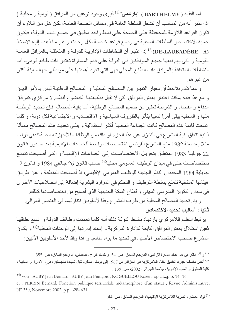أما الفقيه ( BARTHELMY ) "بارتلمي"<sup>(1)</sup> فيرى وجود نوعين من المرافق ( قومية و محليـة ) إذ اعتبر أنه من المناسب أن تتدخل السلطة العامة في مسائل الصحة العامـة، لكن هل من الـلازم أن تكون القواعد اللازمة للمحافظة على الصحة على نمط واحد مطبق في جميع أقاليم الدولـة، فيكون حسبه الاختصاص للسلطات المحلية في وضع قواعد خاصـة بكل وحدة، و هو مـا ذهب إليـه الأستاذ (DE-LAUBADÉRE. A) إذ اعتبر أن النشاطات الإدارية للدولـة و المتعلقـة بـالمرافق العامـة القومية و التي يهم نفعها جميع المواطنين في الدولـة علـى قدم المساواة تعتبر ذات طـابع قومي، أمـا النشاطات المتعلقة بالمرافق ذات الطابع المحلي فهي التي تعود أهميتها على مواطني جهة معينة أكثر من غير هم

و مما تقدم نلاحظ أن معيار التمييز بين المصالح المحلية و المصالح الوطنية ليس بالأمر الهين و مع هذا فإنه يمكننا اعتبار بعض المرافق التي لا تقبل بطبيعتها الخضوع لنظام لا مركزي كمرفق الدفاع و القضاء و الشرطة تعتبر من صميم المصالح الوطنية، أما بقية المصالح فإن تحديد الوطنية منها و المحلية يبقى أمرا نسبيا يتأثر بالظروف السياسية و الاقتصادية و الاجتماعية لكل دولة، و كلما اتسعت قائمة هذه المصالح كانت الجماعة المحلية أكثر استقلالية و يبقى تحديد هذه المصالح مسألة ذاتية تتعلق بنية المشر ع في التنازل عن هذا الجزء أو ذاك من الوظائف للأجهزة المحلية<sup>(6)</sup> ففي فرنسا مثلا بعد سنة 1982 منح المشرع الفرنسي اختصاصات واسعة للجماعات الإقليمية بعد صدور قانون 22 جويليـة 1983 المتعلـق بتحويـل الاختـصـاصـات إلـى الجماعـات الإقليميـة و التـى أصـبحت تتمتـع باختصاصات حتى في مبدان الوظيف العمومي محليا<sup>(4)</sup> حسب قانون 26 جانفي 1984 و قانون 12 جويلية 1984 المحددان النظم الجديدة للوظيف العمومي الإقليمي، إذ أصبحت المنطقة و عن طريق هيئاتها المنتخبة تتمتع بسلطة التوظيف و التحكم في الموارد البشرية إضافة إلى الصلاحيات الأخرى في ميدان التكوين المدرسي المهني و قطاع السكة الحديدية الذي أصبح من اختصاصاتها كذلك.

و يتم تحديد المصـالح المـحلية من طرف المشر ع وفقا لأسلوبين نتناولـهما في الـعنصـر الموالي. ثانيا : أساليب تحديد الاختصاص

يرتبط النظام اللامركزي بازدياد نشاط الدولة ذلك أنه كلما تعددت وظائف الدولة و اتسع نطاقها تَعين استقلال بعض المرافق التابعة للإدارة المركزية و إسناد إدارتها إلى الوحدات المحلية<sup>(5)</sup> و يكون المشر ع صاحب الاختصاص الأصبل في تحديد ما يراه مناسبا و هذا وفقا لأحد الأسلوبين الآتيين:

<sup>&</sup>lt;sup>(1)</sup> و <sup>(2)</sup> أنظر في هذا خالد سمارة الزغبي، المرجع السابق، ص<sub>.</sub> 54<sub>.</sub> و كذلك كراج مصطفى، المرجع السابق، ص<sub>. 355.</sub> <sup>(3)</sup> أنظر مقطف خيرة، تطبيق نظام اللامركزية في الجزائر من 1967 إلى يومنا، مذكرة لنيل شهادة ماجستير ، فر ع الإدارة و المالية ، كلية الحقوق و العلوم الإدارية، جامعة الجزائر، 2002، ص 139 .

<sup>&</sup>lt;sup>(4)</sup> voir : AUBY Jean Bernard, AUBY Jean François, NOGUELLOU Rozen, op.cit..,p p. 14- 16. et : PERRIN Bernard, Fonction publique territoriale métamorphose d'un statut, Revue Administrative, N° 330, Novembre 2002, p p. 628- 631.

<sup>&</sup>lt;sup>(5)</sup> فؤاد العطار ، نظرية اللامركزية الإقليمية، المرجع السابق، ص<sub>.</sub> 44.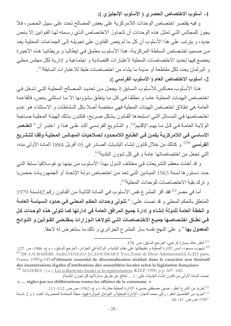1- أسلوب الاختصاص الحصري ( الأسلوب الإنجليزي ):

و فيه يقتصر اختصاص الوحدات اللامركزية على بعض المصالح تحدد على سبيل الحصر، فلا يجوز للمجالس التي تمثل هذه الوحدات أن تتجاوز الاختصاص الذي رسمته لها القوانين إلا بنص جديد، و يترتب على هذا الأسلوب أن كل ما لم ينص القانون على تحويله إلى الجماعات المحلية يعد من صميم اختصاص السلطة المركزيـة، هذا الأسلوب مطبق في إيطاليـا و بريطانيـا هذه الأخيرة يخضع فيها تحديد الاختصاصات المحلية لاعتبارات اقتصادية و اجتماعية و إدارية لكل مجلس محلي و البرلمان يحدد لكل مقاطعة أو مدينة ما يشاء من اختصاصات طبقا للاعتبارات السابقة<sup>(1)</sup>. 2- أسلوب الاختصاص العام ( الأسلوب الفرنسي ):

هذا الأسلوب معـاكس للأسـلوب الـسابق إذ يجعـل مـن تحديـد المـصـالح المحليــة التـى تـدخل فـى اختصاص الهيئات المحلية عاما و مطلقا في كل ما يتعلق بشؤونها إلا ما استثنى بنص، فالقاعدة العامة هي إطلاق اختصاص الهيئات المحلية فهي مختصة أصلا بكل النشاطات و الاستثناء هو عدم اختصاصها في المسائل التي استبعدها القانون بشكل صريح، فتكون بذلك الهيئة المحلية صـاحبة الولايــة العامــة فـي كـل مــا يهم الإقلـيم<sup>(2)</sup>. و التشريع الفرنـسي أكـد علـي هـذا و اعتبـر أن « العلـصر الأساسي في اللامركزيــة يكمـن فـي الطـابـع اللامـحـدود لـصلاحيات المجـالس المحليــة وفقـا للتشريع ا**لفرنسي** »<sup>(3)</sup> و كذلك من خلال قانون إنشاء البلديات الصـادر في 05 أفريل 1884 المـادة الأولى منـه، التي تجعل من اختصاصاتها عامة و في كل شؤون البلدية<sup>(4)</sup>.

و قد أخذت معظم التشر يعات في مختلف الدول بهذا الأسلوب من بينها يو غوسلافيا سابقا التي حدد دستور ها لسنة 1963 الميادين التي تعد من اختصاص دولـة الإتحـاد أو الجمهوريـات حصريا و ترك بقية الاختصاصات للوحدات المحلية<sup>(5)</sup>.

أما في مصر<sup>(6)</sup> فقد أقر المشر ع نفس الأسلوب في المـادة الثانيـة من القـانون رقم 42لسنة 1979 المتعلق بالحكم المحلي و قد نصت على: « تتولى وحدات الحكم المحلي في حدود السياسة العامــة و الخطة العامة للدولة إنشاء و إدارة جميع المرافق العامة في إدارتها كما تتولى هذه الوحدات كل فـي نطـاق اختـصـاصـها جميـع الاختـصـاصـات التـي تتولاهـا الـوزارات بمقتـضى القـوانين و اللـوائح ا**لمعمول بها** » و على النهج نفسه سار المشرع الجزائري و ذلك ما سنتعرض له لاحقا<sub>.</sub>

<sup>(1)</sup> أنظر خالد سمارة الزغبي، المرجع السابق، ص. 176.

<sup>&</sup>lt;sup>(2)</sup> شبهوب مسعود، أسس الإدارة المحلّية و تطبيقاتها على نظام البلدية و الولاية في الجزائر ، المرجع السابق، د م ج، 1986، ص 127. <sup>(3)</sup> DE-LAUBADERE André, VENEZIA J.C, GOUDEMET Yves, Traité de Droit Administratif, L.G.D.J paris, France 1999,p.145.«l'élément essentiel de décentralisation résidait dans le caractère non limitatif des énumérations légales d'attributions des assemblées locales selon la législation française» <sup>(4)</sup> MAZERES (j.a), Les collectivités locales et la représentation, R.D.P, 1990, p p. 607-642.

نصت المادة الأولى من قانون إنشاء البلديات على : ( ... تعالج عن طريق مداولاتها كل شؤون البلدية) « ... règles par ses délibérations toutes les affaires de la commune »

<sup>&</sup>lt;sup>(5)</sup> لمزيد من الشر ح أنظر ، حسين مصطفى حسين • الإدار ة المحلية مقارنة، د م ج، 1982، ص ص. 112- 113. <sup>(6)</sup> لمزيد من التفاصيل أنظر ، زكي محمد النجار ، الإدارة المحلية و العوامل المؤثرة فيها، مجلة المحاماة المصرية، العدد 1 و 2 ،لسنة 1987 ص ص. 41- 46.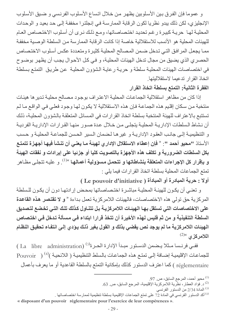و عموما فإن الفرق بين الأسلوبين يظهر من خلال اتساع الأسلوب الفرنسي و ضيق الأسلوب الإنجليزي، لكن ذلك يبدو نظريا لكون الرقابة الممارسة في إنجلترا مخففة إلى حد بعيد و الوحدات المحلية لها حرية كبيرة رغم تحديد اختصاصاتها، ومع ذلك نرى أن أسلوب الاختصاص العام للهيئات المحلية هو الأنسب للاستقلالية خاصة إذا كانت الرقابة الممارسة من السلطة الوصبية مخففة ممـا يجعل المرافق التـى تدخل ضمن المصـالح المحليـة كثيرة ومتعددة عكس أسلوب الاختصـاص الحصري الذي يضيق من مجال تدخل الهيئات المحليـة، و فـي كل الأحـوال يجب أن يظهر بوضـوح في اختصاصات الهيئات المحلية سلطة وحرية رعاية الشؤون المحلية عن طريق التمتع بسلطة اتخاذ القر ار تدعيما لاستقلاليتها

# الفقرة الثانية: التمتع بسلطة اتخاذ القرار

إذا كان من مظاهر استقلالية الجماعات المحلية الاعتراف بوجود مصالح محلية تدير ها هيئات منتخبة من سكان إقليم هذه الجماعة فإن هذه الاستقلالية لا يكون لها وجود فعلي في الواقع ما لم تستتبع بالاعتر اف للهيئة المنتخبة بسلطة اتخاذ القرار ات في المسائل المتعلقة بالشؤون المحلية، ذلك أن نشاط السلطات الإداريــة المحليــة يتجلــى مـن خــلال عـدة صــور منـهـا القـر ار ات الإداريــة الفر ديــة و التنظيميــة إلـى جانـب العقـود الإداريــة و غير هـا لـضمان الـسير الحسن للجماعــة المحليــة و حسب الأستاذ "محيو أحمد ": « فإن إعطاء الاستقلال الإدار ي لهيئة مـا يعنـى أن تنشأ فيهـا أجهزة تتمتـع بكل السلطات الضرورية و تكلف هذه الأجهزة بالتصويت كليا أو جزئيا على إيرادات و نفقات الهيئة و بإقرار كل الإجراءات المتعلقة بنشاطاتها و تتحمل مسوّولية أعمالها »<sup>(1)</sup>. و عليه تتجلّى مظـاهر تمتع الجماعات المحلية بسلطة اتخاذ القرارات فيما يلي :

أولا : حرية المبادرة أو المبادأة ( Le pouvoir d'initiative )

و تعني أن يكون للهيئـة المحليـة مباشـرة اختـصـاصـاتها بمحـض إرادتهـا دون أن يكـون للـسلطـة المركزية حق تولى هذه الاختصاصات، فالهيئات اللامركزية تعمل بداءة « و لا تقتصر هذه القاعدة على الاختصاصات التي تستقل بها الهيئـات اللامركزيـة بـل تتنـاول كذلك تلك التـي تخضع لتصديق السلطة التنفيذية و من ثم فليس لهذه الأخيرة أن تتخذ قرارا ابتداء في مسألة تدخل في اختصاص الهيئات اللامركزية ما لم يوجد نص يقضي بذلك و القول بغير ذلك يؤدي إلى انتفاء تحقيق النظام اللامركزى <sup>2)(2)</sup>

ففي فرنسا مثلا يضمن الدستور مبدأ الإدارة الحرة<sup>(3)</sup> (La libre administration) ) للجماعات الإقليمية إضـافة إلـى تمتـع هذه الجماعـات بالسلط التنظيميـة ( اللائحيـة )<sup>(4)</sup> ( Pouvoir réglementaire ) كما اعترف الدستور كذلك بإمكانية التمتع بالسلطة القاعدية أو ما يعرف بأعمال

- محيو أحمد، المرجع السابق، ص. 97.  $^{(1)}$
- <sup>(2)</sup> د. فؤاد العطار ، نظرية اللامركزية الإقليمية، المرجع السابق، ص. 63.
	- <sup>(3)</sup> المادة 2/34 من الدستور الفرنسي
- <sup>(4)</sup> أكد الدستور الفرنسي في المادة 72 على تمتع الجماعات الإقليمية بسلطة تنظيمية لممارسة اختصـاصـاتها <sub>-</sub>

<sup>«</sup> disposant d'un pouvoir réglementaire pour l'exercice de leur compétences ».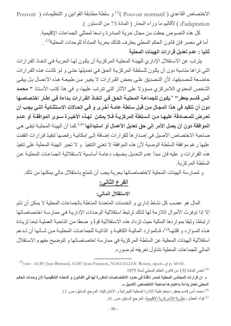$\rm Pouvoir$  ) الاختصاص القاعدي (  $\rm Pouvoir$  normatif ) و سلطة مطابقة القوانين و التنظيمات d'adaptation ) لأقاليم ما وراء البحار ( المادة 73 من الدستور ).

> كل هذه النصوص جعلت من مجال حرية المبادرة واسعا لممثلي الجماعات الإقليمية. أما في مصر فإن قانون الحكم المحلي يعتر ف كذلك بحرية المبادأة للوحدات المحلية<sup>(2)</sup> . ثانيا : عدم تعديل قرارات الهيئات المحلية

يترتب عن الاستقلال الإداري للهيئة المحلية المركزية أن يكون لها الحرية في اتخاذ القرارات التي تراها مناسبة دون أن يكون للسلطة المركزية الحق في تعديلها حتى و لو كانت هذه القرارات خاضعة لتصديقها، لأن التصديق على بعض القرارات لا يغير من طبيعة هذه الأعمـال بـل يبقى الشخص المعنوي اللامركزي مسؤولا على الآثار التي تترتب عليها، و في هذا كتب الأستاذ " محمد أنس قاسم جعفر" «يكون للجماعة المحلية الحق في اتخـاذ القرارات بداءة في إطـار اختصاصها دون أن تتقيد في هذا المجال من قبل سلطة عامـة أخرى و فـي الحـالات الاستثنائية التـي يجب أن تعرض للمصادقة عليها من السلطة المركزيـة فـلا يمكن لهذه الأخيـرة سـوى الموافقـة أو عـدم الموافقة دون أن يصل الأمر إلى حق تعديل الأعمال أو استبدالها »<sup>(3)</sup> كما أن الهيئة المحلية تبقى هي صاحبة الاختصاص الأصيل في إصدار ها للقرارات إضافة إلى إمكانية رفضها تنفيذ قرارات اتفقت عليها رغم موافقة السلطة الوصية لأن هذه الموافقة لا تعني التنفيذ و لا تجبر الهيئة المحلية على تنفيذ هذه القرارات و عليه فإن مبدأ عدم التعديل يضيف دعامـة أساسية لاستقلالية الجماعـات المحليـة عن السلطة المركزية

و لممارسة الهيئات المحلية لاختصاصاتها بحرية يجب أن تتمتع باستقلال مالي يمكنها من ذلك.

# الفرع الثاني:

الاستقلال المالي:

المال هو عصب كل نشاط إداري و الخدمات المتعددة المناطة بالجماعات المحلية لا يمكن أن تتم إلا إذا توفرت الأموال اللازمة لها لذلك ترتبط استقلالية الوحدات الإدارية في ممارسة اختصاصاتها ارتباطا وثيقا بمواردها المالية حيث تزداد هذه الاستقلالية قوةً و ضعفًا من الناحية العملية تبعا لزيادة هـذه المــوارد و قلتهــا<sup>(4)</sup>، فــالموارد المـاليــة الكـافيــة و الذاتيــة للجماعــات المحليــة مــن شــأنـها أن تـدعم استقلالية الهيئات المحلية عن السلطة المركزية في ممارسة اختصاصاتها و لتوضيح مفهوم الاستقلال المالي للجماعات المحلية نتناول تعريفه ثم صور ه.

<sup>(4)</sup> فؤاد العطار ، نظر ية اللامر كزية الإقليمية، المرجع السابق، ص 45.

<sup>&</sup>lt;sup>(1)</sup>voir : AUBY Jean Bernard, AUBY Jean François, NOGUELLOU Rozen, op.cit..,p p. 60-61. . 2) تنص المادة 132 من قانون الحكم المحلي لسنة 1975 $^{(2)}$ 

<sup>«</sup> إن قرارات المجالس المحلية تصدر نافذة في حدود الاختصاصات المقررة لها في القانون و لانحتـه التنظيميـة لأن وحدات الحكم المحلي تعمل بداءة باعتبار ها صاحبة الاختصاص الأصيل ».

<sup>&</sup>lt;sup>(3)</sup> محمد أنس قاسم جعفر ، ديمقر اطية الإدار ة المحلية الليبر الية و الاشتر اكية، المرجع السابق، ص<sub>-</sub> 15.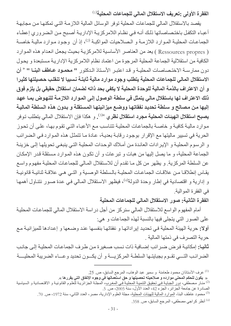الفقرة الأولى :تعريف الاستقلال المالى للجماعات المحلية<sup>(1)</sup>

يقصد بالاستقلال المالي للجماعات المحلية توفر الوسائل المالية اللازمة التي تمكنها من مجابهة أعباء التكفل باختصاصاتها ذلك أنـه فـي نظـام اللامركزيـة الإداريـة أصـبح مـن الـضروري إعطـاء الجماعـات المحليــة المـوارد اللازمــة و الـصـلاحيات المواكبــة <sup>(2)</sup>، إذ أن وجـود مـوارد ماليـة خاصــة ( Ressources propres ) يعد من العناصر الأساسية للامركزية بحيث يجعل انعدام هذه الموارد الكافية من استقلالية الجماعة المحلية المرجوة من اعتماد نظام اللامر كزية الإدارية مستبعدة و يحول دون ممارسة الاختصاصات المحلية و قد اعتبر الأستاذ الدكتور. " محمـود عـاطف البنــا " « أن الاستقلال المالى للجماعات المحلية يتطلب وجود موارد مالية ثابتة نسبيا لا تنقلب حصيلتها كثيرا و أن الاعتراف بالذمة المالية للوحدة المحلية لا يكفى بحد ذاته لضمان استقلال حقيقى بل يلزم فوق ذلك الاعتراف لها باستقلال مالى يتمثل فى سلطة الوصول إلى المـوارد اللازمـة للنـهوض بمـا عهد إليها من مصالح و سلطة تحديد نفقاتها ووضع ميزانيتها المستقلة و بدون هذه السلطة الماليـة يصبح استقلال الهيئات المحلية مجرد استقلال نظرى <sup>»(3)</sup>. و هكذا فإن الاستقلال المالي بتطلب توفر موارد مالية كافية و خاصــة بالجماعـات المحليـة تتناسب مـع الأعبـاء التـى تقوم بـهـا، علـى أن تحوز الحرية في تسيير ماليتها مع الإقرار بوجود رقابة بعدية، عادة ما تتمثل هذه الموارد في الضرائب و الرسوم المحلية و الإيرادات العائدة من أملاك الوحدات المحلية التي ينبغي تحويلها إلى خزينـة الجماعة المحلية، و ما يصل إليها من هبات و تبر عات و أن تكون هذه الموار د مستقلة قدر الإمكان عن السلطة المركزية. و يظهر من كل مـا تقدم أن للاستقلال المـالـي للجماعـات المحليـة مفهوم و اسـع يقـاس إنطلاقـا مـن علاقـات الجماعـات المحليـة بالـسلطـة الوصـية و التـى هـى علاقـة ثنائيـة قانونيـة و إدارية و اقتصادية في إطار وحدة الدولة(4)، فيظهر الاستقلال المالي في عدة صور نتناول أهمها في الفقرة الموالية.

الفقرة الثانية: صور الاستقلال المالي للجماعات المحلية

أمام المفهوم الو اسع للاستقلال المالي سنر كز ٍ من أجل در اسة الاستقلال المالي للجماعـات المحليـة على الصور التي يتجلَّى فيها بالنسبة لهذه الجماعات و هي:

أولا: حرية الهيئة المحلية في تحديد إيراداتها و نفقاتها بنفسها عند وضعها و إعدادها للميزانية مع حر ية التصر ف في ذمتها المالية .

**ثانيـا:** إمكانيـة فـرـض ضـر ائب إضـافية ذات نـسب صـغير ة مـن طـر ف الـجماعـات المحليـة إلـى جانـب الضر ائب التـــي تقــوم بجبابتــها السلطــة المر كز بــــة و أن بكـــون تحديد و عـــاء الضر ببة المحليــــة

> <sup>(1)</sup> عرف الأستاذان محمود طعامنة و سمير عبد الوهاب، المرجع السابق، ص 25 ـ « يكون للحكم المحلي موارده و صلاحيته تحصيلها و حق استعمالها في وجوه الإنفاق التي يقرر ها ».

<sup>(4)</sup> أنظر كراجي مصطفى، المرجع السابق، ص. 358.

<sup>&</sup>lt;sup>(2)</sup> منـار مـصطفى، دور الـجبايـة فـي تـحقيق التنميـة المحليـة فـي المغر ب، المجلـة الجز ائر يـة للعلـوم القانونيـة و الاقتـصـادية و الـسياسية الصادرة عن جامعة الجزائر، الجزء 42، العدد الأول، سنة 2005، ص. 5.

<sup>&</sup>lt;sup>(3)</sup> محمود عاطف البنا، الموارد المالية للهيئات المحلية، مجلة العلوم الإدارية، مصر ، العدد الثاني، سنة 1972، ص. 70.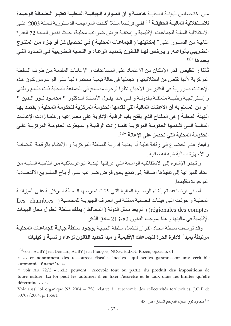مـن اختـصـاص الهيئــة المحليــة خاصــة و أن المــوارد الجبائيــة المحليــة تعتبــر الـضمانـة الوحيـدة للاستقلالية الماليــة الحقيقــة <sup>(1)</sup> ففــي فرنــسا مــثلا أكــدت المراجعــة الدسـتورية لـسنة 2003 علــي الاستقلالية المالية للجماعات الإقليمية و إمكانية فرض ضررائب محلية، حيث تنص المـادة 72 الفقرة الثانية من الدستور على « إمكانيتها ( الجماعات المحلية ) في تحصيل كل أو جزء من المنتوج الـضريبي بأنواعـه. و يـرخص لـهـا القـانون بتحديـد الوعـاء و النـسبة الـضريبية فـي الحـدود التـي  $(2)$ يحددها

ثالثًا : التقليص قدر الإمكان من الاعتماد على المساعدات و الإعانـات المقدمـة من طر ف السلطـة المركزية لأنها تقلص من استقلاليتها و تجعلها في حالة تبعية مستمرة لها على الرغم من كون هذه الإعانات ضرورية في الكثير من الأحيان نظرا لوجود مصالح في الجماعة المحلية ذات طابع وطني و إستراتجية وطنية متعلقـة بالدولـة و فـى هـذا يقـول الأسـتاذ الـدكتور " محمـود نـور الـدين " « و من المسلم به أن الإعانات المالية التي تقدمها الحكومة المركزية للحكومة المحلية ( يقصد بها الهيئة المحلية ) هي المفتاح الذي يفتح باب الرقابة الإدارية على مصر اعيه و كلمـا زادت الإعانـات الماليــة التــى تقـدمـها الـحكومــة المركزيــة كلمــا زادت الرقابــة و سـيطرت الـحكومــة المركزيــة علــى الحكومة المحلية التي تحصل على الإعانة »(3).

رابعا: عدم الخضوع إلى رقابة قبلية أو بعدية إدارية للسلطة المركزية و الاكتفاء بالرقابة القضائية و الأجهز ة المالية شبه القضائية .

و تجدر الإشارة إلى الاستقلالية الواسعة التي عرفتها البلدية اليوغوسلافية من الناحية المالية من إعداد للميزانية إلى تنفيذها إضـافة إلـى تمتـع بحق فرض ضـر ائب علـى أربـاح المشاريع الاقتـصـادية الموجودة بإقليمها

أما في فرنسا فقد تم إلغاء الوصـاية المالية التي كانت تمارسـها السلطة المركزيـة علـى الميزانيـة المحلية وحولت إلى هيئات قضائية ممثلة في الغرف الجهوية للمحاسبة ( Les chambres régionales des comptes) و لم يعد ممثل الدولة ( المحافظ ) يملك سلطة الحلول محل الهيئات الإقليمية في ماليتها و هذا بموجب القانون 82-213 سابق الذكر.

وقد توسعت سلطة اتخاذ القرار لتشمل سلطة الجباية بوجود سلطة جباية للجماعات المحلية مرتبطة بمبدأ الإدارة الحرة للجماعات الإقليمية و مبدأ تحديد القانون لوعاء و نسبة و كيفيات

<sup>(3)</sup> محمود نور الدين، المرجع السابق، ص. 48.

<sup>&</sup>lt;sup>(1)</sup>voir : AUBY Jean Bernard, AUBY Jean François, NOGUELLOU Rozen, op.cit.,p. 61.

<sup>« ...</sup> et notamment des ressources fiscales locales qui seules garantissent une véritable autonomie financière ».

<sup>&</sup>lt;sup>(2)</sup> voir Art  $72/2$  «...elle peuvent recevoir tout ou partie du produit des impositions de toute nature. La loi peut les autoriser à en fixer l'assiette et le taux dans les limites qu'elle détermine ... ».

Voir aussi loi organique N° 2004 - 758 relative à l'autonomie des collectivités territoriales, J.O.F de  $30/07/2004$ , p. 13561.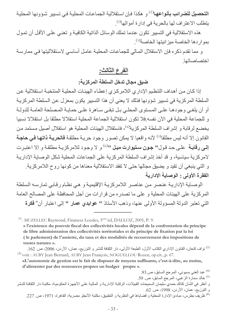ا**لتحصيل للضر**ائ**ب بأنواعهـا<sup>(1)</sup> و** هكذا فـإن استقلالية الجماعـات المحليـة فـى تسيير شـؤونـها المحليـة بِتطلب الاعتراف لها بالحرية في إدارة أموالها<sup>(2)</sup>.

هذه الاستقلالية في التسبير تكون عندما تملك الوسائل الذاتية الكافية و تعني على الأقل أن تمول بمو ار دها الخاصة ميز انيتها الخاصة<sup>(3)</sup>.

و مما تقدم ذكره فإن الاستقلال المـالي للجماعـات المحليـة عامـل أساسـي لاستقلاليتها فـي ممارسـة اختصاصاتها

# الفرع الثالث:

ضيق مجال تدخل السلطة المركزية:

إذا كان من أهداف التنظيم الإداري اللامركزي إعطـاء الهيئـات المحليـة المنتخبـة استقلالية عن السلطة المركزية في تسيير شؤونها فذلك لا يعني أن هذا التسيير يكون بمعزل عن السلطة المركزية أو أن يلغي وجودهـا علـى المـستوى المحلـى بـل تبقـى سـاهرة علـى حمايـة المـصلحة العامـة للدولـة و للجماعة المحلية في الآن نفسه فلا تكون استقلالية الجماعة المحلية استقلالا مطلقا بل استقلالا نسبيا يخضع لرقابة و إشراف السلطة المركزية<sup>(4)</sup>، فاستقلال الهيئات المحلية هو استقلال أصيل مستمد من القانون إلا أنه ليس مطلقا<sup>(5)</sup> لأنه واقعيا لا يمكن تصور وجود حرية مطلقة **فالحريـة ذاتـها فـي حاجـة** إلى رقابة على حد قول" جون ستيوارت ميل "0) و لا وجود للامركزية مطلقة و إلا اعتبرت لامركزية سياسية، و قد أخذ إشراف السلطة المركزية على الجماعات المحلية شكل الوصاية الإدارية و التي ينبغي أن تقيد و يضيق مجالها حتى لا تفقد الاستقلالية معناها من كونها روح اللامركزية. الفقرة الأولى : الوصاية الإدارية

الوصباية الإداريية عنصر من عناصر اللامركزيية الإقليمية و هي نظام رقابي تمارسه السلطة المركزية على الهيئات المحلية و على ما تصدره من قرارات من أجل المحافظة على المصالح العامة التي تعتبر الدولة المسؤولة الأولى عنها، وذهب الأستاذ " عوا**بد**ى عمار " إلى اعتبار أن<sup>«</sup> فكرة

 $\alpha$ . MUZELLEC Raymond, Finances Locales, 5<sup>eme</sup> éd, DALLOZ, 2005, P. 9. « l'existence du pouvoir fiscal des collectivités locales dépend de la confrontation du principe de libre administration des collectivités territoriales et du principe de fixation par la loi (le parlement) de l'assiette, du taux et des modalités de recouvrement des impositions de toutes natures ».

<sup>(2)</sup> نواف كنعان، القانون الإداري الكتاب الأول، الطبعة الأولى، دار الثقافة للنشر و التوزيع، عمان، الأردن، 2006، ص 162. <sup>(3)</sup> voir: AUBY Jean Bernard, AUBY Jean François, NOGUELLOU Rozen, op.cit..,p. 67.

«L'autonomie de gestion est le fait de disposer de moyens suffisants, c'est-à-dire, au moins, d'alimenter par des ressources propres un budget propre ».

<sup>(4)</sup> عبد الغني بسيوني، المرجع السابق، ص93. (5) خالد سمارة الزغبي، المرجع السابق، ص 59. و أنظر في الشأن كذلك حمدي سليمان السميحات القبيلات، الرقابة الإداريـة و الماليـة علـي الأجهزة الحكوميـة، مكتبـة دار الثقافـة للنشر و التوزيع، عمان، الأردن، 1998، ص 62.

<sup>(6)</sup> ظريف بطرس، مبادئ الإدار ة المحلية و قضاياها في النظرية و التطبيق، مكتبة الأنجلو مصرية، القاهر ة، 1971، ص. 227.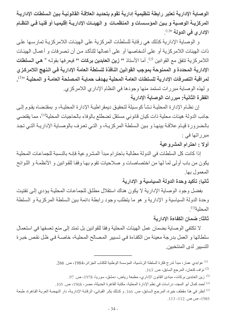الوصاية الإدارية تعتبر رابطة تنظيمية إدارية تقوم بتحديد العلاقة القانونية بين السلطات الإدارية المركزيــة الوصـيـة و بـين الموّسـسات و المنظمــات و الـهيئــات الإداريــة إقليميــا أو فنيــا فـي النظــام الإداري في الدولة »(1) .

و الوصاية الإدارية كذلك هي رقابة للسلطات المركزية على الهيئات اللامركزية تمارسها على ذات الهيئات اللامركزية أو على أشخاصها أو على أعمالها للتأكد من أن تصرفات و أعمال الهيئات اللامر كزية تتفق مع القوانين <sup>(2)</sup>. أما الأستاذ " **زين العابدين بركات "** فيعر فها بقولـه « **هي السلطات** الإدارية المحددة و الممنوحة بموجب القوانين النافذة للسلطة العامة الإدارية في النهج اللامركزي لمراقبة التصرفات الإدارية للسلطات العامة المحلية بهدف حمايـة المصلحة العامـة و المحليـة <sup>3)0</sup>. و لهذه الوصاية مبررات تستمد منها وجودها في النظام الإداري اللامركزي. الفقرة الثانية: مبررات الوصاية الإدارية

إن نظـام الإدارة المحليـة نشأ كوسـيلة لتحقيـق ديمقر اطيـة الإدارة المحليـة، و بمقتـضـاه يقـوم إلـي جانب الدولة هيئات محلية ذات كيان قانوني مستقل تضطلع بالوفاء بالحاجيات المحلية<sup>(4)</sup>، مما يقتضى بالضرورة قيام علاقة بينها و بين السلطة المركزية، و التي تعرف بالوصاية الإدارية التي تجد مبرراتها في :

أولا : احترام المشروعية

إذا كانت كل السلطات في الدولة مطالبة باحتر ام مبدأ المشر وعية فإنـه بالنسبة للجماعـات المحليـة يكون من باب أولى لما لها من اختصاصات و صلاحيات تقوم بها وفقا للقوانين و الأنظمة و اللوائح المعمول بها

ثانيا: تأكيد وحدة الدولة السياسية و الإدارية

بفضل وجود الوصاية الإدارية لا يكون هناك استقلال مطلق للجماعات المحلية يؤدي إلى تفتيت وحدة الدولة السياسية و الإدارية و هو ما يتطلب وجود رابطة دائمة بين السلطة المركزية و السلطة المحلية(5)

#### ثالثا: ضمان الكفاءة الإدارية

لا تكتفي الوصـاية بضمـان عمل الـهيئـات المحلية وفقا للقوانين بل تمتد إلـى منـع تعسفها في استعمـال سلطاتها و العمل بدرجة معينة من الكفاءة في تسيير المصالح المحلية، خاصـة في ظل نقص خبرة التسبير الدي المنتخبين

- نواف كنعان، المرجع السابق، ص. 163.  $^{(2)}$
- <sup>(3)</sup> زين العابدين بركات، مبادئ القانون الإداري، مطبعة رياض، دمشق، سوريا، 1978، ص<sub>. 97.</sub>
- <sup>(4)</sup> أحمد كمال أبو المجد، در اسات في نظم الإدار ة المحلية، مكتبة القاهر ة الحديثة، مصر ، 1968، ص. 105.

<sup>(5)</sup> أنظر في هذا مقطف خيرة، المرجع السابق، ص<sub>. 166.</sub> و كذلك بكر القبـاني، الرقابـة الإداريـة، دار النهضـة العربـة القـاهرة، طبعـة 1985، ص ص. 112- 113.

<sup>&</sup>lt;sup>(1)</sup> عوابدي عمار ، مبدأ تدرج فكرة السلطة الرئاسية، المؤسسة الوطنية للكتاب الجزائر ،1984، ص. 266.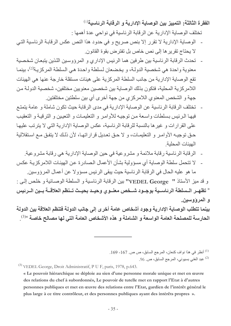الفقر ة الثالثة: التمييز بين الوصاية الادارية و الرقابة الرئاسية $^{(1)}$ 

تختلف الوصاية الإدارية عن الرقابة الرئاسية في نواحي عدة أهمها :

- الوصاية الإدارية لا تقرر إلا بنص صريح و في حدود هذا النص عكس الرقابـة الرئاسية التي لا يحتاج تقرير ها إلى نص خاص بل تفتر ض بقوة القانون.
- تحدث الرقابة الرئاسية بين طرفين هما الرئيس الإداري و المرؤوسين اللذين يتبعان شخصية معنوية واحدة هي شخصية الدولـة، و يخضعان لسلطة واحدة هي السلطة المركزيـة<sup>(2)</sup>، بينمـا نقع الوصابة الإدارية من جانب السلطة المركزية على هيئات مستقلة خارجة عنها هي الهيئات اللامر كزية المحلية، فتكون بذلك الوصاية بين شخصين معنويين مختلفين، شخصية الدولـة من جهة و الشخص المعنوي اللامركزي من جهة أخرى أي بين سلطتين مختلفتين.
- تختلف الرقابة الرئاسية عن الوصاية الإدارية في مدى الرقابة حيث تكون شاملة و عامة يتمتـع  $\overline{a}$ فيها الرئيس بسلطات واسعة من توجيه للأوامر و التعليمات و التعيين و الترقية و التعقيب على القرارات و غير ها بالنسبة للرقابة الرئاسية، عكس الوصاية الإدارية التي لا يترتب عليها حق توجيه الأوامر و التعليمـات، و لا حق تعديل قراراتهـا، لأن ذلك لا يتفق مـع استقلالية الهيئات المحلية
- الرقابة الرئاسية رقابة ملائمة و مشروعية في حين الوصاية الإدارية هي رقابة مشروعية. لا تتحمل سلطة الوصاية أي مسؤولية بشأن الأعمال الصادرة عن الهيئات اللامركزيـة عكس
- ما هو عليه الحال في الرقابة الرئاسية حيث يبقى الرئيس مسؤو لا عن أعمال المرؤوسين.

و قد ميز الأستاذ " VEDEL George" بين الرقابة الرئاسية و السلطة الوصائية و خلص إلى : « تظهـر الـسلطة الرئـاسـية بوجـود شـخص معنـوي وحيـد بحيـث تـنظم العلاقــة بـين الـرئيس و المروّوسين.

بينما تتطلب الوصاية الإدارية وجود أشخاص عامة أخرى إلى جانب الدولة فتنظم العلاقة بين الدولة الحارسة للمصلحة العامة الواسعة و الشاملة و هذه الأشخاص العامة الت*ى* لها مصالح خاصة <sup>3)</sup>.

> $^{(1)}$ أنظر في هذا نواف كنعان، المرجع السابق، ص ص. 167- 169. 96 . عبد الغني بسيوني، المرجع السابق، ص $\,$ 96.  $^{(2)}$

<sup>(3)</sup> VEDEL George, Droit Administratif, P U F, paris, 1978, p.643.

« Le pouvoir hiérarchique se déploie au sien d'une personne morale unique et met en œuvre des relations du chef à subordonnés, Le pouvoir de tutelle met en rapport l'Etat à d'autres personnes publiques et met en œuvre des relations entre l'Etat, gardien de l'intérêt général le plus large à ce titre contrôleur, et des personnes publiques ayant des intérêts propres ».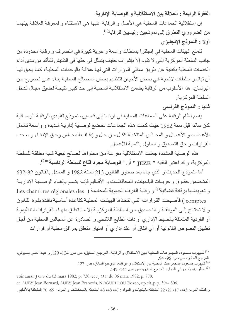الفقرة الرابعة : العلاقة بين الاستقلالية و الوصاية الإدارية

إن استقلالية الجماعات المحلية هي الأصل و الرقابة عليها هي الاستثناء و لمعرفة العلاقة بينهما من الضروري التطرق إلى نموذجين رئيسيين للرقابة<sup>(1)</sup>. أولا : النموذج الإنجليزي

نتمتع الهيئات المحلية في إنجلترا بسلطات واسعة و حرية كبيرة في التصرف و رقابة محدودة من جانب السلطة المركزية التي لا تقوم إلا بإشراف خفيف يتمثل في حقها في التفتيش للتأكد من مدى أداء الخدمات المحلية بكفاية عن طريق ممثلي الوزارات التي لها علاقة بالوحدات المحلية، كما يحق لها أن تباشر سلطات لائحية في بعض الأحيان لتنظيم بعض المصالح المحلية بنـاء علـى تصريح من البرلمان، هذا الأسلوب من الرقابة يضمن الاستقلالية المحلية إلى حد كبير نتيجة لضيق مجال تدخل السلطة المركزية.

ثانيا : النموذج الفرنسي

يقسم نظام الرقابة على الجماعات المحلية في فرنسا إلى قسمين، نموذج نقليدي للرقابة الوصـائية كان سائدا قبل سنة 1982 حيث كانت هذه الجماعات تخضع لوصـاية إداريـة شديدة و واسـعة تشمل الأعضاء و الأعمـال و المجـالس المنتخبـة ككـل مـن حـل و إيقـاف للمجـالس وحـق الإلغـاء و سـحب القرارات و حق التصديق و الحلول بالنسبة للأعمال.

هذه الوصاية المشددة جعلت الاستقلالية مفرغة من محتواها لصالح تبعية شبه مطلقة للسلطة المركزية، و قد اعتبر الفقيه " JEZE " أن « الوصاية مجرد قناع للسلطة الرئاسية »2).

أما النموذج الحديث و الذي جاء بعد صدور القانون 213 لسنة 1982 و المعدل بالقانون 82-632 المتضمن حقـوق و حريـات البلـديات، المحافظـات و الأقـاليم فإنــه يتـسم بإلغـاء الوصــاية الإداريــة و تعويضها برقابة قضائية<sup>(3)</sup> و رقابة الغرف الجهوية للمحاسبة ( Les chambres régionales des comptes ) فأصبحت القرارات التي تتخذها الهيئات المحلية كقاعدة أساسية نافذة بقوة القانون و لا تحتـاج إلـى الموافقـة و التـصديق مـن الـسلطـة المركزيـة إلا مـا تعلـق منهـا بـالقرارات التنظيميـة أو الفردية المتعلقة بالضبط الإداري أو ذات الطابع اللائحي و الصادرة عن المجالس المحلية من أجل تطبيق النصوص القانونية أو أي اتفاق أو عقد إداري أو امتياز متعلق بمرافق محلية أو قرارات

<sup>&</sup>lt;sup>(1)</sup> شيهوب مسعود، المجموعات المحلية بين الاستقلال و الرقابـة، المرجـع الـسابق، ص ص 124- 129. و عبد الغنـي بـسيوني، المرجع السابق، ص ص 95- 94.

<sup>&</sup>lt;sup>(2)</sup> شيهوب مسعود، المجموعات المحلية بين الاستقلال و الرقابة، المرجع السابق، ص<sub>. 127.</sub>

<sup>&</sup>lt;sup>(3)</sup> أنظر بإسهاب زكي النجار ، المرجع السابق، ص ص<sub>. 144</sub>- 149.

voir aussi: J O F du 03 mars 1982, p. 730. et : J O F du 06 mars 1982, p. 779.

et AUBY Jean Bernard, AUBY Jean François, NOGUELLOU Rozen, op.cit.,p p. 304-306.

و كذلك المواد: 4،3، 17، 21، 22 المنعلقة بالبلديات و المواد : 47، 48، 43 المنعلقة بالمحافظات و المواد : 69، 70 المنعلقة بالأقاليم .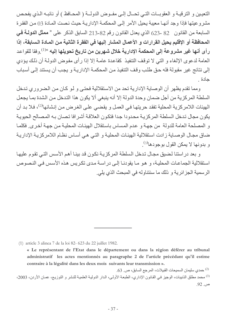النعيين و الترقيــة و العقوبــات التــى تحــال إلــى مفــوض الدولـــة ( المحــافظ ) أو نائبــه الـذي يفحـص مشرو عيتها فإذا وجد أنهـا معيبة بحيل الأمر إلـى المحكمـة الإداريـة حيث نصت المـادة 30 مـن الفقرة السابعة من القانون 82 -23 الذي يعدل القانون رقم 82-213 السابق الذكر على « معثل الدولة في المحافظة أو الإقليم يحيل القرارات و الأعمال المشار إليها في الفقرة الثانية من المـادة الـسابقة، إذا رأى أنها غير مشروعة إلى المحكمة الإدارية خلال شهرين من تاريخ تحويلها إليه <sup>1)»</sup>.وفقا للقواعد العامة لدعوى الإلغاء و التي لا توقف التنفيذ كقاعدة عامة إلا إذا رأى مفوض الدولـة أن ذلك يؤدي إلى نتائج غير مقبو لة فله حق طلب و قف التنفيذ من المحكمـة الإدار بـة و بـجب أن يستند إلـى أسباب حادة

ومما نقدم يظهر أن الوصاية الإدارية تحد من الاستقلالية فحتى و لـو كـان من الضروري تدخل السلطة المركزية من أجل ضمان وحدة الدولة إلا أنه ينبغي ألا يكون هذا التدخل من الشدة بما يجعل الهيئات اللامركزية المحلية تفقد حريتها في العمل و يقضى على الغرض من إنشائها<sup>(2)</sup>، فلا بد أن يكون مجال تدخل السلطة المر كز يـة محدودا جدا فتكون العلاقـة أشر افا تصان بـه المصـالح الحيويـة و المصلحة العامة للدولة من جهة و عدم المساس باستقلال الهيئات المحلية من جهة أخرى. فكلما ضاق مجال الوصـاية زادت استقلالية الهيئـات المحليـة و التـي هـي أسـاس نظـام اللامركزيـة الإداريـة و بدو نـهـا لا بمكن القو ل بو جو دها<sup>(3)</sup> ٍ

و بعد در استنا لضيق مجال تدخل السلطة المركزية نكون قد بينـا أهم الأسس التـى تقوم عليهـا استقلالية الجماعات المحلية، و هو ما يقودنـا إلـى در اسـة مـدى تكريس هذه الأسس فـي النـصوص الرسمية الجزائرية و ذلك ما سنتناوله في المبحث الذي يلي.

(1) article 3 alinea 7 de la loi 82- 623 du 22 juillet 1982.

<sup>«</sup> Le représentant de l'Etat dans le département ou dans la région déférer au tribunal administratif les actes mentionnés au paragraphe 2 de l'article précédant qu'il estime contraire à la légalité dans les deux mois suivants leur transmission ».

مدى سليمان السميحات القبيلات، المرجع السابق، ص. 63.  $\sim$  . <sup>(3)</sup> محمد مطلق الذنيبات، الوجيز في القانون الإداري، الطبعة الأولى، الدار الدولية العلمية للنشر و التوزيع، عمان الأردن، 2003، ص. 92.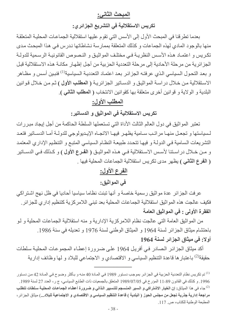# المبحث الثاني:

تكريس الاستقلالية في التشريع الجزائري:

بعدما تطريقنا في المبحث الأول إلى الأسس التي تقوم عليها استقلالية الجماعات المحلية المتعلقة منها بالوجود المادي لهذه الجماعات و كذلك المتعلقة بممارسة نشاطاتها ندرس في هذا المبحث مدى تكريس و اعتمـاد هذه الأسس النظريـة فـى مختلـف المواثيـق و النـصوص القانونيـة الرسـمية للدولـة الجزائرية من مرحلة الأحادية إلى مرحلة التعددية الحزبية من أجل إظهار مكانـة هذه الاستقلالية قبل و بعد التحول السياسي الذي عرفتـه الجزائر بعد اعتمـاد التعدديـة الـسياسية<sup>(1)</sup> فنبـين أسس و مظـاهر الاستقلالية من خلال دراسة المواثيق و الدساتير الجزائرية ( المطلب الأول ) ثم من خلال قوانين البلدية و الولاية و قوانين أخرى متعلقة بها كقوانين الانتخاب ( المطلب الثاني ).

# المطلب الأول:

تكريس الاستقلالية في المواثيق و الدساتير:

تعتبر المواثيق في دول العالم الثالث الأداة التي تستعملها السلطة الحاكمة من أجل إيجاد مبررات لـسياستها و تجعـل منهـا مر اتـب سـامية يظهـر ٍ فيهـا الاتجـاه الإيـديو لوجـى للدولــة أمــا الدســاتير ٍ فتعـد النشريعات السامية في الدولة و فيها تتحدد طبيعة النظام السياسي المتبع و التنظيم الإداري المعتمد و مـن خـلال در اسـتنا لأسـس الاسـتقلالية فـي هـذه المواثيـق ( ا**لفـرع الأول )** و كـذلك فـي الدســاتير ( ا**لفرع الثاني )** يظهر مدى تكريس استقلالية الجماعات المحلية فيها .

# الفرع الأول:

### في المواثيق:

عرفت الجزائر عدة مواثيق رسمية خاصة و أنها تبنت نظاما سياسيا أحاديا في ظل نهج اشتراكي فكيف عالجت هذه المواثيق استقلالية الجماعات المحلية بعد تبنى اللامر كزية كتنظيم إدارى للجزائر . الفقرة الأولى : في المواثيق العامة

من المواثيق العامة التي عالجت نظام اللامركزية الإدارية و منه استقلالية الجماعات المحلية و لـو باحتشام مبثاق الجز ائر لسنة 1964 و المبثاق الوطني لسنة 1976 و تعديله في سنة 1986. أولا: في ميثاق الجزائر لسنة 1964

أكد ميثاق الجزائر الصادر في أفريل 1964 على ضرورة إعطاء المجموعات المحلية سلطات حقيقة<sup>(2)</sup> باعتبار ها قاعدة التنظيم السياسي و الاقتصادي و الاجتماعي للبلاد و لها وظائف إدارية

<sup>&</sup>lt;sup>(1)</sup> تم تكريس نظام التعددية الحزبية في الجز ائر بموجب دستور 1989 في المـادة 40 منـه و بـأكثر وضـوح فـي المـادة 42 من دستور 1996. و كذلك في القانون 89-11 المؤرخ في 7/07/05 المتعلق بالجمعيات ذات الطابع السياسي، ج ر ، العدد 27 لسنة 1989. <sup>(2)</sup> جاء في هذا الميثاق: إ**ن الخيار الاشتراكي و السير المنسجم للتسيير الذاتي و ضروررة أعطـاء الجماعـات المحليـة سلطات تتطلب** مراجعة إدارية جذرية تجعل من مجلس الحوز ( البلدية ) قاعدة التنظيم السياسي و الاقتصادي و الاجتماعية للبلاد...) مبثاق الجزائر ، المطبعة الوطنية للكتاب، ص. 117.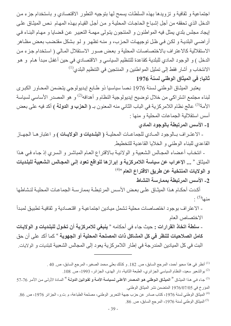اجتماعية و ثقافية و تزويدها بهذه السلطات يسمح لها بتوجيه التطور الاقتصادي و باستخدام جزء من الدخل الذي تحققه من أجل إشباع الحاجات المحلية و من أجل القيام بهذه المهام نص الميثاق على إيجاد مجلس بلدي يمثل فيه المواطنون و المنتجون يتولى مهمة التعبير عن قضايا و مهام البناء في أراضي البلديـة و لكن فـي ظل توجيهـات الحزب، و منـه تظهر و لـو بشكل مقتضب بعض مظـاهر الاستقلالية كالاعتراف بالاختصاصات المحلية و بعض صور الاستقلال المالي ( استخدام جزء من الدخل ) و الوجود المادي للبلدية كقاعدة للتنظيم السياسي و الاقتصادي في حين أغفل مبدأ هام و هو الانتخاب و أشار فقط إلى تمثيل المواطنين و المنتجين في التنظيم البلدي<sup>(1)</sup>

## ثانيا: في الميثاق الوطني لسنة 1976

يعتبر الميثاق الوطني لسنة 1976 نصا سياسيا ذو طابع إيديولوجي يتضمن المحاور الكبرى لبناء مجتمع اشتراكي من خلال توضيح إيديولوجية النظام و أهدافه<sup>(2)</sup> و هو المصدر الأساسي لسياسة الأمة<sup>(3)</sup> عالج نظام اللامركزية في الباب الثاني منه المعنون بـ ( ا**لحزب و الدولة )** أكد فيه على بعض أسس استقلالية الجماعات المحلية و منها :

1- الأسس المرتبطة بالوجود المادي

- الاعتـراف بـالوجود المــادي للجماعـات المحليــة ( ا**لبلـديات و الولايــات )** و اعتبار هــا الجهــاز القاعدي للبناء الوطني و الخلايا القاعدية للتخطيط

- انتخاب أعضاء المجالس الشعبية و الولائية بالاقتراع العام المباشر و السري إذ جاء في هذا الميثاق « ... الإعراب عن سياسة اللامركزية و إبرازها للواقع تعود إلى المجالس الشعبية للبلديات و الولايات المنتخبة عن طريق الاقتراع العام <sup>4)4)</sup>

#### 2- الأسس المرتبطة بممارسة النشاط

أكدت أحكـام هذا المبِثـاق علـى بعض الأسس المرتبطــة بممارســة الجماعـات المحليــة لنشاطها  $(5)$ منها $(5)$ .

- الاعتراف بوجود اختصاصات محلية تشمل ميادين اجتماعية و اقتصادية و ثقافية تطبيق لمبدأ الاختصاص العام

ـ سلطة اتخاذ القرارات : حيث جاء في أحكامه « ينبغي للامركزية أن تخول للبلديات و الولايات كامل الصلاحيات للنظر في كل المشاكل ذات المصلحة المحلية أو الجهوية <sup>»</sup> كما أكد على أن حق البت في كل الميادين المندرجة في إطار اللامركزية يعود إلى المجالس الشعبية للبلديات و الولايات.

<sup>(1)</sup> أنظر في هذا محيو أحمد، المرجع السابق، ص<sub>-</sub> 182. و كذلك بعلي محمد الصغير ، المرجع السابق، ص<sub>-</sub> 40 .

<sup>(2)</sup> بوالشعير سعيد، النظام السياسي الجزائري، الطبعة الثانية، دار الهدى، الجزائر، 1993، ص. 108.

<sup>(4)</sup> الميثاق الوطني لسنة 1976، كتاب صادر عن حزب جبهة التحرير الوطني، مصلحة الطباعة، م ت و، الجزائر 1976، ص. 86. <sup>(5)</sup> الميثاق الوطني لسنة 1976، المرجع السابق، ص. 86.

<sup>&</sup>lt;sup>(3)</sup> جاء في هذا الميثـاق <sup>«</sup> ا**لميثـاق الـوطني هو المصدر الأعلـي لـسياسة الأمـة و لقـوانين الدولـة <sup>»</sup> المـادة الأولـي مـن الأمـر 76-57** المؤرخ في 07/6/07/05 المتضمن نشر الميثاق الوطني.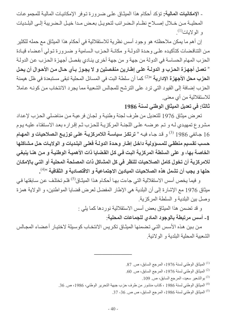ـ الإمكانيات المالية: تؤكد أحكام هذا الميثـاق علـى ضـرورة تـوفر الإمكانيـات الماليـة للمجموعـات المحليــة مــن خــلال إصــلاح نظــام الــضرائب لتحويـل بعـض مـدا خيـل الــضريبة إلــى البلـديات و الو لابات $^{(1)}$ 

إن أهم ما يمكن ملاحظته هو وجود أسس نظرية للاستقلالية في أحكام هذا الميثاق مع حمله للكثير من التناقضات كتأكيده على وحدة الدولـة و مكانـة الحزب السامية و ضـرورة تـولى أعضاء قيـادة الحزب المهام الحساسة في الدولة من جهة و من جهة أخرى ينـادي بفصل أجهزة الحزب عن الدولـة " تع*مـل* أجهـزـة الحـزب و الدولــة علـي إطــارين منفـصلين و لا يجـوـز بــأي حـال مـن الأحـوال أن يحـل ا**لحزب محل الأجهزة الإدارية** »<sup>(2)</sup> كما أن سلطة البت في المسائل المحلية تبقى مستبعدة في ظل هيمنة الحزب إضافة إلى القيود التي ترد على الترشح للمجالس الشعبية مما يجرد الانتخاب من كونـه عـاملا للاستقلالية من أي معنى

ثالثا: في تعديل الميثاق الوطني لسنة 1986

تعرض مبثاق 1976 للتعديل من طرف لجنة وطنية و لجان فر عيـة من مناضلي الحزب لإعداد مشروع تمهيدي لـه و تـم عرضـه علـى اللجنـة المركزيـة للحزب ثـم إقراره بعد الاستفتاء عليـه يـوم 16 جـانفي 1986 <sup>(3)</sup> و قد جـاء فيـه " **ترتكـز سياسـة اللامركزيـة علـي توزيـع الـصلاحيات و المـهـام** حسب تقسيم منطقي للمسوولية داخل إطار وحدة الدولـة فعلى البلديات و الولايـات حل مشاكلها الخاصة بها، و على السلطة المركزية البت في كل القضايا ذات الأهمية الوطنية و من هنا ينبغي للامركزية أن تخول كامل الصلاحيات للنظر في كل المشاكل ذات المصلحة المحلية أو التي بالإمكان حلها و يجب أن تشمل هذه الصلاحيات الميادين الاجتماعية و الاقتصادية و الثقافية <sup>4)4</sup>.

و فيما يخص أسس الاستقلالية التي جاءت بهـا أحكـام هذا الميثـاق<sup>(5)</sup> فلـم تختلـف عن سـابقتها فـي ميثاق 1976 مع الإشارة إلى أن البلدية هي الإطار المفضل لعرض قضايا المواطنين، و الولاية همزة وصل بين البلدية و السلطة المركزية

و قد تضمن هذا الميثاق بعض أسس الاستقلالية نوردها كما يلي :

1- أسس مرتبطة بالوجود المادي للجماعات المحلية:

من بين هذه الأسس التي تضمنها الميثـاق تكريس الانتخـاب كوسبلة لاختيـار أعضـاء المجـالس الشعببة المحلبة البلدية و الولائية

- الميثاق الوطني لسنة 1976، المرجع السابق، ص. 87).  $^{\left(1\right)}$
- $\,$  الميثاق الوطني لسنة 1976، المرجع السابق، ص.  $\,$ .  $\,$ 
	- <sup>(3)</sup> بوالشعير سعيد، المرجع السابق، ص 109.
- <sup>(4)</sup> الميثاق الوطني لسنة 1986 ، كتاب منشور من طرف حزب جبهة التحرير الوطني، 1986، ص. 36.
	- (5) الميثاق الوطني لسنة 1986، المرجع السابق، ص ص 36- 37.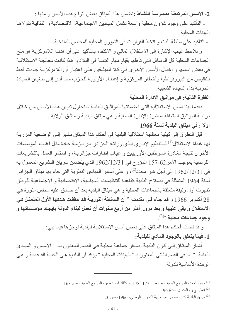2- الأسس المرتبطة بممارسة النشاط :تضمن هذا الميثاق بعض أنواع هذه الأسس و منها :

ـ التأكيد على وجود شؤون محلية واسعة تشمل الميادين الاجتماعية، الاقتصادية و الثقافية تتولاها الهبئات المحلبة

ـ التأكيد على سلطة البت و اتخاذ القرارات في الشؤون المحلية للمجالس المنتخبة .

و نلاحظ غياب الإشارة إلى الاستقلال المالي و الاكتفاء بالتأكيد على أن هدف اللامركزية هو منح الجماعات المحلية كل الوسائل التي تأهلها بقيام مهام التنمية في البلاد و هذا كانت معالجة الاستقلالية في بعض أسسها و إغفال الأسس الأخرى في كلا الميثاقين على اعتبار أن اللامركزية جاءت فقط للتقليص من البيروقراطية وأخطار المركزية و إعطـاء الأولويـة للحزب ممـا أدى إلـى طغيـان السيادة الحزبية بدل السيادة الشعبية

الفقرة الثانية: في مواثيق الإدارة المحلية

بعدما بينا أسس الاستقلالية التي تضمنتها المواثيق العامة سنحاول تبيين هذه الأسس من خلال دراسة المواثيق المتعلقة مباشرة بالإدارة المحلية و هي ميثاق البلدية و ميثاق الولاية .

### أولا : في ميثاق البلدية لسنة 1966

قبل التطرق إلى كيفية معالجة استقلالية البلدية في أحكام هذا الميثاق نشير إلى الوضعية المزرية لها غداة الاستقلال<sup>(1)</sup> فالتنظيم الإداري الذي ورثتـه الجزائر مر بأزمـة حـادة مثل أغلب المؤسسات الأخرى نتيجة مغادرة الموظفين الأوربيين و غياب إطارات جزائرية، و استمر العمل بالتشريعات الفرنسية بموجب الأمر 62-157 المؤرخ في 1962/12/31 الذي يتضمن سريان التشريع المعمول به في 1962/12/31 إلى أجل غير محدد<sup>(2)</sup>، و على أساس المبادئ النظرية التي جاء بها ميثاق الجزائر لسنة 1964 المتمثلة في إصلاح البلدية كقاعدة للتنظيمات السياسية، الاقتصادية و الاجتماعية للوطن ظهرت أول وثبقة متعلقة بالجماعات المحلية و هي ميثاق البلدية بعد أن صادق عليه مجلس الثورة في 28 أكتوبر 1966 و قد جـاء فـي مقدمتـه " أ**ن الـسلطة الثوريــة قد حققت هدفـها الأول المتمثـل فـي** الاستقلال و بقي عليها و بعد مرور أكثر من أربع سنوات أن تعمل لبناء الدولة بإيجاد مؤسساتها و وجود جماعات محلية <sup>3).</sup> .

> و قد نصت أحكام هذا الميثاق على بعض أسس الاستقلالية للبلدية نوجز ها فيما يلي: 1- فيما يتعلق بالوجود المادى للبلدية:

أشار الميثاق إلى كون البلدية أصغر جماعة محلية في القسم المعنون بـ « الأسس و المبادئ العامة " أما في القسم الثاني المعنون بـ " الهيئات المحلية " يؤكد أن البلدية هي الخليـة القاعديـة و هي الوحدة الأساسبة للدولة

.3) ميثاق البلدية كتيب صادر عن جبهة التحرير الوطني، 1966، ص. 3.

<sup>&</sup>lt;sup>(1)</sup> محيو أحمد، المرجع السابق، ص ص<sub>.</sub> 177- 178. و كذلك لباد ناصر ، المرجع السابق، ص<sub>. 168.</sub>

<sup>(2)</sup> أنظر ج ر، العدد 2 لسنة1963 .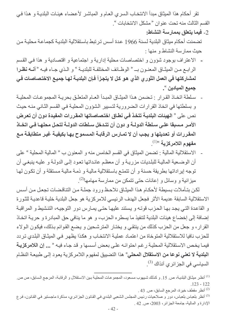نقر أحكام هذا الميثاق مبدأ الانتخاب السري العـام و المباشـر لأعضـاء هيئـات البلديـة و هذا فـي القسم الثالث منه تحت عنوان "مشكل الانتخابات ".

2- فَيما يتعلق بممارسة النشاط:

تضمنت أحكام ميثاق البلدية لسنة 1966 عدة أسس ترتبط باستقلالية البلدية كجماعة محلية من حبث ممار سة النشاط و منها :

- ـ الاعتراف بوجود شؤون و اختصاصات محلية إدارية و اجتماعية و اقتصادية و هذا في القسم الرابع من الميثـاق المعنـون بـ " الوظـائف المختلفـة للبلديـة " و الـذي جـاء فيـه " أ**نــه نظـر**ا لمشاركتها في العمل الثور ي الذي هو كل لا يتجزأ فإن البلديـة لهـا جميـع الاختصـاصـات فـي جميع الميادين <sup>»</sup>.
- سلطة اتخـاذ القرار : تـضمن هـذا المبِثـاق المبـدأ العـام المتعلـق بحريـة المجموعـات المحليـة و بسلطتها في اتخاذ القرارات الضرورية لتسبير الشؤون المحلية في القسم الثاني منه حيث نص على « الهيئات البلديــة تتخذ في نطـاق اختصاصاتها المقررات المفيدة دون أن تعرض الأمـر مـسبقا علـى سـلطة الدولــة و دون أن تتـدخل سـلطات الدولــة لتحـل محلهـا فـي اتخــاذ المقررات أو تعديلها و يجب أن لا تمـارس الرقابـة المـسموح بـهـا بكيفيـة غيـر متطابقـة مـع مفهوم اللامركزية »(1)
- الاستقلالية المالية : تضمن الميثاق في القسم الخامس منه و المعنون ب " المالية المحلية " على  $\sim$ أن الوضعية المالية للبلديات مزرية و أن معظم عائداتها تعود إلى الدولـة و عليـه ينبغي أن توجه إيراداتها بطريقة حسنة و أن تتمتـع باستقلالية ماليـة و ذمـة ماليـة مستقلة و أن تكـون لـهـا ميز انية و وسائل و إعانات حتى تتمكن من ممارسة مهامها<sup>(2)</sup>.

لكن بتأملات بسيطة لأحكام هذا الميثاق نلاحظ ورود جملة من التناقضات تجعل من أسس الاستقلالية السابقة عديمة الأثر فجعل الهدف الرئيسي للامركزية هو جعل البلدية خلية قاعدية للثورة و القاعدة التي يجد بها الحزب قوته و يستند عليها حتى يمارس دور التوجيه، التنشيط و المراقبة إضافة إلى إخضاع هيئات البلدية لتنفيذ ما يسطره الحزب، و هو ما ينافي حق المبادرة و حريـة اتخـاذ القرار، و جعل من الحزب كذلك من ينتقى و يختـار المترشـحين و يضـع القوائم بذلك، فيكون الـولاء للحزب نافيا للاستقلالية المتوخاة من اعتمـاد عمليـة الانتخـاب و هكذا يظهر فـي الميثـاق البلدى تردد فيمـا يخص الاستقلالية المحليـة رغم احتوائـه علـى بعض أسسها و قد جـاء فيـه " ... إن اللامركزيـة ا**لبلدية لا تعني نوعا من الاستقلال المحلي**" هذا التضبيق لمفهوم اللامر كزية بعود إلى طبيعة النظام السياسي في الجزائري آنذاك <sup>(3)</sup>.

<sup>(1)</sup> أنظر ميثـاق البلديـة، ص 15 , و كذلك شبيهو ب مسعو د، المجمو عـات المحليـة بـين الاستقلال و الر قابـة، المر جـع الـسابق، ص ص  $123 - 122$ <sup>(2)</sup> أنظر مقطف خيرة، المرجع السابق، ص<sub>. 43 .</sub> <sup>(3)</sup> أنظر بلعباس بلعباس، دور و صلاحيات رئيس المجلس الشعبي البلدي في القانون الجزائري، مذكرة ماجستير في القانون، فرع الإدارة و المالية، جامعة الجزائر، 2003، ص 42 .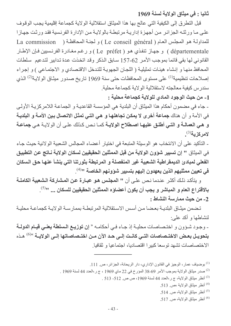ثانيا : في ميثاق الولاية لسنة 1969

قبل التطر ق إلى الكيفية التي عالج بها هذا الميثاق استقلالية الولاية كجماعة إقليمية يجب الوقوف علـى مـا ورثتـه الجزائر مـن أجهزة إداريـة مرتبطـة بالولايـة مـن الإدارـة الفرنـسية فقد ورئت جهـاز ا للمداولة هو المجلس العام ( Le conseil général ) و لجنة المحافظة ( La commission départementale ) و جهاز تنفذي هو ( Le préfet ) و رغم مغادرة الفرنسيين فإن الإطار القانوني لها بقى قائما بموجب الأمر 62-157 سابق الذكر وقد اتخذت عدة تدابير لتدعيم سلطات المحافظ منها و إنشاء هيئات تمثيلية ( اللجان الجهوية للتدخل الاقتصادي و الاجتماعي ) و إجراء إصلاحات تنظيمية<sup>(1)</sup> على مستوى المحافظات حتى سنة 1969 تاريخ صدور ميثـاق الولايـة<sup>(2)</sup> الذي سندرس كيفية معالجته لاستقلالية الولاية كجماعة محلية

1- من حيث الوجود المادي للولاية كجماعة محلية :

- جاء في مضمون أحكام هذا الميثاق أن البلدية هي المؤسسة القاعديـة و الجماعـة اللامركزيـة الأولـى في الأمة و أن هناك جماعة أخرى لا يمكن تجاهلها و هي التي تمثل الاتصال بين الأمـة و البلديـة و هي العمالــة و التــي أطلـق عليهـا اصـطلاح الولايــة كمـا نـص كـذلك علـى أن الولايــة هـي جماعــة لامركزية(3).

- التأكيد على أن الانتخاب هو الوسيلة المتبعة في اختيار أعضاء المجالس الشعبية الولائية حيث جاء في الميثاق " إن تسبير شوون الولاية من قبل الممثلين الحقيقيين لسكان الولاية نـاتج عن التطبيق الفعلى لمبادئ الديمقراطية الشعبية غير المنفصلة و المرتبطة بثورتنا التي ينشأ عنها حق السكان في تعيين ممثليهم الذين يعهدون إليهم بتسيير شوونهم الخاصة '''<sup>(4)</sup>.

و يتأكد ذلك أكثـر عنـدما نـص علـى أن " المجلس هـو عبـارة عن المشاركة الشعبية الكاملـة بالاقتراع العام و المباشر و يجب أن يكون أعضاؤه الممثلين الحقيقيين للسكان ... "<sup>(5)</sup>. 2- من حيث ممارسة النشاط :

تضمن ميثـاق البلديــة بعـضـا مـن أسـس الاسـتقلالية المرتبطــة بممارســة الولايــة كجماعــة محليــة لنشاطها و أكد علي:

- وجود شؤون و اختصاصات محليـة إذ جـاء فـي أحكامـه " إ**ن توزيـع الـسلطة يعنـي قيـام الدولـة** بتحويـل بعـض الاختـصاصات التـى كانـت إلـى حـد الآن مـن اختـصاصاتها إلـى الولايــة <sup>06</sup> هـذه الإختصاصات تشهد توسعا كيبر ا اقتصاديا، اجتماعيا و ثقافيل

- <sup>(1)</sup> بوضياف عمار ، الوجيز في القانون الإداري، دار الريحانة، الجزائر ، ص. 111.
- . صدر ميثاق الولاية بموجب الأمر 69-38 المؤرخ في 22 ماي 1969 ، ج ر ،العدد 44 لسنة 1969 .
	- . 313 أنظر ميثاق الولاية، ج ر،العدد 44 لسنة 1969، ص ص. 512- 513.
		- (4) أنظر ميثاق الولاية ،ص 513.
		- (5) أنظر ميثاق الولاية، ص 514.
		- (6) أنظر ميثاق الولاية، ص 517.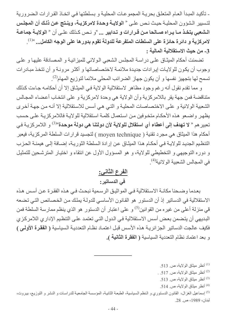ـ تأكيد المبدأ العـام المتعلـق بحريـة المجموعـات المحليـة و بسلطتها فـى اتخـاذ القرارات الـضرورية لتسبير الشؤون المحليـة حيـث نـص علـى « ا**لولايـة وحـدة لامركزيـة، وينـتج عـن ذلـك** أ**ن المجلـس** الـشعبي يتخـذ مـا يـراه صــالحا مـن قـرارات و تـدابير ... "و نـص كـذلك علـي أن " الولايــة جماعــة لامركزية و دائرة حائزة على السلطات المتفرعة للدولة تقوم بدورها على الوجه الكامل... <sup>1))</sup>. 3\_ من حيث الاستقلالية المالية :

تضمنت أحكام المبثاق على دراسة المجلس الشعبي الولائي للمبزانية و المصادقة عليها و على وجوب أن يكون للولايات إيرادات جديدة ملائمة لاختصاصاتها و أكثر مرونـة و أن تتخذ مبـادرات تسمح لها بتجهيز نفسها و أن يكون جهاز الضرائب المحلي ملائما لتوزيع المهام<sup>(2)</sup>.

و مما نقدم نقول أنه رغم وجود مظاهر لاستقلالية الولاية في الميثاق إلا أن أحكامه جاءت كذلك متناقضة فمن جهة يقر باللامركزية وأن الولاية هي وحدة لامركزية و على انتخاب أعضاء المجالس الشعبية الولائية و على الاختصاصات المحلية و التي هي أسس للاستقلالية إلا أنه من جهة أخرى يظهر واضعو هذه الأحكام متخوفين من استعمال كلمة استقلالية للولاية فاللامركزية على حسب تعبير هم « لا **تهدف** إلى أ**عط**اء أي ا**ستقلال للولاية لأن دولتنا هي دولة موحدة**»<sup>(3)</sup> و اللامركزيـة فـي أحكام هذا الميثاق هي مجرد تقنية ( moyen technique ) لتجسيد قرارات السلطة المركزية، فيعبر التنظيم الجديد للولاية في أحكام هذا الميثاق عن إرادة السلطة الثوريـة، إضـافة إلـى هيمنـة الحـزب و دوره التوجيهي و التخطيطي للولاية، و هو المسؤول الأول عن انتقاء و اختيار المترشحين للتمثيل في المجالس الشعبية الولائية<sup>(4)</sup>.

# الفرع الثاني:

## في الدساتير :

بعدما وضحنا مكانة الاستقلالية في المواثيق الرسمية نبحث في هذه الفقرة عن أسس هذه الاستقلالية في الدساتير إذ أن الدستور هو القانون الأساسي للدولـة يملك من الخصـائص التـي تـضـعه قي منزلة أعلى من غيره من القوانين<sup>(5)</sup> و على اعتبار أن الدستور هو الذي ينظم ممارسة السلطة فمن البديهي أن يتضمن بعض أسس الاستقلالية في الدول التي تعتمد على التنظيم الإداري اللامركزي فكيف عالجت الدساتير الجزائرية هذه الأسس قبل اعتمـاد نظـام التعدديـة السياسية ( ا**لفقرة الأولـى )** و بعد اعتماد نظام التعددية السياسية ( الفقرة الثانية ).

- $\cdot$ أنظر ميثاق الولاية، ص. 513.  $^{(1)}$
- (2) أنظر ميثاق الولاية، ص 517.
	- (3) أنظر ميثاق الولاية، ص 513.
	- (4) أنظر ميثاق الولاية، ص. 514.

<sup>(5)</sup> إسماعيل الغزال، القانون الدستوري و النظم السياسية، الطبعة الثانية، المؤسسة الجامعية للدراسات و النشر و التوزيع، بيروت، لبنان، 1989، ص. 28.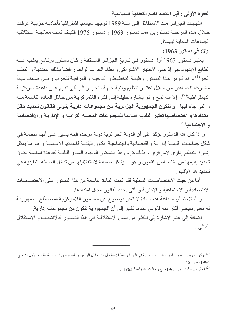الفقرة الأولى : قبل اعتماد نظام التعددية السياسية

انتهجت الجز ائر ٍ منذ الاستقلال إلى سنة 1989 توجهـا سياسيا اشتر اكيا بأحاديـة حز بيـة عر فت خلال هذه المرحلـة دسـتورين همـا دسـتور 1963 و دسـتور 1976 فكيـف تمـت معالجـة اسـتقلالية الجماعات المحلية فيهما؟

#### أولا: في دستور 1963:

يعتبر دستور 1963 أول دستور في تاريخ الجزائر المستقلة وكان دستور برنامج يغلب عليه الطابع الإيديولوجي إذ تبني الاختيار الاشتراكي و نظام الحزب الواحد رافضا بذلك التعدديـة و النظـام الحر<sup>(1)</sup> و قد كرس هذا الدستور وظيفة التخطيط و التوجيـه و المراقبـة للحزب و نفـي ضـمنيا مبدأ مشاركة الجماهير من خلال اعتبار تنظيم وبنية جبهة التحرير الوطني تقوم على قاعدة المركزية الديمقر اطية<sup>(2)</sup>، إلا أنـه لمـح و لـو بإشـارة خفيفـة إلـى فكـرة اللامركزيـة مـن خـلال المـادة التاسـعة منـه و التي جاء فيها " و تتكون الجمهورية الجزائرية من مجموعات إدارية يتولى القانون تحديد حقل امتدادها و اختصاصها تعتبر البلديـة أساسـا للمجموعـات المحليـة الترابيـة و الإداريـة و الاقتصـاديـة و الاجتماعية »

و إذا كان هذا الدستور يؤكد على أن الدولة الجزائرية دولة موحدة فإنـه يشير علـى أنهـا منظمـة فـى شكل جماعات إقليمية إدارية و اقتصادية واجتماعية تكون البلدية قاعدتها الأساسية و هو ما يمثل إشارة لتتظيم إداري لامركزي و بذلك كرس هذا الدستور الوجود المادي للبلدية كقاعدة أساسية يكون تحديد إقليمها من اختصاص القانون و هو ما يشكل ضمانة لاستقلاليتها من تدخل السلطة التنفيذيـة في تحدبد هذا الاقلبم

أما من حبث الاختصاصات المحلبة فقد أكدت المادة التاسعة من هذا الدستو رحلي الاختصاصات الاقتصادية و الاجتماعية و الإدارية و التي يحدد القانون مجال امتدادها.

و الملاحظ أن صياغة هذه المادة لا تعبر بوضوح عن مضمون اللامركزيـة فمصطلح الجمهوريـة له معنى سياسي أكثر منه قانوني عندما تشير إلى أن الجمهورية تتكون من مجموعات إدارية.

إضافة إلى عدم الإشارة إلى الكثير من أسس الاستقلالية في هذا الدستور كالانتخاب و الاستقلال المالبي .

<sup>(1)</sup> بوكرا إدريس، تطور المؤسسات الدستورية في الجزائر منذ الاستقلال من خلال الوثائق و النصوص الرسمية، القسم الأول، د م ج، 1994، ص. 45.

. أنظر ديباجة دستور 1963، ج ر، العدد 64 لسنة 1963 .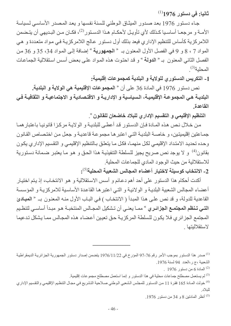$^{(1)}$ ثانیا: فی دستور 1976

جاء دستور 1976 بعد صدور الميثاق الوطني للسنة نفسها و يعد المصدر الأساسي لسياسة الأمــة و مرجعــا أساسـيا كـذلك لأي تأويـل لأحكــام هـذا الدسـتور<sup>(2)</sup>، فكــان مــن البـديهي أن يتـضمن اللامركزية كأساس للتنظيم الإداري فيعد بذلك أول دستور عالج اللامركزية في مواد متعددة و هي المواد 7 ، 8 و 9 في الفصل الأول المعنون بـ « الجمهورية » إضافة إلى المواد 34، 35 و 36 من الفصل الثاني المعنون بـ « الدولة » و قد احتوت هذه المواد على بعض أسس استقلالية الجماعات  $^{(3)}$ المحلية

1- التكريس الدستور يللولاية و البلدية كمجموعات إقليمية:

نص دستور 1976 في المادة 36 على أن « ا**لمجموعات الإقليمية هي الولاية و البلدية.** البلديــة هـي المجموعــة الإقليميــة، الـسياسيـة و الإداريــة و الاقتـصـاديـة و الاجتمـاعيــة و الثقافيــة فـي القاعدة

التنظيم الإقليمي و التقسيم الإداري للبلاد خاضعان للقانون ".

من خلال نص هذه المـادة فـإن الدسـتور قد أعطـي للبلديـة و الولايـة مركـزا قانونيـا باعتبار همـا جمـاعتين إقليميتين، و خاصـة البلديـة التـى اعتبر هـا مجموعـة قاعديـة و جعل مـن اختصـاص القـانون وحده تحديد الامتداد الإقليمي لكل منهمـا، فكل مـا يتعلق بـالتنظيم الإقليمـي و التقسيم الإداري يكون بقانون<sup>(4)</sup> و لا يوجد نص صريح يجيز للسلطة التنفيذيـة هذا الحق و هو مـا يعتبـر ضـمـانـة دسـتوريـة للاستقلالية من حيث الوجود المادي للجماعات المحلية.

2\_ الانتخاب كوسيلة لاختيار أعضاء المجالس الشعبية المحلية<sup>(5)</sup>:

أكدت أحكام هذا الدستور على أحد أهم دعائم و أسس الاستقلالية و هو الانتخاب، إذ يتم اختيار أعضاء المجالس الشعبية البلدية و الولائية و التي اعتبر هـا القاعدة الأساسية للامركزيـة و المؤسسة القاعدية للدولة، و قد نص على هذا المبدأ ( الانتخاب ) في البـاب الأول منـه المعنـون بـ « المبـادئ التـي تـنظم المجتمـع الجزائـري " ممـا يعنـي أن تـشكيل المجـالس المنتخبــة هـو مبـدأ أساسـي لتنظـيم المجتمع الجزائري فلا يكون للسلطة المركزية حق تعيين أعضاء هذه المجالس مما يشكل تدعيما لاستقلالبتها

.  $1976$  المادة 6 من دستور  $^{(2)}$ 

<sup>(3)</sup> لم يستعمل مصطلح جماعات محلية في هذا الدستور و إنما استعمل مصطلح مجموعات إقليمية<sub>.</sub>

(5) أنظر المادتين 8 و 34 من دستور 1976.

<sup>&</sup>lt;sup>(1)</sup> صدر هذا الدستور بموجب الأمر رقم 76–97 المؤرخ في 1976/11/22 يتضمن إصدار دستور الجمهورية الجز ائريـة الديمقر اطيـة الشعبية ،ج ر،العدد 94 لسنة 1976.

<sup>&</sup>lt;sup>(4)</sup> خولت المـادة 165 فقرة 11 من الدستور للمجلس الشعبي الوطني صـلاحية التشريع في مجـال التنظيم الإقليمـي والتقسيم الإداري للبلادر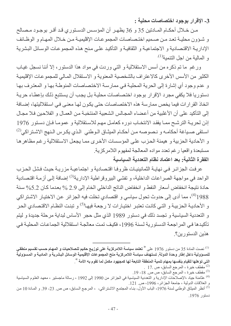3- الاقرار بوجود اختصاصات محلية :

مـن خــلال أحكــام المــادتين 35 و 36 يظهـر أن المؤسـس الدسـتوري قـد أقـر بوجـود مـصـالح و شـؤون محليـة تعـد مـن صـميم اختـصـاصـات المجموعـات الإقليميـة مـن خـلال المهـام و الوظـائف الإداريـة الاقتصـادية و الاجتماعيـة و الثقافيـة و التأكيد علـى مـنح هـذه المجموعـات الوسـائل البشرية و المالية من اجل التنمية<sup>(1).</sup>

ورغم ما تم ذكره من أسس الاستقلالية و التي وردت في مواد هذا الدستور، إلا أننا نسجل غياب الكثير من الأسس الأخر ي كالاعتر اف بالشخصية المعنوية و الاستقلال المـالـي للمجمو عـات الإقليميـة و عدم وجود أي إشارة إلى الحرية المحلية في ممارسة الاختصاصات المنوطة بها و المعترف بها دستوريا فلا يكفى مجرد الإقرار بوجود اختصاصات محلية بل يجب أن يستتبع ذلك بإعطاء حرية اتخاذ القرار ات فيما يخص ممار سة هذه الاختصاصات حتى يكون لها معنى في استقلاليتها، إضبافة إلى التأكيد على أن الأغلبية من أعضاء المجالس الشعبية المنتخبـة من العمـال و الفلاحين فـلا مجـال إذن لحريبة الترشح ممـا يفقد الانتخـاب دوره كعامـل مهم للاستقلالية و عمومـا فـإن دسـتور 1976 اسنقى صبياغة أحكامـه و نـصوصـه مـن أحكـام الميثـاق الـوطني الـذي يكـرس الـنهج الاشـتراكي<sup>(2)</sup> و الأحادية الحز بية و هيمنة الحز ب على المؤسسات الأخر ي ممـا يجعل الاستقلالية ر غم مظاهر هـا مستبعدة واقعيا رغم تعدد مواده المعالجة لمفهوم اللامر كزية الفقرة الثانية: بعد اعتماد نظام التعددية السياسية

عرفت الجزائر في نهاية الثمانينيات ظروفا اقتصادية و اجتماعية مزرية حيث فشل الحزب الواحد في مواجهة الصراعات الداخلية، و تفشِّي البيروقراطية الإدارية<sup>(3)</sup> إضافة إلى أزمـة اقتصـادية حادة نتيجة انخفاض أسعار النفط و انخفاض الناتج الداخلي الخام إلى 2.9 % بعدما كان 5.2% سنة 1988<sup>(4)</sup>، مما أدى إلى حدوث تحول سياسي و اقتصادي تخلت فيه الجز ائر عن الاختيار الاشتر اكي و الأحاديــة الـحز بيــة و التــى كانـت تعتبـر اختيـار ات لا ر جعـة فيهـا<sup>(5)</sup> و تبنـت النظــام الاقتـصـادي الـحـر و التعددية السياسية و تجسد ذلك في دستور 1989 الذي مثل حجر الأساس لبداية مرحلة جديدة و ليتم تأكيدها في المراجعة الدستورية لسنة 1996، فكيف تمت معالجة استقلالية الجماعات المحلية في هذين الدستورين؟.

نصت المادة 35 من دستور 1976 على <sup>«</sup> تعتمد سياسة اللامركزية على توزيع حكيم للصلاحيات و المهام حسب تقسيم منطق*ى* المسلم للمسوولية داخل إطار وحدة الدولة. تستهدف سياسة اللامركزية منح المجموعات الإقليمية الوسائل البشرية و المادية و المسوولية التي تو هلها للقيام بنفسها بمهام تنمية المنطقة التابعة لها كمجهود مكمل لما تقوم به الأمة <sup>»</sup>.

<sup>. 2)</sup> مقطف خيرة ، المرجع السابق، ص $\sim 17$  .

<sup>&</sup>lt;sup>(3)</sup> مقطف خيرة ، المرجع السابق، ص ص 18- 19.

<sup>&</sup>lt;sup>(4)</sup> عثامنة جياد ،الإصلاحات الإدارية و التعددية السياسية في الجزائر من 1990 إلى 1992 ، رسالة ماجستير ، معهد العلوم السياسية و العلاقات الدولية ، جامعة الجز ائر ، 1996، ص. 121.

<sup>&</sup>lt;sup>(5)</sup> أنظر الميثاق الوطني لسنة 1976، الباب الأول- بنـاء المجتمـع الاشتراكي- ، المرجـع السابق، ص ص 23- 39. و المـادة 10 من دستور 1976.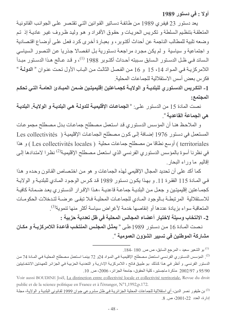أولا : في دستور 1989

يعد دستور 23 فيفري 1989 من طائفة دساتير القوانين التي تقتصر على الجوانب القانونية المتعلقة بتنظيم السلطة و تكريس الحريات و حقوق الأفراد و هو وليد ظروف غير عادية إذ تم وضعه تلبية للمطالب الناجمة عن أحداث أكتوبر ، و بعبارة أخرى كرد فعل على أوضاع اقتصادية و اجتماعية و سياسية و لم يكن مجرد مراجعة دستورية بل انفصالا جذريا عن التصور السياسي الـسائد فـي ظـل الدسـتور الـسابق سـببته أحـداث أكتـوبر 1988 <sup>(1)</sup>، و قـد عـالج هـذا الدسـتور مبـدأ اللامر كزيـة فـي المـواد 14 ، 15 و 16 مـن الفصل الثالث مـن البـاب الأول تحت عنـوان « ا**لدولـة** » فكرس بعض أسس الاستقلالية للجماعات المحلية

1\_ التكريس الدسـتوري للبلديــة و الولايــة كجمــاعتين إقليميتـين ضـمن المبــادئ الـعامــة التــى تحكـم المجتمع:

نصت المادة 15 من الدستور على: «الجماعات الإقليمية للدولة هي البلدية و الولاية. البلدية هي الجماعة القاعدية <sup>»</sup>.

و الملاحظ هنـا أن المؤسس الدستوري قد استعمل مصطلح جماعـات بدل مصطلح مجموعـات المستعمل في دستور 1976 إضافة إلى كون مصطلح الجماعات الإقليمية ( Les collectivités territoriales ) أوسع نطاقا من مصطلح جماعات محلية ( Les collectivités locales ) و هذا في نظرنا أسوة بالمؤسس الدستوري الفرنسي الذي استعمل مصطلح الإقليمية<sup>(2)</sup> نظرا لامتدادها إلى إقاليم ما وراء البحار

كما أكد على أن تحديد المجال الإقليمي لهذه الجماعات و هو من اختصاص القانون وحده و هذا في المـادة 115 الفقر ة 11. و بهذا يكـون دسـتور 1989 قد كـرس الوجـود المـادي للبلديـة و الولايـة كجمـاعتين إقليميتـين و جعـل مـن البلديـة جماعـة قاعديـة ،هـذا الإقـرار الدسـتورى يعـد ضـمـانة كافيـة للاستقلالية المرتبطة بالوجود المادي للجماعات المحلية فلا تبقى عرضية لتدخلات الحكومات المتعاقبة سواء بزيادة عددها أو إنقاصها خدمة لأغراض سياسة أكثر منها تنموية<sup>(3)</sup>. 2- الانتخاب وسيلة لاختيار أعضاء المجالس المحلية في ظل تعددية حزبية :

نصت المـادة 16 مـن دستور 1989علـى « يمثـل المجلس المنتخب قاعدة اللامركزيـة و مكـان مشاركة الموطنين في تسيير الشوون العمومية ".

<sup>(1)</sup> بو الشعير سعيد ، المرجع السابق، ص ص 180 -184.

<sup>(2)</sup>. المؤسس الدستوري الفرنسي استعمل مصطلح الإقليمية في المواد 24و 72 بينمـا استعمل مصطلح المحليـة فـي المـادة 74 من الدستور الفرنسي و أنظر في هذا كذلك بو طبيق فاتح ، اللامركزيـة الإداريـة و التعدديـة الحزبيـة فـي الجزائـر للعهدتين الانتخـابيتين 95/90 و 2002/97 مذكر ة ماجستير ، كلية الحقو ق، جامعة الجز ائر ، 2006، ص. 10.

Voir aussi BOUDINE Joêl, La distinction entre collectivité locale et collectivité territoriale, Revue du droit public et de la science politique en France et à l'étranger, N°1,1992,p.172. <sup>(3)</sup> بن طيفور نصر الدين، أي استقلالية للجماعات المحلية الجزائرية في ظل مشروعي جوان 1999 لقانوني البلدية و الولاية، مجلة إدارة، العدد 2011:22، ص. 8.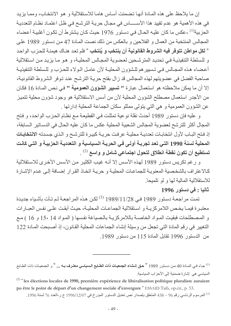إن ما يلاحظ على هذه المادة أنها تضمنت أساس هاما للاستقلالية و هو الانتخاب، ومما يزيد في هذه الأهمية هو عدم تقييد هذا الأســـــاس في مجـال حريـة الترشـح فـي ظـل اعتمـاد نظـام التعدديـة الحزبية<sup>(1)</sup> ،عكس ما كان عليه الحال في دستور 1976 حيث كان يشترط أن تكون أغلبية أعضاء المجالس المنتخبة من العمال و الفلاحين و بالعكس من ذلك نصت المادة 47 من دستور 1989 على « **لكل مواطن تتوفر فيه الشروط القانونية أن ينتخب و يُنتخب** » فلم تعد هنـاك هيمنـة للحـزب الواحد و للسلطة التنفيذية في تحديد المترشحين لعضوية المجالس المحلية، و هو مـا يزيد مـن استقلالية أعضاء هذه المجالس في تسبير هم للشؤون المحلية لأن عامل الـولاء للحـزب و للـسلطة التنفيذيـة صاحبة الفضل في عضويتهم لهذه المجالس قد زال بفتح حريـة الترشـح عند تـوفر الشروط القانونيـة، إلا أن ما يمكن ملاحظته هو استعمال عبارة " تسيير الشؤون العمومية " في نص المادة 16 فكان من الأجدر استعمال مصطلح الشؤون المحلية لأن من أسس الاستقلالية هو وجود شؤون محلية تتميز عن الشؤون العمومية و هي التي يتولى ممثلو سكان الجماعة المحلية إدارتها .

و عليه فإن دستور 1989 أحدث نقلة نوعية تمثلت في القطيعة مع نظام الحزب الواحد، و فتح المجال أكثر للترشح لعضوية المجالس الشعبية المحلية عكس ما كان عليه الحال في الدسـاتير الـسابقة، إذ فتح البـاب لأول انتخابـات تعدديـة محليـة عرفت حريـة كبيـرة للترشـح و الـذي جسدته الانتخابـات المحلية لسنة 1990 التي تعد تجربة أولى في الحرية السياسية و التعددية الحزبية و التي كانت تستطيع أن تكون نقطة انطلاق لتحول اجتماعي شامل و واسع <sup>(2)</sup> .

و رغم تكريس دستور 1989 لهذه الأسس إلا أنـه غيب الكثير من الأسس الأخرى للاستقلالية كالاعتراف بالشخصية المعنوية للجماعات المحلية وحرية اتخاذ القرار إضافة إلى عدم الإشارة للاستقلالية المالية لها و لو تلميحا

#### ثانيا : في دستور 1996

تمت مراجعة دستور 1989 في 1989/11/28 <sup>(3)</sup> لكن هذه المراجعة لم تأت بأشياء جديدة معتبرة فيمـا يخـص اللامركزيـة و اسـتقلالية الجماعـات المحليـة، حيـث أبقت علـى نفس العبـارات و المصطلحات فبقيت المواد الخاصـة باللامركزيـة بالصياغة نفسها ( المواد 14 ،15 و 16 ) مـع التغيير في رقم المادة التي تجعل من وسيلة إنشاء الجماعات المحلية القانون، إذ أصبحت المادة 122 من الدستور 1996 تقابل المادة 115 من دستور 1989.

<sup>(1)</sup> جـاء فـي المـادة 40 مـن دسـتور 1989 <sup>«</sup> حـق إ**نـشاء الجمعيـات ذات الطـابع الـسياسي معتـرف بـه ... <sup>»</sup> و الجمعيـات ذات الطـابـع** السياسي هي إشار ة ضمنية إلى الأحزاب السياسية.

 $(2)$  "les élections locales de 1990, première expérience de libéralisation politique pluraliste auraient pu être le point de départ d'un changement sociale d'envergure "ESSAID Taib, op.cit., p. 53.

<sup>(3)</sup> المرسوم الرئاسي رقم 96 – 438 المتعلق بإصدار نص تعديل الدستور المؤرخ في 1996/12/07 ج ر،العدد 76 لسنة 1996.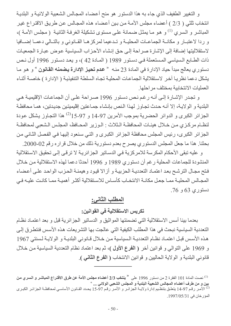و التغيير الطفيف الذي جاء به هذا الدستور هو منح أعضاء المجالس الشعبية الولائيـة و البلديـة انتخاب ثلثي ( 2/3 ) أعضاء مجلس الأمـة من بين أعضـاء هذه المجـالس عن طريق الاقتراع غير المباشر و السري <sup>(1)</sup> و هو مـا يمثـل ضـمـانـة علـى مـستوى تشكيلـة الغرفـة الثانيـة ( مـجلس الأمـة )، و ردا لاعتبـار و مكانــة الجماعــات المحليــة و تـدعيما لمركز هـا القــانوني و بالتــالي دعمــا إضــافيا لاستقلاليتها إضافة إلى الإشارة صراحة إلى حق إنشاء الأحزاب السياسية عوض عبارة الجمعيات ذات الطابع السياسي المستعملة في دستور 1989 ( المادة 42 )، و يعد دستور 1996 أول نص دستوري بعالج مبدأ حياد الإدارة في المادة 23 منه « عدم تحيز الإدارة يضمنه القانون » و هو ما يشكل دعما نظر يا آخر ٍ لاستقلالية الجماعات المحلية تجاه السلطة التنفيذية ( الإدار ة ) خاصـة أثنـاء العمليات الانتخابية بمختلف مراحلها.

و تجدر الإشارة إلى أنـه رغم نص دستور 1996 صـراحة علـى أن الجماعـات الإقليميـة هـى البلدية و الولايـة، إلا أنـه حدث تجـاوز لـهذا الـنص بإنشاء جمـاعتين إقليميتين جديدتين، همـا محافظـة الجزائر الكبرى و الدوائر الحضرية بموجب الأمرين 97-14 و 97-151<sup>(2)</sup> هذا التجاوز يشكل عودة لنظـام مركـزي مـن خـلال هيئـات المحافظـة الـثلاث : الـوزير المحـافظ، المجلـس الـشعبي لمحافظـة الجزائر الكبرى، رئيس المجلس محافظة الجزائر الكبرى و التي سنعود إليها في الفصل الثاني من بحثنا. هذا ما جعل المجلس الدستوري يصرح بعدم دستورية ذلك من خلال قراره رقم 02-2000.

و عليه تبقى الأحكام المكرسة للامركزية في الدساتير الجزائرية لا ترقى إلى تحقيق الاستقلالية المنشودة للجماعات المحلية رغم أن دستوري 1989 و 1996 أحدثا دعما لهذه الاستقلالية من خلال فنح مجال الترشح بعد اعتماد التعددية الحزبية و أزالا قيود وهيمنـة الحزب الواحد علـى أعضاء المجـالس المحليــة ممــا جعـل مكانــة الانتخــاب كأســاس للاسـتقلالية أكثــر أهميــة ممــا كانـت عليــه فــى دستوري 63 و 76.

## المطلب الثاني:

تكريس الاستقلالية في القوانين:

بعدما بينا أسس الاستقلالية التي تضمنتها المواثيق و الدساتير الجزائرية قبل و بعد اعتماد نظام التعددية السياسية نبحث في هذا المطلب الكيفية التي عالجت بها التشريعات هذه الأسس فنتطرق إلى هذه الأسس قبل اعتمـاد نظـام التعدديـة الـسياسية مـن خـلال قـانوني البلديـة و الولايـة لـسنتي 1967 و 1969 على التوالي و قوانين أخر ( الفرع الأول )، ثم بعد اعتماد نظام التعددية السياسية من خلال قانوني البلدية و الولاية الحاليين و قوانين الانتخاب ( الفرع الثاني ).

<sup>&</sup>lt;sup>(1)</sup> نصت المادة 101 الفقرة 2 من دستور 1996 على <sup>«</sup> ينتخب 2/3 أعضاء مجلس الأمة عن طرق الاقتراع المباشر و السري من بين و من طرف أعضاء المجالس الشعبية البلدية و المجلس الشعبي الولائي ... " <sup>(2)</sup> الأمر رقم 97-14 يتعلق بتنظيم إدارة ولايـة الجزائـر و الأمـر رقـم 97-15 يحـدد القـانون الأساسـي لمحافظـة الجزائـر الكبـري المؤرخان في 1997/05/31.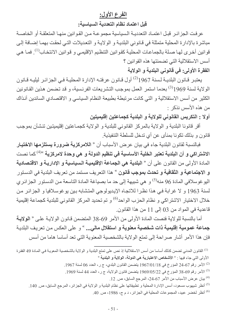## الفرع الأول:

قبل اعتماد نظام التعددية السياسية:

عرفت الجزائر قبل اعتمـاد التعدديـة الـسياسية مجموعـة مـن القـوانين منهـا المتعلقـة أو الخاصــة مباشرة بالإدارة المحلية متمثلة في قانوني البلدية و الولاية و التعديلات التي لحقت بهما إضافة إلى قوانين أخرى لهـا صـلـة بالجماعـات المحليـة كقوانين التنظـيم الإقليمـي و قوانين الانتخـاب<sup>(1)</sup>. فمـا هـي أسس الاستقلالية التي تضمنتها هذه القوانين ؟

الفقرة الأولى: في قانوني البلدية و الولاية

يعتبر قـانون البلديــة لـسنة 1967<sup>(2)</sup> أول قـانون عرفتــه الإدارة المحليــة فـي الجزائـر ليليــه قـانون الولاية لسنة 1969<sup>(3)</sup> بعدما استمر العمل بموجب التشريعات الفرنسية، و قد تضمن هذين القانونين الكثير من أسس الاستقلالية و التي كانت مرتبطة بطبيعة النظام السياسي و الاقتصادي السائدين آنـذاك من هذه الأسس نذكر:

أولا : التكريس القانوني للولاية و البلدية كجماعتين إقليميتين

أقر قانونا البلدية و الولاية بالمركز القانوني للبلدية و الولاية كجمـاعتين إقليميتين تنشآن بموجب قانون و بذلك تكونا بمنأى عن أي تدخل للسلطة التنفيذية.

فبالنسبة لقانون البلدية جاء في بيان عرض الأسباب أن « ا**للامركزية ضرورة يستلزمها الاختيار** الاشتراكي و أن البلدية تعتبر الخلية الأساسية في تنظيم الدولة و هي وحدة لامركزية <sup>4)4)</sup> كما نصت المادة الأولى من القانون على أن « ا**لبلدية هي الجماعة الإقليمية السياسية و الإداريـة و الاقتصادية** و الاجتماعية و الثقافية و تحدث بموجب قانون <sup>»</sup> هذا التعريف مستمد من تعريف البلدية في الدستور اليو غوسلافي المادة 96 منه<sup>(5)</sup> و هي شبيهة إلى حد ما بصياغة المادة التاسعة من الدستور الجزائري لسنة 1963 و لا غرابة في هذا نظرا للاتجاه الإيديولوجي المتشابه بين يوغوسلافيا و الجزائر من خلال الاختيار الاشتراكي و نظام الحزب الواحد<sup>(6)</sup> و تم تحديد المركز القانوني للبلدية كجماعة إقليمية قاعدية في المواد من 03 إلى 11 من هذا القانون.

أما بالنسبة للولاية فنصت المادة الأولى من الأمر 69-38 المتضمن قانون الولاية على « ا**لولاية** جماعة عمومية إقليمية ذات شخصية معنوية و استقلال مالي... » و على العكس من تعريف البلدية فإن هذا الأمر أشار صراحة إلى تمتع الولاية بالشخصية المعنوية التي تعد أساسا هاما من أسس

| <sup>(1)</sup> القانون المدني تضمن كذلك أساسا من أسس الاستقلالية إذ نص على تمتع البلدية و الولاية بالشخصية المعويـة فـي المـادة 49 الفقر ة |  |
|--------------------------------------------------------------------------------------------------------------------------------------------|--|
| الأولى التي جاء فيها : « الأشخاص الاعتبارية هي الدولة، الولاية و البلدية »                                                                 |  |

- الأمر رقم 67-24 المؤرخ في 1967/01/18 يتضمن القانون البلدي، ج ر، العدد 06 لسنة 1967.
- ألأمر رقم 69-38 المؤرخ في 1969/05/22 يتضمن قانون الولاية، ج ر ، العدد 44 لسنة 1969 . $^{(3)}$ 
	- <sup>(4)</sup> بيان عرض الأسباب من الأمر 67-24، المرجع السابق، ص<sub>.</sub> 12.
- <sup>(5)</sup> أنظر شيهوب مسعود، أسس الإدار ة المحلية و تطبيقاتها على نظام البلدية و الو لاية في الجز ائر ، المر جع السابق، ص
	- (6) أنظر لخضر عبيد، المجموعات المحلية في الجزائر ، د م ج، 1986، ص. 40.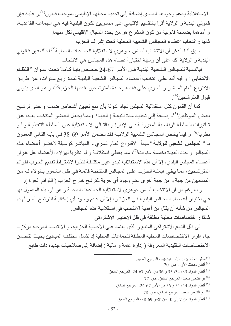الاستقلالية يدعم وجودهـا المـادي إضــافة إلـى تحديد مجالهـا الإقليمـى بموجب قـانون<sup>(1)</sup> و عليـه فـإن قانوني البلدية و الولاية أقرا بالتقسيم الإقليمي على مستويين تكون البلدية فيه هي الجماعة القاعدية، و أمدهما بضمانة قانونية من كون المشر ع هو من يحدد المجال الإقليمي لكل منهما. ثانيا : انتخاب أعضاء المجالس الشعبية المحلية تحت إشراف الحزب

سبق لنــا الـذكر أن الانتخـاب أســاس جـو هري لاسـتقلالية الـجماعـات المحليـة<sup>(2)</sup> لـذلك فـإن قـانوني البلدية و الولاية أكدا على أن وسيلة اختيار أعضاء هذه المجالس هي الانتخاب.

فبالنسبة للمجالس الشعبية البلديـة فـإن الأمـر 67-24 خصص بابـا كـاملا تحت عنـوان « ا**لنظـام** الالتخابي " و فيه أكد على انتخاب أعضاء المجالس الشعبية البلديـة لمـدة أربـع سنوات، عن طريق الاقتراع العام المباشر و السري على قائمة وحيدة للمترشحين يقدمها الحزب<sup>(3)</sup>، و هو الذي يتولى قبول المترشحين<sup>(4)</sup>.

كما أن القانون كفل استقلالية المجلس تجاه الدولة بأن منع تعيين أشخاص ضمنه و حتى ترشيح بعض الموظفين<sup>(5)</sup>، إضـافة إلـى تحديد مدة النيابـة ( العهدة ) ممـا يجعل العضو المنتخب بعيدا عن تـأثيرات الـسلطة الرئاسـية المعروفـة فـي الإدارة و بالتـالي الاسـتقلالية عـن الـسلطة التنفيذيـة و لـو نظريا<sup>(6)</sup> . و فيما يخص المجـالس الشعبية الولائيـة فقد تـضمن الأمـر 69-38 فـي بـابـه الثـانـي المعنـون بـ « المجلس الشعبي للولاية » مبدأ الاقتراع العام السري و المباشر كوسيلة لاختيار أعضاء هذه المجالس و حدد العهدة بخمسة سنوات<sup>(7)</sup>، مما يعطي استقلالية و لو نظريا لهؤلاء الأعضاء عل غرار أعضاء المجلس البلدي، إلا أن هذه الاستقلالية تبدو غير مكتملة نظرا لاشتراط تقديم الحزب لقوائم المترشحين، ممـا يبقى هيمنــة الحـزب علـى المجـالس المنتخبــة قائمــة فـى ظـل الشعور بـالولاء لــه مـن المنتخبين من جهة و من جهة أخرى عدم وجود أي حرية للترشح خارج الحزب ( القوائم الحرة ).

و بالرغم من أن الانتخاب أساس جوهري لاستقلالية الجماعات المحلية و هو الوسيلة المعمول بها في اختيـار أعضـاء المجـالس البلديــة فـي الـجز ائـر ، إلا أن عدم وجـود أي إمكانيــة للترشـح الحـر لـهـذه المجالس من شأنه أن يقلل من أهمية الانتخاب في استقلالية هذه المجالس. ثالثا : اختصاصات محلية مطلقة في ظل الاختيار الاشتراكي

في ظل النهج الاشتراكي المتبع و الذي يعتمد على الأحادية الحزبية، و الاقتصاد الموجه مركزيا جاء إقرار الاختصاصات المحلية المطلقة للجماعات المحلية إذ تشمل مختلف الميادين بحيث تتضمن الاختصاصات التقليدية المعروفة ( إدارة عامة و مالية ) إضافة إلى صلاحيات جديدة ذات طابع

- <sup>(1)</sup> أنظر المادة 2 من الأمر 69-38، المرجع السابق<sub>.</sub>
	- (2) أنظر مبحثنا الأول، ص 20.
- <sup>(3)</sup> أنظر المواد 33، 34، 35 و 36 من الأمر 67-24، المرجع السابق<sub>.</sub>
	- <sup>(4)</sup> بو الشعير سعيد، المرجع السابق، ص 77.
	- <sup>(5)</sup> أنظر المواد 54، 55 و 56 من الأمر 67-24، المرجع السابق<sub>.</sub>
		- <sup>(6)</sup> بو الشعير سعيد، المرجع السابق، ص 78.
	- أنظر المواد من 7 إلى 10 من الأمر 69-38، المرجع السابق. "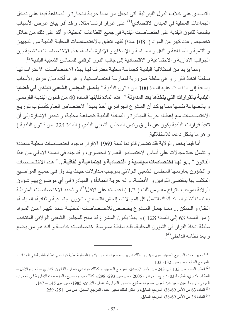اقتصادي على خلاف الدول الليبرالية التي تجعل من مبدأ حرية التجارة و الصناعة قيدا على تدخل الجماعات المحلية في الميدان الاقتصادي<sup>(1)</sup> على غر ار فرنسا مثلا، و قد أقر بيـان عرض الأسباب بالنسبة لقانون البلدية على اختصاصات البلدية في جميع القطاعات المحلية، و أكد على ذلك من خلال تخصيص عدد كبير من المواد ( 108 مادة) كلها تتعلق بالاختصاصات المحلية البلدية من التجهيز و التنمية و الصناعة و النقل و السياحة و الإسكان و الإدارة العامـة، هذه الاختصـاصـات متشعبة بين الجوانب الإدارية و الاجتماعية و الاقتصادية إلى جانب الدور الرقابي للمجالس الشعبية البلدية<sup>(2)</sup>.

ومما يزيد من استقلالية البلدية كجماعة محلية معترف لها بهذه الاختصاصات الاعتراف لها بسلطة اتخاذ القرار و هي سلطة ضرورية لممارسة اختصاصاتها، و هو ما أكده بيان عرض الأسباب إضافة إلى ما نصت عليه المادة 100 من قانون البلدية « **يفصل المجلس الشعبي البلدي في قضايا** ا**لبلدية بالقرارات التي يتخذها بعد المداولة** » هذه المادة تقابلها المـادة 40 مـن قـانون البلديـة الفرنـسي و بالصياغة نفسها ممـا يؤكد أن المشرع الجزائري أخذ بمبدأ الاختصاص العـام كأسلوب لتوزيـع الاختصاصات مع إعطـاء حريـة المبـادرة و المبـادأة للبلديـة كجماعـة محليـة، و تجدر الإشـارة إلـى أن تنفيذ قرارات البلدية يكون عن طريق رئيس المجلس الشعبي البلدي ( المادة 224 من قـانون البلديـة ) و هو ما يشكل دعما للاستقلالية

أما فيما يخص الولاية فقد تضمن قانونها لسنة 1969 الإقرار بوجود اختصاصات محلية متعددة و تشمل عدة مجالات على أساس الاختصاص العام لا الحصري، و قد جاء في المادة الأولى من هذا القانون « ...و لها اختصاصات سياسية و اقتصادية و اجتماعيـة و ثقافيـة... » هذه الاختصـاصـات و الشؤون يمارسها المجلس الشعبي الولائي بموجب مداولات حيث يتداول في جميع المواضيع المكلف بها بمقتضى القوانين و الأنظمـة، و لـه حريـة المبـادأة و المبـادرة فـي أي موضـو ع يـهم شـؤون الولاية بموجب اقتراح مقدم من ثلث ( 1/3 ) أعضائه على الأقل<sup>(3)</sup>، و تُحدد الاختصاصات المنوطـة به تبعا للنظام السائد آنذاك لتشمل كل المجالات، إنعاش اقتصادي، شؤون اجتماعية و ثقافية، السياحة، النقل و السكن ... ممـا جعـل المـشرع يخـصص للاختـصـاصات المحليـة عـددا كبيـرا مـن المـواد ( من المادة 63 إلى المادة 128 ) و بهذا يكون المشرع قد منح للمجلس الشعبي الولائي المنتخب سلطة اتخاذ القرار في الشؤون المحلية، فله سلطة ممارسة اختصاصاته خاصىة و أنـه هو من يضع و يعد نظامه الداخلي<sup>(4)</sup>.

<sup>&</sup>lt;sup>(1)</sup> محيو أحمد، المرجع السابق، ص<sub>.</sub> 193 و كذلك شبهوب مسعود، أسس الإدارة المحلية تطبيقاتها على نظـام البلديـة فـي الجز ائـر، المرجع السابق، ص ص. 132- 133.

<sup>&</sup>lt;sup>(2)</sup> أنظر المواد من 135 إلى 243 من الأمر 67-24، المرجع السابق، و كذلك عوابدي عمـار ، القـانون الإداري – الجزء الأول – النظام الإداري، الطبعة 03، د م ج، الجزائر، 2005 ، ص ص. 293- 298.و كذلك ميسوم سبيح، المؤسسات الإدارية في المغرب العربي، ترجمة أمين سعيد عبد العزيز مسعود، مطابع الدستور التجارية، عمان، الأردن، 1985، ص ص. 145 – 147. <sup>(3)</sup> المادة 63 من الأمر 69-38، المرجع السابق، و أنظر كذلك محيو أحمد، المرجع السابق، ص ص. 251- 259. <sup>(4)</sup> المادة 36 من الأمر 69-38، المرجع السابق<sub>.</sub>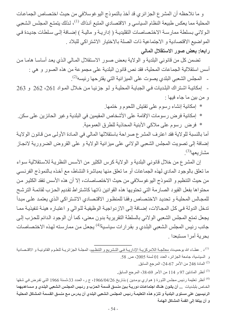و ما نلاحظه أن المشر ع الجز ائر ي قد أخذ بالنموذج اليو غوسلافي من حيث اختصـاص الجماعـات المحلية مما يعكس طبيعة النظام السياسي و الاقتصادي المتبع آنذاك <sup>(1)</sup>، لذلك يتمتـع المجلس الشعبي الـولائـي بـسلطـة ممارسـة الاختـصـاصـات التقليديـة ( إداريـة و ماليـة ) إضــافة إلـي سـلطات جديـدة فـي المواضيع الاقتصادية و الاجتماعية ذات الصلة بالاختيار الاشتراكي للبلاد . رابعا: بعض صور الاستقلال المالي

تضمن كل من قانوني البلدية و الولاية بعض صور الاستقلال المالي الذي يعد أساسا هاما من أسس استقلالية الجماعات المحلية، فقد نص قانون البلدية على مجموعة من هذه الصور و هي : - المجلس الشعبي البلدي يصوت على الميز انية التي يقتر حها ر ئيسه<sup>(2)</sup>.

- إمكانية اشتراك البلديات في الجباية المحلية ولو جزئيا من خلال المواد 261، 262 و 263 و من بين ما جاء فيها :

\* إمكانية إنشاء رسوم على تفتيش اللحوم و ختمها.

\* إمكانية فرض رسومات الإقامة على الأشخاص المقيمين في البلدية وغير الحائزين على سكن. \* فرض رسوم على ملاكي الأبنية المحاذية للطرق العمومية.

أما بالنسبة للولاية فقد اعترف المشرع صراحة باستقلالها المالي في المـادة الأولـى من قـانون الولايـة إضافة إلى تصويت المجلس الشعبي الولائي على ميزانية الولاية و على القروض الضرورية لانجاز  $^{(3)}$ مشار بعها

إن المشرع من خلال قانوني البلدية و الولاية كرس الكثير من الأسس النظرية للاستقلالية سواء ما تعلق بالوجود المادي لهذه الجماعات أو ما تعلق منها بمباشرة النشاط، مع أخذه بالنموذج الفرنسي من حيث التنظيم و النموذج اليو غوسلافي من حيث الاختصاصات، إلا أن هذه الأسس تفقد الكثير من محتواها بفعل القيود الصارمة التي تحتويها هذه القوانين ذاتها كاشتراط تقديم الحزب لقائمة الترشح للمجالس المحلية و تحديد الاختصاص وفقا للمنظور الاقتصادي الاشتراكي الذي يعتمد على مبدأ تدخل الدولة في كل المجالات، إضافة إلى الازدواجية الوظيفية للوالي و اعتباره هيئة تنفيذية مما يجعل تمتع المجلس الشعبي الولائي بالسلطة التقريرية بدون معنى، كما أن الوجود الدائم للحزب إلى جانب رئيس المجلس الشعبي البلدي و بقرارات سياسية<sup>(4)</sup> يجعل من ممارسته لهذه الاختصاصات بحرية أمرا مستبعدا .

<sup>(1)</sup>د . عطـاء الله بوحميـدة، معالجـة اللامركزيـة الإداريـة فـي التـشريع و التنظـيم، المجلـة الجزائريـة للعلـوم القانونيـة و الاقتـصـادية و السياسية، جامعة الجزائر ، العدد 01 لسنة 2005، ص 58. من الأمر 67-24، المرجع السابق (24-67) من الأمر

<sup>(3)</sup> أنظر المادتين 97 و 114 من الأمر 69-38، المرجع السابق.

<sup>(4)</sup> أنظر تعليمة رئيس مجلس الثورة ( هواري بومدين ) بتاريخ 1966/04/26، ج ر، العدد 33،لسنة 1966 التي تفرض في شقها الخاص بلبلديات ... أن يكون هناك اجتماعات دورية بين منسق قسمة الحزب و رئيس المجلس الشعبي البلدي و مساعديهما الرئيسيين على مستوى البلدية و تلزم هذه التعليمة رئيس المجلس الشعبي البلدي أن يدرس مع منسق القسمة المشاكل المحلية و أن يبلغا إلى القمة المشاكل الـهامة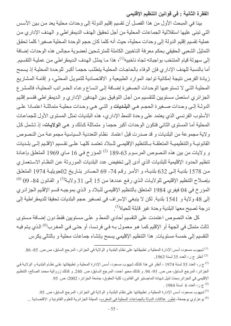الفقرة الثانية : في قوانين التنظيم الإقليمي

بينا في المبحث الأول من هذا الفصل أن تقسيم إقليم الدولة إلى وحدات محلية يعد من بين الأسس التي تبني عليها استقلالية الجماعات المحلية من أجل تحقيق الهدف الديمقر اطي و الهدف الإداري من عملية تقسيم إقليم الدولة إلى وحدات محلية، حيث أنه كلما كان حجم الوحدة المحلية صغيرا كلما تحقق التمثيل الشعبي الحقيقي بحكم معرفة الناخبين الكاملة للمترشحين لعضوية مجالس هذه الوحدات إضافة إلى سهولة قيام المنتخب بواجباته تجاه ناخبيه<sup>(1)</sup>، هذا مـا يمثل الهدف الديمقر اطـي مـن عمليـة التقسيم. أما بالنسبة للهدف الإداري فإن الوفاء بالحاجات المحلية يتطلب حجمـا أكبـر للوحدة المحليـة إذ يسمح زيادة الفرص نتيجة إمكانية تواجد الموارد الطبيعية و الاقتصادية للتمويل المحلي، و إقامة المشاريع المحلية التي لا تستوعبها الوحدات الصغيرة إضافة إلى اتساع وعاء الضرائب المحلية، فالمشر ع الجزائري استعمل مستويين للتقسيم من أجل التوفيق بين الهدفين الإداري و الديمقراطي فقسم إقليم الدولـة إلـى وحدات صـغيرة الحجم هـى البلـديات و التـى هـى وحدات محليـة متماثلـة اعتمـادا علـى الأسلوب الفرنسي الذي يعتمد على وحدة النمط الإداري، هذه البلديات تمثل المستوى الأول للجماعات المحلية أما المستوى الثاني فتكون الوحدات أكبر حجما و متماثلة كذلك و هي ا**لولايات**، إذ تشمل كل ولاية مجموعة من البلديات و قد صدرت قبل اعتماد نظام التعددية السياسية مجموعة من النصوص القانونية والتنظيمية المتعلقة بالتنظيم الإقليمي للبلاد تعتمد كلها علىي تقسيم الإقليم إلىي بلديات و ولايات من بين هذه النصوص المرسوم 63-189 <sup>(2)</sup> المؤرخ في 16 ماي 1969 المتعلق بإعادة تنظيم الحدود الإقليمية للبلديات الذي أدى إلى تخفيض عدد البلديات الموروثة عن النظام الاستعماري من 1578 بلديـة إلـى 632 بلديـة، و الأمـر رقم 74- 69 الـصـادر بتـاريخ 02جويليـة 1974 المتعلـق بإصلاح التنظيم الإقليمي للولايات الذي رفع عددها من 15 إلى 31 ولاية<sup>(3)</sup> و القانون 84- 09 <sup>(4)</sup> المؤرخ في 04 فيفري 1984 المتعلق بالتنظيم الإقليمي للبلاد و الذي بموجبه قسم الإقليم الجزائري إلى 48 ولاية و 1541 بلدية. لكن لا ينبغي الإسراف في تصغير حجم البلديات تحقيقا للديمقراطية إلى درجة تصبح معها البلدية وحدة غير قابلة للحياة<sup>(5)</sup>.

كل هذه النصوص اعتمدت على التقسيم أحادي النمط و على مستويين فقط دون إضـافة مستوى ثالث متمثل في الجهة أو الإقليم كمـا هو معمـول بـه فـي فرنـسا، أو حتـي فـي المغرب<sup>(6)</sup> الذي يتم فيـه التقسيم إلى خمسة مستويات. هذا التنظيم الإقليمي يسمح بإنشاء جماعات محلية و بالتالي يكرس

<sup>(1)</sup> شبهوب مسعود، أسس الإدارة المحلية و تطبيقاتها على نظام البلدية و الولاية في الجزائر، المرجع السابق، ص ص. 85- 86. .1963 أنظر ج ر، العدد 35 لسنة 1963.

<sup>(3)</sup> ج ر ، العدد 55 لسنة 1974 ، أنظر في هذا كذلك شيهوب مسعود، أسس الإدارة المحلية و تطبيقاتها علـى نظـام البلديـة و الولايـة فـي الجزائر، المرجع السابق، ص ص 93. 94- 94. و كذلك محيو أحمد، المرجع السابق، ص 240 و كذلك زروالية محمد الصالح، التنظيم الإقليمي في الجزائر ،بحث لنيل شهادة الماجستير في القانون، كلية الحقوق، جامعة الجزائر ، 2002، ص. 95. . 1984 م ر، العدد 6 لسنة 1984.

<sup>(5)</sup>شيهوب مسعود، أسس الإدارة المحلية و تطبيقاتها على نظام البلدية و الولاية في الجزائر ، المرجع السابق، ص<sub>.</sub> 95<sub>.</sub> <sup>(6)</sup> بوعز اوى بوجمعة، تطور علاقات الدولة بالجماعات المحلية في المغرب، المجلة الجز ائرية للعلوم القانونية و الاقتصادية ...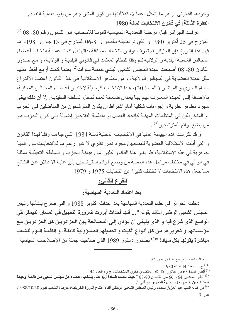وجودها القانوني و هو ما يشكل دعما لاستقلاليتها من كون المشرع هو من يقوم بعملية التقسيم . الفقر ة الثالثة: في قانون الانتخابات لسنة 1980

عر فت الجز ائـر قبـل مر حلــة التعدديــة الـسياسيـة قانو نــا للانتخــاب هـو القـانو ن ر قـم 80- 08 (<sup>1)</sup> المؤرخ في 25 أكتوبر 1980 و الذي تم تعديلـه بالقانون 81-06 المؤرخ في 13 جوان 1981، أمـا قبل هذا التاريخ فإن الجزائر لم تعرف قوانين انتخابات مستقلة بذاتها بل كانت عملية انتخاب أعضاء المجالس الشعبية البلدية و الولائية تتم وفقا للنظام المعتمد في قانوني البلدية و الولاية، و مع صدور القانون 80- 08 أصبحت عهدة المجلس الشعبي البلدي خمسة سنوات<sup>(2)</sup> بعدما كانت أربـع فقط مثلهـا مثل عهدة العضوية في المجالس الولائية، و من مظـاهر الاستقلالية فـي هذا القـانون اعتمـاد الاقتـراع العـام الـسري و المباشـر ( المـادة 30)، هـذا الانتخـاب كوسـيلة لاختيـار أعـضـاء المجـالس المحليـة، بالإضافة إلى العهدة المعترف لهم بها يُعدان ضمانة لعدم تدخل السلطة التنفيذية. إلا أن ذلك يبقى مجرد مظاهر نظرية و إجراءات شكلية أمام اشتراط أن يكون المترشحون من المناضلين في الحزب أو المنخر طين في المنظمات المهنية كإتحاد العمـال أو منظمـة الفلاحين إضـافة إلـى كـون الحـزب هـو من يضم قوائم المترشحين<sup>(3)</sup> .

و قد تكرست هذه الهيمنة عمليا في الانتخابات المحلية لسنة 1984 التي جاءت وفقا لهذا القانون و التي أبقت الاستقلالية العضوية للمنتخبين مجرد نص نظري لا غير رغم مـا للانتخابـات مـن أهميـة جوهرية في هذه الاستقلالية، فلم يغير هذا القانون كثيرا من هيمنـة الحزب و السلطـة التنفيذيـة ممثلـة في الوالي في مختلف مراحل هذه العملية من وضـع قوائم المترشـحين إلـي غايـة الإعـلان عن النتـائج مما جعل هذه الانتخابات لا تختلف كثير ا عن انتخابات 1975 و 1979.

#### الفرع الثاني:

#### بعد اعتماد التعددية السياسية:

دخلت الجزائر في نظام التعددية السياسية بعد أحداث أكتوبر 1988 و التي صرح بشأنها رئيس المجلس الشعبي الوطني آنذاك بقوله « ... أ**نها أحداث أبرزت ضرورة التعجيل في المسار الديمقراطي** الواسع الذي شرع فيه و الذي ينبغى أن يؤدي إلى المصالحة بين الجزائريين كل الجزائريين مع مؤسساتهم و تحريرهم من كل أنواع الكبت و تحميلهم المسؤولية كاملـة، و الكلمـة اليوم للشعب **مباشرة يقولها بكل سيادة** <sup>»(4)</sup> بصدور دستور 1989 الذي صـاحبته جملة من الإصـلاحات السياسية

... و السياسية، المرجع السابق، ص 97.

.<sup>(1)</sup> ج ر ، العدد 44 لسنة 1980.

.<sup>(2)</sup> أنظّر المادة 63 من القانون 80- 08 المتضمن قانون الانتخابات، ج ر ، العدد 44.

أنظر المـادتين 64 و 66 من القـانون 80-08 « حيث نـصت المـادة 66 علـى ينتخب أعضـاء كل مجلس شـعبى مـن قائمـة وحيدة  $^{(3)}$ للمترشحين يقدمها حزب جبهة التحرير الوطن*ي* ".

<sup>(4)</sup> من كلمة السيد عبد العزيز بلخادم رئيس المجلس الشعبي الوطني أثناء افتتاح الدورة الخريفية، جريدة الشعب ليوم 1988/10/30، ص. 3.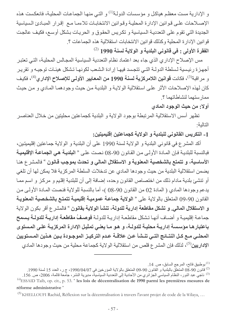و الإدارية مست معظم هياكل و مؤسسات الدولـة<sup>(1)</sup> و التـى منهـا الجماعـات المحليـة، فانـعكست هذه الإصلاحات على قوانين الإدارة المحلية وقوانين الانتخابات تلاءمـا مـع إقرار المبـادئ السياسية الجديدة التي تقوم على التعدديـة السياسية و تكريس الحقوق و الحريـات بشكل أوسـع، فكيف عالجت قوانين الإدار ة المحلية وكذلك قوانين الانتخابات استقلالية هذه الجماعات ؟. الفقرة الأولى : في قانوني البلدية و الولاية لسنة 1990 (2)

مس الإصلاح الإداري الذي جاء بعد اعتماد نظام التعددية السياسية المجالس المحلية، التي تعتبر أجهزة رئيسية لسلطة الدولة التي تتجسد فيها إرادة الشعب لكونها تشكل هيئات توجيه وتقرير و مر اقبة<sup>(3)</sup>، فكانت **قوانين اللامركزية لسنة 1990 من المعايير الأولى للإصلاح الإدار ي<sup>(4)</sup>، فكيف** كان لهذه الإصلاحات الأثر على استقلالية الولاية و البلدية من حيث وجودهما المادي و من حيث ممار ستهما لنشاطاتهما ؟

أولا: من حيث الوجود المادي

تظهر أسس الاستقلالية المرتبطة بوجود الولاية و البلدية كجماعتين محليتين من خلال العناصـر التالية·

1- التكريس القانوني للبلدية و الولاية كجماعتين إقليميتين:

أكد المشرع في قانوني البلدية و الولاية لسنة 1990 على أن البلدية و الولاية جماعتين إقليميتين، فبالنسبة للبلديـة فـإن المـادة الأولـى مـن القـانون 90-08 نـصت علـى « ا**لبلديـة هـى الـجماعـة الإقليميـة** الأساسية، و تتمتع بالشخصية المعنوية و الاستقلال المالي و تحدث بموجب قـانون <sup>»</sup> فالمشر ع هنـا يضمن استقلالية البلدية من حيث وجودها المادي عن تدخلات السلطة المركزية فلا يمكن لها أن تلغي أو تنشئ بلدية مادام ذلك من اختصاص القانون وحده، إضافة إلى أن للبلدية إقليم و مركز و اسم ممـا يدعم وجودها المادي ( المادة 02 من القانون 90-08 )، أما بالنسبة للولاية فنصت المـادة الأولـى من القانون 90-09 المتعلق بالولاية على « ا**لولاية جماعة عمومية إقليمية تتمتع بالشخصية المعنوية** و الاستقلال المالي. و تشكل مقاطعة إدارية للدولة، تنشأ الولاية بقانون <sup>»</sup> فالمشر ع أقر بكون الولاية جماعـة إقليميـة و أضـاف أنهـا تشكل مقاطعـة إداريـة للدولـة **فوصـفُ مقاطعـة إداريـة للدولـة يـسمح** باعتبار هـا مؤسسة إداريــة محليــة للدولــة، و هـو مــا يعنــى تمثيـل الإدارـة المركزيــة علـى المـستو ي المحلـى مــع كــل النتــائـج التــى تنــشـأ عــن علاقــة عـدم التركيــز الموجــودة بــين هــذين المــستويين الإداريين<sup>(5)</sup>، لذلك فإن المشر ع قلص من استقلالية الولاية كجماعة محلية من حيث وجودها المادي

بو طبيق فاتح، المرجع السابق، ص. 14.  $^{(1)}$ 

<sup>2)</sup> قانون 90-08 المتعلّق بالبلدية و القانون 90-09 المتعلّق بالولاية المؤرخين في 29%/04/07، ج ر، العدد 15 لسنة 1990. <sup>(3)</sup> ناجي عبد النور ، النظام السياسي الجزائري من الأحادية إلى التعددية السياسية، مديرية النشر ، جامعة قالمة، 2006، ص. 156. <sup>(4)</sup>ESSAID Taib, op. cit., p. 53. " les lois de décentralisation de 1990 parmi les premières mesures de réforme administrative »

<sup>&</sup>lt;sup>(5)</sup> KHELLOUFI Rachid, Réflexion sur la décentralisation à travers l'avant projet de code de la Wilaya, ...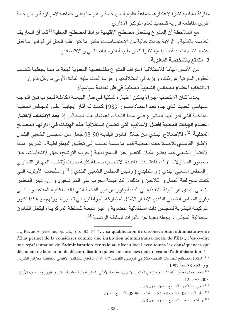مقارنة بالبلدية نظرا لاعتبار ها جماعة إقليمية من جهة و هو ما يعني جماعة لامركزيـة و من جهـة أخر ي مقاطعة إدار ية كتجسيد لعدم التركيز الإدار ي.

مع الملاحظة أن المشر ع يستعمل مصطلح الإقليمية مر ادفا لمصطلح المحلية<sup>(1)</sup> كما أن التعاريف الخاصة بالبلدية و الولاية جاءت خالية من الاختصاصات عكس ما كان عليه الحال في قوانين ما قبل اعتماد نظام التعددية السياسية نظرا لتغير طبيعة التوجه السياسي و الاقتصادي.

## 2- التمتع بالشخصية المعنوية:

من الأسس الهامة للاستقلالية اعتراف المشر ع بالشخصية المعنوية لهيئة ما ممـا يجعلهـا تكتسب الحقوق المترتبة عن ذلك، و يزيد في استقلاليتها و هو ما أكدت عليه المادة الأولى من كل قانون. 3-انتخاب أعضاء المجالس الشعبية المحلية في ظل تعددية سياسية:

بعدما كان الانتخاب إجراءً يمكن اعتباره شكليا في ظل الهيمنــة الكاملــة للحزب فـإن التوجـه السياسي الجديد الذي جاء بعد اعتمـاد دستور 1989 كانت لـه أثـار إيجابيـة علـى المجـالس المحليـة المنتخبــة التــى أقـر فيهـا المـشر ع علـى مبـدأ انتخـاب أعـضـاء هـذه المجـالس إذ **يـعد الانتخـاب لاختيـار** أعضاء الهيئات المحلية أفضل الأساليب التي تضمن استقلالية هذه الهيئـات في إدارتهـا المصالح ا**لمحليـة** <sup>(2)</sup>، فالإصــلاح البلـدي مـن خـلال قـانون البلديـة 90-08 جعـل مـن المجلـس الـشعبي البلـدي الإطار القاعدي للإصلاحات المحلية فهو مؤسسة تهدف إلى تحقيق الديمقراطية و تكريس مبدأ الاختيار الشعبي كمـا يعتبـر مكـان للتعبيـر عـن الديمقراطيـة ( حريـة الترشـح، حـق الانتخابـات، حـق حضور المداولات ) <sup>(3)</sup>، فاعتمـدت قاعـدة الانتخـاب بـصفة كليــة بحيـث يُنتخـب الجهـاز التـداولى ( المجلس الشعبي البلدي ) و التنفيذي ( رئيس المجلس الشعبي البلدي )<sup>(4)</sup> واستُبعدت الأولويـة التـي كانت تمنح لفئة العمال و الفلاحين و بذلك زالت هيمنة الحزب على المترشحين. و أن رئيس المجلس الشعبي البلدي هو الهيئة التنفيذية في البلدية يكون من بين القائمة التي نالت أغلبية المقاعد و بالتـالي يكون المجلس الشعبي البلدي الإطار الأمثل لمشاركة المواطنين في تسيير شؤونهم، و هكذا تكون التركيبة البشرية للمجلس ذات استقلالية عضوية و غير تابعة للسلطة المركزيـة، فيكفل القـانون استقلالية المجلس و يجعله بعيدا عن تأثيرات السلطة الرئاسية<sup>(5)</sup>.

..., Revue Algérienne, op. cit., p p. 83-84, "... sa qualification de circonscription administrative de l'Etat permet de la considérer comme une institution administrative locale de l'Etat, c'est-à-dire une représentation de l'administration centrale au niveau local avec toutes les conséquences qui découlent de la relation de décentralisation qui existe entre ces deux niveaux d'administration » <sup>(1)</sup> استعمل مصطلح الجماعات المحلية مثلا في المرسوم التنفيذي 97- 216 المتعلق بالتنظيم الإقليمي لمحافظة الجزائر الكبرى،

- $(3)$ ناجي عبد النور، المرجع السابق، ص. 156.
- <sup>(4)</sup> أنظر المواد 03، 47 ، 48 و 84 من القانون 90-08، المرجع السابق<sub>.</sub>
	- <sup>(5)</sup> بو الشعير سعيد، المرجع السابق، ص 78.

ج ر، العدد 38 لسنة 1997.

<sup>&</sup>lt;sup>(2)</sup> محمد جمال مطلق الذنيبات، الوجيز في القانون الإداري، الطبعة الأولى، الدار الدولية العلمية للنشر و التوزيع، عمان، الأردن،  $12 \times 2003$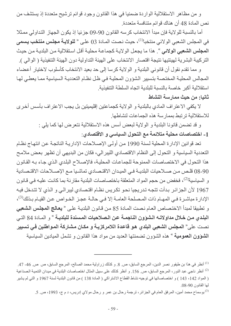و من مظاهر الاستقلالية الواردة ضمنيا في هذا القانون وجود قوائم ترشيح متعددة إذ يستشف من نص المادة 48 أن هناك قوائم متنافسة متعددة.

أما بالنسبة للولاية فإن مبدأ الانتخاب كرسه القانون 90-09 جزئيا إذ يكون الجهاز التداولي ممثلا في المجلس الشعبي الولائي منتخبا<sup>(1)</sup>، حيث نصت المـادة 03 علـي « **للولايـة مجلس منتخب يسم***ى* المجلس الشعبي الولائي ". هذا ما يجعل الولاية كجماعة محلية أقل استقلالية من البلدية من حيث التركيبة البشرية لهيئتيها نتيجة اقتصار الانتخاب على الهيئة التداولية دون الهيئة التنفيذية ( الوالي ).

و مما تقدم نقول أن قانوني البلدية و الولاية كرسا إلى حد بعيد الانتخاب كأسلوب لاختيار أعضاء المجالس المحلية المختصة بتسبير الشؤون المحلية في ظل نظام التعددية السياسية مما يعطي لها استقلالية أكبر خاصة بالنسبة للبلدية اتجاه السلطة التنفيذية

### ثانيا: من حيث ممارسة النشاط

لا يكفي الاعتراف المادي بالبلدية و الولاية كجماعتين إقليميتين بل يجب الاعتراف بأسس أخرى للاستقلالية ترتبط بممارسة هذه الجماعات لنشاطها

> و قد تضمن قانونا البلدية و الولاية لبعض أسس هذه الاستقلالية نتعرض لها كما يلي : [ ـ اختصاصات محلية متلائمة مع التحول السياسى و الاقتصادي:

تعد قوانين الإدارة المحلية لسنة 1990 من أولى الإصلاحات الإداريـة الناتجـة عن انتهـاج نظـام التعددية السياسية و التحول إلى النظام الاقتصادي الليبر الى، فكان من البديهي أن تظهر بعض ملامح هذا التحول في الاختصاصات الممنوحة للجماعات المحلية، فالإصلاح البلدي الذي جاء به القانون 08-90 قلص من صلاحيات البلديــة فـي الميـدان الاقتـصـادي تماشـيا مــع الإصــلاحات الاقتـصـادية و السياسية<sup>(2)</sup>، فخفض من حجم المواد المتعلقة باختصاصات البلدية مقارنة بما كانت عليه في قانون 1967 لأن الجزائر بدأت تتجه تدريجيا نحو تكريس نظام اقتصادي ليبرالي و الذي لا تتدخل فيه الإدار ة مباشـر ة فـي المـهــام ذات المـصـلحة الـعامــة إلا فـي حالــة عجـز الخـواص عـن القيــام بـذلك<sup>(3)</sup>، و تطبيقا لمبدأ الاختصاص العام نصت المادة 85 من قانون البلدية على « يعالج المجلس الشعبي البلدي من خلال مداولاتــه الـشوون النـاجمــة عن الـصلاحيات المـسندة للبلديــة » و المــادة 84 التــى نصت على" المجلس الشعبي البلدي هو قاعدة اللامركزيـة و مكـان مشاركة المـواطنين فـي تسيير الشوون العمومية » هذه الشؤون تضمنتها العديد من مواد هذا القانون و تشمل الميادين السياسية

<sup>&</sup>lt;sup>(1)</sup> أنظر في هذا بن طيفور نصر الدين، المرجع السابق، ص<sub>.</sub> 8. و كذلك زر اولية محمد الصـالح، المرجع السابق، ص ص. 46- 47. <sup>(2)</sup> أنظر ناجي عبد النور، المرجع السابق، ص 156. و أنظر كذلك على سبيل المثال اختصاصات البلدية في ميدان التنمية الصناعية ( المواد 142 ، 143 ) و اختصاصاتها في توجيه نشاط القطاع الاشتراكي ( المادة 138 ) من قانون البلدية لسنة 1967 و التي لم يشير لها القانون 90-08.

<sup>&</sup>lt;sup>(3)</sup> بوسماح محمد أمين، المرفق العام في الجزائر ، ترجمة رحال بن عمر و رحال مولاي إدريس، د م ج، 1993، ص<sub>.</sub> 5.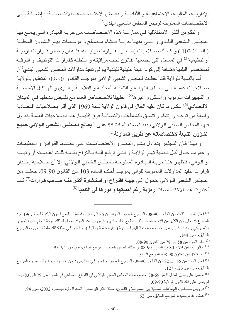الإداريـــة، الماليـــة، الاجتماعيـــة و الثقافيـــة و بعــض الاختــصـاصـات الاقتــصـادية<sup>(1)</sup> إضـــافة إلـــي الاختصاصات الممنوحة لرئيس المجلس الشعبي البلدي<sup>(2)</sup>.

و تتكرس أكثر الاستقلالية في ممارسة هذه الاختصاصات من حريـة المبـادر ة التـي يتمتـع بـهـا المجلس الشعبي البلدي و التـى منهـا حريــة إنـشاء مـصالح و مؤسـسات تهـم الـشؤون المحليــة ( المسادة 103 ) و كـذلك صـــلاحيات إصــدار القــرارات لرئيـسه، فلــه أن يــصدر قــرارات فرديــة أو تنظيمية<sup>(3)</sup> في المسائل التي يضعها القانون تحت مر اقبتـه و سلطته كقر ار ات التوظيف و الترقيـة لمستخدمي البلدية،إضافة إلى كونه هيئة تنفيذية للبلدية يتولى تنفيذ مداولات المجلس الشعبي البلدي<sup>(4)</sup>.

أما بالنسبة للولاية فقد أعطيت للمجلس الشعبي الولائي بموجب القانون 90-09 المتعلق بالولاية صـلاحيات عامــة فــى مجــا ل التهيئــة و التنميــة المحليــة و الفلاحــة و الــري و الـهياكــل الأساســية و التجهيزات التربوية و السكن و غير ها<sup>(5)</sup> تطبيقا للاختصاص العام مع تقليص تدخلها في الميدان الاقتصادي<sup>(6)</sup> عكس ما كان عليه الحال في قانون الولاية لسنة 1969 الذي أقر بصلاحيات اقتصادية واسعة من نوجيه و إنشاء و تنسيق للنشاطات الاقتصادية فوق إقليمها. هذه الصلاحيات العامـة يتداول فيهـا المجلس الشعبي الـولائي، فقد نـصت المـادة 55 علـي " **يعـالج المجلس الشعبي الـولائي جميـع** الشَوَون التابِعة لاختصاصاته عن طريق المداولة ".

و بهذا فإن المجلس يتداول بشأن المهام و الاختصاصات التي تحددها القوانين و التنظيمات و عمومـا حـول كـل قـضية تهـم الولايــة و التــى ترفـع إليــه بـاقتراح يقدمــه ثلـث أعـضائه أو رئيـسه أو الـوالي، فتظهر هنـا حريـة المبـادرة الممنوحـة للمجلس الـشعبي الـولائي، إلا أن صــلاحية إصـدار قرارات تنفيذ المداولات الممنوحة للوالي بموجب أحكام المـادة 103 مـن القـانون 90-09، جعلت مـن المجلس الشعبي الـولائي بتحـول إلـي **جهـة اقتـراح أو استشارة أكثـر منــه صــاحب قـرارات**<sup>(7)</sup> كمــا أعتبرت هذه الاختصاصات **رمزية رغم أهميتها و دورها ف***ي* **التنمية**<sup>(8)</sup>.

- <sup>(2)</sup> أنظر المواد من 58 إلى 78 من القانون 90-08.
- <sup>(3)</sup> أنظر المادتين 79 و 80 من القانون 90-08. و كذلك بلعباس بلعباس، المرجع السابق، ص ص. 94- 95.
	- <sup>(4)</sup> المادة 47 من القانون 90-08، المرجع السابق<sub>.</sub>

<sup>&</sup>lt;sup>(1)</sup> أنظر البـاب الثالث من القـانون 90-08، المرجـع الـسابق، المـواد من 86 إلـى 110، فبالمقارنـة مـع قـانون البلديـة لـسنة 1967 نجد المشرع قد تخلي عن الكثير من الاختصاصات ذات الطابع الاقتصادي و قلص من عدد المواد المعالجة لذلك نتيجة التخلي عن الاختيار الاشتراكي و بذلك اقترب من الاختصاصات التقليدية للبلدية ( إدار ة عامـة وماليـة )، و أنظـر فـي هذا كذلك مقطـف خير ة، المرجع السابق، ص. 144.

<sup>&</sup>lt;sup>(5)</sup> أنظر المواد من 55 إلى 82 من القانون 90-09، المرجع السابق، و أنظر في هذا بمزيد من الإسهاب بوضياف عمار ، المرجع السابق، ص ص. 123- 127.

<sup>&</sup>lt;sup>(6)</sup> تضمن على سبيل المثال الأمر 69-38 اختصاصات المجلس الشعبي الولائي في القطاع الصناعي في المواد من 79 إلى 83 بينمـا لم ينص على ذلك قانون الولاية 90-09.

<sup>&</sup>lt;sup>(7)</sup> درويش مصطفى، الجماعات المحلية بين الممارسة و القانون، مجلة الفكر البرلماني، العدد الأول، ديسمبر، 2002، ص<sub>. 9</sub>4<sub>.</sub> عطاء الله بوحميدة، المرجع السابق، ص. 62.  $(8)$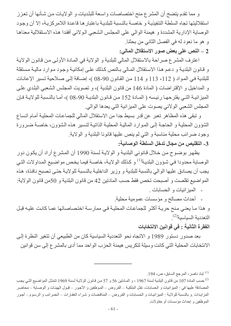و مما نقدم يتضح أن المشرع منح اختصاصات واسعة للبلديات و الولايات من شأنها أن تعزز استقلاليتها تجاه السلطة التنفيذية و خاصية بالنسبة للبلدية باعتبار ها قاعدة اللامركزيية، إلا أن وجود الوصاية الإدارية المشددة و هيمنة الوالي على المجلس الشعبي الولائي أفقدا هذه الاستقلالية معناها و هو ما نعود له في الفصل الثاني من بحثنا.

2 \_ النص على بعض صور الاستقلال المالي:

اعترف المشرع صراحة بالاستقلال المالي للبلدية و الولاية في المـادة الأولـى من قـانون الولايـة و قانون البلديـة و دعم هذا الاستقلال المـالي بـالنص كذلك علـى إمكانيـة وجود مـوارد ماليـة مستقلة للبلدية في المواد ( 112 ، 113 و 114 من القانون 90-08 )، إضافة إلى صلاحية تسير الإعانات و المداخيل و الإقتراضات ( المادة 146 من قانون البلدية )، و تصويت المجلس الشعبي البلدي علمي الميز انيــة التــى يقترحهـا رئيسه ( المــادة 152 مـن قـانون البلديــة 90-08 )، أمـا بالنـسبة للولايــة فـإن المجلس الشعبي الولائي يصوت على الميزانية التي يعدها الوالي.

و نبقى هذه المظاهر نعبر عن قدر بسيط جدا من الاستقلال المالي للجماعات المحلية أمـام انساع الشؤون المحلية و الحاجة إلى الموارد المالية المحلية الذاتية لتسير هذه الشؤون، خاصـة ضـرورة وجود ضرائب محلية مناسبة و التي لم ينص عليها قانونا البلدية و الولاية. 3- التقليص من مجال تدخل السلطة الوصائية:

يظهر بوضوح من خلال قانوني البلدية و الولاية لسنة 1990 أن المشرع أراد أن يكون دور الوصاية محدودا في شؤون البلدية<sup>(1)</sup> و كذلك الولاية، خاصـة فيمـا يخص مواضـيع المداولات التـي يجب أن يصادق عليها الوالي بالنسبة للبلدية و وزير الداخلية بالنسبة للولاية حتى تصبح نافذة، هذه المواضيع تقلصت و أصبحت تخص فقط حسب المادتين 42 من قانون البلدية و 50من قانون الولاية: - المبز انبات و الحسابات

- 
- أحداث مصالح و مؤسسات عمومية محلية.

و هذا ما يعني منح حرية أكثر للجماعات المحلية في ممارسة اختصاصاتها عما كانت عليه قبل التعددية السياسية<sup>(2)</sup>.

الفقرة الثانية : في قوانين الانتخابات

بعد صدور دستور 1989 و الاتجاه نحو التعددية السياسية كان من الطبيعي أن تتغير النظرة إلى الانتخابات المحلية التي كانت وسيلة لتكريس هيمنة الحزب الواحد مما أدى بالمشرع إلى سن قوانين

<sup>&</sup>lt;sup>(1)</sup> لباد ناصر، المرجع السابق، ص، 194.

<sup>&</sup>lt;sup>(2)</sup>حسب المادة 107 من قانون البلدية لسنة 1967 ، و المـادتين 56 و 57 من قـانون الولايـة لـسنة 1969 تتمثل المواضـيع التـي يجب المصادقة عليها في : الميزانيات و الحسابات- نقل الملكية ــ القروض ــ الموظفين و الأجور ــ قبول الهيئات و الوصـاية ــ محاضـر المزايدات و بالنسبة للولاية : الميزانيات و الحسابات و القروض ـ المناقضات و شراء العقارات ــ الضرائب و الرسوم ــ أجور الموظفين و إحداث مؤسسات أو مقاولات ِ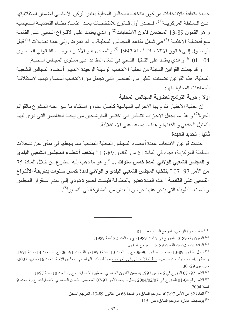جديدة متعلقة بالانتخابات من كون انتخاب المجالس المحلية يعتبر الركن الأساسي لضمان استقلاليتها عـن الـسلطة المركزيــة<sup>(1)</sup>، فـصدر أول قــانون للانتخابــات بعـد اعتمــاد نظــام التعدديــة الـسياسية و هو القانون 89-13 المتضمن قانون الانتخابات<sup>(2)</sup> و الذي يعتمد علـى الاقتراع النسبي علـى القائمـة مـع أفضلية الأغلبيـة <sup>(3)</sup> فـي شـغل مقاعد المجـالس المحليـة، و قد تعرض إلـي عدة تعديلات <sup>(4)</sup> قبـل الوصدول إلـى قـانون الانتخابــات لـسنة 1997 <sup>(5)</sup> والمعـدل هـو الأخـر بموجـب القـانوني العـضوي 

و قد جعلت القوانين السابقة من عملية الانتخاب الوسيلة الوحيدة لاختبار أعضاء المجالس الشعبية المحلية، هذه القوانين تضمنت الكثير ٍ من العناصر ِ التي تجعل من الانتخاب أساسـا ر ئيسيا لاستقلالية الجماعات المحلية منها:

## أولا : حرية الترشح لعضوية المجالس المحلية

إن عملية الاختيار تقوم بها الأحزاب السياسية كأصل عام، و استثناء ما عبر عنـه المشر ع بـالقوائم الحر ة<sup>(7)</sup> و هذا ما يجعل الأحز اب تتنـافس في اختيـار ِ المتر شـحين مـن إيجـاد العنـاصـر التـي تـر ي فيهـا التمثيل الحقيقي و الكفاءة و هذا ما يساعد على الاستقلالية.

#### ثانيا : تحديد العهدة

حددت قوانين الانتخاب عهدة أعضاء المجالس المحلية المنتخبة مما يجعلها في منأى عن تدخلات السلطة المركزية، فجاء في المادة 61 من القانون 89-13 « **ينتخب أعضاء المجلس الشعبي البلدي** و المجلس الشعبي الولائي لمدة خمس سنوات ... " و هو ما ذهب إليه المشرع من خلال المـادة 75 من الأمر 97 -07 " **ينتخب المجلس الشعبي البلدي و الولائي لمدة خمس سنوات بطريقة الاقتراع** ا**لنسبي على القائمـة** » هذه المدة تعتبر بالمعقولـة فليست قصير ة تؤدي إلـى عدم استقر ار المجلس و ليست بالطويلة التي ينجر عنها حرمان البعض من المشاركة في التسيير<sup>(8)</sup>.

خالد سمارة الزغبي، المرجع السابق، ص. 81.

- <sup>(2)</sup> القانون رقم 89-13 المؤرخ في 7 أوت 1989، ج ر ، العدد 32 لسنة 1989.
	- <sup>(3)</sup> المادة 61 و 62 من القانون 89-13، المرجع السابق<sub>.</sub>

<sup>(4)</sup> عدل القـانون 89-13 بموجب القـانون 90-06، ج ر ، العـدد 13 لـسنة 1990 ، و القـانون 91- 06، ج ر ، العـدد 14 لـسنة 1991. و أنظر بإسهاب تولموت عيسى، <u>النظام الانتخابي في الجزائر ،</u> مجلـة الفكر البرلمـاني، مجلس الأمـة، العـدد 16، مـاي، 2007، ص ص. 29- 30 .

<sup>(5)</sup> الأمر 97- 07 المؤرخ في 6 مارس 1997 يتضمن القانون العضوى المتعلق بالانتخابات، ج ر ، العدد 10 لسنة 1997.

<sup>(6)</sup> الأمر رقم 04-01 المؤرخ في 2004/02/07 يعدل و يتمم الأمر 97-07 المتضمن القانون العضوي الانتخابات، ج ر، العدد 9 لسنة 2004.

(7) المادة 82 من الأمر 97-07، المرجع السابق، و المادة 66 من القانون 89-13، المرجع السابق

<sup>(8)</sup> بوضياف عمار ، المرجع السابق، ص. 115.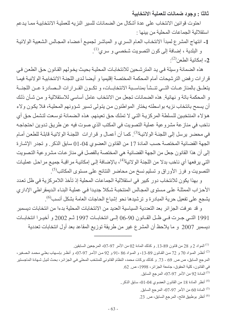ثالثًا : وجود ضمانات للعملية الانتخابية

احتوت فوانين الانتخاب على عدة أشكال من الضمانات للسير النزيه للعملية الانتخابية ممـا يدعم استقلالية الجماعات المحلية من بينها :

1- انتهاج المشرع لمبدأ الانتخاب العام السري و المباشر لجميع أعضاء المجالس الشعبية الولائية و البلدية ، إضافة إلى كون التصويت شخصىي و سري<sup>(1)</sup>. - امكانية الطعن<sup>(2)</sup>.

هذه الضمانة وسيلة في يد المتر شحين للانتخابات المحلية بحيث يخو لهم القانون حق الطعن في قرارات رفض الترشيحات أمام المحكمة المختصة إقليميا و أيضا لدى اللجنـة الانتخابيـة الولائيـة فيمـا يتعلَّــق بالمناز عــات التــي تنــشأ بمناسـبة الانتخابــات، و تكــون القــرارات الــصـادرة عــن اللجنــة و المحكمة باتة و نهائية. هذه الضمانات تجعل من الانتخاب عامل أساسي للاستقلالية و من شأن ذلك أن يسمح بانتخاب نزيه بواسطته يختار المواطنون من يتولى تسير شؤونهم المحلية، فلا يكون ولاء هؤلاء المنتخبين للسلطة المركزيـة التـى لا تملك حق تعينهم، هذه الـضمانة توسـعت لتشمل حق أي ناخب في مناز عة مشر وعية عملية التصويت في المكتب الذي صوت فيه عن طريق تدوين احتجاجه في محضر برسل إلى اللجنــة الولائيـة<sup>(3)</sup>. كمـا أن أعمــال و قرارات اللجنــة الولائيــة قابلــة للطعن أمــام الجهة القضائية المختصة حسب المادة 17 من القانون العضوي 04-01 سابق الذكر . و تجدر الإشارة إلى أن هذا القانون جعل من الجهة القضائية هي المختصة بالفصل في مناز عات مشروعية التصويت التي يرفعها أي ناخب بدلا من اللجنة الولائية<sup>(4)</sup>، بالإضافة إلـي إمكانيـة مراقبـة جميـع مراحل عمليـات التصويت و فرز الأوراق و تسليم نسخ من محاضر النتائج على مستوى المكاتب<sup>(5)</sup>.

و بهذا يكون للانتخاب دور كبير في استقلالية الجماعات المحلية إذ تأخذ اللامركزية في ظل تعدد الأحزاب الممثلة على مستوى المجالس المنتخبة شكلا جديدا في عملية البنـاء الديمقراطي الإداري يشجع على تفعيل حرية المبادرة و ترشيدها نحو إشباع الحاجات العامة بشكل أنسب<sup>(6)</sup>.

و قد عرفت الجزائر بعد التعددية السياسية العديد من الانتخابات المحلية بدءا من انتخابات ديسمبر 1991 التبي جرت في ظـل القـانون 90-06 إلـى انتخابـات 1997 ثـم 2002 و أخيـرا انتخابـات ديسمبر 2007 و ما يلاحظ أن المشر ع غير من طريقة توزيع المقاعد بعد أول انتخابات تعددية

المواد 2 و 28 من قانون 89-13. و كذلك المادة 02 من الأمر 97-07، المرجعين السابقين.

<sup>(2)</sup> أنظر المواد 70 و 72 من القانون 89-13، و المواد 86 ،91 و 92 من الأمر 97-07، و أنظر بإسهاب بعليي محمد الصغير، المرجع السابق، ص ص ـ 69 - 73 . و كذلك بركات محمد، النظام القانوني للمنتخب المحلي في الجز ائر ، بحث لنيل شهادة الماجستير في القانون، كلية الحقوق، جامعة الجزائر، 1998، ص 62.

- <sup>(3)</sup> المادة 92 من الأمر 97-07)، المرجع السابق.
- <sup>(4)</sup> أنظر المادة 18 من القانون العضوي 04-01، سابق الذكر .
	- <sup>(5)</sup> المادة 60 من الأمر 97-07، المرجع السابق.
	- (6) أنظر بوطبيق فاتح، المرجع السابق، ص 23.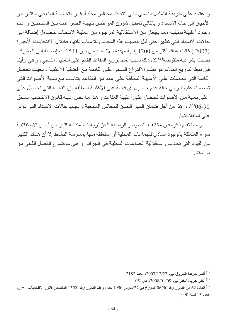و اعتمد على طريقة التمثيل النسبي التي أنتجت مجالس محلية غير متجانسة أدت في الكثير من الأحيان إلى حالة الانسداد و بالتالي تعطيل شؤون المواطنين نتيجة الصر اعات بين المنتخبين و عدم وجود أغلبية تمثيلية مما يجعل من الاستقلالية المرجوة من عملية الانتخاب تتضاءل إضافة إلى حالات الانسداد التي تظهر حتى قبل تنصبب هذه المجالس للأسباب ذاتها، فخلال الانتخابات الأخير ة (2007 ) كانت هناك أكثر من 1200 بلدية مهددة بالانسداد من بين 1541<sup>(1)</sup>، إضـافة إلـى العشر ات نصبت بشر عية منقوصة<sup>(2)</sup> كل ذلك بسبب نمط توزيع المقاعد القائم على التمثيل النسبي، و في رأينـا فإن نمط التوزيع الملائم هو نظـام الاقتراع النسبي علـى القائمـة مـع أفضلية الأغلبيـة ، بحيث تحصل القائمة التي تحصلت على الأغلبية المطلقة على عدد من المقاعد يتناسب مع نسبة الأصوات التي تحصلت عليها، و في حالة عدم حصول أي قائمة على الأغلبية المطلقة فإن القائمة التي تحصل على أعلى نسبة من الأصوات تحصل على أغلبية المقاعد و هذا ما نص عليه قانون الانتخاب السابق 90-90)، و هذا من أجل ضمان السير الحسن للمجالس المنتخبة و تجنب حالات الانسداد التي تؤثر على استقلاليتها

و مما تقدم ذكر ه فإن مختلف النصوص الر سمية الجز ائر يـة تضمنت الكثير مـن أسس الاستقلالية سواء المتعلقة بالوجود المادي للجماعات المحلية أو المتعلقة منها بممارسة النشاط إلا أن هناك الكثير من القيود التي تحد من استقلالية الجماعات المحلية في الجزائر و هي موضوع الفصل الثاني من در استنا

<sup>.2183</sup> أنظر جريدة الشروق ليوم 2007/12/27، العدد 2183.

 $105$  أنظر جريدة الخبر ليوم 2008/01/09 ص. 05.

<sup>&</sup>lt;sup>(3)</sup> المادة 62 من القانون رقم 06/90 المؤرخ في 27/مارس 1990 يعدل و يتم القانون رقم 13/89 المتضمن قانون الانتخابات، ج ر، العدد 13 لسنة 1990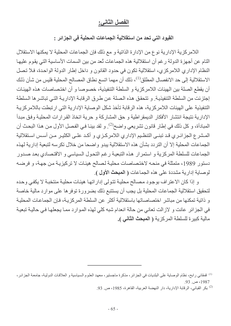#### الفصل الثاني:

#### القيود التي تحد من استقلالية الجماعات المحلية في الجزائر :

اللامر كزية الإدارية نوع من الإدارة الذاتية و مع ذلك فإن الجماعات المحلية لا يمكنها الاستقلال التام عن أجهزة الدولة رغم أن استقلالية هذه الجماعات نُعد من بين السمات الأساسية التي يقوم عليها النظام الإداري اللامركزي، استقلالية تكون في حدود القانون و داخل إطار الدولة الواحدة، فلا تصل الاستقلالية إلى حد الانفصـال المطلق<sup>(1)</sup>، ذلك أن مهمـا اتسع نطـاق المصـالح المـحلية فليس من شـأن ذلـك أن يقطع الصلة بين الهيئات اللامركزية و السلطة التنفيذية، خصوصا و أن اختصاصات هذه الهيئات إجتزئت من السلطة التنفيذية. و تتحقق هذه الصلة عن طرق الرقابة الإدارية التي تباشر ها السلطة التنفيذية على الهيئات اللامر كزية، هذه الرقابة تأخذ شكل الوصاية الإدارية التي ارتبطت باللامر كزية الإدارية نتيجة انتشار الأفكار الديمقراطية و حق المشاركة و حرية اتخاذ القرارات المحلية وفق مبدأ المبادأة، و كل ذلك في إطار قانون تشريعي واضح<sup>(2)</sup>. و لقد بينـا فـي الفصل الأول من هذا البحث أن المشرع الجزائري قد تبني التنظيم الإداري اللامركزي و أكد على الكثير من أسس استقلالية الجماعات المحلية إلا أن التردد بشأن هذه الاستقلالية يبدو واضحا من خلال تكرسه لتبعية إدارية لهذه الجماعات للسلطة المركزية و استمرار هذه التبعية رغم التحول السياسي و الاقتصادي بعد صدور دستور 1989، متمثلة في منحـه لاختصـاصـات محليـة لـصـالح هيئـات لا تركيزيـة مـن جهـة، و فرضـه لوصابة إدارية مشددة على هذه الجماعات ( ا**لمبحث الأول )**.

و إذا كان الاعتراف بوجود مصالح محلية تتولى إداراتها هيئات محلية منتخبة لا يكفى وحده لتحقيق استقلالية الجماعات المحلية بل يجب أن يستتبع ذلك بضرورة توفر ها على موارد مالية خاصة و ذاتية تمكنها من مباشر اختصاصاتها باستقلالية أكثر عن السلطة المركزيـة، فـإن الجماعـات المحليـة في الجز ائر عانت و لاز الت تعاني من حالة انعدام شبه كلي لهذه الموار د ممـا يجعلهـا فـي حاليـة تبعيـة مالية كبيرة للسلطة المركزية ( المبحث الثاني ).

<sup>(!)</sup> فمقاني رابح، نظام الوصاية على البلديات في الجزائر ، مذكرة ماجستير ، معهد العلوم السياسية و العلاقات الدولية، جامعة الجزائر ، 1987، ص. 93.

<sup>&</sup>lt;sup>(2)</sup> بكر القباني، الرقابة الإدارية، دار النهضة العربية، القاهرة، 1985، ص<sub>. 93.</sub>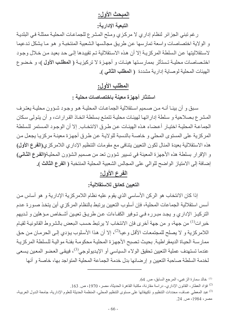## المبحث الأول:

التبعية الإدارية:

ر غم تبني الجزائر لنظام إداري لا مركزي ومنْح المشرع للجماعات المحلية ممثلة في البلدية و الولاية اختصاصات واسعة تمارسها عن طريق مجالسها الشعبية المنتخبة و هو ما يشكل تدعيما لاستقلاليتها عن السلطة المركزيـة إلا أن هذه الاستقلالية تـم تقييدها إلـى حد بعيد مـن خـلال وجـود اختصاصات محليـة تـستأثر بممارسـتها هيئـات و أجهـزة لا تركيزيـة ( المطلـب الأول )، و خـضو ع الهيئات المحلية لوصاية إدارية مشددة (المطلب الثاني).

## المطلب الأول:

استئثار أجهزة معينة باختصاصات محلية :

سبق و أن بينـا أنـه مـن صـميم اسـتقلالية الـجماعـات المحليـة هـو وجـود شـؤون محليـة يعتـرف المشرع بصلاحية و سلطة إداراتها لهيئات محلية تتمتع بسلطة اتخاذ القرارات، و أن يتولى سكان الجماعة المحلية اختيار أعضاء هذه الهيئات عن طرق الانتخاب. إلا أن الوجود المستمر للسلطة المركزية على المستوى المحلي و خاصة بالنسبة للولاية عن طرق أجهزة معينة مركزيا يجعل من هذه الاستقلالية بعيدة المنال لكون التعيين يتنافى مع مقومات التنظيم الإداري اللامركزي(الفرع الأول) و الإقرار بسلطة هذه الأجهزة المعينة في تسيير شوون تعد من صميم الشوون المحلية(الفرع الثاني) إضافة إلى الامتياز الواضح للوالي على المجالس الشعبية المحلية المنتخبة ( الفرع الثالث ).

## الفرع الأول:

## التعيين كعائق للاستقلالية:

إذا كان الانتخاب هو الركن الأساسي الذي يقوم عليه نظام اللامركزية الإدارية و هو أساس من أسس استقلالية الجماعات المحلية، فإن أسلوب التعيين يرتبط بالنظام المركزى أين يتخذ صـورة عدم التركيـز الإداري و يجـد مبـرره فـي تـوفير الكفـاءات عـن طريـق تعيـين أشـخاص مـؤ هلين و لـديهم خبر ات<sup>(1)</sup> من جهة، و من جهة أخرى فإن الانتخاب لا يرتبط حسب البعض بالشروط القانونية لقيـام اللامركزية و لا يصلح للمجتمعات الأقل وعيا<sup>(2)</sup>، إلا أن هذا الأسلوب يؤدي إلى الحرمان من حق ممارسة الحياة الديمقر اطية. بحيث تصبح الأجهزة المحلية محكومة بفئة موالية للسلطة المركزية عندما تستهدف عملية التعيين تحقيق الولاء السياسي أو الإيديولوجي<sup>(3)</sup>، فيبقى العضو المعين يسعى لخدمة السلطة صاحبة التعيين و إرضائها بدل خدمة الجماعة المحلية المتواجد بها، خاصة و أنها

<sup>(1)</sup> خالد سمارة الزغبي، المرجع السابق، ص 64.

<sup>(2)</sup> فؤاد العطار ، القانون الإدار ي- در اسة مقار نة، مكتبة القاهر ة الحديثة، مصر ، 1970، ص. 163.

<sup>&</sup>lt;sup>(3)</sup> عبد المعطي عساف، محددات التنظيم و تكييفاتها على مستوى التنظيم المحلي، المنظمة الحديثة للعلوم الإدارية، جامعة الدول العربية، مصر ، 1984، ص. 24.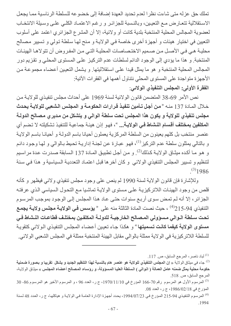تملك حق عزله متى شاءت نظرا لعدم تحديد العهدة إضافة إلى خضوعه للسلطة الرئاسية مما يجعل الاستقلالية تتعارض مع التعيين، وبالنسبة للجزائر و رغم الاعتمـاد الكلـى علـى وسبلة الانتخـاب لعضوية المجالس المحلية المنتخبة بلدية كانت أو ولائية، إلا أن المشرع الجزائري اعتمد على أسلوب النعيين في اختيار هيئات و أجهزة أخرى خاصة في الولايـة و منح لهـا سلطـة تـولى و تسيير مصـالح محلية هي في الأصل من صميم الاختصاصات المحلية التي من المفروض أن تتولاها الهيئات المنتخبة و هذا ما يؤدي إلى الوجود الدائم لسلطات عدم التركيز على المستوى المحلي و تقزيم دور المجالس المحلية المنتخبة و هو ما يمثل قيدا على استقلاليتها. و يشمل التعيين أعضاء مجموعة من الأجهزة متواجدة على المستوى المحلي نتناول أهمها في الفقرات الآتية: الفقرة الأولى: المجلس التنفيذي الولائي:

نص الأمر 69-38 المتضمن قانون الولائية لسنة 1969 على أحداث مجلس تنفيذي للولاية من خلال المـادة 137 منـه «من أ**جل تـأمين تنفيذ قر**ارات الحكومـة و المجلس الشعبي للولايـة يحدث مجلس تنفيذي للولاية و يكون هذا المجلس تحت سلطة الوالي و يتشكل من مديري مصالح الدولـة ا**لمكلفين بمختلف أقسام النشاط في الولايـة...** »، فهو إذن هيئـة جماعيـة للتنفيـذ تشكيلته لا تـضم أي عنصر منتخب بل كلهم يعينون من السلطة المركزية يعملون أحيانا باسم الدولـة و أحيانـا باسم الولايـة و بالتالي يمثلون سلطة عدم التركيز<sup>(1)</sup>، فهو عبارة عن لجنـة إداريـة تحيط بـالوالي و لـهـا وجود دائـم و هو مـا أكـده ميثـاق الولايـة كـذلك<sup>(2)</sup>. و مـن أجـل تطبيـق المـادة 137 الـسابقة صـدرت عـدة مر اسـيم لتنظيم و تسبير المجلس التنفيذي الولائي وكان أخرها قبل اعتمـاد التعدديـة السياسية و هذا في سنة  $(3)1986$ 

وللإشارة فإن قانون الولاية لسنة 1990 لم ينص على وجود مجلس تنفيذي ولائي فيظهر و كأنه قلص من وجود الهيئات اللاتركيزية على مستوى الولاية تماشيا مع التحول السياسي الذي عرفته الجزائر ، إلا أنه لم تمض سوى أربع سنوات حتى عاد هذا المجلس إلى الوجود بموجب المرسوم التنفيذي 94-215 ^ ) ، حيث نصت المادة الثالثة منه على « يؤسس في الولايـة مجلس ولايـة يجمـع تحت سلطة الـوالى مـسوّولى المـصالح الخارجيـة للدولـة المكلفـين بمختلـف قطاعـات النـشاط فـي مستوى الولاية كيفما كانت تسميتها " و هكذا جـاء تعيين أعضـاء المجلس التنفيذي الـولائي كتقويـة للسلطة اللاتركيزية في الولاية ممثلة بالوالي مقابل الهيئة المنتخبة ممثلة في المجلس الشعبي الولائي.

<sup>.117</sup> لباد ناصر ، المرجع السابق، ص. 117.

جاء في ميثاق الولاية « إن المجلس التنفيذي للولاية هو عنصر هام بالنسبة لهذا التنظيم الجديد و يشكل تقريبا و بصورة ضمنية حكومة محلية يمثل ضمنه عامل العمالة ( الـوالى ) السلطة العليـا المسؤولة، و رؤسـاء المصـالح أعضـاء المجلس » ميثـاق الولايـة، المرجع السابق، ص 518.

<sup>3)</sup> المرسوم الأول هو المرسوم رقم 70-166 المؤرخ في 1970/11/10، ج ر، العدد 96 ، و المرسوم الأخير هو المرسوم 86- 30 $\,$ المؤرخ في 1986/02/18، ج ر، العدد 08.

<sup>&</sup>lt;sup>(4)</sup> المرسوم التنفيذي 94-215 المؤرخ في 21/07/23، يحدد أجهزة الإدارة العامـة في الولايـة و هياكلها، ج ر ، العدد 48 لسنة .1994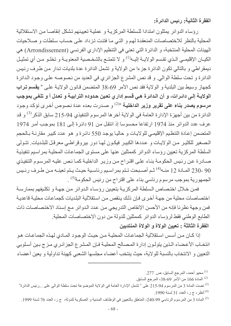الفقرة الثانية: رئيس الدائرة:

رؤساء الدوائر يمثلون امتدادا للسلطة المركزية و عملية تعيينهم تشكل إنقاصـا من الاستقلالية المحلية بالنظر للاختصاصات المنعقدة لهم و التبي ما فتئت تزداد على حساب سلطات و صلاحيات الهيئات المحلية المنتخبة، و الدائرة التي تعني في التنظيم الإداري الفرنسي (Arrondissement) هي الكيــان الإقليمــي الـذي تقـسم الولايــة إليــه<sup>(1)</sup> و لا تتمتــع بـالشخـصية المعنويــة و تخلــو مــن أي تمثيـل ديمقراطي و بالتالي تكون الدائرة جزءا من الولاية و تشمل الدائرة عدة بلديات تدار من طرف رئيس الدائرة و تحت سلطة الوالي. و قد نص المشرع الجزائري في العديد من نصوصه على وجود الدائرة كجهاز وسيط بين البلدية و الولاية فقد نص الأمر 69-38 المتضمن قانون الولاية على « **يقسم تراب** الولايــة إلـى دائـرات، و أن الـدائرة هـى قسم إدار ي تعين حدوده الترابيــة و تعدل أ و تلغى بموجب مرسوم يصدر بناء على تقرير وزير الداخلية <sup>»(2)</sup> و صدرت بعده عدة نصوص أخرى تؤكد وجود الدائر ة من بين أجهز ة الإدار ة العامة في الولاية آخر ها المرسوم التنفيذي 94-215 سابق الذكر<sup>(3)</sup> و قد عرف عدد الدوائر منذ 1974 ارتفاعا محسوسا إذ انتقل من 91 دائرة إلى 181 بموجب أمر 1974 المتضمن إعادة التنظيم الإقليمي للولايات و حاليا يوجد 550 دائرة و هو عدد كبير مقارنــة بـالحجم المصغير للكثير من الولايات و عددها الكبير فيكون لها دور بيروقراطي معرقل للبلديات تتولى السلطة المركزية تعيين رؤساء الدوائر كممثلين عنها على مستوى الجماعات المحلية بمراسيم تنفيذية صـادرة عن رئيس الحكومـة بنـاء علـى اقتراح من وزيـر الداخليـة كمـا نـص عليـه المرسـوم التنفيذي 90 -230 المادة 12 منــه<sup>(4)</sup> ثـم أصـبحت تـتم بمراسـيم رئاسـية حيـث يـتم تعينــه مـن طـرف رئـيس الجمهورية بموجب مرسوم رئاسي بناء على اقتراح من رئيس الحكومة<sup>(5)</sup> .

فمن خلال اختصاص السلطة المركزية بتعيين رؤساء الدوائر من جهة و تكليفهم بممارسة اختصاصات محلية من جهة أخرى فإن ذلك ينقص من استقلالية البلديات كجماعات محلية قاعدية فمن وجهة نظرنا فإنه من الأحسن الإنقاص التدريجي من عدد الدوائر مع إسناد الاختصاصات ذات الطابع الوطني فقط لرؤساء الدوائر كممثلين للدولة من دون الاختصاصات المحلية الفقرة الثالثة : تعيين الولاة و الولاة المنتدبين

إذا كـان مـن أسـس اسـتقلالية الجماعـات المحليـة مـن حيـث الوجـود المـادي لـهـذه الجماعـات هـو انتخـاب الأعـضـاء الـذين يتولـون إدارة المـصـالح المحليـة فـإن المـشر ع الـجز ائـري مـز ج بـين أسـلوبي النعيين و الانتخاب بالنسبة للولاية، حيث ينتخب أعضاء مجلسها الشعبي كهيئة تداولية و يعين أعضاء

محيو أحمد، المرجع السابق، ص. 277.

المادة 166 من الأمر 69-38، المرجع السابق.  $\,$ 

<sup>&</sup>lt;sup>(3)</sup> نصت المادة 3 من المرسوم 94-215 على « تشمل الإدارة العامة في الولاية الموضوعة تحت سلطة الوالي على ...رئيس الدائرة"

<sup>&</sup>lt;sup>(4)</sup> أنظر، ج ر، العدد 31 لسنة 1990.

<sup>(5)</sup> المادة 3 من المرسوم الرئاسي 99-240، المتعلق بالتعيين في الوظائف المدنية و العسكرية للدولة، ج ر، العدد 76 لسنة 1999.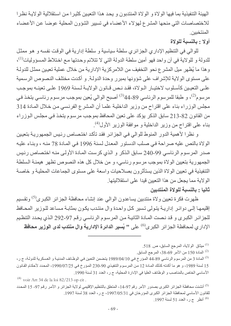الهيئة التنفيذية بما فيها الولاة و الولاة المنتدبون و يحد هذا التعيين كثيرا من استقلالية الولايـة نظرا للاختصاصات التي منحها المشرع لهؤلاء الأعضاء في تسيير الشؤون المحلية عوضا عن الأعضاء المنتخبين

#### أولا : بالنسبة للولاة

للوالي في التنظيم الإداري الجزائري سلطة سياسية و سلطة إدارية في الوقت نفسه و هو ممثل للدولة و للولاية في آن واحد فهو أمين سلطة الدولة التي لا تتلائم وحدتها مع اختلاط المسؤوليات<sup>(1)</sup>، و هذا ما يُظهر ميل المشر ع نحو التخفيف من اللامر كزية الإدارية من خلال عملية تعيين ممثل للدولـة على مستوى الولاية للإشراف على شؤونها بمبرر وحدة الدولـة. و أكدت مختلف النصوص الرسمية على التعيين كأسلوب لاختيار الـولاة، فقد نـص قـانون الولايـة لـسنة 1969 علـى تعينــه بموجب مرسوم<sup>(2)</sup>، و طبقا للمرسوم الرئاسي 89-44(<sup>3)</sup> أصبح الوالي يُعين بموجب مرسوم رئاسي يتخذ في مجلس الوزراء بناء على اقتراح من وزير الداخلية علمـا أن المشرع الفرنسي من خلال المـادة 314 من القانون 82-213 سابق الذكر يؤكد على تعين المحافظ بموجب مر سوم يتخذ في مجلس الوزراء بناء على اقتراح من وزير الداخلية و موافقة الوزير الأول<sup>(4)</sup>.

و نظرا لأهمية الدور المنوط للوالي في الجزائر فقد تأكد اختصاص رئيس الجمهورية بتعيين الولاة بالنص عليه صراحة في صلب الدستور المعدل لسنة 1996 في المادة 78 منه ، وبناء عليه صدر المرسوم الرئاسي 99-240 سابق الذكر و الذي كرست المادة الأولى منه اختصاص رئيس الجمهورية بتعيين الولاة بموجب مرسوم رئاسي، و من خلال كل هذه النصوص تظهر هيمنـة السلطـة النتفيذية في تعيين الولاة الذين يستأثرون بصلاحيات واسعة على مستوى الجماعات المحلية و خاصـة الولاية مما يجعل من هذا التعيين قيدا على استقلاليتها.

#### ثانيا : بالنسبة للولاة المنتدبين

ظهرت فكرة تعيين ولاة منتدبين يساعدون الوالي عند إنشاء محافظة الجزائر الكبرى<sup>(5)</sup> وتقسيم إقليمها إلى دوائر إدارية يتولى تسير كل واحدة وال منتدب يكون بمثابة مساعد للوزير المحافظ للجزائر الكبرى و قد نصت المادة الثانية من المرسوم الرئاسي رقم 97-292 الذي يحدد التنظيم الإدار ي لمحافظة الجزائر الكبر ى<sup>(6)</sup> على **'' يُسير الدائرة الإدارية وال منتدب لدى الوزير محافظ** 

- ميثاق الولاية، المرجع السابق، ص 518.  $^{(1)}$
- <sup>(2)</sup> المادة 150 من الأمر 69-38، المرجع السابق<sub>.</sub>

 $^{(4)}$  voir Art 34 de la loi 82/213 op cit.

<sup>&</sup>lt;sup>(3)</sup> المادة 3 من المرسوم الرئاسي 89-44 المؤرخ في 1989/04/10 يتضمن التعين في الوظائف المدنيـة و العسكرية للدولـة، ج ر، 15 لسنة 1989، و هو ما أكدته كذلك المـادة 12 من المرسوم التنفيذي 90-230 المـؤرخ فـي 1990/07/25، المحدد لأحكـام القانون الأساسي الخاص بالمناصب و الوظائف العليا في الإدارة المحلية، ج ر ، العدد 31 لسنة 1990.

<sup>&</sup>lt;sup>(5)</sup> أنشئت محافظة الجزائر الكبرى بصدور الأمر رقم 97-14، المنعلق بالتنظيم الإقليمي لولاية الجزائر و الأمر رقم 97- 15 المحدد للقانون الأساسي لمحافظة الجزائر الكبرى المؤرخان في 1997/05/31، ج ر، العدد 38 لسنة 1997. <sup>(6)</sup> أنظر ج ر، العدد 51 لسنة 1997.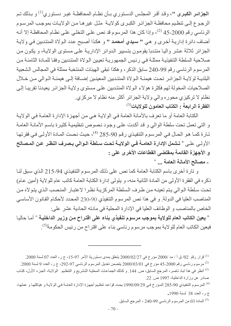ا**لجز**ائـر الكبـرى "، وقد أقـر المجلـس الدسـتوري بـأن نظـام المحافظـة غيـر دسـتوري<sup>(1)</sup> و بـذلك تـم الرجوع إلى تنظيم محافظة الجزائر الكبرى كولاية مثل غيرها من الولايات بموجب المرسوم الرئاسي رقم 2000-45 <sup>(2)</sup>، وإذا كان هذا المرسوم قد نص على التخلـي علـي نظـام المحافظـة إلا أنـه أضاف دائرة إداريــة أخرى و هي " سيدي أمحمد " و هكذا أصبح عدد الـولاة المنتدبين فـي ولايـة الجزائر ثلاثة عشر واليا منتدبا يقومون بتسيير الدوائر الإدارية على مستوى الولاية، و يكون من صلاحية السلطة التنفيذية ممثلة في رئيس الجمهورية تعيين الولاة المنتدبين وفقا للمادة الثامنة من المرسوم الرئاسي رقم 99-240 سابق الذكر ، و هكذا تبقى الهيئات المنتخبة ممثلة في المجالس الشعبية البلديــة لولايــة الجزائـر تحت هيمنــة الــولاة المنتـدبين المعينـين إضــافة إلــي هيمنــة الـوالـي مـن خـلال الصلاحيات المخولة لهم فكثرة هؤلاء الولاة المنتدبين على مستوى ولاية الجزائر يعيدنا تقريبا إلى نظام لا تركيزي محوره والى ولاية الجزائر أكثر منه نظام لا مركزي. الفقرة الرابعة : الكتاب العامون للولايات<sup>(3)</sup>

الكتابة العامة أو ما تعرف بالأمانة العامة في الولاية هي من أجهزة الإدارة العامة في الولاية و التي تعمل تحت سلطة الوالي و قد أكدت على وجود نصوص تنظيمية كثيرة باسم الأمانـة العامـة تـارة كمـا هـو الحـال فـي المرسـوم التنفيذي رقم 90-285 <sup>(4)</sup>، حيث نـصت المـادة الأولـي فـي فقرتهـا الأولـى علـى « تشمل الإدارة العامــة فـى الولايــة تحت سـلطة الـوالى بـصرف النظـر عن المـصالح و الأجهزة القائمة بمقتضى القطاعات الأخرى على : - مصالح الأمانة العامة ... »

و تارة أخرى باسم الكتابة العامة كما نص على ذلك المرسوم التنفيذي 94-215 الذي سبق لنـا ذكر ِه في الفقر ة الأولى من المادة الثانية منه، و يتولى إدار ة الكتابة العامة كاتب عام للو لاية (أمين عام) تحت سلطة الـوالي يتم تعينـه من طرف السلطة المركزيـة نظـرا لاعتبـار المنصب الذي يتولاه من المناصب العليا في الدولة. و في هذا نص المرسوم التنفيذي 90-230 المحدد لأحكـام القـانون الأساسـي الخاص بالمناصب و الوظائف العليا في الإدارة المحلية في مادته الحادية عشر علي:

« يعين الكاتب العام للولاية بموجب مرسوم تنفيذي بناء على اقتراح من وزير الداخلية <sup>»</sup> أمـا حاليـا فيعين الكاتب العام للولاية بموجب مرسوم رئاسي بناء على اقتراح من رئيس الحكومة<sup>(5)</sup>.

<sup>(5)</sup> المادة 03 من المرسوم الرئاسي 99-240 ، المرجع السابق<sub>.</sub>

قرار رقم 02/ ق أ / مد /2000 مؤرخ في 2000/02/27 يتعلق بمدى دستورية الأمر 97-15، ج ر، العدد 07 لسنة 2000. مرسوم رئاسي رقم 2000-45 مؤرخ في 2000/03/01 يتضمن تعديل المرسوم الرئاسي 97-292، ج ر ، العدد 9 لسنة 2000. <sup>(3)</sup> أنظر في هذا لباد ناصر ، المرجع السابق، ص 144 . و كذلك الجماعات المحلية التشريع و التنظيم الولايـة، الجزء الأول، كتـاب صادر عن وزارة الداخلية، 1997 ص. 22.

<sup>&</sup>lt;sup>(4)</sup> المرسوم التنفيذي 90-285 المؤرخ في 990/09/29 يحدد قواعد تنظيم أجهزة الإدارة العامـة في الولايـة و هياكلها و عملها، ج ر، العدد 38 لسنة 1990.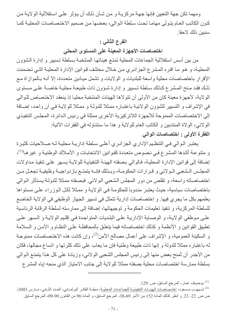ومهما تكن جهة التعيين فإنها جهة مركزيـة و من شـأن ذلك أن يؤثر علـى استقلالية الولايـة من كون الكاتب العام بِتولِّي مهامـا تحت سلطة الوالي، بعضها من صميم الاختصاصات المحليـة كمـا سنبين ذلك لاحقا ٍ

#### الفرع الثاني :

اختصاصات الأجهزة المعينة على المستوى المحلي

من بين أسس استقلالية الجماعات المحلية تمتع هيئاتها المنتخبة بسلطة تسيير و إدارة الشؤون المحلية، و هو مـا اقـره المشرع الجزائـري مـن خـلال مختلف قـوانين الإدارة المحليـة التـى تـضمنت الإقرار باختصاصات محلية واسعة للبلديات و الولايات و تشمل ميادين متعددة، إلا أنـه بـالموازاة مـع ذلك فقد منح المشرع كذلك سلطة تسيير و إدارة شؤون ذات طبيعة محلية خاصىة على مستوى الولاية، لأجهزة معينة كان من الأولى أن تتولاها الهيئات المنتخبة محليا إذ ينعقد الاختصاص للوالي في الإشراف و التسيير للشؤون الولائية باعتباره ممثلا للدولة و ممثلا للولاية في أن واحد، إضافة إلى الاختصاصات الممنوحة للأجهزة اللاتركيزية الأخرى ممثلة في رئيس الدائرة، المجلس التنفيذي الولائي، الولاة المنتدبين و الكاتب العام للولاية و هذا ما سنتناوله في الفقرات الآتية: الفقرة الأولى : اختصاصات الوالي

يعتبر الـوالي فـي التنظـيم الإداري الجزائـري أعلـي سلطة إداريـة محليـة لـه صـلاحيات كثيرة و متنوعــة أكـدها المـشر ع فـي نـصوص متعـددة كقوانين الانتخابـات و الأمـلاك الوطنيــة و غير هـا<sup>(1)</sup>، إضافة إلى قوانين الإدارة المحلية، فالوالي بصفته الهيئة التنفيذية للولاية يسهر على تنفيذ مداولات المجلس الشعبي الـولائي و قـرارات الحكومـة، وبـذلك فإنــه بتمتـع بازدواجيـة وظيفيـة تجعـل مـن اختصاصاته واسعة، و تقلص من دور المجلس الشعبي الولائي. فبصفته ممثلا للدولـة بستأثر الـوالي باختصاصات سياسية، حيث يعتبر مندوبا للحكومة في الولاية و ممثلا لكل الوزراء على مستواها يعلمهم بكل ما يجري فيها. و اختصاصات إدارية تتمثل في تسيير الجهاز الوظيفي في الولاية الخاضع للسلطة المركزية، و تنفيذ تعليمات الحكومة و توجيهاتها، إضافة إلى ممارسته لسلطة الرقابة الرئاسية على موظفى الولاية، و الوصاية الإدارية على البلديات المتواجدة في إقليم الولاية و السهر على تطبيق القوانين و الأنظمة و كذلك اختصاصاته فيما يتعلق بالمحافظة على النظام و الأمن و السلامة و السكينة العمومية، و الإشراف على أعمال مصالح الأمن<sup>(2)</sup>، وإن كانت هذه الاختصاصات ممنوحة له باعتباره ممثلا للدولة و إنها ذات طبيعة وطنية فإن ما يعاب على ذلك كثرتها و اتساع مجالها، فكان من الأجدر أن تُمنح بعض منها إلى رئيس المجلس الشعبي الولائي، وزيادة على كل هذا يتمتع الـوالـي بسلطة ممارسة اختصاصات محلية بصفته ممثلا للولاية إلى جانب الامتياز الذي منحه إياه المشر ع

<sup>.&</sup>lt;sup>(1)</sup> بو ضياف عمار ، المرجع السابق، ص. 129.

<sup>&</sup>lt;sup>(2)</sup> شـيهوب مـسعود، اختـصـاصـات الهيئــات التنفيذيــة للجماعــات المحليــة، مجلــة الفكــر البرلمــاني، العـدد الثــاني، مــارس 2003، ص ص. 22- 23. و أنظر كذلك المادة 152 من الأمر 69-38، المرجع السابق، و المادة 96 من القانون 90-09، المرجع السابق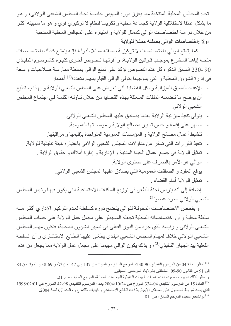تجاه المجالس المحلية المنتخبة مما يعزز دوره المهيمن خاصـة تجـاه المجلس الشعبي الـولائي، و هو ما بِشكل عائقا لاستقلالية الولاية كجماعة محلية و تكريسا لنظام لا تركيزي قوى و هو ما سنبينه أكثر من خلال در اسة اختصـاصـات الوالـى كممثل للولاية و امتياز ه علـى المجالس المحلية المنتخبة. أولا :اختصاصات الوالي بصفته ممثلا للولاية

كما يتمتع الوالي باختصاصات لا تركيزية بصفته ممثلا للدولة فإنـه يتمتـع كذلك باختصاصات منحـه إياهـا المـشرع بموجب قـوانين الولايــة، و أقرتهـا نـصوص أخـرى كثيـرة كالمرسـوم التنفيـذي 90 -230 السابق الذكر، كل هذه النصوص تؤكد على تمتع الوالي بسلطة ممارسة صلاحيات واسعة في إدارة الشؤون المحلية و التي بموجبها يتولى الوالي القيام بمهام متعددة<sup>(1)</sup> أهمها:

- الإعداد المسبق للميزانية و لكل القضايا التي تعرض على المجلس الشعبي للولاية و بهذا يستطيع أن يوضح ما تتضمنه الملفات المتعلقة بهذه القضايا من خلال تناوله الكلمة في اجتماع المجلس الشعبي الولائبي
	- بِنولِّي نتفيذ ميز انية الولاية بعدما يصادق عليها المجلس الشعبي الولائي.
	- السهر على إقامة و حسن تسيير مصالح الولاية و مؤسساتها العمومية.
	- تنشيط أعمال مصالح الولاية و المؤسسات العمومية المتواجدة بإقليمها و مراقبتها.
	- تنفيذ القرارات التي تسفر عن مداولات المجلس الشعبي الولائي باعتباره هيئة تنفيذية للولاية.
		- تمثيل الولاية في جميع أعمال الحياة المدنية و الإدارية و إدارة أملاك و حقوق الولاية .  $\overline{a}$ 
			- الوالمي هو الأمر بالصرف على مستوى الولاية
			- يوقع العقود و الصفقات العمومية التي يصادق عليها المجلس الشعبي الولائي.
				- تمثيل الو لاية أمام القضاء .

إضافة إلى أنه يترأس لجنة الطعن في توزيع السكنات الاجتماعية التي يكون فيها رئيس المجلس الشعبي الولائي مجرد عضو<sup>(2)</sup>.

و بفحص الاختصاصات المخولـة للـوالي يتضح دوره كسلطة لعدم التركيز الإداري أكثر منـه سلطة محلية و أن اختصاصاته المحلية تجعله المسيطر على مجمل عمل الولاية على حساب المجلس الشعبي الولائي و رئيسه الذي جرد من الدور الفعلي في تسيير الشؤون المحلية، فتكون مهام المجلس الشعبي الولائي خلافا لمهام المجلس الشعبي البلدي يطغى عليها الطابع الاستشاري و أن السلطة الفعلية بيد الجهاز التنفيذي<sup>(3)</sup>، و بذلك يكون الوالي مهيمنا على مجمل عمل الولاية مما يجعل من هذه

و أنظر كذلك شيهوب مسعود، اختصاصات الهيئات التنفيذية للجماعات المحلية، المرجع السابق، ص. 21.

<sup>&</sup>lt;sup>(1)</sup> أنظر المادة 04 من المرسوم التنفيذي 90-230، المرجع السابق، و المواد من 137 إلى 147 من الأمر 69-38 و المواد من 83 إلى 91 من القانون 90-09 المتعلقين بالولاية، المرجعين السابقين

<sup>1998/02/01</sup> من المرسوم التنفيذي 04-334 المؤرخ في 2004/10/24 يعدل المرسوم التنفيذي 98-42 المؤرخ في 1998/02/01 ا الذي يحدد شر و ط الحصو ل على المساكن الإيجار ية ذات الطابع الاجتماعي و كيفيات ذلك، ج ر ، العدد 67 لسنة 2004. . 81 بو الشعير سعيد، المرجع السابق، ص. 81 $^{(3)}$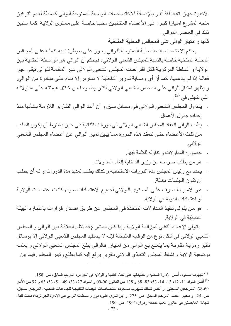الأخيرة جهازا تابعا له<sup>(1)</sup>، و بالإضافة للاختصاصات الواسعة الممنوحة للوالي كسلطة لعدم التركيز منحه المشرع امتيازا كبيرا على الأعضاء المنتخبين محليا خاصـة علـى مستوى الولايـة كمـا سنبين ذلك في العنصر الموالي.

ثانيا : امتياز الوالى على المجالس المحلية المنتخبة

بحكم الاختصاصات المحلية الممنوحة للوالى يحوز على سيطرة شبه كاملة على المجالس المحلية المنتخبة خاصة بالنسبة للمجلس الشعبي الـولائي، فبحكم أن الـوالي هو الواسطة الحتميـة بـين الولايـة و السلطـة المركزيـة فكل اقتراحـات المجلس الشعبي الـولائي غير المقدمـة للـوالي تبقي غير فعالـة إذا لـم يدعمها، كمـا أن أي وصـاية لـوزير الداخليـة لا تمـارس إلا بنـاء علـى مبـادرة مـن الـوالـي. و يظهر امتياز الوالي على المجلس الشعبي الولائي أكثر وضوحا من خلال هيمنته على مداولاته  $\colon ^{(2)}$  التي تتجلى في

- يتداول المجلس الشعبي الـولائي فـي مـسائل سبق و أن أعد الـوالي التقـارير اللازمـة بشأنها منـذ إعداده جدو ل الأعمال
- يطلب الوالي انعقاد المجلس الشعبي الولائي في دورة استثنائية في حين يشترط أن يكون الطلب من ثلث الأعضاء حتى تنعقد هذه الدورة مما يبين تميز الوالي عن أعضاء المجلس الشعبي الو لائے
	- حضوره المداولات و تناوله للكلمة فيها.
	- هو من يطلب صراحة من وزير الداخلية إلغاء المداولات.
- يحدد مع رئيس المجلس مدة الدورات الاستثنائية و كذلك يطلب تمديد مدة الدورات و لـه أن يطلب أن تكون الجلسات مغلقة
- هو الأمر بالصرف على المستوى الـولائي لجميـع الاعتمـادات سـواء كانـت اعتمـادات الولايـة أو اعتمادات الدولة في الولاية.
- هو من يتولى تنفيذ المداولات المتخذة في المجلس عن طريق إصدار قرارات باعتباره الهيئة التنفيذية في الولاية.

يتولى الإعداد التقني لميزانية الولاية وإذا كان المشرع قد نظم العلاقة بين الوالي و المجلس الشعبي الولائي في شكل نوع من الرقابة المتبادلة فإنــه لا يستفيد المجلس الشعبي الـولائي إلا بوسـائل تأثير رمزيـة مقارنـة بمـا يتمتـع بـع الـوالـي مـن امتيـاز ـ فـالوالـي يبلـغ المجلس الـشعبـي الـولائـي و يعلمـه بوضعية الولاية و نشاط المجلس التنفيذي الولائي بتقرير يرفع إليه كما يطلع رئيس المجلس فيما بين

<sup>&</sup>lt;sup>(1)</sup> شيهوب مسعود، أسس الإدارة المحلية و تطبيقاتها على نظام البلدية و الولاية في الجزائر ، المرجع السابق، ص 158. <sup>(2)</sup> أنظر المواد 11، 12، 13، 13، 53، 83، 88 و 138 من القانون 90-99 و المواد 27، 33، 49، 51، 53، 63 و 97 من الأمر 69-38، المرجعين السابقين و أنظر كذلك شيهوب مسعود، اختصاصات الهيئـات التنفيذيـة للجماعـات المحليـة، المرجـع الـسابق، ص 25 . و محيو أحمد، المرجع السابق، ص 275 . و بن تـازي علـي، دور و سلطات الـوالي فـي الإدارة الجزائريـة، بحث لنيل شهادة الماجستير في القانون العام، جامعة وهران،1991، ص 190.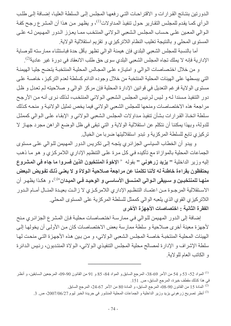الدورتين بنتائج القرارات و الاقتراحات التي رفعها المجلس إلى السلطة العليا، إضافة إلى طلب الرأى كمـا يقدم للمجلس التقـارير حـول تنفيذ المداولات<sup>(1)</sup>، و يظهر مـن هذا أن المشر ع رجح كفـة الـوالـى المعـين علـى حساب المجلس الـشعبي الـولائي المنتخب ممـا يعـزز الـدور المهـيمن لــه علــي المستوى المحلي و بالنتيجة تغليب النظام اللاتركيزي و تقزيم استقلالية الولاية

أما بالنسبة للمجلس الشعبي البلدي فإن هيمنة الوالى تظهر بأقل حدة فباستثناء ممارسته للوصاية الإدارية فإنه لا يملك تجاه المجلس الشعبي البلدي سوى حق طلب الانعقاد في دورة غير عادية<sup>(2)</sup>.

و من خلال اختصاصات الوالي و امتيازه على المجالس المحلية المنتخبة يتضح جليا الهيمنة التي يبسطها على الهيئات المحلية المنتخبة من خلال وجوده الدائم كسلطة لعدم التركيز ، خاصــة علـي مستوى الولاية فرغم التعديل في قوانين الإدارة المحلية فإن مركز الوالي و صلاحيته لم تعدل و ظل دور التنفيذ مسندا لـه و ليس لرئيس المجلس الشعبي الـولائي المنتخب، لذلك نرى أنـه من الأرجح مراجعة هذه الاختصاصات ومنحها للمجلس الشعبي الولائي فيما يخص تمثيل الولائية و منحه كذلك سلطة اتخاذ القرارات بشأن تنفيذ مداولات المجلس الشعبي الولائي و الإبقاء على الوالي كممثل للدولة، وبهذا يمكننا أن نتكلم عن استقلالية الولاية و التي تبقى في ظل الوضع الراهن مجرد جهاز لا تركيزي تابع للسلطة المركزية و تبدو استقلاليتها ضربا من الخيال.

و يبدو أن الخطاب السياسي الجزائري يتجه إلى تكريس الدور المهيمن للوالي على مستوى الجماعات المحلية بالموازاة مع تأكيده في كل مرة على التنظيم الإداري اللامركزي و هو ما ذهب إليه وزير الداخلية " **يزيد زرهوني "** بقوله « الإخوة المنتخبون الذين فسروا ما جاء في المشروع يحتفظون بقراءة خاطئة له لأننا تكلمنا عن مراجعة صلاحية الـولاة و لا يعنـى ذلك تفويض الـبعض م**نهـا للمنتخبـين و سـيبقى الـوالي المنـسق الأسـاسـي و الوحيـد فـي الميـدان<sup>»(3)</sup>، و هكـذا يظهـر أن** الاستقلالية المرجـوة مـن اعتمـاد التنظـيم الإداري اللامركـزي لا زالـت بعيـدة المنـال أمـام الـدور اللاتركيزي القوي الذي يلعبه الوالى كممثل للسلطة المركزية على المستوى المحلى. الفقرة الثانية : اختصاصات الأجهزة الأخرى

إضافة إلى الدور المهيمن للوالي في ممارسة اختصاصات محلية فإن المشرع الجزائري منح لأجهزة معينة أخرى صلاحية و سلطة ممارسة بعض الاختصاصات كان من الأولىي أن يخولها إلى الهيئات المحلية المنتخبة خاصــة المجلس الشعبي الـولائي، و من بين هذه الأجهزة التـي منحت لهـا سلطة الإشراف و الإدار ة لمصالح محلية المجلس التنفيذي الـو لائـي، الـو لاة المنتدبون، رئـيس الـدائر ة و الكاتب العام للو لاية

- <sup>(2)</sup> المادة 15 من القانون 90-08، المرجع السابق، و المادة 80 من الأمر 67-24، المرجع السابق<sub>.</sub>
- <sup>(3)</sup> أنظر تصريح زر هوني يزيد وزير الداخلية و الجماعات المحلية المنشور في جريدة الخبر ليوم 2007/06/27، ص. 3.

<sup>&</sup>lt;sup>(1)</sup> المواد 52، 53 و 54 من الأمر 69-38، المرجع السابق و المواد 84، 85 و 91 من القانون 90-09، المرجعين السابقين، و أنظر في هذا كذلك مقطف خيرة، المرجع السابق، ص. 151.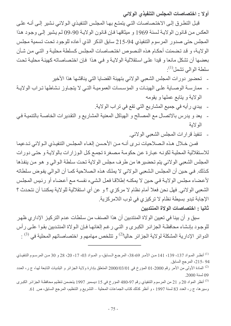أولا : اختصاصات المجلس التنفيذي الولائي

قبل التطرق إلى الاختصاصات التي يتمتع بها المجلس التنفيذي الولائي نشير إلى أنـه علـى العكس من قـانون الولايــة لـسنة 1969 و ميثاقهـا فـإن قـانون الولايــة 90-09 لـم يشير إلـي وجـود هـذا المجلس حتى صدور المرسوم التنفيذي 94-215 سابق الذكر الذي أعاده للوجود تحت تسمية مجلس الولايـة، و قد تضمنت أحكـام هذه النصوص اختصـاصـات المجلس كسلطـة محليـة و التـى مـن شـأن بعضها أن تشكل مانعا و قيدا على استقلالية الولاية و في هذا فإن اختصاصاته كهيئة محلية تحت  $\cdot ^{(1)}$ سلطة الو الى تشمل

- تحضير دور ات المجلس الشعبي الولائي بتهيئة القضايا التي يناقشها هذا الأخير
- ممارسة الوصياية على الهيئات و المؤسسات العمومية التي لا يتجاوز نشاطها تراب الولاية الولاية و بتابع عملها و بقومه
	- يبدي ر أيه في جميع المشاريع التي تقع في تر اب الو لاية.
- يعد و يدرس بالاتصال مع المصالح و الهياكل المعنية المشاريع و التقديرات الخاصـة بالتنميـة فـي الو لاية
	- تنفيذ قرارات المجلس الشعبي الولائي.

فمن خلال هذه الصلاحيات نرى أنــه مـن الأحسن إلغـاء المجلس التنفيذي الـولائي تـدعيما للاستقلالية المحلية لكونـه عبـارة عن حكومـة مصـغرة تجمـع كل الـوزارات بالولايـة و حتـى دورات المجلس الشعبي الولائي يتم تحضير ها من طرف مجلس الولاية تحت سلطة الوالي و هو من ينفذها كذلك. في حين أن المجلس الشعبي الـولائي لا يملك هذه الـصلاحية كمـا أن الـوالي يفوض سلطاته لأعضاء مجلس الولايـة فـي حين لا يمكنـه إطلاقـا فعل الشيء نفسه مـع أعضـاء أو رئيس المجلس الشعبي الولائي. فهل نحن فعلا أمام نظام لا مركزي ؟ و عن أي استقلالية للولاية يمكننـا أن نتحدث ؟ الإجابة تبدو بسيطة نظام لا تركيزي في ثوب اللامركزية.

ثانيا : اختصاصات الولاة المنتدبين

سبق و أن بينا في تعيين الولاة المنتدبين أن هذا الصنف من سلطات عدم التركيز الإدار ي ظهر للوجود بإنشاء محافظــة الجزائـر الكبـري و التـي رغم إلغائهـا فـإن الـولاة المنتـدبين بقـوا علـي رأس الدوائر الإدارية المشكلة لو لاية الجزائر حاليا<sup>(2)</sup> و تتلخص مهامهم و اختصاصاتهم المحلية في <sup>(3)</sup> :

<sup>&</sup>lt;sup>(1)</sup> أنظـر المـواد 137، 139، 141 مـن الأمـر 69-38، المرجـع الـسابق، و المـواد 03، 17، 20، 28 و 30 مـن المرسـوم التنفيـذي 94 -215، المرجع السابق

<sup>&</sup>lt;sup>(2)</sup> المادة الأولى من الأمر رقم 2000-01 المؤرخ في 2000/03/01 المتعلق بإدارة ولاية الجزائر و البلديات التابعة لها، ج ر، العدد 09 لسنة 2000.

<sup>&</sup>lt;sup>(3)</sup> أنظر المواد 20 و 21 من المرسوم التنفيذي رقم 97-480 المؤرخ في 15 ديسمبر 1997 يتضمن تنظيم محافظـة الجزائر الكبرى وسير ها، ج ر، العدد 83 لسنة 1997 ، و أنظر كذلك كتاب الجماعات المحلية – التشريع و التنظيم، المرجع السابق، ص 61.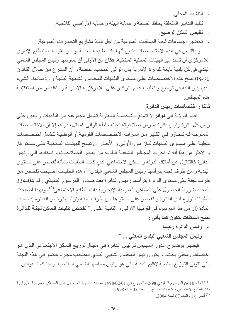- التنشيط المحلي. - تنفيذ التدابير المتعلقة بحفظ الصحة و حماية البيئة و حماية الأر اضي الفلاحية. - تقليص السكن الوضيع.
- تحضير اجتماعات لجنة الصفقات العمومية من أجل تنفيذ مشاريع التجهيزات العمومية. و بالتمعن في هذه الاختصاصات يتبين أنها ذات طبيعة محلية. و من مقومات التنظيم الإداري

اللامر كز ي أن تسند إلى الهيئات المحلية المنتخبة، فكان من الأولى أن يمارسها رئيس المجلس الشعبي البلدي في كل بلدية تابعة للدائرة الإدارية بدل الوالي المنتدب، خاصة و أن المشرع من خلال القانون 90-08 يمنح هذه الاختصاصات على مستوى البلديات للمجالس الشعبية البلديـة و رؤسـائها، الشيء الذي يبين النية في ترجيح و تغليب عدم التركيز على اللامركزيـة الإداريـة و التقليص من استقلالية هذه المجالس

ثالثًا : اختصاصات رئيس الدائرة

نقسم الولاية إلى دوائر لا تتمتع بالشخصية المعنوية تشمل مجموعة من البلديات و يعين على ر أس كل دائر ة رئيس دائر ة يمارس صلاحياته تحت سلطة الوالي كممثل للدولة، إلا أن الاختصاصات الممنوحة لـه تتجاوز فـي الكثير من المرات الاختصاصات القوميـة أو الوطنيـة لتشمل اختصـاصـات محلية علـى مـستوى البلـديات كـان مـن الأولـى و الأجـدر أن تمـنح للهيئـات المنتخبـة علـى مـستواها. و الأكثر من هذا أنه تم تجريد المجالس الشعبية البلديـة من بعض الـصلاحيات و إسنادها إلـى رئيس الدائرة كالتنازل عن أملاك الدولة و السكن الاجتماعي الذي كانت الطلبات بشأنه تُفحص على مستوى البلدية و من طرف لجنة يتر أسها رئيس المجلس الشعبي البلدي<sup>(1)</sup>، هذه الطلبات أصبحت تُفحص من طرف لجنة على مستوى الدائرة يترأسها رئيس الدائرة بعد صدور المرسوم التنفيذي رقم 04-334 المحدد لشروط الحصول على المساكن العمومية الإيجارية ذات الطابع الاجتماعي<sup>(2)</sup>، وبهذا أصبحت الطلبات توزع لدى الدائرة و تفحص على مستواها من طرف لجنـة يتر أسـها رئيس الدائرة إذ نـصت المادة 10 من هذا المرسوم في فقرتيها الأولى و الثانية على : « <mark>تفحص طلبات السكن لجنــة للدائرة</mark> لمنح السكنات تتكون كما يأتي :

- ـ رئيس الدائرة رئيسا
- رئيس المجلس الشعبي البلدي المعنى ... "

فيظهر بوضـوح الدور المهيمن لرئيس الدائرة فـي مجـال توزيـع الـسكن الاجتمـاعي الذي هو اختصاص محلي بحت، و يكون رئيس المجلس الشعبي البلدي المنتخب مجرد عضو في هذه اللجنة التي تتولى التوزيع بالنسبة لإقليم البلدية التي هو رئيس مجلسها الشعبي المنتخب و إذا كانت قوانين

<sup>&</sup>lt;sup>(1)</sup> المادة 10 من المرسوم التنفيذي 98-42 المؤرخ في 298/02/01 المحدد لشروط الحصول على المساكن العمومية الإيجارية ذات الطابع الاجتماعي و كيفيات ذلك، ج ر ، العدد 05 لسنة 1998.

<sup>&</sup>lt;sup>(2)</sup> أنظر ج ر، العدد 67 لسنة 2004.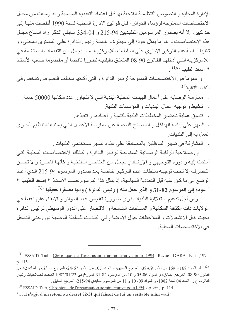الإدار ة المحلية و النصوص التنظيمية اللاحقة لها قبل اعتماد التعددية السياسية و قد وسعت من مجال الاختصاصات الممنوحة لرؤساء الدوائر ، فإن قوانين الإدارة المحلية لسنة 1990 أنقصت منها إلى حد كبير ، إلا أنه بصدور المرسومين التنفيذيين 94-215 و 04-334 سـابقي الذكر زاد اتساع مجـال هذه الاختصاصات و هو ما يُمثل عودة إلى سيطرة و هيمنـة رئيس الدائرة علـى المستوى المحلـي، و تغليبا لسلطة عدم التركيز الإداري على السلطات اللامركزية. ممـا يجعل من التقدمات المحتشمة في اللامركزية التي أدخلها القانون 90-08 المتعلق بالبلدية تطورا ناقصا أو مقضوما حسب الأستاذ  $\left( \frac{1}{1} \right)$ " اسعد الطيب

و عموما فإن الاختصاصات الممنوحة لرئيس الدائر ة و التي أكدتها مختلف النصوص تتلخص في النقاط التالبة(2).

- ممارسة الوصاية على أعمال الهيئات المحلية البلدية التي لا تتجاوز عدد سكانها 50000 نسمة.
	- تنشيط و توجيه أعمال البلديات و المؤسسات البلدية.
	- تنسيق عملية تحضير المخططات البلدية للتنمية و إعدادها و تنفيذها.

- السهر على إقامـة الهياكل و المصـالح الناجمـة عن ممارسـة الأعمـال التـي يسندها التنظيم الجـاري العمل به إلى البلديات.

- المشاركة في تسيير الموظفين بالمصادقة على عقود تسيير مستخدمي البلديات .

إن صــلاحية الرقابـة الوصــائية الممنوحـة لـرئيس الـدائرة و كذلك الاختـصـاصـات المحليـة التــى أسندت إليه و دوره التوجيهي و الإرشادي يجعل من العناصر المنتخبة و كأنها قاصرة و لا تحسن التصرف إلا تحت توجيه سلطات عدم التركيز خاصـة بعد صـدور المرسـوم 94-215 الـذي أعـاد الوضع إلى ما كان عليه قبل التعددية السياسية، إذ يمثل هذا المرسوم حسب الأستاذ " إسعد الطيب "  $^{(3)\times}$  عودة إلى المرسوم 82-31 و الذي جعل منه ( رئيس الدائرة ) واليا مصغرا حقيقيا  $^{(3)\times}$ 

ومن أجل تدعيم استقلالية البلديات نرى ضرورة تقليص عدد الدوائر و الإبقاء عليها فقط في الولايات ذات الكثافة السكانية و المساحات الشاسعة و الاقتصار على الدور الوسيطى لرئيس الدائرة بحيث ينقل الانشغالات و الملاحظات حول الأوضاع في البلديات للسلطة الوصية دون حتى التدخل في الاختصاصات المحلية.

<sup>&</sup>lt;sup>(1)</sup> ESSAID Taib, Chronique de l'organisation administrative pour 1994, Revue IDARA, N°2 ,1995, p. 115.

أنظر المواد 168 و 169 من الأمر 69-38، المرجع السابق، و المـادة 107 من الأمر 67-24، المرجع السابق، و المـادة 42 من  $\,$ القانون 90-08، المرجع السابق، و المواد 05،06 و 10 من المرسوم 82-31 المؤرخ في 1982/01/23 المحدد لصلاحيات رئيس الدائرة، ج ر ، العدد 04 لسنة 1982، و المواد 09، 10 و 11 من المرسوم التنفيذي 94-215، المرجع السابق .

<sup>&</sup>lt;sup>(3)</sup> ESSAID Taib, Chronique de l'organisation administrative pour 1994, op. cit., p. 114.

<sup>&</sup>quot;... il s'agit d'un retour au décret 82-31 qui faisait de lui un véritable mini wali.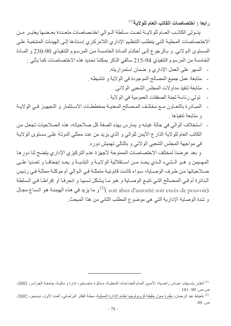رابعا : اختصاصات الكاتب العام للولاية<sup>(1)</sup>

يتولى الكاتب العبام للولايية تحت سلطة البوالي اختبصاصات متعبدة بعيضها يعتبير مين الاختصاصات المحلية التي يتطلب التنظيم الإداري اللامركزي إسنادها إلى الهيئات المنتخبة على المستوى الـولائي. و بـالرجوع إلـى أحكـام المـادة الخامسة مـن المرسـوم التنفيـذي 90-230 و المـادة الخامسة من المرسوم التنفيذي 94-215 سالفي الذكر يمكننا تحديد هذه الاختصاصات كما يأتي :

- السهر على العمل الإداري و ضمان استمراريته.
- متابعة عمل جميع المصالح الموجودة في الولاية و تتشيطه .
	- متابعة تنفيذ مداولات المجلس الشعبي الولائي.
	- تولى رئاسة لجنة الصفقات العمومية في الولاية .
- المبادرة بالتعـاون مـع مختلف المـصالح المعنيـة بمخططـات الاسـتثمار و التجهيـز فـي الولايـة و متابعة تنفيذها
- استخلاف الوالي في حالة غيابه و يمارس بهذه الصفة كل صلاحياته، هذه الصلاحيات تجعل من الكاتب العام للولاية الذارع الأيمن للوالي و الذي يزيد من عدد ممثلي الدولـة علـى مستوى الولايـة في مواجهة المجلس الشعبي الولائي و بالتالي تهميش دوره.

و بعد عرضنا لمختلف الاختصاصات الممنوحة لأجهزة عدم التركيزي الإداري يتضح لنا دور ها المهيمن و هـو الـشيء الـذي يحـد مـن اسـنقلالية الولايــة و البلديــة و يعـد إجحافـا و تعـديا علــي صـلاحياتها مـن طـرف الوصـاية، سـواء كانـت قانونيـة منمثلـة فـي الـوالـي أم موكلـة ممثلـة فـي رئـيس الدائرة أم فـي المـصـالح التـي تتبـع الوصــاية و هـو مـا يـشكل تـسيبا و انحرفـا أو إفراطـا فـي الـسلطـة و ما يزيد في هذه الهيمنة هو اتساع مجال (soit abus d'autorité soit excès de pouvoir) و شدة الوصابة الإدارية التي هي موضوع المطلب الثاني من هذا المبحث.

<sup>&</sup>lt;sup>(1)</sup> أنظـر باسـهاب عبـاس راضـية، الأمـين العـام للجماعـات المحليـة، مـذكرة ماجـستير، إدارة و ماليـة، جامعـة الجزائـر، 2002، ص ص. 99- 101.

<sup>&</sup>lt;sup>(2)</sup> بلعياط عبد الرحمان، نظرة حول حقيقة كرونولوجيا نظام الإدارة المحلية، مجلة الفكر البرلماني، العدد الأول، ديسمبر، 2002، ص. 80.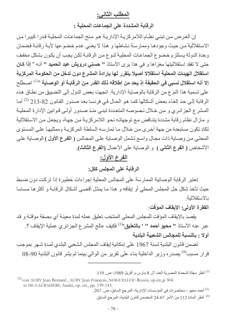## المطلب الثاني:

الرقابة المشددة على الجماعات المحلية :

إن الغرض من تبني نظام اللامركزية الإدارية هو منح الجماعات المحلية قدرا كبيرا من الاستقلالية من حيث وجودها وممارسة نشاطها و هذا لا يعنى عدم خضوعها لأية رقابة فضمان وحدة الدولة يستلزم خضوع الجماعات المحلية لنوع من الرقابة لكن يجب أن يكون بشكل مخفف حتى لا تفقد استقلاليتها مغزاها و في هذا يرى الأستاذ " حسني درويش عبد الحميد " أنـه « إذا كـان استقلال الـهيئات المحلية استقلالا أصيلا يتقرر لـها بإرادة المشرع دون تدخل من الحكومة المركزية إلا أنه استقلال نسبى في الحقيقة إذ يحد من إطلاقه ذلك القدر من الرقابـة أو الوصـايـة <sup>»(1)</sup> اصـطلح على تسمية هذا النوع من الرقابة بالوصاية الإدارية. اتجهت بعض الدول إلى التضبيق من نطاق هذه الرقابة إلى حد إلغاء بعض أشكالها كما هو الحال في فرنسا بعد صدور القانون 82-213 <sup>(2)</sup> أما المشرع الجزائري و من خلال نصوصه المتعددة تبني منذ صدور أولى قوانين الإدارة المحلية و مازال نظام رقابة مشددة يتناقض مع توجهاته نحو اللامركزية من جهة، ويجعل من الاستقلالية تكاد تكون مستبعدة من جهة أخرى من خلال ما تمارسه السلطة المركزية وممثليها على المستوى المحلي من وصباية ذات مجال واسع تشمل الوصباية على المجالس ( الفرع الأول ) الوصباية على الأشخاص ( الفرع الثاني ) و الوصاية على الأعمال (الفرع الثالث).

# الفرع الأول:

الرقابة على المجلس ككل:

تعتبر الرقابة الوصائية الممارسة على المجالس المحلية إجراءات خطيرة إذا تركت دون ضبط حيث تأخذ شكل حل المجلس المحلي أو إيقافه و هذا مـا يمثـل أقصـي أشكال الرقابـة و أكثر هـا مساسا بالاستقلالية

الفقرة الأولى: الإيقاف الموقت:

يقصد بالإيقاف المؤقت للمجلس المحلي المنتخب تعليق عمله لمدة معينـة أي بصفة مؤقتـة و قد عبر عنه الأستاذ **" محيو أحمد " ' بالتعليق'**<sup>(3)</sup> فكيف عالج المشر ع الجز ائر ي عملية الإيقاف ؟ ِ أولا : بالنسبة للمحالس الشعبية البلدية

تضمن قانون البلدية لسنة 1967 على إمكانية إيقاف المجلس الشعبي البلدي لمدة شهر بموجب قرار مسبب<sup>(4)</sup> يصدره وزير الداخلية بناء على تقرير من الوالي بينما لم يشر قانون البلدية 90-08

<sup>&</sup>lt;sup>(1)</sup> أنظر مجلة المحماة المصرية العدد 7و 8 مارس و أفريل 1989، ص. 119.

<sup>&</sup>lt;sup>(2)</sup> voir AUBY Jean Bernard, AUBY Jean François, NOGUELLOU Rozen, op.cit.,p 304. et DE-LAUBADÉRE André, op. cit., pp. 139-143.

<sup>. (3)</sup> أحمد محيو ، محاضر ات في المؤسسات الإدار ية، المرجع السابق، ص. 267.

<sup>&</sup>lt;sup>(4)</sup> أنظر المادة 112 من الأمر 67-24 المتضمن قانون البلدية، المرجع السابق<sub>.</sub>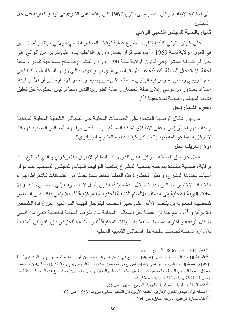إلى إمكانية الإيقاف. وكأن المشر ع في قانون 1967 كان يعتمد على الندر ج في توقيع العقوبة قبل حل المجلس

ثانيا: بالنسبة للمجلس الشعبي الولائي

على غرار قانوني البلدية تناول المشرع عملية توقيف المجلس الشعبي الولائي مؤقتا و لمدة شهر في قانون الولاية لسنة 1969 <sup>(1)</sup> بموجب قرار يصدره وزير الداخلية بناء على تقرير من الوالي، في حين لم يتناولـه المشرع فـي قـانون الولايـة سنـة 1990، و إن المشرع قد منح صـلاحية تقدير واسـعة لحالة الاستعجال للسلطة التنفيذية عن طريق الوالي الذي يرفع تقريره إلى وزير الداخلية، و كأننـا في سلم تدريجي رئاسي يمارس فيه الرئيس سلطته على مرؤوسيه. و تجدر الإشارة إلى أن الأمر ازداد اتساعا بصدور مرسومي إعلان حالة الحصار و حالة الطوارئ اللذين منحا لرئيس الحكومة حق تعليق نشاط المجالس المحلية لمدة معينة <sup>(2)</sup>.

الفقر ة الثانية: الحل:

من بين أشكال الوصاية المشددة على الجماعات المحلية حل المجالس الشعبية المحلية المنتخبة و بذلك فهو أخطر إجراء على الإطلاق تملكه السلطة الوصبية في مواجهة المجالس الشعبية كهيئات لامر كزية. فما هو المقصود بالحل ؟ و كيف عالجه المشر ع الجز ائر ي؟ أولا : تعريف الحل

الحل هو حق للسلطة المركزية في الدول ذات النظام الإداري اللامركزي و التي تستتبع ذلك برقابة وصـائية مشددة بموجبـه يمنحهـا المشر ع إمكانيـة التوقيف النهـائي للمجلس المنتخب عند تـوفر أسباب بحددها المشرع، و نظرا لخطورة هذه العملية تحاط عادة بجملة من الضمانات كاشتراط إجراء انتخابـات لاختيـار مجـالس جديـدة خـلال مـدة معينــة، لكـون الحـل لا ينـصـر ف إلـى المجلس ذاتـه و إلا عادت الـهيئـة المحليـة إلـى مصـاف الأقسـام التابـعـة للـحكومـة المركزيـة<sup>(3)</sup>، فـلا ينفـى ذلـك علـى المجلس شخصيته المعنوية بل يقتصر الأمر على تغيير أعضائه فيتم حل الهيئة التي تعبر عن إرادة الشخص اللامر كزي<sup>(4)</sup>، و مع هذا فإن عملية حل المجالس المحليـة من طرف الـسلطـة التنفيذيـة تبقـى مـن أقسـى أشكال الرقابة و أكثر ها مساسا باستقلالية الهيئات المحلية<sup>(5)</sup>، و بالنسبة للجزائر فإن القوانين المتعلقة بالإدار ة المحلبة تضمنت سلطة حل المجالس الشعببة المحلبة

- <sup>(3)</sup> فؤاد العطار ، نظرية اللامركزية الإقليمية، المرجع السابق، ص 55.
- <sup>(4)</sup> صـالح فؤاد، مبادئ القانون الإداري، الطبعة الأولى، دار الكتاب اللبناني، بيروت، 1983، ص. 107.

<sup>(5)</sup> خالد سمار ة الز غبي، المرجع السابق، ص. 204.

<sup>&</sup>lt;sup>(1)</sup> أنظر 44 من الأمر 69-38، المرجع السابق<sub>.</sub>

<sup>&</sup>lt;sup>(2)</sup> ا**لمـادة 10** مـن المرسـوم الرئاسـي 91-196 المـؤرخ فـي 1991/07/04 المتـضمن تقريـر حالــة الحـصـار ، ج ر ، العـدد 29 لـسنة 1991،و المادة 08 من المرسوم الرئاسي 92-44 المؤرخ في المتضمن إعلان حالة الطوارئ، ج ر، العدد 10 لسنة 1992، تضمنتا تعطيل النشاط الشرعي للسلطات العمومية كسبب لتعليق نشاط المجالس المحلية أو حتى حلها دون تحديد نوع هذه التصرفات بدقة مما يجعل السلطة التقديرية للسلطة التنفيذية واسعة في ذلك .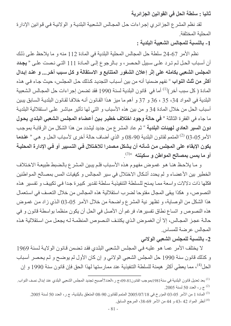ثانيا : سلطة الحل في القوانين الجزائرية

لقد نظم المشرع الجزائري إجراءات حل المجالس الشعبية البلديـة و الولائيـة فـي قوانين الإدار ة المحلبة المختلفة

1- بالنسبة للمجالس الشعبية البلدية :

نظم الأمر 67-24 سلطة حل المجالس المحلية البلدية في المادة 112 منه و ما يلاحظ على ذلك أن أسباب الحل لم ترد على سبيل الحصر ، و بـالرجوع إلـى المـادة 111 التـى نـصت علـى « يجـدد المجلس الشعبي بكامله على إثر إعلان الشغور المتتابع و الاستقالة و كل سبب آخر... و عند إبدال أ**كثر من ثلث النواب** » نفهم ضمنيا أنه من بين أسباب التجديد كذلك حل المجلس، حيث جـاء فـي هذه المادة ( كل سبب أخر )<sup>(1)</sup> أما في قانون البلدية لسنة 1990 فقد تضمن إجر اءات حل المجالس الشعبية البلدية في المواد 34، 35 ، 36 و 37 و أهم ما ميز هذا القانون أنـه خلافـا لقـانون البلديـة الـسابق يبـين أسباب الحل من خلال المادة 34 و من بين هذه الأسباب و التي لها تأثير مباشر على استقلالية البلدية ما جاء في الفقرة الثالثة « في حالة وجود اختلاف خطير بين أعضاء المجلس الشعبي البلدي يحول **دون السير العادي لـهيئات البلدية** » ثم عاد المشر ع من جديد ليشدد من هذا الشكل من الرقابـة بموجب الأمر 05-03 <sup>(2)</sup> المتمم لقانون البلدية 90-08 و الذي أضاف حالة أخرى لأسباب الحل و هي <sup>«</sup> ع**ندما** يكون الإبقاء على المجلس من شـأنـه أن يشكل مصدرا للاخـتلال فـي التسبير أو فـي الإدار ة المحليـة أو ما يمس بمصالح المواطن و سكينته »<sup>(3)</sup>.

و ما يلاحظ هنـا هـو غمـوض مفهـوم هـذه الأسـباب فلـم يبـين المـشر ع بالـضبط طبيعـة الاخـتلاف الخطير بين الأعضاء و لم يحدد أشكال الاختلال في سير المجالس و كيفيات المس بمصالح المواطنين فكلها ذات دلالات واسعة مما يمنح للسلطة التنفيذية سلطة تقدير كبيرة جدا في تكييف و تفسير هذه النصوص، و هكذا يبقى المجال مفتوحا لضرب استقلالية هذه المجالس من خلال التعسف في استعمال هذا الشكل من الوصاية، و تظهر نية المشرع واضحة من خلال الأمر 05-03 الذي زاد من غموض هذه النصوص و اتساع نطاق تفسير ها، فرغم أن الأصل في الحل أن يكون منظما بواسطة قانون و في حالـة عجـز المجـالس، إلا أن الغمـوض الـذي يكتنـف النـصـوص المنظمـة لــه يجعـل مـن اسـتقلالية هـذه المجالس عرضة للمساس

2- بالنسبة للمجلس الشعبي الولائي

لا يختلف الأمر عمـا هو عليـه فـي المجلس الشعبي البلدي فقد تضمن قـانون الولايـة لسنة 1969 و كذلك قانون سنة 1990 حل المجلس الشعبي الولائي و إن كان الأول لم يوضح و لم يحصر أسباب الحل<sup>(4)</sup>، مما يعطي أكثر هيمنة للسلطة التنفيذية عند ممارستها لهذا الحق فإن قانون سنة 1990 و إن

<sup>&</sup>lt;sup>(1)</sup> بعد تعديل قانون البلدية في سنة1981بموجب القانون81-09،ج ر ،العدد7أصبح تجديد المجلس الشعبي البلدي عند إبدال نصف النواب<sub>.</sub> .2005 ج ر، العدد 50 لسنة 2005.

المادة 1 من الأمر 05-03 المؤرخ في 2005/07/18 المتمم للقانون 90-08 المتعلق بالبلدية، ج ر ، العدد 50 لسنة 2005. <sup>(4)</sup> أنظر المواد 42 ،43 و 44 من الأمر 69-38، المرجع السابق<sub>.</sub>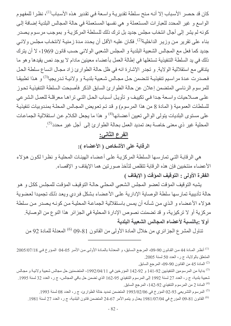كان قد حصر الأسباب إلا أنـه منح سلطـة تقديريـة واسـعة فـي تقدير هذه الأسباب<sup>(1)</sup>، نظـرا للمفهوم الواسع و غير المحدد للعبارات المستعملة و هي نفسها المستعملة في حالة المجالس البلدية إضافة إلى كونه لم يشر إلى أجال انتخاب مجلس جديد بل ترك ذلك للسلطة المركزيـة و بموجب مرسـوم يصدر بناء على تقرير من وزير الداخلية<sup>(2)</sup>. فكان عليه الأقل أن يحدد مدة زمنية لانتخاب مجلس ولائي جديد كما فعل مع المجالس الشعبية البلدية و المجلس الشعبي الولائي حسب قانون 1969، لا أن يترك ذلك في يد السلطة التنفيذية تستغلها في إطالة العمل بأعضاء معينين مادام لا يوجد نص يقيدها وهو ما يتنافى مع استقلالية الولاية. و تجدر الإشارة انه في ظل حالة الطوارئ زاد مجال اتساع سلطة الحل فصدرت عدة مراسيم تنفيذيــة تتـضمن حـل مجـالس شـعبية بلديــة و ولائيــة تـدريجيا<sup>(3)</sup> و هـذا تطبيقـا للمرسوم الرئاسي المتضمن إعلان عن حالة الطوارئ السابق الذكر فأصبحت السلطة التنفيذية تحوز على صلاحيات واسعة جدا في تكييف و تأويل أسباب الحل التي تراها معرقلة للعمل الشرعي للسلطات العمومية ( المادة 8 من هذا المرسوم) و قد تم تعويض المجالس المحلـة بمندوبيات تنفيذيـة على مستوى البلديات يتولى الوالي تعيين أعضائها<sup>(4)</sup> و هذا ما يجعل الكلام عن استقلالية الجماعات المحلية غير ذي معنى خاصـة بعد تمديد الـعمل بحالـة الطوار ئ إلـى أجل غير محدد<sup>(5)</sup>.

# الفرع الثاني:

الرقابة على الأشخاص ( الأعضاء ):

هي الرقابة التي تمارسها السلطة المركزية على أعضاء الهيئات المحلية و نظرا لكون هؤلاء الأعضاء منتخبين فإن هذه الرقابة تتقلص لتأخذ صورتين هما الإيقاف و الإقصاء. الفقرة الأولى : التوقيف المؤقت ( الإيقاف )

يشبه التوقيف المؤقت لعضو المجلس الشعبي المحلي حالة التوقيف المؤقت للمجلس ككل وهو حالة تأديبية تمارسها سلطة الوصاية الإدارية على الأعضاء بشكل فردي ويعد ذلك تجميدا لعضوية هؤلاء الأعضاء و الذي من شأنه أن يمس باستقلالية الجماعة المحلية من كونـه يصدر من سلطة مركزية أو لا تركيزية، و قد تضمنت نصوص الإدارة المحلية في الجزائر هذا النوع من الوصاية. أولا :بالنسبة لأعضاء المجالس الشعبية البلدية

تناول المشر ع الجز ائر ي من خلال المادة الأولى من القانون 81-09 <sup>(6)</sup> المعدلة للمادة 92 من

<sup>(1)</sup> أنظر المادة 44 من القانون 90-09، المرجع السابق، و المعدلـة بالمـادة الأولـى من الأمـر 05-04 المـؤرخ فـي 2005/07/18 المتعلق بالولاية، ج ر ، العدد 50 لسنة 2005.

المادة 45 من القانون 90-09، المرجع السابق.  $\,$ 

<sup>(3)</sup> بداية من المرسومين التنفيذيين 92-141 و 92-142 المؤرخين في 1992/04/11، المتضمنين حل مجالس شعبية ولائيـة و مجـالس شعبية بلدية، ج ر ، العدد 27 لسنة 1992 إلى المرسوم التنفيذي 95-162 الذي تضمن حل باقي المجالس، ج ر ، العدد 32 لسنة 1995. <sup>(4)</sup> المادة 2 من المرسوم التنفيذي 92-142، المرجع السابق<sub>.</sub>

<sup>(5)</sup> المرسوم التشريعي 93-02 المؤرخ في 2/02/06(1993 المتضمن تمديد خالة الطوارئ، ج ر ، العدد 08 لسنة 1993.

<sup>(6)</sup> القانون 81-09 المؤرخ في 1981/07/04 بعدل و يتمم الأمر 67-24 المتضمن قانون البلدية، ج ر ، العدد 27 لسنة 1981.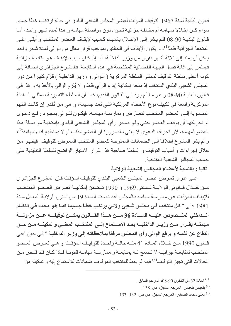قانون البلدية لسنة 1967 التوقيف المؤقت لعضو المجلس الشعبي البلدي في حالة ارتكاب خطأ جسيم سواء كان إخلالا بمهامه أم مخالفة جزائية تحول دون مواصلة مهامه و هذا لمدة شهر واحد، أما قـانون البلديــة 90-08 فلـم يـشر إلـى الإخــلال بالمهـام كـسبب لإيقـاف العـضو المنتخب و أبقـى علــى المتابعة الجزائية فقط<sup>(1)</sup>، و يكون الإيقاف في الحالتين بموجب قرار معلل من الوالي لمدة شـهر واحد يمكن أن يمتد إلى ثلاثة أشهر بقرار من وزير الداخلية، أما إذا كان سبب الإيقاف هو متابعة جزائية فيستمر إلى غاية فصل الجهة القضائية المختصة في هذه المتابعة. فالمشر ع الجز ائري إضافة إلى كونه أعطى سلطة التوقيف لممثلي السلطة المركزية ( الوالي و وزير الداخلية ) قزّم كثيرا من دور المجلس الشعبي البلدي المنتخب إذ منحه إمكانية إبداء الرأي فقط و لا يُلزم الوالي بالأخذ به و هذا في قـانون البلديـة 90-08 و هو مـا لـم يرد فـي القـانون القديم، كمـا أن الـسلطـة التقديريـة لممثلـي الـسلطـة المركزية واسعة في تكييف نوع الأخطاء المرتكبة التي تُعد جسيمة، و هي من تُقدر إن كانت التهم المنسوبة إلى العضو المنتخب تتعارض وممارسة مهامـه، فيكـون للـوالي بمجـرد رفـع دعـوى أو تحريكها أن يوقف العضو حتى ولو صدر رأي المجلس الشعبي البلدي بإمكانية مواصلة هذا العضو لمهامه، لأن تحريك الدعوى لا يعني بالضرورة أن العضو مذنب أو لا يستطيع أداء مهامه<sup>(2)</sup>، و لم يشر المشر ع إطلاقا إلى الضمانات الممنوحة للعضو المنتخب المعرض للتوقيف. فيظهر من خلال إجراءات و أسباب التوقيف و السلطة صاحبة هذا القرار الامتياز الواضح للسلطة التنفيذية على حساب المجالس الشعببة المنتخبة

ثانيا : بالنسبة لأعضاء المجالس الشعبية الولائية

على غرار تعرض عضو المجلس الشعبي البلدي للتوقيف المؤقت فإن المشرع الجزائري مـن خــلال قــانوني الولايـــة لـــسنتي 1969 و 1990 تــضمن إمكانيـــة تعــرض العــضو المنتخــب للإيقاف المؤقت عن ممارسة مهامه بالمجلس فقد نصت المادة 19 من قانون الولاية المعدل سنة 1981 على « كل منتخب في مجلس شـعبي ولائـي يرتكب خطـأ جسيما كمـا هـو محـدد فـي النظـام مهمتـــه بقــرار مــن وزيــر الداخليـــة بعــد الاســتماع إلـــى المنتخــب المعنـــى و تمكينـــه مــن حــق الدفاع عن نفسه و يرفع الوالي رأي المجلس مرفقا بملاحظاتـه إلـى وزيـر الداخليـة <sup>»</sup> فـى حين أبقـى قبانون 1990 مين خيلال المبادة 41 منيه حالية واحدة للتوقيف المؤقت و هيى تعرض العيضو المنتخب لمتابعـــة جز ائيـــة لا تــسمح لـــه بمتابعــة و ممارســة مهامــه قانونــا فــإذا كــان قـد قلـص مــن الحالات التي تجيز التوقيف<sup>(3)</sup> فإنه لم يعط للمنتخب الموقوف ضمانات للاستماع إليه و تمكينه من

. المادة 32 من القانون 90-08، المرجع السابق  $^{(1)}$ 

- <sup>(2)</sup> بلعباس بلعباس، المرجع السابق، ص 138.
- <sup>(3)</sup> بعلى محمد الصغير ، المرجع السابق، ص ص، 132- 133.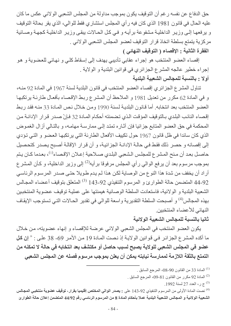حق الدفاع عن نفسه رغم أن التوقيف يكون بموجب مداولة من المجلس الشعبي الولائي عكس ما كان عليه الحال في قانون 1981 الذي كان فيه رأي المجلس استشاري فقط للوالي، الذي يقر بحالة التوقيف و يرفعها إلى وزير الداخلية مشفوعة برأيه و في كل الحالات يبقى وزير الداخلية كجهة وصـائية مركزية يتمتع بسلطة اتخاذ قرار التوقيف لعضو المجلس الشعبي الولائي .

الفقرة الثانية : الإقصاء ( التوقيف النهائي )

إقصاء العضو المنتخب هو إجراء عقابي تأديبي يهدف إلى إسقاط كلي و نهائي للعضوية و هو إجراء خطير عالجه المشرع الجزائري في قوانين البلدية و الولاية . أولا : بالنسبة للمجالس الشعبية البلدية

تناول المشرع الجزائري إقصاء العضو المنتخب في قانون البلدية لسنة 1967 في المادة 92 منـه، و في المادة 62 مكرر من تعديل 1981 و الملاحظ أن المشرع ربط الإقصاء بأفعال طارئة يرتكبها العضو المنتخب بعد انتخابه. أما قانون البلدية لسنة 1990 ومن خلال نص المادة 33 منه فقد ربط إقصاء النائب البلدي بالتوقيف المؤقت الذي تضمنته أحكام المادة 32 فإنْ صدر قرار الإدانـة من المحكمة في حق العضو المتابع جزائيا فإن آثاره تمتد إلى ممارسة مهامـه، و بالتالي أزال الغموض الذي كان سائدا في ظل قانون 1967 حول تكييف الأفعال الطارئة التي يرتكبها العضو و التي تؤدي إلى إقصائه و حصر ذلك فقط في حالـة الإدانـة الجزائيـة، و أن قرار الإقالـة أصبح يصدر كتحصيل حاصل بعد أن منح المشر ع للمجلس الشعبي البلدي صـلاحية إعـلان الإقصـاء<sup>(1)</sup>، بعدما كـان يـتم بموجب مرسوم بعد أن يرفع الوالي رأي المجلس مرفوقا برأيه<sup>(2)</sup> إلى وزير الداخلية، و كأن المشر ع أراد أن يخفف من شدة هذا النوع من الوصاية لكن هذا لم يدم طويلا حتى صدر المرسوم الرئاسي 44-92 المتضمن حالة الطوارئ و المرسوم التنفيذي 92-143 <sup>(3)</sup> المتعلق بتوقيف أعضاء المجالس الشعبية البلدية و الولائية، فاستعادت السلطة الوصائية هيمنتها على عملية توقيف عضوية المنتخبين بهذه المجالس<sup>(4)</sup> و أصبحت السلطة التقديرية واسعة للوالي في تقدير الحـالات التـي تستوجب الإيقـاف النهائي للأعضاء المنتخبين

## ثانيا بالنسبة للمجالس الشعبية الولائية

يكون العضو المنتخب في المجلس الشعبي الولائي عرضة للإقصاء و إنهاء عضويته، من خلال ما أكده المشرع الجزائر في قوانين الولاية إذ نصت المادة 19 من الأمر 69- 38 على : « إ**ن كل** عضو في المجلس الشعبي للولاية يصبح لسبب حاصل أو مكتشف بعد انتخابه في حالة لا تمكنه من التمتع بالثقة اللازمة لممارسة نيابته يمكن أن يعلن بموجب مرسوم فصله عن المجلس الشعبي

- . المادة 33 من القانون 90-08، المرجع السابق  $^{(1)}$
- $\,$ . المادة 92 مكرر من القانون 81-09، المرجع السابق  $^{(2)}$ 
	- .1992 بي، العدد 27 لسنة 1992.

<sup>(4)</sup> نصت المادة الأولى من المرسوم التنفيذي 92-143 على : **يصدر الوالى المختص إقليميا بقرار، توقيف عضوية منتخبى المجالس** الشعبية الولائية و المجالس الشعبية البلدية عملا بأحكام المادة 8 من المرسوم الرئاسي رقم 44/92 المتضمن إعلان حالة الطوارئ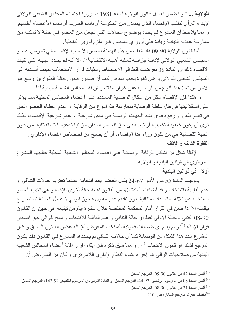للولاية ... ٬ و تضمّن تعديل قانون الولاية لسنة 1981 ضرورة اجتماع المجلس الشعبي الولائي لإبداء الرأي لطلب الإقصاء الذي يصدر من الحكومة أو باسم الحزب أو باسم الأعضاء أنفسهم. و مما يلاحظ أن المشرع لم يحدد بوضوح الحالات التي تجعل من العضو في حالـة لا تمكنـه من ممارسة عهدته النيابية زيادة على أن رأي المجلس غير ملزم لوزير الداخلية.

أما قانون الولاية 90-09 فقد خفف من هذه الهيمنة بحصره لأسباب الإقصاء في تعرض عضو المجلس الشعبي الـولائي لإدانــة جز ائيــة تسلبـه أهليــة الانتخــاب<sup>(1)</sup>، إلا أنــه لـم يحـدد الجهــة التــي تثبت الإقصاء ذلك أن المادة 38 تعرضت فقط إلى الاختصاص بإثبات قرار الاستخلاف حينما أسندته إلى المجلس الشعبي الولائي و هي ثغرة يجب سدها ٍ كما أن صدور قانون حالة الطوارئ وسع هو الآخر من شدة هذا النو ع من الوصـاية على غر ار ما تتعرض له المجالس الشـعبية البلدية <sup>(2)</sup> .

و هكذا فإن الإقصاء شكل من أشكال الوصـاية المشددة علـى أعضـاء المجـالس المحليـة ممـا يؤثر على استقلاليتها في ظل سلطة الوصاية بممارسة هذا النوع من الرقابة و عدم إعطاء العضو الحق في تقديم طعن أو رفع دعوى ضد الجهات الوصية في مدى شرعية أو عدم شرعية الإقصاء، لذلك نري أن يكون كعقوبـة تكميليـة أو تبعيـة فـي حق العضـو المدان جز ائيـا تدعيما للاستقلالية من كون الجهة القضائية هي من تكون وراء هذا الإقصاء، أو أن يصبح من اختصاص القضاء الإداري . الفقرة الثالثة : الاقالة

الإقالة شكل من أشكال الرقابة الوصائية على أعضاء المجالس الشعبية المحلية عالجها المشر ع الجزائري في قوانين البلدية و الولاية

### أولا : في قوانين البلدية

بموجب المادة 55 من الأمر 67-24 يقال العضو بعد انتخابـه عندما تعتريـه حـالات التنـافي أو عدم القابلية للانتخاب و قد أضافت المادة 90 من القانون نفسه حالة أخرى للإقالة و هي تغيب العضو المنتخب عن ثلاثة اجتماعات منتالية دون تقديم عذر مقبول فيجوز للوالي ( عامل العمالة ) التصريح بإقالته إلا إذا طعن في القرار أمام المحكمة المختصة خلال عشرة أيام من تبليغه في حين أن القانون 90-08 اكتفى بالحالة الأولى فقط أي حالة التنافي و عدم القابلية للانتخاب و منح للوالي حق إصدار قر ار الإقالة <sup>(3)</sup> و لم يقدم أي ضمانات قانونية للمنتخب المعرض للإقالة عكس القانون السابق و كـأن المشرع شدد هذا الشكل من الوصاية كما أن حالات التنافي لم يحددها المشرع في القانون فقد يكون المرجع لذلك هو قانون الانتخاب <sup>(4)</sup> . و مما سبق ذكره فإن إبقاء إقرار إقالة أعضاء المجالس الشعبية البلدية من صلاحيات الوالي هو إجراء يشوه النظام الإداري اللامركزي و كان من المفروض أن

.<sup>(1)</sup> أنظر المادة 42 من القانون 90-09، المرجع السابق <sub>.</sub>

<sup>(2)</sup> أنظر المادة 08 من المرسوم الرئاسي 92-44، المرجع السابق، و المادة الأولى من المرسوم التنفيذي 92-143، المرجع السابق (3) أنظر المادة 31 من القانون 90-08، المرجع السابق

 $(210, 210)$ مقطف خيرة، المرجع السابق، ص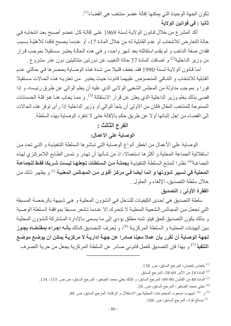تكون الجهة الوحيدة التي يمكنها إقالة عضو منتخب هي القضاء<sup>(1)</sup>. ثانيا : في قوانين الولاية

أكد المشرع من خلال قانون الولاية لسنة 1969 على إقالـة كل عضو أصبح بعد انتخابـه في حالة التعارض للانتخاب أو عدم القابلية له من خلال المادة 17، أو عندما يصبح فاقدا للأهلية بسبب فقدان صفة الناخب و لم يقدم استقالته بعد شهر واحد، و في هذه الحالـة يعتبر مستقيلا بموجب قرار من وزير الداخلية<sup>(2)</sup> و أضافت المادة 37 حالة النغيب عن دورتين متتاليتين دون عذر مشروع <sub>.</sub>

أمـا قـانون الولايـة لـسنة 1990 فقد خفف قليلا مـن شدة هذه الوصـاية بحصـر ها فـي حـالتي عدم القابلية للانتخاب و التنافي المنصوص عليهما قانونا حيث يعتبر من تعتريه هذه الحالات مستقيلا فورا و بموجب مداولة من المجلس الشعبي الولائي الذي عليه أن يعلم الوالي عن طرق رئيسه، و إذا قضي بذلك يعلم وزير الداخلية الذي يعلن عن قرار الاستقالة <sup>(3)</sup>. و ممـا يعـاب هنـا هـو قلـة الـضمـانات الممنوحة للمنتخب المقال فكان من الأولى أن يلجأ الوالى أو وزير الداخلية إذا رأى توفر هذه الحالات إلى القضاء من اجل إثباتها أو لا عن طريق حكم بالإقالة حتى لا تنفرد الوصاية بهذه السلطة.

#### الفرع الثالث :

# الوصاية على الأعمال:

الوصاية على الأعمال من اخطر أنواع الوصاية التي تباشر ها السلطة التنفيذية و التي تحد من استقلالية الجماعة المحلية و أكثر ها استعمالا، إذ من شـأنها أن تهدر و تمس الطـابع اللامركزي لهذه الجماعة<sup>(4)</sup> نظر ا لتمتـع الـسلطـة التنفيذيـة **بجملـة مـن الـسلطات تجعلـهـا ليـست شـريكا فقط للجماعـة** المحلية في تسيير شوونها و إنما أيضا في مركز أقوى من المجالس المعنية <sup>(5)</sup> و يظهر ذلك من خلال سلطة التصديق، الإلغاء و الحلول .

# الفقرة الأولى : التصديق

سلطة التصديق هي إحدى الكيفيات للتدخل في الشؤون المحلية و هي شبيهة بالرخصة المسبقة التي تجعل من المجالس الشعبية المحلية لا تتحرك إلا عندما تشعر مسبقا بموافقة السلطة الوصبية و بذلك يكون التصديق كحق فيتو شبه مطلق يؤدي إلى مـا يسمى بـالإدارة المشتركة للشؤون المحلية بين الهيئـات المحليـة و الـسلطـة المركزيـة <sup>(6)</sup>، و يُعرف التصديق كذلك **بأنـه إجراء بمقتضاه يجوز** لجهة الوصاية أن تقرر بأن عملا معينا صادرا عن جهـة إداريـة لا مركزيـة يمكن أن يوضـع موضـع ا**لتنفيذ** <sup>(7)</sup> و بهذا فإن التصديق كعمل قانوني صـادر عن السلطـة المركزيـة بجعل من حريـة التصـر ف

<sup>(7)</sup> صـالح فؤاد، المرجع السابق، ص. 108.

<sup>&</sup>lt;sup>(1)</sup> بلعباس بلعباس، المرجع السابق، ص. 138.

<sup>.</sup> المادة 18 من الأمر 69-38، المرجع السابق [20)

<sup>&</sup>lt;sup>(3)</sup> المادة 40 من القانون 90-09، المرجع السابق، و كذلك بعلي محمد الصغير ، المرجع السابق، ص ص 133- 134.

<sup>&</sup>lt;sup>(4)</sup> بعلى محمد الصغير ، المرجع السابق، ص 24.

<sup>&</sup>lt;sup>(5)</sup> و <sup>(6)</sup> شيهوب مسعود، المجموعات المحلية بين الاستقلال و الرقابة، المرجع السابق، ص<sub>. 48.</sub>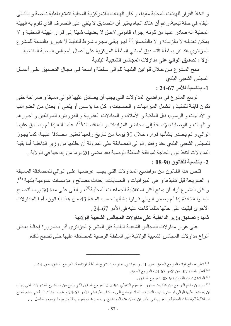و اتخاذ القرار للهيئات المحلية مقيدا، و كأن الهيئات اللامركزية المحلية تتمتع بأهلية ناقصة و بالتـالي البقاء في حالة تبعية،ر غم أن هناك اتجاه يعتبر أن التصديق لا ينفي على التصرف الذي تقوم به الهيئة المحلية أنه صادر عنها من كونـه إجراء قانوني لاحق لا يضيف شيئا إلـى قرار الهيئـة المحليـة و لا يمكن تعديلـه لا بالزيـادة و لا بالنقصـان<sup>(1)</sup> فهـو يبقـى مجـرد شـرط للتنفيذ لا غيـر و بالنـسبة للمـشر ع الجزائري فقد اقر بسلطة التصديق لممثلي السلطة المركزية على أعمال المجالس المحلية المنتخبة. أولا : تصديق الوالى على مداولات المجالس الشعبية البلدية

منح المشرع من خلال فوانين البلدية للوالي سلطة واسعة في مجال التصديق على أعمـال المجلس الشعبي البلدى

1- بالنسبة للأمر 67-24 :

توسع المشرع في مواضيع المداولات التي يجب أن يصادق عليها الوالي مسبقا و صراحة حتى تكون قابلة للتنفيذ و تشمل الميز انيات و الحسابات و كل ما يؤسس أو يلغي أو يعدل من الضرائب و الأداءات و الرسوم، نقل الملكية و الأملاك و المبادلات العقاريـة و القروض، المـوظفين و أجـور هم و الهبات و الوصايا بالإضافة إلى محاضر المزايدات و المناقصات<sup>(2)</sup>، علمـا أنـه إذا لـم يصـادق عليهـا الوالي و لم يصدر بشأنها قراره خلال 30 يوما من تاريخ رفعها تعتبر مصادقا عليها، كما يجوز للمجلس الشعبي البلدي عند رفض الوالي المصادقة على المداولة أن يطلبها من وزير الداخلية أما بقية المداولات فتنفذ دون الحاجة لموافقة السلطة الوصية بعد مضىي 20 يوما من إيداعها في الولاية . 2- بالنسبة للقانون 90-08 :

قلص هذا القانون من مواضيع المداولات التي يجب عرضها على الوالي للمصادقة المسبقة و الصريحة قبل تنفيذها و هي الميزانيات و الحسابات، إحداث مصـالح و مؤسسات عموميـة بلديـة <sup>(3)</sup>. و كأن المشرع أراد أن يمنح أكثر استقلالية للجماعات المحلية<sup>(4)</sup>، و أبقى على مدة 30 يومـا لتصبح المداولـة نافذة إذا لـم يصدر الـوالي قرارا بشأنها حسب المـادة 43 من هذا القـانون، أمـا المداولات الأخرى فبقيت على حالها مثلما كانت عليه في الأمر 67-24 .

ثانيا : تصديق وزير الداخلية على مداولات المجالس الشعبية الولائية

على غرار مداولات المجالس الشعبية البلدية فإن المشرع الجزائري أقر بضرورة إحالـة بعض أنواع مداولات المجالس الشعبية الولائية إلى السلطة الوصية للمصادقة عليها حتى تصبح نافذة.

- <sup>(2)</sup> أنظر المادة 107 من الأمر 67-24، المرجع السابق<sub>.</sub>
	- . المادة 42 من القانون 90-08، المرجع السابق [13]

<sup>(4)</sup> سر عان ما تم التراجع عن هذا بعد صدور المرسوم التنفيذي 94-215 المرجع السابق الذي وسع من مواضيع المداولات التي يجب أن يصادق عليها الوالي أو حتى رئيس الدائرة و أعـاد الوضـع إلـى مـا كـان عليـه فـي الأمـر 67-24 و هو مـا يؤكد النيـة فـي عدم المـنح استقلالية للجماعات المحلية و الغريب في الأمر أن تحديد هذه المواضيع و حصر ها تم بموجب قانون بينما توسيعها لتشمل …

<sup>&</sup>lt;sup>(1)</sup> انظر صـالح فؤاد، المرجع السابق، ص<sub>. 11.</sub> و عوابدي عمار ، مبدأ تدر ج السلطة الرئاسية، المرجع السابق، ص<sub>. 143.</sub>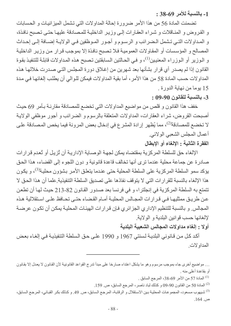1- بالنسبة للأمر 69-38 :

تضمنت المادة 56 من هذا الأمر ضرورة إحالة المداولات التي تشمل الميزانيات و الحسابات و القروض و المنـاقلات و شراء العقـارات إلـى وزيـر الداخليـة للمـصـادقة عليهـا حتـى تـصبح نـافـذة، و المداولات التبي تشمل الـضرائب و الرسـوم و أجـور المـوظفين فـي الولايــة إضــافة إلـي إحـداث المصالح و المؤسسات أو المقاولات العمومية فلا تصبح نافذة إلا بموجب قرار من وزير الداخلية و الـوزير أو الـوزراء المعنيين<sup>(1)</sup>، و فـي الـحـالتين الـسابقتين تـصبح هذه المـداولات قابلــة للتنفيذ بقوة القانون إذا لم يصدر أي قرار بشأنها بعد شهرين من إغلاق دورة المجلس التي صدرت خلالها هذه المداو لات حسب المادة 58 من هذا الأمر ، أما بقية المداو لات فيمكن للـوالـي أن يطلب إلغائهـا فـي مـدة 15 يوما من نهاية الدورة .

3- بالنسبة للقانون 90-09 :

خفف هذا القانون و قلص من مواضيع المداولات التي تخضع للمصادقة مقارنـة بـأمر 69 حيث أصبحت القر وض، شراء العقارات، المداولات المتعلقة بالرسوم و الضرائب و أجور موظفي الولايـة لا تخضع للمصادقة<sup>(2)</sup>، مما يُظهر إرادة المشرع في إدخال بعض المرونة فيما يخص المصادقة على أعمال المجلس الشعبي الولائي.

## الفقرة الثانية : الإلغاء أو الإبطال

الإلغاء حق للسلطة المركزية بمقتضاه يمكن لجهة الوصـاية الإداريـة أن تُزيل أو تُعدم قرارات صادرة عن جماعة محلية عندما ترى أنها تخالف قاعدة قانونية و دون اللجوء إلى القضاء، هذا الحق يؤكد سمو السلطة المركزية على السلطة المحلية حتى عندما يتعلق الأمر بشؤون محلية<sup>(3)</sup>، و يكون هذا الإلغاء بالنسبة للقرارات التي لا يتوقف نفاذها على تصديق السلطة التنفيذية علما أن هذا الحق لا تتمتع به السلطة المركزية في إنجلترا، و في فرنسا بعد صدور القانون 82-213 حيث لها أن تطعن عن طريق ممثليهـا فـي قـرارات المجـالس المحليـة أمـام القـضـاء حتـى تحـافظ علـى اسـتقلالية هـذه المجالس و بالنسبة للتنظيم الإداري الجزائري فإن قرارات الهيئات المحلية يمكن أن تكون عرضـة لإلغائها حسب قوانين البلدية و الولاية

أولا : إلغاء مداولات المجالس الشعبية البلدية

أكد كل من قـانوني البلديـة لـسنتي 1967 و 1990 علـي حـق الـسلطـة التنفيذيـة فـي إلغـاء بعض المداو لات

- . المادة 57 من الأمر 69-38، المرجع السابق  $^{(1)}$
- المادة 50 من القانون 90-09 و كذلك لباد ناصر، المرجع السابق، ص 159.

<sup>. . .</sup> مو اضيع أخرى جاء بموجب مرسوم و هو ما يشكل اعتداء صار خا على مبدأ تدرج القواعد القانونية لأن القانون لا يعدل إلا بقانون أو بقاعدة أعلى منه .

<sup>&</sup>lt;sup>(3)</sup> شيهوب مسعود، المجموعات المحلية بين الاستقلال و الرقابة، المرجع السابق، ص 49 و كذلك بكر القباني، المرجع السابق، ص. 164.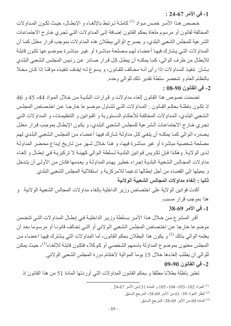1- في الأمر 67-24 :

خصص هذا الأمر خمس مواد <sup>(1)</sup> كاملــة تـرتبط بالإلغــاء و الإبطــال، حيـث تكـون المـداولات المخالفة لقانون أو مرسوم ملغاة بحكم القانون إضـافة إلـى المداولات التـى تجري خـار ج الاجتماعـات الشرعية للمجلس الشعبي البلدي، و يصرح الوالي ببطلان هذه المداولات بموجب قرار معلل كمـا أن المداولات التي يشارك فيها أعضاء لهم مصلحة مباشرة أو غير مباشرة بموضوعها تكون قابلة للإبطال من طرف الوالي، كما يمكنـه أن يبطل كل قرار صـادر عن رئيس المجلس الشعبي البلدي بشأن تنفيذ المداولات إذا رأى أنـه مخـالف للقـانون، و يسوغ لـه إيقـاف تنفيذه مؤقتـا إذا كـان مخـلا بالنظام العام و تنحصر سلطة تقدير ذلك للوالي وحده.

#### 2- في القانون 90-08 :

تضمنت نصوص هذا القانون إلغاء مداولات و قرارات البلدية من خلال المواد 44، 45 و 46 إذ تكون باطلة بحكم القانون : المداولات التي تتناول موضوعا خارجا عن اختصاص المجلس الشعبي البلدي، المداولات المخالفة للأحكام الدستورية و القوانين و التنظيمـات، و المداولات التبي تجري خارج الاجتماعات الشرعية للمجلس الشعبي البلدي، و يكون الإبطال بموجب قرار معلل يصدره الوالي كما يمكنـه أن يلغي كل مداولـة شـارك فيهـا أعضـاء من المجلس الشعبي البلدي لهم مصلحة شخصية مباشرة أو غير مباشرة فيها، و هذا خلال شهر من تـاريخ إيداع محضر المداولـة لدى الولايـة. وهكذا فـإن تكريس قوانين البلديـة لـسلطـة الـوالـي كـهيئـة لا تركيزيـة فـي إبطـال و إلغـاء مداولات المجالس الشعبية البلديـة إجراء خطير يهدم المداولـة و يعدمها فكـان مـن الأولـى أن يتدخل و يحيلها إلى القضاء من أجل إبطالها تدعيما للامركزية و استقلالية المجلس الشعبي البلدي. ثانيا : الغاء مداولات المجالس الشعبية الولائية

أكدت قوانين الولاية على اختصاص وزير الداخلية بالغاء مداولات المجالس الشعبية الولائية و هذا بموجب قرار مسبب.

### 1- في الأمر 69-38

أقر المشرع من خلال هذا الأمر بسلطة وزير الداخلية في إبطـال المداولات التـي تتضمن موضوعا خارجا عن اختصاص المجلس الشعبي الولائي أو التي تخالف قانونا أو مرسوما بعد أن يعلمه الوالي بذلك <sup>(2)</sup> و يكون هذا البطلان بحكم القانون، أما المداولات التي يشترك فيها أعضاء من المجلس معنبون بموضوع المداولة باسمهم الشخصبي أو كوكلاء فتكون قابلـة للإلغـاء<sup>(3)</sup>، حيث يمكن للوالي أن يطلب إلغاءها خلال 15 يوما الموالية لاختتام دورة المجلس الشعبي الولائي. 2- في القانون 90-09

تعتبر باطلة بطلانا مطلقا و بحكم القانون المداولات التي أوردتها المادة 51 من هذا القانون إذ

- 1) المواد 102، 103، 104، 105، 105 و المادة 131من الأمر 67-24.
	- أنظر المواد 59، 61 من الأمر 69-38، المرجع السابق.  $\,$ 
		- المادة 60 من الأمر 69-38، المرجع السابق.  $\,$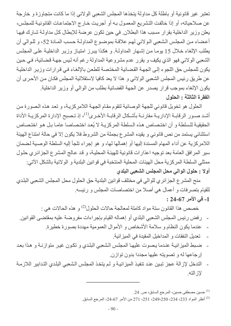تعتبر غير قانونية أو باطلة كل مداولة يتخذها المجلس الشعبي الولائي إذا ما كانت متجاوزة و خارجة عن صلاحياته، أو إذا خالفت التشريع المعمول بـه أو أجريت خـار ج الاجتماعـات القانونيـة للمجلس، يعلن وزير الداخلية بقرار مسبب هذا البطلان في حين تكون عرضة للإبطال كل مداولة شارك فيها أعضاء من المجلس الشعبي الولائي لهم علاقة بموضوع المداولة حسب المادة 52، و للوالي أن يطلب الإلغاء خلال 15 يوما من إشهار المداولة. و هكذا يبرز امتياز وزير الداخلية على المجلس الشعبي الولائي فهو الذي يكيف و يقرر عدم مشروعية المداولة رغم أنه ليس جهة قضائية، في حين يكون للمجلس حق اللجوء إلى الجهة القضائية المختصة للطعن بالإلغاء في قرارات وزير الداخلية عن طريق رئيس المجلس الشعبي الولائي و هذا لا يعد كافيا لاستقلالية المجلس فكان من الأحرى أن يكون الإلغاء بموجب قرار يصدر عن الجهة القضائية بطلب من الوالي أو وزير الداخلية. الفقرة الثالثة : الحلول

الحلول هو تخويل قانوني للجهة الوصائية لتقوم مقام الجهة اللامركزية، و تعد هذه الصورة من أشد صـور الرقابــة الإداريــة مقارنــة بأشـكال الرقابــة الأخـري<sup>(1)</sup>، إذ تـصبح الإدارة المركزيــة الأداة الحقيقية للسلطة و أن اختصاص هذه السلطة المركزية لا يُعد اختصاصا عاما بل هو اختصاص استثنائي يستمد من نص قانوني و يقيده المشرع بجملة من الشروط فلا يكون إلا في حالة امتناع الهيئة اللامركزية عن أداء المهام المسندة إليها أو إهمالها لها، و هو إجراء تلجأ إليه السلطة الوصية لضمان سير المرافق العامة بعد توجيه اعذارات قانونية للهيئة المحلية، و قد عالج المشرع الجزائري حلول ممثلي السلطة المركزية محل الهيئات المحلية المنتخبة في قوانين البلدية و الولائية بالشكل الآتي: أولا : حلول الوالي محل المجلس الشعبي البلدي

منح المشرع الجزائري للوالي في مختلف قوانين البلدية حق الحلول محل المجلس الشعبي البلدي للقيام بتصرفات و أعمال هي أصلا من اختصاصات المجلس و رئيسه.

# 1- في الأمر 67-24 :

خصص هذا القانون سنة مواد كاملة لمعالجة حالات الحلول<sup>(2)</sup> و هذه الحالات هي :

- رفض رئيس المجلس الشعبي البلدي أو إهماله القيام بإجراءات مفروضة عليه بمقتضى القوانين.
	- عندما يكون النظام و سلامة الأشخاص و الأموال العمومية مهددة بصورة خطيرة.
		- تعديل النفقات و المداخيل المقيدة في الميز انية.
- ضبط الميزانية عندما يصوت عليها المجلس الشعبي البلدي و تكون غير متوازنـة و هذا بعد إرجاعها له و تصويته عليها مجددا بدون توازن.
- التدخل لإز الة عجز تبين عند تنفيذ الميز انيـة و لـم يتخذ المجلس الشعبي البلدي التدابير اللاز مـة لاز الته

<sup>(1)</sup> حسين مصطفى حسين، المرجع السابق، ص. 24.

<sup>&</sup>lt;sup>(2)</sup> أنظر المواد 233، 234، 249،250، 251، 271 من الأمر 67-24، المرجع السابق.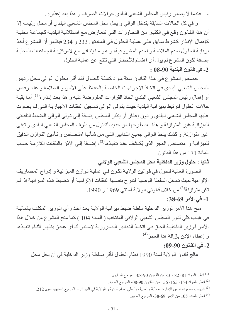عندما لا يصدر رئيس المجلس الشعبي البلدي حوالات الصرف و هذا بعد إعذاره .

و في كل الحالات السابقة يتدخل الوالي و يحل محل المجلس الشعبي البلدي أو محل رئيسه إلا أن هذا القانون وقع في الكثير من التجاوزات التي تتعارض مع استقلالية البلدية كجماعة محلية كإهمال الإنذار كشرط سابق على عملية الحلول في المادتين 233 و 234 فيظهر أن المشرع أخذ برقابة الحلول لعدم الملائمة و لعدم المشروعية، و هو ما يتنافى مع لامركزية الجماعات المحلية إضافة لكون المشرع لم يول أي اهتمام للأخطار التي تنتج عن عملية الحلول. 2- في قانون البلدية 90-08 :

خصص المشرع في هذا القانون ستة مواد كاملة للحلول فقد أقر بحلول الوالي محل رئيس المجلس الشعبي البلدي في اتخاذ الإجراءات الخاصة بالحفاظ على الأمن و السلامة و عند رفض أو إهمال رئيس المجلس الشعبي البلدي اتخاذ القرارات المفروضة عليه و هذا بعد إنذار ه<sup>(1)</sup>. أمـا بقيـة حالات الحلول فترتبط بميز انية البلدية حيث يتولى الوالي تسجيل النفقات الإجبارية التي لم يصوت عليها المجلس الشعبي البلدي و دون إعذار ٍ أو إنذار للمجلس إضافة إلى نولي الوالي الضبط التلقائي للميزانية غير المتوازنة و هذا بعد طرحها من جديد للتداول من طرف المجلس الشعبي البلدي و تبقى غير متوازنة. و كذلك يتخذ الـوالـي جميـع التدابير التـي مـن شـأنـها امتـصـاص و تـأمين التـوازن الـدقيق للميزانية و امتصاص العجز الذي يُكتشف عند تنفيذها<sup>(2)</sup>، إضـافة إلـى الإذن بالنفقات اللازمـة حسب المادة 171 من هذا القانون.

ثانيا : حلول وزير الداخلية محل المجلس الشعبي الولائي

الصورة الغالبة للحول في قوانين الولاية تكون في عملية توازن الميزانية و إدراج المصاريف الإلزامية حيث تتدخل السلطة الوصية فتدرج بنفسها النفقات الإلزامية أو تضبط هذه الميز انية إذا لم تكن متوازنة<sup>(3)</sup> من خلال قانوني الولاية لسنتي 1969 و 1990.

1- في الأمر 69-38:

منح هذا الأمر لوزير الداخلية سلطة ضبط ميزانية الولاية بعد أخذ رأي الوزير المكلف بالمالية في غياب كلِّي لدور المجلس الشِّعبي الولائي المنتخب ( المادة 104 ) كما منح المشر ع من خلال هذا الأمر لـوزير الداخليــة الحـق فـي اتخــاذ التدابير الـضروريـة لاستدراك أي عجز يظهر أثنــاء تنفيـذها و إعطاء الإذن بإزالة هذا العجز<sup>(4)</sup>.

#### 2- في القانون 90-09:

عالج قانون الولاية لسنة 1990 نظام الحلول فأقر بسلطة وزير الداخلية في أن يحل محل

أنظر المواد 81، 82 و 83 من القانون 90-08، المرجع السابق  $^{(1)}$ 

- أنظر المواد 154، 155، 166 من القانون 90-08، المرجع السابق.  $\,$
- <sup>(3)</sup> شيهوب مسعود، أسس الإدارة المحلية و تطبيقاتها على نظام البلدية و الولاية في الجز ائر ، المرجع السابق، ص 212 ـ
	- <sup>(4)</sup> أنظر المادة 105 من الأمر 69-38، المرجع السابق.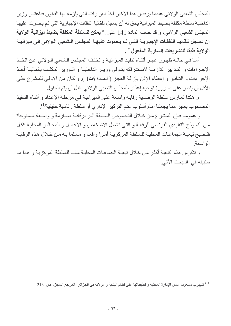المجلس الشعبي الولائي عندما يرفض هذا الأخير أخذ القرارات التي يلزمه بها القانون فباعتبار وزير الداخلية سلطة مكلفة بضبط المبز انبة بحق له أن بسجل تلقائبا النفقات الاجبار بة التي لم بصوت عليها المجلس الشعبي الو لائي، و قد نصت المادة 141 على :" **يمكن للسلطة المكلفة بضبط ميزانية الولاية** أن تسجل تلقائيــا النفقــات الإجباريـــة التــى لــم يــصوت عليـهــا المجلـس الـشعبي الـولائي فــى ميزانيــة الولاية طبقا للتشريعات السارية المفعول <sup>»</sup> .

أمـا فـي حالـة ظهـور عجـز أثنـاء تنفيذ الميزانيـة و تخلـف المجلـس الـشعبي الـولائـي عـن اتخـاذ الإجبر اءات و التبدايير اللاز منة لإستدر اكه بتبولي وزيير الداخلينة و البوزير المكليف بالمالينة أخبذ الإجراءات و التدابير و إعطاء الإذن بإزالـة العجز ( المـادة 146 ). و كـان مـن الأولـى للمشر ع علـى الأقل أن ينص على ضرورة توجيه إعذار للمجلس الشعبي الولائي قبل أن يتم الحلول.

و هكذا تمارس سلطة الوصاية رقابة واسعة على الميزانية في مرحلة الإعداد و أثناء التنفيذ المصحوب بعجز مما يجعلنا أمام أسلوب عدم التركيز الإداري أو سلطة رئاسية حقيقية<sup>(1)</sup>.

و عمومـا فـإن المـشرع مـن خـلال النـصوص الـسابقة أقـر برقابـة صـارمة و واسـعة مـستوحاة من النموذج التقليدي الفرنسي للرقابـة و التـي تشمل الأشـخاص و الأعمـال و المجـالس المحليـة ككـل فتصبح تبعية الجماعات المحلية للسلطة المركزية أمرا واقعا و مسلما بـه من خلال هذه الرقابـة الو اسعة

و تتكرَّس هذه التبعية أكثر من خلال تبعية الجماعات المحلية ماليا للسلطة المركز بـة و هذا مـا سنبينه في المبحث الآتي.

<sup>&</sup>lt;sup>(1)</sup> شيهوب مسعود، أسس الإدارة المحلية و تطبيقاتها على نظام البلدية و الولاية في الجزائر ، المرجع السابق، ص<sub>.</sub> 213.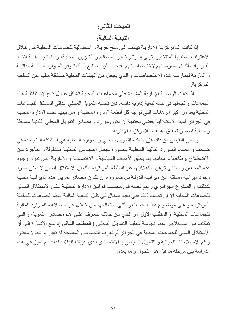# المبحث الثاني:

#### التبعية المالية:

إذا كانت اللامر كزية الإدارية تهدف إلى منح حرية و استقلالية للجماعات المحلية من خلال الاعتراف لممثليها المنتخبين بتولي إدارة و تسير المصالح و الشؤون المحلية، و التمتـع بسلطـة اتخـاذ القـرارات أثنــاء ممارسـنـهم لاختــصـاصـاتـهم، فيجـب أن يـستتبع ذلـك تــوفر المــوارد الماليــة الذاتيــة و اللازمة لممارسة هذه الاختصاصات و الذي يجعل من الهيئات المحلية مستقلة ماليا عن السلطة المركز ية

و إذا كانت الوصابة الإدارية المشددة على الجماعات المحلية تشكل عامل كبح لاستقلالية هذه الجماعات و تجعلها في حالة تبعية إدار ية دائمة، فإن قضية التمويل المحلي الذاتي المستقل للجماعات المحلية يعد من أكبر الر هانات التي تواجه كل أنظمة الإدارة المحلية و من بينها نظام الإدارة المحلية في الجزائر فمبدأ الاستقلالية يقضي بحتمية أن تكون موارد و مصادر التمويل المحلي الذاتية مستقلة و محلية لضمان تحقيق أهداف اللامركزية الإدارية.

و على النقيض من ذلك فإن مشكلة التمويل المحلي و الموارد المحلية هي المشكلة المتجسدة في ضعف وانعدام الموارد المالية المحلية بصورة تجعل المجالس المحلية مشلولة و عاجزة عن الاضطلاع بوظائفها و مهامها بما يحقق الأهداف السياسية و الاقتصادية و الإداريـة التـي تبرر وجود هذه المجالس و بالتالي تر هن استقلاليتها عن السلطة المركز بة ذلك أن الاستقلال المالي لا يعني مجر د وجود ميزانية مستقلة عن ميزانية الدولـة بل ضرورة أن تكون مصـادر تمويل هذه الميزانيـة محليـة كذلك، و المشرع الجزائري رغم نصه في مختلف قوانين الإدارة المحلية على الاستقلال المـالي للجماعات المحلية إلا أن تجسيد ذلك بقى بعيد المنـال في ظـل التبعيـة المـاليـة لـهذه الـجماعـات للـسلطـة المركزيـة و هـى موضـوع هـذا المبحـث و التـى سـنعالجها مـن خـلال عرضـنا لأهـم المـوارد الماليـة للجماعات المحلية (العطلب الأول ) و الذي من خلاله نتعرف على أهم مصادر التمويل و التي ثمكننـا مـن اسـتخلاص عـدم نجاعـة عمليـة التمويـل المحلـى ( المطلب الثـانى )، مـع الإشـار ة إلـى أن الاستقلال المالي للجماعات المحلية في الجزائر لم تعرف النصوص المعالجة له تغيرا و تحولا معتبرا ر غم الإصلاحات الجبائية و التحول السياسي و الاقتصادي الذي عرفته البلاد، لذلك لم نميز في هذه الدراسة بين مرحلة ما قبل هذا التحول و ما بعده.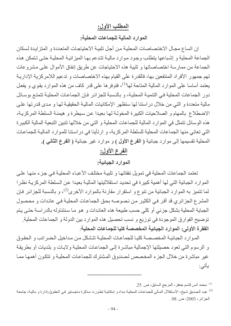# المطلب الأول:

الموارد المالية للجماعات المحلية:

إن اتساع مجـال الاختصـاصـات المحليـة مـن أجـل تلبيـة الاحتياجـات المتعددة و المتز ايـدة لـسكان الجماعة المحلية و إشباعها يتطلب وجود موارد مالية تتدعم بها الميزانية المحلية حتى تتمكن هذه الجماعة من ممارسة اختصاصاتها و تلبية هذه الاحتياجات عن طريق إنفاق الأموال على مشروعات تهم جمهور الأفراد المنتفعين بها، فالقدرة على القيام بهذه الاختصاصات و تدعيم اللامركزية الإدارية يعتمد أساسا على الموارد المالية المتاحة لها<sup>(1)</sup>، فتوفر ها على قدر كاف من هذه الموارد يقوى و يفعل دور الجماعات المحلية في التنمية المحلية، و بالنسبة للجزائر فإن الجماعات المحلية تتمتع بوسائل مالية متعددة و التي من خلال در استنا لها ستظهر الإمكانيات المالية الحقيقية لها و مدى قدرتها على الاضطلاع بالمهام و الصلاحيات الكبيرة المخولة لها بعيدا عن سيطرة و هيمنة السلطة المركزية، هذه الوسائل تتمثّل في الموارد المالية للجماعات المحلية و التي من خلالها تتبين التبعية المالية الكبيرة التي تعاني منها الجماعات المحلية للسلطة المركزية، و ارتأينا في دراستنا للموارد المالية للجماعات المحلية تقسيمها إلى موارد جبائية ( الفرع الأول ) و موارد غير جبائية ( الفرع الثاني ).

# الفرع الأول:

#### الموارد الجبائية:

تعتمد الجماعات المحلية في تمويل نفقاتها و تلبيـة مختلف الأعبـاء المحليـة فـي جزء منهـا علـي الموارد الجبائية التي لها أهمية كبيرة في تحديد استقلاليتها المالية بعيدا عن السلطة المركزية نظرا لما تتميز به الموارد الجبائية من تنوع و استقرار مقارنة بالموارد الأخرى<sup>(2)</sup>، و بالنسبة للجزائر فإن المشرع الجزائري قد أقر في الكثير من نصوصه بحق الجماعات المحلية في عائدات و محصول الجباية المحلية بشكل جزئي أو كلى حسب طبيعة هذه العائدات و هو مـا سنتناوله بالدراسـة حتـى يتم توضيح الفوارق الموجودة في توزيع و نسب تحصيل هذه الموارد بين الدولة و الجماعات المحلية. الفقرة الأولى: الموارد الجبائية المخصصة كليا للجماعات المحلية:

الموارد الجبائية المخصصة كليا للجماعات المحلية تتشكل من مداخيل الضرائب و الحقوق و الرسوم التي تعود حصيلتها الإجمالية مباشرة إلى الجماعات المحلية ولايات و بلديات أو بطريقة غير مباشرة من خلال الجزء المخصص لصندوق المشترك للجماعات المحلية و تتكون أهمها مما يأتي:

(1) محمد أنس قاسم جعفر ، المرجع السابق، ص 25.

<sup>&</sup>lt;sup>(2)</sup> عبد الصديق شيخ، الاستقلال المـالي للجماعـات المحليـة مداه و إمكانيـة تطوره، مذكرة ماجستير فـي الحقوق،إدارة و ماليـة، جامعـة الجزائر ، 2003، ص. 08 .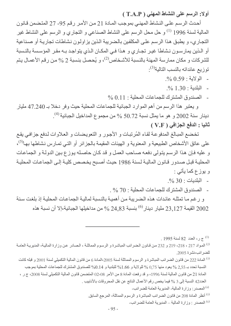أولا: الرسم على النشاط المهنى ( T.A.P )

أحدث الرسم على النشاط المهنى بموجب المادة 21 من الأمر رقم 95- 27 المتضمن قانون المالية لسنة 1996 <sup>(1)</sup> و حل محل الرسم على النشاط الصناعي و التجاري و الرسم على النشاط غير التجاري، و يطبق هذا الرسم على المكلفين بالضريبة الذين يزاولون نشاطات تجارية أو صناعية أو الذين يمارسون نشاطا غير تجاري و هذا في المكان الذي يتواجد بـه مقر المؤسسة بالنسبة للشركات و مكان ممارسة المهنة بالنسبة للأشخاص $^{(2)}$ ، و يُحصل بنسبة 2 % من رقم الأعمـال يتم نو زيع عائداته بالنسب التالية<sup>(3)</sup>:

- الولاية: 0.59 $^{+}$
- البلدية: 1.30 %.

- الصندوق المشترك للجماعات المحلية : 0.11 %

و يعتبر هذا الرسم من أهم الموارد الجبائية للجماعات المحلية حيث وفر دخلا بـ 47.240 مليار دينار سنة 2002 و هو ما يمثل نسبة 50.72 % من مجموع المداخيل الجبائية $^{(4)}$ . ثانيا : الدفع الجزافي ( V.F )

تخضع المبالغ المدفوعة لقاء المُرتبات و الأجور و التعويضات و العلاوات لدفع جزافي يقع على عاتق الأشخاص الطبيعية و المعنوية و الهيئات المقيمة بالجزائر أو التي تمارس نشاطها بها<sup>(5)</sup>، و عليه فإن هذا الرسم يتولى دفعه صاحب العمل و قد كان حاصله يوزع بين الدولة و الجماعات المحلية قبل صدور قانون المالية لسنة 1986 حيث أصبح يخصص كلية إلى الجماعات المحلية و پوز ع کما یأتی :

- $\%30:$ البلديات 30  $^{\circ}$
- الصندوق المشترك للجماعات المحلية : 70 % .

و رغم ما تمثله عائدات هذه الضريبة من أهمية بالنسبة لمالية الجماعات المحلية إذ بلغت سنة القيمة 23,127 مليار دينار<sup>(6)</sup> بنسبة 24,83 % من مداخيلها الجبائية،إلا أن نسبة هذه  $2002$ 

. 1995 إلى العدد 82  $1995$ 

<sup>(3)</sup> المادة 222 من قانون الضرائب المباشرة و الرسوم المماثلة لسنة 2005،المادة 6 من قانون المالية التكميلي لسنة 2001 و قبله كانت النسبة تحدد بـ 2,55 % يعود منها 0,75 % للولاية و 1.66% للبلدية و 0.14% للصندوق المشترك للجماعات المحلية بموجب المادة 21 من قانون المالية لسنة 1996، و قد رفعت المادة 8 من الأمر 08-02 المتضمن قانون المالية التكميلي لسنة 2008، ج ر ، العدد42 النسبة إلى 3 % فيما يخص رقم الأعمال الناتج عن نقل المحروقات بالأنابيب .

<sup>(4)</sup> المصدر : و ز ار ة المالية- المدير ية العامة للضر ائب-

<sup>(5)</sup> أنظر المادة 208 من قانون الضرائب المباشرة و الرسوم المماثلة، المرجع السابق<sub>.</sub>

(6) المصدر : وزارة المالية ــ المديرية العامة للضرائب-

<sup>&</sup>lt;sup>(2)</sup> المواد 217 ، 218، 219 و 232 من قانون الضرائب المباشرة و الرسوم المماثلة ، الصادر عن وزارة المالية، المديرية العامة للضر ائب،نشر ۃ 2005.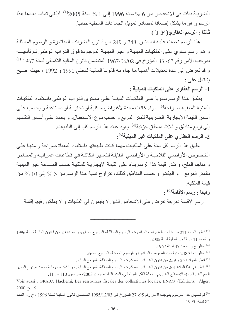الضريبة بدأت في الانخفاض من 6 % سنة 1996 إلى 1 % سنة 2005<sup>(1)</sup> ليلغي تمامـا بعدها هذا الرسم و هو ما يشكل إضعافا لمصادر نمويل الجماعات المحلية جبائيا. ثالثا : الرسم العقارى ( T.F )

هذا الرسم نصت عليه المادتان 248 و 249 من قانون الضرائب المباشرة و الرسوم المماثلة و هو رسم سنوي على الملكيات المبنية و غير المبنية الموجودة فوق التراب الوطني تم تأسيسه بموجب الأمر رقم 67- 83 المؤرخ في 1967/06/02 المتضمن قانون المالية التكميلي لسنة 1967 (2) و قد تعرض إلى عدة تعديلات أهمها ما جاء بـه قانونـا الماليـة لسنتي 1991 و 1992 ، حيث أصبح بشتمل على ·

1- الرسم العقاري على الملكيات المبنية :

يطبق هذا الرسم سنويا على الملكيات المبنية على مستوى التراب الوطني باستثناء الملكيات المبنيـة المعفيـة صـر احة<sup>(3)</sup> سـواء كانـت معدة لأغـر اض سكنية أو تجاريـة أو صـنـاعية و يحسب علـى أساس القيمة الإيجارية الضريبية للمتر المربع و حسب نوع الاستعمال، و يحدد على أساس التقسيم إلى أربع مناطق و ثلاث مناطق جزئية<sup>(4)</sup>. يعود عائد هذا الرسم كليا إلى البلديات<sub>.</sub> 2- الرسم العقاري على الملكيات غير المبنية<sup>(5)</sup>:

يطبق هذا الرسم كل سنة على الملكيات مهما كانت طبيعتها باستثناء المعفاة صراحة و منها على الخصوص الأر اضبي الفلاحية و الأر اضبي القابلة للتعمير الكائنـة في قطـاعـات عمر انيـة و المحـاجر و مناجم الملح، و تقدر قيمة هذا الرسم بناء على القيمة الإيجارية للملكية حسب المساحة غير المبنية بالمتر المربع أو الهكتار وحسب المناطق كذلك، تتراوح نسبة هذا الرسم من 3 % إلى 10 % من قيمة الملكية

رابعا : رسم الإقامة<sup>(6)</sup> :

ر سم الإقامة نعر يفة نفر ض على الأشخاص الذين لا يقيمون في البلديات و لا يملكون فيها إقامة

(1) أنظر المادة 211 من قانون الضرائب المباشرة و الرسوم المماثلة، المرجع السابق، و المادة 20 من قانون المالية لسنة 1996 و المادة 11 من قانون المالية لسنة 2005.

(2) أنظر ج ر، العدد 47 لسنة 1967.

<sup>(3)</sup> أنظر المادة 248 من قانون الضرائب المباشرة و الرسوم المماثلة، المرجع السابق<sub>.</sub>

<sup>(4)</sup> أنظر المواد 257 و 259 من قانون الضرائب المباشرة و الرسوم المماثلة، المرجع السابق<sub>.</sub>

<sup>(5)</sup> انظر في هذا المادة 261 من قانون الضرائب المباشرة و الرسوم المماثلة، المرجع السابق ، و كذلك بودربالـة محمد عبدو ( المدير العام للضررائب )- الإصلاح الضريبي، مجلة الفكر البرلماني، العدد الثالث، جوان 2003، ص ص. 110 - 111.

Voir aussi : GRABA Hachemi, Les ressources fiscales des collectivités locales, ENAG /Editions, Alger, 2000, p. 19.

<sup>(6)</sup> تم تأسيس هذا المرسوم بموجب الأمر رقم 95- 27 المؤرخ في 1995/12/03 المتضمن قانون المالية لسنة 1996 ، ج ر، العدد 82 لسنة 1995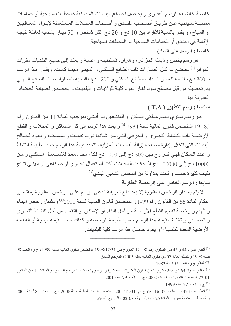خاصية خاضعة للرسم العقاري و يُحصل لصالح البلديات المصنفة كمحطات سياحية أو حمامات معدنيــة سـباحية عـن طريــق أصـــحاب الفنــادق و أصــحاب المحــلات المـستعملة لإيــواء المعــالجين أو السياح، و يقدر بالنسبة للأفراد بين 10 دج و 20 دج لكل شخص و 50 دينار بالنسبة لعائلة نتيجة الإقامة في الفنادق أو الحمامات السياحية أو المحطات السياحية. خامسا : الرسم على السكن

هو رسم يخص ولايات الجزائر، وهران، قسنطينة و عنابـة و يمتد إلـى جميـع البلديات مقرات الـدوائر<sup>(1)</sup> تخضع لــه كـل العمــارات ذات الطــابع الـسكني و المـهنــي مـهمـا كـانـت، ويقـدر هـذا الرسـم بـ 300 دج بالنسبة للعمـار ات ذات الطـابـع الـسكني و 1200 دج بالنسبة للعمـار ات ذات الطـابـع المـهنـي يتم تحصيله من قبل مصالح سونا لغار يعود كلية للولايات و البلديات و يخصص لصيانة الحضائر العقار بة بها

سادسا : رسم التطهير ( T.A )

هـو رسـم سـنوي بـاسـم مـالكي الـسكن أو المنتفعـين بـه أنـشـئ بموجـب المـادة 11 مـن القـانون رقـم 83- 19 المتضمن قانون المالية لسنة 1984 <sup>(2)</sup> و يمتد هذا الرسم إلى كل المساكن و المحلات و القطع الأرضية ذات النشاط التجاري و الحرفي التي من شأنها ترك نفايات و قمامات، و يعود لصالح البلديات التي تتكفل بإدارة مصلحة إزالة القمامات المنزلية، تتحدد قيمة هذا الرسم حسب طبيعة النشاط و عدد السكان فهي تتراوح بين 500 دج إلى 1000 دج لكل محل معد للاستعمال السكني و من 10000 دج إلىي 100000 دج إذا كانت المحلات ذات استعمال تجـاري أو صـناعي أو مهنـي تنـتج نُفيات كثيرة حسب و تحدد بمداولة من المجلس الشعبي البلدي<sup>(3)</sup>.

سابعا : الرسم الخاص على الرخصة العقارية

لا يتم إصدار الرخص العقارية إلا بعد دفع تعريفة تدعى الرسم على الرخص العقارية بمقتضى أحكام المادة 55 من القانون رقم 99-11 المتضمن قانون المالية لسنة 2000<sup>(4)</sup> وتشمل رخص البنـاء و المهدم و رخصة تقسيم القطع الأرضية من أجل البناء أو الإسكان أو التقسيم من أجل النشاط التجاري و الصناعي و تختلف قيمة هذا الرسم حسب طبيعة الرخصة و كذلك حسب قيمة البناية أو القطعة الأرضية المعدة للتقسيم<sup>(5)</sup> و يعود حاصل هذا الرسم كلية للبلديات<sub>.</sub>

أنظر ج ر، العدد 55 لسنة 1983. [2]

<sup>(3)</sup> أنظر المواد 263 و 263 مكرر 2 من قانون الضرائب المباشرة و الرسوم المماثلـة، المرجع السابق، و المـادة 11 من القـانون 22-01 المتضمن قانون المالية لسنة 2002، ج ر ، العدد 79 لسنة 2001.

<sup>(4)</sup> ج ر ، العدد 92 لسنة 1999.

<sup>&</sup>lt;sup>(1)</sup> أنظر المواد 44 و 45 من القانون رقم 98- 12 المؤرخ في 1998/12/31 المتضمن قانون المالية لسنة 1999، ج ر، العدد 98 لسنة 1998 و كذلك المادة 07 من قانون المالية لسنة 2003، المرجع السابق ِ

<sup>2005 )</sup> انظر المادة 49 من القانون 05-16 المؤرخ في 2005/12/31 المتضمن قانون المالية لسنة 2006 ، ج ر، العدد 85 لسنة 2005 و المعدلة و المتممة بموجب المادة 25 من الأمر رقم 08-02 ، المرجع السابق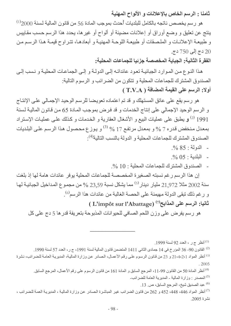ثامنا : الرسم الخاص بالإعلانات و الألواح المهنية

هو رسم يخصص ناتجه بالكامل للبلديات أحدث بموجب المادة 56 من قانون المالية لسنة 2000<sup>(1)</sup> ينتج عن تعليق و وضع أوراق أو إعلانات مضيئة أو ألواح أو غير ها، يحدد هذا الرسم حسب مقاييس و طبيعة الإعلانات و الملصقات أو طبيعة اللوحة المهنية و أبعادها، تتراوح قيمة هذا الرسم من دج إلى 750 دج.

الفقرة الثانية: الجباية المخصصة جزئيا للجماعات المحلية:

هذا النوع من الموارد الجبائية تعود عائداتـه إلـى الدولـة و إلـى الجماعـات المحليـة و نـسب إلـى الصندوق المشترك للجماعات المحلية و تتكون من الضرائب و الرسوم التالية: أولا: الرسم على القيمة المضافة ( T.V.A )

هو رسم يقع على عاتق المستهلك و قد تم اعتماده تعويضا للرسم الوحيد الإجمالي على الإنتاج و الرسم الوحيد الإجمالي على إنتاج الخدمات و قد فرض بموجب المـادة 65 مـن قـانون المـاليـة لـسنـة 1991 <sup>(2)</sup> و يطبق على عمليات البيع و الأشغال العقارية و الخدمات و كذلك على عمليات الإستراد بمعدل منخفض قدره 7 % و بمعدل مرتفع 17 % <sup>(3)</sup> و يوز ع محصول هذا الرسم على البلديات الصندو ق المشتر ك للجماعات المحلبة و الدولة بالنسب التالبة<sup>(4)</sup>:

- $\frac{0}{0}$  85 : الدولة -
- $\frac{0}{20}$  05 : البلدية -
- الصندوق المشترك للجماعات المحلية : 10 %.

إن هذا الرسم رغم نسبته الصغير ة المخصصة للجماعات المحلية يو فر عائدات هامة لها إذ بلغت سنة 2002 مثلا 21,972 مليار دينار<sup>(5)</sup> مما يشكل نسبة 23,59 % من مجموع المداخيل الجبائية لها و رغم ذلك تبقى الدولة مهيمنة على الحصة الغالبة من عائدات هذا الرسم<sup>(6)</sup>.

ثانيا: الرسم على المذابح<sup>(7)</sup> (L'impôt sur l'Abattage )

هو رسم يفرض على وزن اللحم الصافي للحيوانات المذبوحة بتعريفة قدر ها 5 دج على كل

أنظر ج ر ، العدد 92 لسنة 1999.

القانون 90- 36 المؤرخ في 14 جمادي الثاني 1411 المتضمن قانون المالية لسنة 1991، ج ر ، العدد 57 لسنة 1990. "

<sup>(3)</sup> أنظر المواد 21،4،2،1 و 23 من قانون الرسوم على رقم الأعمال، الصادر عن وزارة المالية، المديرية العامة للضرائب، نشرة  $.2005$ 

<sup>(4)</sup> أنظر المادة 50 من القانون 99-11، المرجع السابق و المادة 161 من قانون الرسوم على رقم الأعمال، المرجع السابق<sub>.</sub>

(5) المصدر : وزارة المالية - المديرية العامة للضرائب-

<sup>(6)</sup> عبد الصديق شيخ، المرجع السابق، ص. 13.

<sup>(7)</sup> أنظر المواد 446، 448، 452 و 262 من قانون الضرائب غير المباشرة الصادر عن وزارة المالية ، المديرية العمة للضرائب ، نشر ۃ 2005.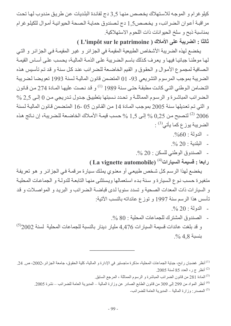كيلو غرام و الموجه للاستهلاك يخصص منها 3٫5 دج لفائدة البلديات عن طريق مندوب لها تحت مراقبـة أعوان الضرائب، و يخصص5,1 دج لصندوق حمايـة الصحة الحيوانيـة أموال للكيلوغرام بمناسبة ذبح و سلخ الحيوانات ذات اللحوم الاستهلاكية.

ثالثا : الضريبة على الأملاك ( L'impôt sur le patrimoine )

يخضع لهذه الضريبة الأشخاص الطبيعية المقيمة في الجزائر و غير المقيمة في الجزائر و التي لها موطنـا جبائيـا فيهـا و يعرف كذلك باسم الـضريبة علـى الذمـة الماليـة، يحسب علـى أسـاس القيمـة الصافية لمجموع الأموال و الحقوق و القيم الخاضعة للضرائب عند كل سنة و قد تم تأسيس هذه الضريبة بموجب المرسوم التشريعي 93- 01 المتضمن قانون المالية لسنة 1993 تعويضا لضريبة التضامن الوطني التي كانت مطبقة حتى سنة 1989 <sup>(1)</sup> و قد نصت عليها المـادة 274 من قـانون المضرائب المباشرة و الرسوم المماثلة و تحدد نسبتها بتطبيق جدول تدريجي من 0 إلى 2,5 % و التي تم تعديلها سنة 2005 بموجب المادة 14 من القانون 05 -16 المتضمن قانون المالية لسنة لتصبح من 0,25  $\%$  إلى 1,5 % حسب قيمـة الأمـلاك الخاضـعة للـضريبة، إن نــاتج هذه  $^{(2)}$  2006 الضريبة يوز ع كما يأتي<sup>(3)</sup> :

- الدولة: 60%.
- $\frac{0}{20}$  البلدية: 20 %.
- الصندوق الوطني للسكن : 20 %.

(ابعا : قسيمة السيارات<sup>(4)</sup> (La vignette automobile)

يخضع لهذا الرسم كل شخص طبيعي أو معنوى يملك سبارة مرقمة في الجزائر و هو تعريفة منغير ة حسب نـوع الـسيار ة و سنـة بـدء استعمالها ويستثني منهـا التابعـة للدولـة و الجماعـات المحليـة و السبارات ذات المعدات الصحبة و تسدد سنويا لدى قباضـة الـضرائب و البريد و المواصـلات و قد تأسس هذا الرسم سنة 1997 و توزع عائداته بالنسب الآتية:

- الدولة: 20 %.

- الصندو ق المشتر ك للجماعات المحلية : 80 %. و قد بلغت عائدات قسيمة السيار ات 4,476 مليار دينار بالنسبة للجماعات المحلية لسنة 2002<sup>(5)</sup>  $\frac{0}{0}$ 4.8 بنسبة

<sup>(3)</sup> المادة 281 من قانون الضرائب المباشرة و الرسوم المماثلة ، المرجع السابق ِ

<sup>(4)</sup> أنظر المواد من 299 إلى 309 من قانون الطابع الصادر عن وزارة المالية ــ المديرية العامة للضرائب ــ نشرة 2005.

(5) المصدر : وزارة المالية – المديرية العامة للضرائب-

<sup>&</sup>lt;sup>(1)</sup> أنظر غضبان رابح، جباية الجماعات المحلية، مذكرة ماجستير في الإدارة و المالية، كلية الحقوق، جامعة الجزائر،2002، ص<sub>.</sub> 24. أنظر ج ر، العدد 85 لسنة 2005.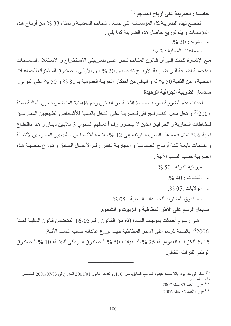خامسا : الضريبة على أرباح المناجم <sup>(1)</sup> تخضع لهذه الضريبة كل المؤسسات التي تستغل المناجم المعدنية و تمثل 33 % من أرباح هذه المؤسسات و يتم توزيع حاصل هذه الضريبة كما يلي :  $\frac{0}{20}$  30 : الدولة م

- الجماعات المجلية · 3 %

مـع الإشـارة كـذلك إلـى أن قـانون المنـاجم نـص علـى ضـريبتي الاسـتخراج و الاسـتغلال للمـساحات المنجمية إضافة إلى ضريبة الأرباح تخصص 20 % من الأولى للصندوق المشترك للجماعات المحلية و من الثانية 50 % له و الباقي من احتكار الخزينة العمومية بـ 80 % و 50 % على التوالي. سادساء الضربية الجز افية الوحيدة

أحدثت هذه الضريبة بموجب المـادة الثانيـة مـن القـانون رقم 06-24 المتـضمن قـانون المـاليـة لـسنة 2)2007 و تحل محل النظام الجزافي للضريبة على الدخل بالنسبة للأشخاص الطبيعيين الممارسين للنشاطات التجارية و الحر فيين الذين لا يتجاوز رقم أعمـالهم السنوي 3 ملايـين دينـار و هذا باقتطـاع نسبة 6 % تمثل قيمة هذه الضريبة لترتفع إلى 12 % بالنسبة للأشخاص الطبيعيين الممارسين لأنشطة و خدمات تابعــة لفئــة أربــاح الـصناعيـة و التجاريــة لـنفس رقـم الأعمــال الـسابق و تـوز ع حـصبلة هـذه الضريبة حسب النسب الآتية :

- ميز انية الدولة: 50 %.
	- $-$ البلديات: 40 %.
	- $\%$  0.5 إلى لايات -0.5  $^{\circ}$
- الصندوق المشترك للجماعات المحلية : 05 %.

سابعا: الرسم على الأطر المطاطية و الزيوت و الشحوم

هي رسوم أحدثت بموجب المـادة 60 مـن القـانون رقـم 05-16 المتـضمن قـانون الماليـة لـسنة 2006<sup>(3)</sup> بالنسبة للر سم على الأطر المطاطية حيث تو ز ع عائداته حسب النسب الآتية:

15 % للخزينــة العموميــة، 25 % للبلـديات، 50 % للـصندوق الـوطني للبيئــة، 10 % للـصندوق الوطني للتراث الثقافي.

أنظر في هذا بودربالة محمد عبدو ، المرجع السابق، ص. 116. و كذلك القانون 2001/01 المؤرخ في 2001/07/03 المتضمن  $^{(1)}$ قانون المناجم 2007. ج ر ، العدد 85 لسنة 2007.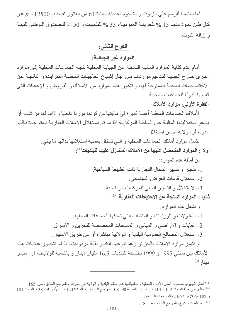أما بالنسبة للرسم على الزيوت و الشحوم فحددته المادة 61 من القانون نفسه بـ 12500 د ج عن كل طن تعود منهـا 15 % للخزينــة العموميـة، 35 % للبلـديات و 50 % للـصندوق الـوطني للبيئـة و إزالة التلوث.

# الفرع الثاني:

الموارد غير الجبائية:

أمام عدم كفاية الموارد المالية الناتجة عن الجباية المحلية تتجه الجماعات المحلية إلى موارد أخرى خـارج الجبايــة لتدعيم مواردهـا مـن أجـل إشـباع الحاجيـات المحليـة المتزايـدة و الناتجـة عـن الاختصاصات المحلية الممنوحة لها، و تتكون هذه الموارد من الأملاك و القروض و الإعانـات التبي تقدمها الدولة للجماعات المحلبة

الفقرة الأولى: موارد الأملاك

لأملاك الجماعات المحلية أهمية كبيرة في ماليتها من كونها موردا داخليا و ذاتيا لها من شـأنـه أن يدعم اسنقلاليتها المالية عن السلطة المركزية إذا مـا تم استغلال الأمـلاك العقاريـة المتواجدة بـإقليم الدولة أو الولاية أحسن استغلال

نشمل موارد أملاك الجماعات المحلية و التي نستقل بعملية استغلالها بذاتها ما يأتي:

- أو لا : المو ار د المتحصل عليها من الأملاك المتناز ل عليها للبلديات $^{(1)}$ :
	- من أمثلة هذه المو ار د:
	- 1- تأجير و تسبير المحال التجار بة ذات الطبيعة السياحية.
		- 2- استغلال قاعات العرض السينمائي.
		- 3- الاستغلال و التسيير المالي للمركبات الرياضية.

ثانيا : الموارد الناتجة عن الاحتياطات العقارية 2).

- و تشمل هذه الموارد:
- 1- المقاولات و الورشات و المنشآت التي تملكها الجماعات المحلية .
- 2- الغابات و الأراضي و المباني و المساحات المخصصة للتخزين و الأسواق.
- 3- استغلال المصالح العمومية البلدية و الولائية مباشرة أو عن طريق الامتياز .

و نتميز موارد الأملاك بالجزائر رغم تنوعها الكبير بقلة مردوديتها إذ لم تتجاوز عائدات هذه الأملاك بين سنتي 1995 و 1999 بالنسبة للبلديات 16,5 مليار دينار و بالنسبة للولايات 1,1 مليار دينار <sup>(3)</sup>.

عبد الصديق شيخ، المر جع السابق، ص. 18. [1]

<sup>&</sup>lt;sup>(1)</sup> أنظر شيهوب مسعود، أسس الإدارة المحلية و تطبيقاتها على نظام البلدية و الولاية في الجزائر، المرجع السابق، ص 165.

<sup>&</sup>lt;sup>(2)</sup> أنظر في هذا المـواد 112 و 114 مـن قـانون البلديـة 90- 08، المرجـع الـسابق، و المـادة 123 مـن الأمـر 69-38 و المـواد 181 و 182 من الأمر 24/67، المرجعان السابقان.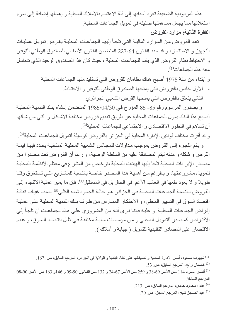هذه المردودية الضعيفة تعود أسبابها إلى قلة الاهتمام بالأملاك المحلية و إهمالها إضافة إلى سوء استغلالها مما يجعل مساهمتها ضئيلة في تمويل الجماعات المحلية. الفقرة الثانية: موارد القروض

تعد القروض من الموارد المالية التي تلجأ إليها الجماعات المحلية بغرض تمويل عمليات التجهيز و الاستثمار، و قد حدد القانون 64-227 المتضمن القانون الأساسي للصندوق الوطني للتوفير و الاحتياط نظام القروض الذي يقدم للجماعات المحلية ، حيث كان هذا الصندوق الوحيد الذي تتعامل معه هذه الحماعات<sup>(1)</sup>

> و ابتداء من سنة 1975 أصبح هناك نظامان للقروض التي تستفيد منها الجماعات المحلية - الأول خاص بالقروض التي يمنحها الصندوق الوطني للتوفير و الاحتياط - الثاني يتعلق بالقروض التي يمنحها القرض الشعبي الجزائري.

و بصدور المرسوم رقم 85- 85 المؤرخ في 1985/04/30 المتضمن إنشاء بنك التنمية المحلية أصبح هذا البنك يمول الجماعات المحلية عن طريق نقديم قروض مختلفة الأشكال و التبي من شـأنها أن تساهم في التطور الاقتصادي و الاجتماعي للجماعات المحلية<sup>(2)</sup>.

و قد أقرت مختلف قوانين الإدارة المحلية في الجزائر بالقروض كوسيلة لتمويل الجماعات المحلية<sup>(3)</sup>.

و يتم اللجوء إلى القروض بموجب مداولات للمجالس الشعبية المحلية المنتخبة يحدد فيها قيمة القرض و شكله و مدته ليتم المصادقة عليه من السلطة الوصية، و رغم أن القروض تعد مصدرا من مصادر الإير ادات المحلية تلجأ إليها الهيئات المحلية بتر خيص من المشر ع في معظم الأنظمـة المحليـة لتمويل مشروعاتها، و بالرغم من أهمية هذا المصدر خاصية بالنسبة للمشاريع التي تستغرق وقتا طويلا و لا يعود نفعها في الغالب الأعم في الحال بل في المستقبل<sup>(4)</sup>، فإن ما يميز عملية الالتجاء إلـي القروض بالنسبة للجماعات المحلية في الجزائر هو حالـة الجمود شبه الكلـي<sup>(5)</sup> بسبب غيـاب ثقافـة اقتصاد السوق في التسبير المحلي، و الاحتكار الممـارس من طرف بنك التنميـة المحليـة علـى عمليـة إقراض الجماعات المحلية. و عليه فإننا نرى أنه من الضروري على هذه الجماعات أن تلجأ إلى الاقتراض كمصدر للتمويل المحلي و من مؤسسات مالية مختلفة في ظل اقتصاد السوق، و عدم الاقتصار على المصادر التقليدية للتمويل ( جباية و أملاك ).

<sup>(1)</sup> شيهوب مسعود، أسس الإدارة المحلية و تطبيقاتها على نظام البلدية و الولاية في الجزائر ، المرجع السابق، ص. 167.

<sup>(2)</sup> غضبان رابح، المرجع السابق، ص. 53.

- <sup>(3)</sup> أنظـر المـواد 114 مـن الأمـر 69-38 و 259 مـن الأمـر 67-24 و 132 مـن القـانون 90-09 و 146و 163 مـن الأمـر 90-08 المر اجع السابقة
	- عادل محمو د حمدي، المر جع السابق، ص. 213. [21]
		- (5) عبد الصديق شيخ، المرجع السابق، ص 20.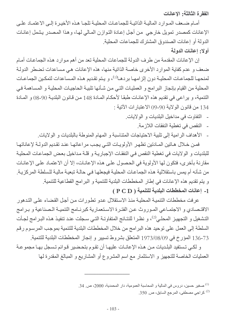الفقرة الثالثة: الاعانات

أمـام ضـعف المـو ار د الماليـة الذاتيـة للجماعـات المحليـة تلجـا هـذه الأخيـر ة إلـى الاعتمـاد علـى الإعانات كمصدر تمويل خارجي من أجل إعادة التوازن المالي لها، و هذا المصدر يشمل إعانـات الدولة أو إعانات الصندوق المشترك للجماعات المحلية. أولا: اعانات الدولة

إن الإعانات المقدمة من طرف الدولة للجماعات المحلية تعد من أهم موارد هذه الجماعات أمام ضعف و عدم كفاية الموارد الأخرى خاصة الذاتية منها، هذه الإعانات هي مساعدات تضطر الدولة لمنحهـا للجماعـات المحليـة دون إلزامهـا بردهـا<sup>(1)</sup>، و يـتم تقديم هـذه المـساعدات لتمكـين الجماعـات المحلية من القيام بإنجاز البرامج و العمليات التي من شأنها تلبية الحاجيات المحلية و المساهمة في التنمية، و يراعي في نقديم هذه الإعانـات طبقـا لأحكـام المـادة 148 من قـانون البلديـة 90-08 و المـادة 134 من قانون الولاية 90-09 الاعتبارات الآتية :

- النفاوت في مداخيل البلديات و الولايات.
	- النقص في تغطية النفقات اللازمة.
- الأهداف الرامية إلى تلبية الاحتياجات المتناسبة و المهام المنوطة بالبلديات و الولايات.

فمن خلال هـاتين المـادتين تظهر الأولويـات التـى يجب مراعاتهـا عند تقديم الدولــة لإعاناتهـا للبلديات و الولايات في تغطية النقص في النفقات الإجبارية و قلـة مداخيل بعض الجماعـات المحليـة مقارنة بأخرى، فتكون لها الأولوية في الحصول على هذه الإعانـات، إلا أن الاعتمـاد علـى الإعانـات من شأنه أم يمس باستقلالية هذه الجماعات المحلية فيجعلها في حالـة تبعيـة ماليـة للـسلطـة المركزيـة ِ و يتم تقديم هذه الإعانات في إطار المخططات البلدية للتنمية و البرامج القطاعية للتنمية. 1- إعانات المخططات البلدية للتنمية ( P C D )

عرفت مخططات التنمية المحلية منذ الاستقلال عدو تطورات من أجل القضاء على التدهور الاقتـصـادي و الاجتمـاعي المـوروث عـن الفتـرة الاسـتعمارية كبرنــامج التنميــة الـصناعية و بـرامج التشغيل و التجهيز المحلـى<sup>(2)</sup>، و نظـرا للنتـائج المتفاوتـة التـى سـجلت عنـد تنفيـذ هـذه البـرامج لجـأت السلطة إلى العمل على توحيد هذه البرامج من خلال المخططات البلدية للتنمية بموجب المرسوم رقم 73-136 المؤرخ في 973/08/09 المتعلق بشروط تسيير و إنجاز المخططات البلدية للتنمية.

و لكـي تـستفيد البلـديات مـن هـذه الإعانــات عليهـا أن تقـوم بتحـضير قـوائم تـسـجل بـهـا مجموعـة العمليات الخاصة للتجهيز و الاستثمار مع اسم المشروع أو المشاريع و المبالغ المقدرة لها

- <sup>(1)</sup> صغير حسين، دروس في المالية و المحاسبة العمومية، دار المحمدية، 2000، ص 34.
	- <sup>(2)</sup> كراجي مصطفى، المرجع السابق، ص. 350.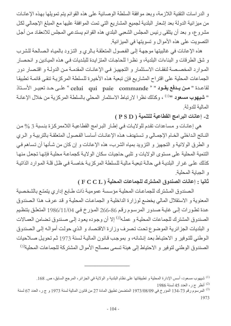و الدراسات النقنية اللازمة، وبعد موافقة السلطة الوصائية على هذه القوائم يتم تمويلها بهذه الإعانـات من ميز انية الدولة بعد إشعار البلدية لجميع المشاريع التي تمت الموافقة عليها مع المبلغ الإجمالي لكل مشروع، و بعد أن يتلقى رئيس المجلس الشعبي البلدي هذه القوائم يستدعى المجلس للانعقاد من أجل التصويت على هذه الأموال و تسويتها في الميزانية.

هذه الإعانات في غالبيتها موجهة إلى الفصول المتعلقة بالري و التزود بالمياه الصالحة للشرب و شق الطرقات و البناءات البلدية، و نظرا للحاجات المتزايدة للبلديات في هذه الميادين و انحصار الموارد المخصصة لنفقات الاستثمار و التجهيز في الإعانات المقدمة من الدولـة و اقتصار دور الجماعات المحلية على اقتراح المشاريع فإن تبعية هذه الأخيرة للسلطة المركزية تنقى قائمة تطبيقا لقاعدة " من يدفع يقود " « celui qui paie commande " على حد تعبير الأستاذ " **شيهوب مسعود** "<sup>(1)</sup> ، وكذلك نظرا لارتباط الاستثمار المحلي بالسلطة المركزية من خلال الإعانـة المالية للدولة

2- إعانات البرامج القطاعية للتنمية ( P S D )

هي إعانات و مساعدات تقدم للولايات في إطار البرامج القطاعية اللاممركزة بنسبة 3 % من الناتج الداخلي الخام الإجمالي و تستهدف هذه الإعانات أساسا الفصول المتعلقة بالتربية و الري و الطرق الولائية و التجهيز و التزويد بمياه الشرب، هذه الإعانات و إن كان من شـأنها أن تساهم فـي التنمية المحلية على مستوى الو لايات و تلبي حاجيات سكان الو لايـة كجماعـة محليـة فإنـهـا تجعل منهـا كذلك على غرار البلدية في حالـة تبعيـة ماليـة للسلطـة المركز يـة خاصـة في ظل قلـة المـوار د الذاتيـة و الجبابة المحلبة

ثانيا : إعانات الصندوق المشترك للجماعات المحلية ( F C C L )

الصندوق المشترك للجماعات المحلية مؤسسة عمومية ذات طابع إداري يتمتع بالشخصية المعنوية و الاستقلال المالي يخضع لوزارة الداخلية و الجماعات المحلية و قد عرف هذا الصندوق عدة تطورات إلـى غايـة صـدور المرسـوم رقم 86-266 المـؤرخ فـي 1986/11/04 المتعلـق بتنظـيم الصندوق المشترك للجماعات المحلية و عمله<sup>(2)</sup> إلا أن وجوده يعود إلى صندوق تضامن العمالات و البلديات الجزائرية الموضوع تحت تصرف وزارة الاقتصاد و الذي حولت أمواله إلى الصندوق الوطني للتوفير و الاحتياط بعد إنشائه، و بموجب قانون المالية لسنة 1973 ثم تحويل صلاحيات الصندوق الوطني لتوفير و الاحتياط إلى هيئة تسمى مصالح الأموال المشتركة للجماعات المحلية<sup>(3)</sup>

 $1986$  أنظر ج ر، العدد 45 لسنة 1986

<sup>&</sup>lt;sup>(1)</sup> شيهوب مسعود، أسس الإدارة المحلية و تطبيقاتها على نظام البلدية و الولاية في الجزائر ، المرجع السابق، ص<sub>. 168.</sub>

<sup>&</sup>lt;sup>(3)</sup> المرسوّم رقم 73-134 المؤرخ في 973/08/09 المتضمن تطبيق المادة 27 من قانون المالية لسنة 1973 و ج ر ، العدد 67 لسنة 1973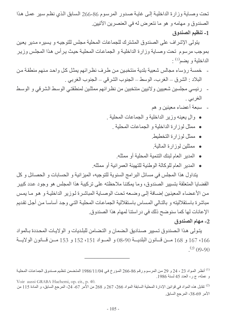تحت وصباية وزارة الداخلية إلى غاية صدور المرسوم 86-266 السابق الذي نظم سير عمل هذا الصندوق و مهامه و هو ما نتعرض له في العنصرين الآتيين. 1- تنظيم الصندوق

يتولى الإشراف على الصندوق المشترك للجماعات المحلية مجلس للتوجيه و يسيره مدير يعين بموجب مرسوم تحت وصـاية وزارة الداخلية و الجماعـات المحليـة حيث يرأس هذا المجلس وزير  $\cdot$  الداخلبة و بضم $^{(1)}$ 

- خمسة رؤساء مجالس شعبية بلدية منتخبين من طرف نظر ائهم يمثل كل واحد منهم منطقة من البلاد : الشرق ــ الغرب- الوسط ــ الجنوب الشرقي ــ الجنوب الغربي .
- رئيسي مجلسين شعبيين ولائيين منتخبين من نظر ائهم ممثلين لمنطقتي الوسط الشرقي و الوسط الغربي .
	- سبعة أعضاء معينين و هم
	- وإلى يعينه وزير الداخلية و الجماعات المحلية .
		- ممثِّل لوزارة الداخلية و الجماعات المحلية .
			- ممثل لوزارة التخطيط
			- ممثلين لوز ار ۃ المالية
			- المدير العام لبنك التنمية المحلية أو ممثله.
	- المدير العام للوكالة الوطنية للتهيئة العمر انية أو ممثله.

يتداول هذا المجلس في مسائل البرامج السنوية للتوجيه، الميزانية و الحسابات و الحصائل و كل القضايا المتعلقة بتسيير الصندوق، وما يمكننا ملاحظته على تركيبة هذا المجلس هو وجود عدد كبير من الأعضاء المعينين إضافة إلى وضعه تحت الوصاية المباشر ة لوزير الداخلية و هو ما يمس مباشرة باستقلاليته و بالتالي المساس باستقلالية الجماعات المحلية التي وجد أساسا من أجل تقديم الإعانات لها كما سنوضح ذلك في در استنا لمهام هذا الصندوق.

#### 2- مهام الصندوق

يتولى هذا الصندوق تسيير صناديق الضمان و التضامن للبلديات و الولايات المحددة بالمواد 166، 167 و 168 مسن قسانون البلديسة 90-08 و المسواد 151، 152 و 153 مسن قسانون الولايسة  $(2)$  09-90

<sup>&</sup>lt;sup>(1)</sup> أنظر المواد 23 ، 24 و 29 من المرسوم رقم 86-266 المؤرخ في 11/04\1986 المتضمن تنظيم صندوق الجماعات المحلية و عمله، ج ر، العدد 45 لسنة 1986. Voir aussi GRABA Hachemi, op. cit., p. 40.

نقابل هذه المواد في قوانين الإدارة المحلية السابقة المواد 266، 267 و 268 من الأمر 67- 24، المرجع السابق، و المادة 115 من  $115\,$ الأمر 69-38، المرجع السابق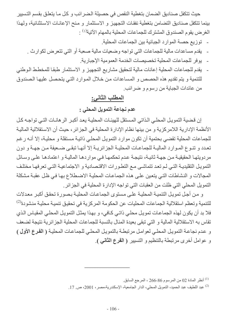حيث تتكفل صناديق الضمان بتغطية النقص في حصيلة الضر ائب و كل مـا يتعلق بقسم التسيير

- يوفر للجماعات المحلية تخصيصات الخدمة العمومية الإجبارية.
- يقدم للجماعات المحلية إعانات مالية لتحقيق مشاريع التجهيز و الاستثمار طبقا للمخطط الوطني للتنمية و يتم تقديم هذه الحصص و المساعدات من خلال الموارد التي يتحصل عليها الصندوق من عائدات الجباية من رسوم و ضرائب.

## المطلب الثاني:

# عدم نجاعة التمويل المحلي :

إن قضبة التمويل المحلي الذاتي المستقل للهبئـات المحلبـة بعد أكبـر الر هانـات التـي تو اجـه كـل الأنظمة الإدارية اللامركزية و من بينها نظام الإدارة المحلية في الجزائر ، حيث أن الاستقلالية المالية للجماعات المحلية تقضي بحتمية أن تكون موارد التمويل المحلي ذاتية مستقلة و محلية، إلا أنـه رغم تعدد و تنـوع المـوارد الماليـة للجماعـات المحليـة الجزائريـة إلا أنهـا تبقـى ضـعيفة مـن جهـة و دون مردويتها الحقيقية من جهة ثانية، نتيجة عدم تحكمها في مواردها المالية و اعتمادها على وسائل النمويل النقليدية التي لم تعد تتماشى مع التطورات الاقتصادية و الاجتماعية التي تعرفها مختلف المجالات و النشاطات التي يتعين على هذه الجماعات المحلية الاضطلاع بها في ظل عقبة مشكلة النَّمو بِلِ المحلِّي الَّتِي ظلَّت من العقبات الَّتِي تو اجه الإدار ة المحلِّية في الجز ائر .

و من أجل تمويل التنميــة المحليــة علــى مستوى الجماعـات المحليــة بـصورة تحقق أكبـر معدلات للتنمية وتعظم استقلالية الجماعات المحليات عن الحكومة المركزية في تحقيق تنمية محلية منشودة<sup>(2)</sup> فلا بد أن يكون لهذه الجماعات تمويل محلي ذاتي كافي، و بهذا يمثل التمويل المحلي المقياس الذي تقاس به الاستقلالية المالية و التي تبقى بعيدة المنال بالنسبة للجماعات المحلية الجز ائرية نتيجة لضعف و عدم نجاعة التمويل المحلي لعوامل مرتبطة بالتمويل المحلي للجماعات المحلية ( الفرع الأول ) و عوامل أخرى مرتبطة بالتنظيم و التسيير ( الفرع الثانى ).

- أنظر المادة 02 من المرسوم 86-266 ، المرجع السابق.  $\,$
- <sup>(2)</sup> عبد اللطيف عبد الحميد، التمويل المحلي، الدار الجامعية، الإسكندرية،مصر، 2001، ص. 17.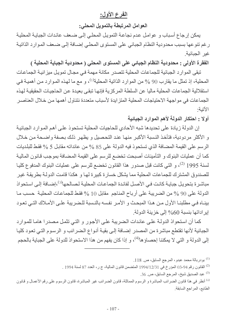## الفرع الأول:

#### العوامل المرتبطة بالتمويل المحلي:

يمكن إرجاع أسباب و عوامل عدم نجاعة التمويل المحلي إلى ضعف عائدات الجباية المحلية ر غم ننو عها بسبب محدودية النظام الجبائي على المستوى المحلي إضبافة إلى ضبعف الموارد الذاتية غير الجبائية.

الفقرة الأولى : محدودية النظام الجبائي على المستوى المحلي ( محدودية الجباية المحلية )

تبقى الموارد الجبائية للجماعات المحلية تتصدر مكانة مهمة في مجال تمويل ميزانية الجماعات المحلية، إذ تمثل ما يقارب 90 % من الموارد الذاتية المحلية<sup>(1)</sup>، و مع ما لهذه الموارد من أهمية في استقلالية الجماعات المحلية ماليا عن السلطة المركزية فإنها تبقى بعيدة عن الحاجيات الحقيقية لهذه الجماعات في مو اجهة الاحتياجات المحلية المنز ايدة لأسباب متعددة نتناول أهمها من خلال العناصر الآتية·

أولا : احتكار الدولة لأهم الموارد الجبائية

إن الدولة زيادة على تحديدها شبه الأحادي للحاجيات المحلية تستحوذ على أهم الموارد الجبائية و الأكثر مر دودبة، فتأخذ النسبة الأكبر منها عند التحصبل و بظهر ذلك بصفة واضحة من خلال الرسم على القيمة المضافة الذي تستحوذ فيه الدولة على 85 % من عائداته مقابل 5 % فقط للبلديات كما أن عمليات البنوك و التأمينات أصبحت تخضع للرسم على القيمة المضافة بموجب قانون المالية لسنة 1995 <sup>(2)</sup>، و التي كانت قبل صدور هذا القانون تخضع للرسم على عمليات البنوك المدفوع كليـا للصندوق المشترك للجماعات المحلية مما يشكل خسارة كبيرة لها و هكذا قامت الدولـة بطريقـة غير مباشرة بتحويل جبايـة كانت فـي الأصـل لفائدة الجماعـات المحليـة لـصـالحها<sup>(3)</sup>،إضـافة إلـي استحواذ الدولة على 90 % من الضريبة على أرباح المناجم مقابل 10 % فقط للجماعات المحلية حسب ما بينـاه فـي مطلبنـا الأول مـن هـذا المبحـث و الأمـر نفسه بالنـسبة للـضريبة علـي الأمـلاك التـي تعـود إير اداتها بنسبة 60% إلى خزينة الدولة.

كما أن استحواذ الدولـة علـى عائدات الـضريبة علـى الأجور و التـى تثمـل مصدر ا هامـا للمـوارد الجبائية لأنها تقتطع مباشرة من المصدر إضـافة إلـى بقيـة أنـواع الـضرائب و الرسـوم التـى تعود كليـا إلى الدولة و التي لا يمكننا إحصاؤ ها<sup>(4)</sup>، و إذا كان يفهم من هذا الاستحواذ للدولة على الجباية بالحجم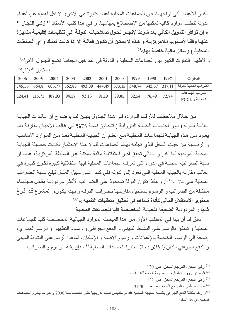الكبير للأعباء التي تواجهها، فإن للجماعات المحلية أعباء كثيرة هي الأخرى لا تقل أهمية عن أعباء الدولة تتطلب موارد كافية تمكنها من الاضطلاع بمهامها، و في هذا كتب الأستاذ " زكي النجار " « إن توافِّر التمويل الكافي يعد شرطا لإنجاز تحول صلاحيات الدولـة إلـي تنظيمـات إقليميـة متميزة عنهـا وفقـا لأسـلوب اللامركزيــة و هـذه لا يمكـن أن تكـون فعالــة إلا أذا كانـت تملـك ( أي الـسلطات المحلية ) وسائل مالية خاصة بها»<sup>(1)</sup>.

و لإظهار التفاوت الكبير بين الجماعات المحلية و الدولة في المداخيل الجبائية نضع الجدول الآتي<sup>(2)</sup> بملابير الدبنار ات

| 2006   | 2005 | 2004             | 2003  | 2002  | 2001  | 2000  | 1999  | 1998  | 1997  | السنو ات                                                                                       |
|--------|------|------------------|-------|-------|-------|-------|-------|-------|-------|------------------------------------------------------------------------------------------------|
| 745,56 |      | $664,8$   603,77 |       |       |       |       |       |       |       | الضرائب العادية للدولة   317,11   342,57   348,74   373,15   444,49   493,09   562,88   562,88 |
| 124,41 |      | $116,71$ 107,93  | 94,57 | 93,13 | 91,19 | 89,05 | 82,54 | 76,49 | 72,74 | ضرائب الجماعات<br>المحلية و FCCL                                                               |

من خلال ملاحظتنـا للأرقـام الـواردة فـي هذا الجدول يتبـين لنـا بوضـوح أن عائـدات الجبايـة العادية للدولة ( دون احتساب الجباية البترولية ) تتجاوز نسبة 75% في غالب الأحيان مقارنة بما يعود من هذه الجباية للجماعات المحلية مع العلم أن الجباية المحلية تعد من الموارد الأساسية و الرئيسية من حيث الدخل الذي تجلبه لهذه الجماعات فلولا هذا الاحتكار لكانت حصبلة الجباية المحلية الموجهة لها أكبر و بالتالي تحقق اكبر استقلالية مالية ممكنـة عن السلطـة المركزيـة، علمـا أن نسبة الضرائب المحلية في الدول التي تعرف الجماعات المحلية فيها استقلالية كبيرة تكون كبيرة في الغالب مقارنة بالجباية المحلية التي تعود إلى الدولة ففي كندا على سبيل المثال تبلغ نسبة الضرائب المحلية على 74 % <sup>(3)</sup>. و هكذا تكون الدولة تستحوذ على الضرائب الأكثر مردودية مقابل فسيفساء مختلفة من الضرائب و الرسوم يستحيل مقارنتها بضرائب الدولة و بهذا يكون« المشرع قد أفرغ محتوى الاستقلال المالى كأداة تساهم في تحقيق متطلبات التنمية » <sup>(4)</sup> ثانيا : المردودية الضعيفة للجباية المخصصة كليا للجماعات المحلية

سبق لنا أن بينا في المطلب الأول من هذا المبحث الموارد الجبائية المخصصة كليا للجماعات المحلية و تتعلق بالرسم على النشاط المهنى و الدفع الجزافي و رسوم التطهير و الرسم العقاري، إضافة إلى الرسوم الخاصة بالإعلانات و رسوم الإقامة و الإسكان، فماعدا الرسم على النشاط المهني و الدفع الجزافي اللذان يشكلان دخلا معتبرا للجماعات المحلية<sup>(5)</sup> ، فإن بقية الرسوم و الضرائب

- <sup>(3)</sup> زكي النجار ، المرجع السابق، ص<sub>. 122.</sub>
- منار مصطفى ، المرجع السابق، ص ص. 30-31 .  $^{(4)}$

<sup>(5)</sup> و رغم مكانة الدفع الجزافي بالنسبة للجباية المحلية فقد تم تخفيض نسبته تدريجيا حتى انعدمت سنة 2006 و هو مـا يحرم الجماعـات المحلبة من هذا الدخل

زكي النجار ، المرجع السابق، ص. 120.  $^{(1)}$ 

<sup>(2)</sup> المصدر : وزارة المالية – المديرية العامة للضرائب.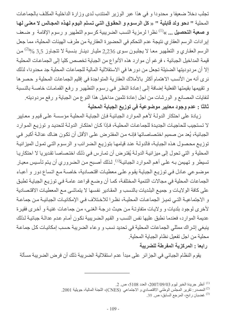تجلب دخلا ضعيفا و محدودا و في هذا عبر الوزير المنتدب لدى وزارة الداخلية المكلف بالجماعات المحلية " دحو ولد قابلية " « كل الرسوم و الحقوق التي تسلم اليوم لهذه المجالس لا معنى لها و صعبة التحصيل ... »<sup>(1)</sup> نظر ا لرمزية النسب الضريبية كرسوم التطهير و رسوم الإقامة و ضـعف إيرادات الرسم العقاري نتيجة عدم التحكم في الحضيرة العقارية من طرف الهيئات المحلية، مما جعل الرسم العقاري و التطهير معا لا يجلبون سوى 2,236 مليار دينار بنسبة لا تتجاوز 3,5 %<sup>(2)</sup> من قيمة المداخيل الجبائية ، فرغم أن موارد هذه الأنواع من الجباية تخصص كليا إلى الجماعات المحلية إلا أن مردوديتها الضئيلة تجعل من دور ها في الاستقلالية المالية للجماعات المحلية جد محدودا، لذلك نرى أنه من الأنسب الاهتمام أكثر بالأملاك العقارية المتواجدة في إقليم الجماعات المحلية و حصر ها و نقييمها بقيمتها الفعلية إضافة إلى إعادة النظر في رسوم التطهير و رفع القمامات خاصة بالنسبة لنفايات المصـانع و الورشات من اجل إعادة تثمين مداخيل هذا النوع من الجباية و رفع مردوديته. ثالثا : عدم وجود معايير موضوعية في توزيع الجباية المحلية

زيادة على احتكار الدولــة لأهم المـوارد الجبائيـة فـإن الجبايـة المحليـة مؤسسة علـى قيم و معـايير لا تستجيب للحاجيات الجديدة للجماعات المحلية، فإذا كان احتكار الدولـة لتحديد و توزيـع المـوارد الجبائية، يُعد من صميم اختصاصاتها فإنـه من المفترض علـى الأقل أن تكون هنـاك عدالـة أكبر فـى توزيع محصول هذه الجباية، فالدولـة عند قيامهـا بتوزيـع الـضرائب و الرسـوم التـى تمـول الميزانيـة المحلية و التي تحول إلى ميزانيـة الدولـة يُفترحص أن تمـارس في ذلك اختصـاصـا تقديريا لا احتكاريـا تسيطر و تهيمن بـه علـى أهم المـوارد الجبائيـة<sup>(3)</sup>. لذلك أصـبح من الـضروري أن يـتم تأسـيس معيـار موضوعي عادل في توزيع الجباية يقوم على معطيات اقتصادية، خاصىة مع اتساع دور و أعباء الجماعات المحلية في مجالات التنمية المختلفة، كمـا أن وضـع قواعد عامـة فـي توزيـع الجبايـة تطبق على كافة الولايات و جميع البلديات بالنسب و المقادير نفسها لا يتماشى مع المعطيات الاقتصادية و الاجتماعيــة التــى تميـز الجماعـات المحليــة، نظـرا للاخـتلاف فـى الإمكانيـات الجبائيــة مـن جماعـة لأخرى لوجود بلديات و ولايات متفاوتة من حيث درجة الغني، من جماعات غنية و أخرى فقيرة عديمة الموارد، فعندما نطبق عليها نفس النسب و القيم الـضريبية نكون أمـام عدم عدالـة جبائيـة لـذلك ينبغي إشراك ممثلي الجماعات المحلية في تحديد نسب و وعاء الضريبة حسب إمكانيات كل جماعة محلية من اجل تفعيل نظام الجباية المحلية.

رابعا : المركزية المفرطة للضريبة

يقوم النظام الجبائي في الجزائر ًعلى مبدأ عدم استقلالية الضريبة ذلك أن فرض الضريبة مسألة

<sup>&</sup>lt;sup>(1)</sup> أنظر جريدة الخبر ليوم 2007/09/03، العدد 5108، ص. 2.

<sup>&</sup>lt;sup>(2)</sup> المصدر : تقرير المجلس الوطني الاقتصادي و الاجتماعي (CNES)، اللجنة المالية، جويلية 2001.

<sup>&</sup>lt;sup>(3)</sup> غضبان رابح، المرجع السابق، ص<sub>. 39.</sub>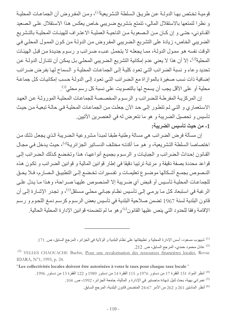قوميــة تخـتص بهـا الدولــة عـن طريـق الـسلطـة التشريعية<sup>(1)</sup>، ومـن المفـروض أن الجماعـات المحليـة و نظرا لتمتعها بالاستقلال المالي، تتمتع بتشريع ضريبي خاص يعكس هذا الاستقلال على الصعيد القـانوني، حتـى و إن كـان مـن الـصعوبة مـن الناحيـة العمليـة الاعتـراف للهيئـات المحليـة بالتشريع الضريبي الخاص، زيادة على التشريع الضريبي المفروض من الدولـة من كون الممول المحلي في الوقت نفسه هو ممول الدولة، مما يجعله لا يتحمل عبء ضرائب و رسوم جديدة من قبل الهيئات المحلية<sup>(2)</sup>، إلا أن هذا لا يعني عدم إمكانية النشريع الـضريبي المحلـي بـل يمكن أن تتنـازل الدولـة عن تحديد وعاء و نسبة الضرائب التي تعود كلية إلى الجماعات المحلية و السماح لها بفرض ضرائب إضافية ذات نسب صغيرة بالموازاة مع الضرائب التي تعود إلى الدولة حسب إمكانيات كل جماعة محلية أو على الأقل يجب أن يسمح لها بالتصويت على نسبة كل رسم محلي(3).

إن المركزية المفرطة للضرائب و الرسوم المخصصة للجماعات المحلية الموروثة عن العهد الاستعماري و التبي لم تتطور إلى حد الآن جعلت من الجماعات المحلية في حالـة تبعيـة من حيث تأسيس و تحصيل الضريبة و هو ما نتعرض له في العنصرين الآتيين. 1- من حيث تأسيس الضريبة:

إن مسألة فرض الضرائب هي مسالة وطنية طبقا لمبدأ مشروعية الضريبة الذي يجعل ذلك من اختصاصا السلطة التشريعية، و هو ما أكدتـه مختلف الدسـاتير الجزائريـة<sup>(4)</sup>، حيث يدخل فـي مجـال القانون إحداث الضرائب و الجبايات و الرسوم بجميع أنواعها، هذا وتخضع كذلك الضرائب إلى قواعد محددة بصفة دقيقة و مرتبة ترتيبا دقيقا في إطار قوانين المالية و قوانين الضرائب و تكون هذه النصوص بجمع أشكالها موضوع تعليمات و تفسيرات تخضع إلىي التطبيق الصارم، فلا يحق للجماعات المحلية تأسيس أو قبض أي ضريبة إلا المنصوص عليها صراحة، وهذا ما يدل على الرغبة في استبعاد كل مـا يرمـى إلـى تأسيس نظـام جبـائي محلـى مستقل<sup>(5)</sup>، و تجدر الإشـارة إلـى أن قانون البلدية لسنة 1967 تضمن صلاحية البلدية في تأسيس بعض الرسوم كرسم دمغ اللحوم و رسم الإقامة وفقا للحدود التي ينص عليها القانون۞ وهو ما لم تتضمنه قوانين الإدارة المحلية الحالية.

> <sup>(1)</sup> شبهو ب مسعو د، أسس الإدار ة المحلية و تطبيقاتها على نظام البلدية و الو لاية في الجز ائر ، المر جع السابق، ص. 171. (2) عادل محمود حمدي، المرجع السابق، ص 212.

(3) YELLES CHAOUACHE Bachir, Pour une revalorisation des ressources financières locales, Revue IDARA, N°1, 1995, p. 24.

"Les collectivités locales doivent être autorisées à voter le taux pour chaque taxe locale"

<sup>(4)</sup> أنظر المواد 151 الفقرة 17 من دستور 1976 و 115 الفقرة 14 من دستور 1989 و 122 الفقرة 13 من دستور 1996. <sup>(5)</sup> عمر اني بهية، بحث لنيل شهادة ماجستير في الإدار ة و المالية، جامعة الجز ائر ، 1992، ص<sub>. 104.</sub>

<sup>(6)</sup> أنظر المادتين 261 و 262 من الأمر 67-24 المتضمن قانون البلدية، المرجع السابق.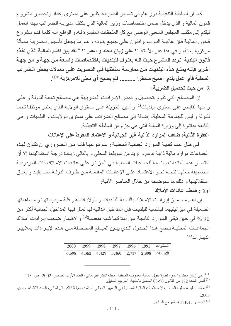كما أن للسلطة التنفيذية دور هام في تأسيس الضريبة يظهر على مستوى إعداد وتحضير مشروع قانون المالية و الذي يدخل ضمن اختصاصات وزير المالية الذي يكلف مديرية الضرائب بهذا العمل ليقدم إلى مكتب المجلس الشعبي الوطني مع كل الملحقات المفسرة لـه،و الواقـع أنـه كلمـا قدم مشروع قانون المالية فإن غالبية النواب يوافقون على جميع بنوده و هو ما يجعل تأسيس الضريبة مسألة مر كزية بحتة، و في هذا عبر الأستاذ " على زيان محند و اعمر " « لقد بين نظام المالية الذي نفذه قانون البلدية تردد المشرع حيث انـه يعترف للبلديات باختصاصات واسـعة مـن جهـة و مـن جهـة أخرى فإنــه يمنــع هذه البلـديات مـن ممـارســة سـلطتها فــى التـصويت علــى معدلات بعض الـضرائب المحلية فأي عمل بلدي أصبح مسطرا .......... فلم يصبح أي معنى للامركزية »ل<sup>)</sup>. 2- من حيث تحصيل الضريبة:

إن المصالح التي تقوم بتحصيل و قبض الإيرادات الضريبية هي مصالح تابعة للدولة و على رأسها القابض على مستوى البلديات<sup>(2)</sup> و أمين الخزينة على مستوى الولايـة الذي يعتبر موظفـا تابعـا للدولة و ليس للجماعة المحلية، إضافة إلى مصالح الضرائب على مستوى الولايات و البلديات و هي التابعة مباشرة إلى وزارة المالية التي هي جزء من السلطة التنفيذية.

الفقرة الثانية: ضعف الموارد الذاتية غير الجبائية و الاعتماد المفرط على الإعانات

في ظل عدم كفايــة المـوارد الـجبائيــة المحليــة رغم تنوعهـا فإنــه مـن الـضروري أن تكـون لـهـذه الجماعات موارد مالية ذاتية تدعم و تزيد من تمويلها المحلي و بالتالي زيـادة درجـة استقلاليتها إلا أن اقتصار هذه العائدات بالنسبة للجماعات المحلية في الجز ائر على عائدات الأملاك ذات المر دودية المضعيفة جعلهـا تتجـه نحـو الاعتمـاد علـى الإعانـات المقدمـة مـن طـر ف الدولـة ممـا يقيـد و يعيـق استقلاليتها و ذلك ما سنو ضحه من خلال العناصر الآتية:

#### أولا : ضعف عائدات الأملاك

إن أهم مـا يميـز إيـرادات الأمـلاك بالنـسبة للبلـديات و الولايـات هـو قلـة مردوديتهـا و مـساهمتها الضعيفة في ميز انيتيهما فبالنسبة للبلديات فإن المداخيل الذاتية لها تمثل فيها المداخيل الجبائية أكثر من 90 % في حين تبقي الموارد الناتجة عن أملاكها شبه منعدمة<sup>(3)</sup> و لإظهار ضعف إيرادات أملاك الجماعـات المحليــة نـضـع هـذا الجـدول الـذي يبـين المبــالـغ المحـصلة مـن هـذه الإيـرادات بملاييـر الدينار ات<sup>(4)</sup>

|  |  |  | السنوات   1995   1996   1998   1998   1999   1999         |
|--|--|--|-----------------------------------------------------------|
|  |  |  | الإيرادات   2,898   2,717   3,460   4,429   4,352   6,598 |

<sup>&</sup>lt;sup>(1)</sup> على زيان محند واعمر ، نظرة حول المالية العمومية المحلية، مجلة الفكر البرلماني، العدد الأول، ديسمبر ، 2002، ص. 113. أنظر المادة 172 من القانون 90-08 المتعلق بالبلدية، المرجع السابق . $^{(2)}$ 

<sup>(4)</sup> المصدر : CNES، المرجع السابق.

<sup>&</sup>lt;sup>(3)</sup> ماتلو الطيب، نظرة المنتخب لإصلاحات المالي<u>ة المحلية في التسيير</u> المحلي الراشد، مجلـة الفكر البرلمـاني، العدد الثالث، جوان، .2003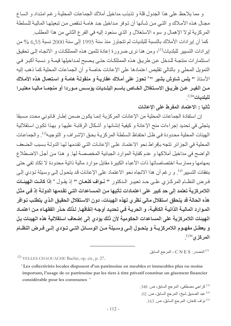و مما يلاحظ على هذا الجدول قلة و تذبذب مداخيل أملاك الجماعات المحلية رغم امتداد و اتساع مجـال هذه الأمـلاك و التـى مـن شـأنها أن تـوفر مـداخيل جـد هامـة تـنقص مـن تبعيتهـا الماليـة للـسلطـة المركزية لولا الإهمال و سوء الاستغلال و الذي سنعود إليه في الفرع الثاني من هذا المطلب.

كما أن إيرادات الأملاك بالنسبة للبلديات لم تتجاوز منذ سنة 1995 إلى سنة 2000 نسبة 6,55 % من إير ادات التسيير للبلديات<sup>(1)</sup>، ومن هنا نرى ضرورة إعادة تثمين هذه الممتلكات و الاتجاه إلى تحقيق استثمارات منتجة للدخل عن طريق هذه الممتلكات حتى يصبح لمداخيلها قيمـة و نسبة أكبر في النمويل المحلي و بالنالي تقليص اعتمادها على الإعانات خاصة و أن الجماعات المحلية كما ذهب إليه الأستاذ " يلس شاوش بشير " " تحوز على أملاك عقارية و منقولـة هامـة و استعمال هذه الأمـلاك مـن الغيـر. عـن طريـق الاسـتغلال الخــاص بـاسـم البلــديات يؤسـس مــوردا أو منجمــا مـاليــا معتبـرا <u>للبلديات</u>»(2)

#### ثانيا : الاعتماد المفرط على الاعانات

إن استفادة الجماعات المحلية من الإعانات المركزية إنمـا يكون ضـمن إطـار قـانوني محـدد مسبقا يتجلَّى في تحديد إجراءات منح الإعانة و كيفية إنشائها و أشكال الرقابـة عليهـا و بهذا تكون استقلالية الهيئات المحلية محدودة في ظل احتفاظ السلطة المركزيـة بحق الإشراف و التوجيـه<sup>(3)</sup>. والجماعـات المحلية في الجزائر تتجه بإفراط نحو الاعتماد على الإعانـات التي تقدمها لهـا الدولـة بسبب الضعف الواضح في مداخيل أملاكها و عدم كفاية الموارد الجبائية المخصصة لها. و هذا من أجل الاضطلاع بمهامها وممارسة اختصاصاتها ذات الأعباء الكبيرة مقابل موارد مالية ذاتية محدودة لا تكاد تفي حتى بنفقات التسيير <sup>(4)</sup>. و رغم أن هذا الاتجاه نحو الاعتماد على الإعانات قد يتحول إلى وسبلة تؤدي إلى فرض النظـام المركـزي علـى حـد تعبيـر الـدكتور " **نـواف كنعـان** " إذ يقـول « إ**ذا كانـت الـهيئــات** اللامركزية تعتمد إلى حد كبير على اعتمادات تأتيها من المساعدات التي تقدمها الدولـة إذ في مثل هذه الحالة قد يتحقق استقلال مالى نظر ى لهذه الهيئات، دون الاستقلال الحقيق الذى يتطلب توافر المـوارد المـاليــة الذاتيــة الكافيــة، و الحريــة فـي تحديـد أوجـه إنـفاقهـا. لـذلك حـذر الفقهـاء مـن اعتمــاد الهيئات اللامر كزية على المساعدات الحكومية لأن ذلك يؤدي إلى إضعاف استقلالية هذه الهيئات بل و يعطـل مفهـوم اللامركزيــة و يتحـول إلــى وسـيلـة مــن الوســـائل التــي تــوّدي إلــى فـرض النظــام ا**لمركزي<sup>»(5)</sup>.** 

. المصدر : C N E S ، المرجع السابق  $\cdot$  C N E S المر

 $^{(2)}$  YELLES CHAOUACHE Bachir, op. cit., p. 27.

"Les collectivités locales disposent d'un patrimoine en meubles et immeubles plus ou moins important, l'usage de ce patrimoine par les tiers à titre privatif constitue un gisement financier considérable pour les communes »

> <sup>(3)</sup> كراجي مصطفى، المرجع السابق، ص. 348. <sup>(4)</sup> عبد الصديق شيخ، المرجع السابق، ص 02. (5) نواف كنعان، المرجع السابق، ص. 163.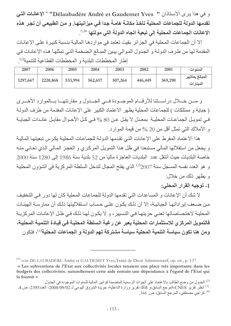و في هذا يرى الأستاذان " Délaubadére André et Gaudemet Yves" "الإعانات التي تقدمها الدولة للجماعات المحلية تأخذ مكانــة هامــة جدا فـي ميزانيتهـا. و مـن الطبيعي أن تجر هذه الإعانات الجماعات المحلية إلى تبعية اتجاه الدولة التي مولتها »(1)<sub>.</sub>

إلا أن الجماعات المحلية في الجزائر بقيت تعتمد في مواردها المالية بنسبة كبيرة على الإعانـات المقدمة لها من طرف الدولـة و الجدول المـوالي يبين المبـالغ الـضخمة التـي تمثلهـا هذه الإعانـات فـي إطار المخططات البلدية و المخططات القطاعية للتنمية<sup>(2)</sup>.

| 2007     | 2006     | 2005    | 2004    | 2003    | 2002    | 2001    | السنوات                      |
|----------|----------|---------|---------|---------|---------|---------|------------------------------|
| 1297,667 | 2220,868 | 533,994 | 562,657 | 507,264 | 446,449 | 369,290 | المبالغ بملايير<br>الدينارات |

و مسن خطلال در استنا للأرقام الموجودة فسى الجدول و مقارنتها بالموارد الأخرى ( جباية و ممتلكات ) للجماعات المحلية يظهر الاعتماد الكبير على الإعانات المقدمة من طرف الدولـة في تمويل الجماعات المحلية بمعدل لا يقل عن 80 % في كل الأحوال مقابل عائدات الجباية و الأملاك التي تمثل أقل من 20 % من قيمة الموارد.

هذا الاعتماد المفرط على الإعانات التي تقدمها الدولة للجماعات المحلية يكرس تبعيتها المالية و يجعل من استقلالها المالي مستبعدا في ظل هذا التمويل المركزي و العجز المالي الذي تعاني منه خاصة البلديات حيث أنتقل عدد البلديات العاجزة ماليا من 52 بلدية سنة 1986 إلى 1280 سنة 2000 و هو العدد نفسه المسجل سنة 2007<sup>(3)</sup> الذي يفتح المجال لتدخل السلطة المركزية في الشؤون المحلية و بظهر ذلك من خلال:

1- توجيه القرار المحلى:

لا شك أن الإعانات و المساعدات التي تقدمها الدولة للجماعات المحلية كان لها دور في التخفيف من ضعف إير اداتها الجبائيـة، إلا أن ذلك يكـون علـى حساب استقلاليتها ذلك أن ممارسـة الهيئـات المحلية لاختصاصاتها تعني حريتها في التسيير ، و لا يكون لها ذلك في ظل الإعانات المركزية فالتمويل المركز ي للاستثمارات المحلية يعبر عن رغبة السلطة المحليـة فـي قيـادة التنميـة المحليـة، ومن هنا تكون سياسة التنمية المحلية سياسة مشتركة تهم الدولة و الجماعات المحلية<sup>(4)</sup>، فتكون

<sup>&</sup>lt;sup>(1)</sup> voir DE-LAUBADÉRE André et GAUDEMET Yves, Traité de Droit Administratif, op. cit., p. 137.

<sup>«</sup> Les subventions de l'Etat aux collectivités locales tenaient une place très importante dans les budgets des collectivités. naturellement cette aide entrain une dépendance à l'égard de l'Etat qui la fournit »

<sup>&</sup>lt;sup>(2)</sup> الجدول من وضع الطالب بالاعتماد على الجرائد الرسمية المتضمنة قوانين المالية للسنوات الموجودة في الجدول. <sup>(3)</sup> أنظر تقرير CNES،المرجع السابق،و كذلك تقرير وزارة الداخلية، جريدة الشروق اليومي لـ 2008/09/02، العدد2395، ص.4. <sup>(4)</sup> كراجي مصطفى، المرجع السابق، ص. 348.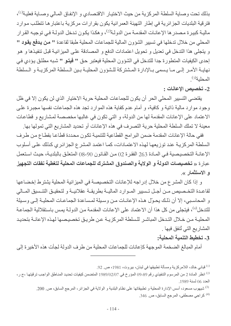بذلك تحت وصاية السلطة المركزية من حيث الاختيار الاقتصادي و الإنفاق المالي وصـاية فعلية<sup>(1)</sup>، فترقية البلديات الجزائرية في إطار التهيئة العمرانية يكون بقرارات مركزية باعتبار ها تتطلب موارد ماليــة كبيـرـة مـصـدر ها الإعانــات المقدمــة مـن الدولــة<sup>(2)</sup>، و هكـذا يكـون تـدخل الدولــة فـي توجيـه القـر ار المحلي من خلال تدخلها في تسبير الشؤون المالية للجماعات المحلية طبقا لقاعدة " من يدفع يقود " و يتجلَّى هذا التدخل في تعديل و تحويل اعتمادات الدفع و المصادقة على الميزانيـة قبل تنفيذها و هو إحدى الكيفيات المتطورة جدا للتدخل في الشؤون المحلية فيعتبر حق " فيتو " شبه مطلق يؤدي في نهايـة الأمـر إلـى مـا يـسمى بـالإدارة المـشتركة للـشؤون المحليـة بـين الـسلطة المركزيـة و الـسلطة المحلبة<sup>(3)</sup>

2- تخصيص الإعانات :

يقتضى التسيير المحلي الحر أن يكون للجماعات المحلية حرية الاختيار الذي لن يكون إلا في ظل وجود موارد مالية ذاتية و كافية، و أمام عدم كفاية هذه الموارد تجد هذه الجماعات نفسها مجبرة على الاعتماد على الإعانات المقدمة لها من الدولة، و التي تكون في غالبها مخصصة لمشاريع و قطاعات معينة لا تملك السلطة المحلية حرية التصرف في هذه الإعانات أو تحديد المشاريع التي تمولها بها.

ففي حالة الإعانات المقدمة ضمن البرامج القطاعية للتنمية تكون محددة قطاعا بقطاع من طرف السلطة المركزية عند توزيعها لهذه الاعتمادات، كما اعتمد المشرع الجزائري كذلك على أسلوب الإعانــة التخصيصية فـي المـادة 263 الفقر ة 02 مـن القـانون 90-08 المتعلـق بالبلديــة، حيـث استعمل عبار ة « تخصيصات الدولة و الولاية والصندوق المشترك للجماعات المحلية لتغطية نفقات التجهيز و الاستثمار ».

و إذا كان المشرع من خلال إدراجه للإعانات التخصيصة في الميزانية المحلية يشترط إخضاعها لقاعـدة التخـصيص مـن أجـل تـسيير المـوارد الماليــة بطريقــة عقلانيــة و لتحقيـق التنـسيق المــالي و المحاسبي، إلا أن ذلك يحوّل هذه الإعانات من وسيلة لمساعدة الجماعات المحليـة إلـى وسيلة للتدخل<sup>(4)</sup>، فيتجلى من كل هذا أن الاعتماد على الإعانات المقدمة من الدولـة يمس باستقلالية الجماعـة المحليـة مـن خـلال التـدخل المباشـر للـسلطـة المركزيـة عـن طريـق تخصيصـها لـهـذه الإعانــة بتحديـد المشاريع التي تُنفق فيها .

3\_ تخطيط التنمية المحلية:

أمام المبالغ الضخمة الموجهة كإعانات للجماعات المحلية من طر ف الدولة لجأت هذه الأخير ة إلى

<sup>(1)</sup> قباني خالد، اللامركزية ومسألة تطبيقها في لبنان، بيروت، 1981، ص<sub>. 92.</sub>

<sup>(4)</sup> كراجي مصطفى، المرجع السابق، ص. 346.

انظر المادة 2 من المرسوم التنفيذي رقم 89-09 المؤرخ في 20/02/07 المتضمن كيفيات تحديد المناطق الواجب ترفيتها ،ج ر، العدد 06 لسنة 1989.

<sup>&</sup>lt;sup>(3)</sup> شيهوب مسعود، أسس الإدارة المحلية و تطبيقاتها على نظام البلدية و الولاية في الجزائر، المرجع السابق، ص 200.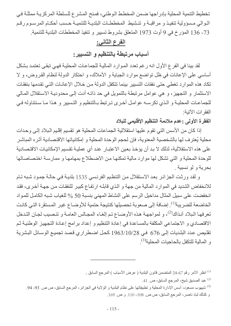تخطيط التنمية المحلية بإدراجها ضمن المخطط الوطني، فمنح المشرع للسلطة المركزية ممثلة في الموالي مسؤولية تنفيذ و مراقبة و تنشيط المخططات البلديـة للتنميـة حسب أحكـام المرسـوم رقـم 73- 136 المؤرخ في 9 أوت 1973 المتعلق بشروط تسبير و تنفيذ المخططات البلدية للتنمية.

## الفرع الثاني:

أسباب مرتبطة بالتنظيم و التسيير:

لقد بينا في الفرع الأول انه رغم تعدد الموارد المالية للجماعات المحلية فهي تبقى تعتمد بشكل أساسي على الإعانات في ظل تواضع موارد الجباية و الأملاك، و احتكار الدولة لنظام القروض، و لا تكاد هذه الموارد تغطي حتى نفقات التسبير بينما تتكفل الدولة من خلال الإعانـات التـى تقدمها بنفقـات الاستثمار و التجهيز ، و هي عوامل مرتبطة بالتمويل في حد ذاتـه أدت إلـى محدوديـة الاستقلال المـالي للجماعـات المحليــة و الـذي تكرســه عوامـل أخـرى تـرتبط بـالتنظيم و التـسيير و هـذا مــا سـنتناولـه فـى الفقر ات الآتية·

الفقرة الأولى : عدم ملائمة التنظيم الإقليمي للبلاد

إذا كان من الأسس التي تقوم عليها استقلالية الجماعات المحلية هو تقسيم إقليم البلاد إلى وحدات محلية يُعترف لها بالشخصية المعنوية، فإن لحجم الوحدة المحلية و إمكانياتها الاقتصادية أثره المباشر على هذه الاستقلالية، لذلك لا بد أن يؤخذ بعين الاعتبار عند أي عملية تقسيم الإمكانيات الاقتصادية للو حدة المحلية و التي تشكل لها موار د مالية تمكنها من الاضطلاع بمهامها و ممار سـة اختصـاصـاتها بحربة ولو نسببة

و لقد ورئت الجزائر بعد الاستقلال من التنظيم الفرنسي 1535 بلدية في حالة جمود شبه تام للانخفاض الشديد في الموارد المالية من جهة و الذي قابلـه ارتفـاع كبير للنفقـات مـن جهـة أخـرى، فقد انخفضت على سبيل المثال مداخيل الرسم على النشاط المهنى بنسبة 50 % للغياب شبه الكامل للمواد الخاضعة للضريبة<sup>(1)</sup>. إضافة إلى صعوبة تحصبلها كنتيجة حتمية للأوضـاع غير المستقرة التـى كانت تعرفها البلاد أنذاك <sup>(2)</sup>، و لمواجهة هذه الأوضـاع تم إلغـاء المجـالس العامـة و تنصيب لجـان التدخل الاقتصادي و الاجتماعي المكلفة بالمساعدة في إعادة التنظيم و إعداد برامج إعادة التجهيز الوطنية ثم تقليص عدد البلديات إلى 676 في 28/10/28 كحل اضطر اري قصد تجميع الوسـائل البشرية و المالية للتكفل بالحاجيات المحلية<sup>(3)</sup>.

(2) عبد الصديق شيخ، المرجع السابق، ص 41.

<sup>(3)</sup> شبهوب مسعود، أسس الإدارة المحلية و تطبيقاتها على نظام البلدية و الولاية في الجزائر ، المرجع السابق، ص ص 93- 94. و كذلك لباد ناصر، المرجع السابق، ص ص. 108- 110. و ص. 169.

<sup>&</sup>lt;sup>(1)</sup> انظر الأمر رقم 67-24 المتضمن قانون البلدية ( عرض الأسباب ) المرجع السابق .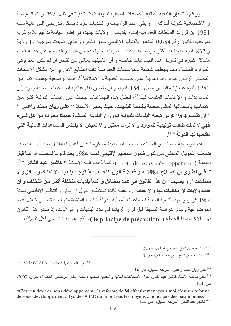ور غم ذلك فإن التبعية المالية للجماعات المحلية للدولة كانت شديدة في ظل الاختيار ات السياسية و الاقتصادية للدولـة آنـذاك<sup>(1)</sup>. و بقـي عـدد الولايـات و البلـديات يـز داد بـشكل تـدريجي إلـي غايـة سـنـة 1984 أين قررت السلطات العمومية إنشاء بلديات و ولايات جديدة في إطار سياسة تدعيم اللامركزية بموجب القانون رقم 84-09 المتعلق بالتنظيم الإقليمي سابق الذكر ، و الذي أضيفت بموجبه 17 ولاية و 837 بلدية جديدة أي أكثر من ضعف عدد البلديات المتواجدة من قبل، و قد نجم عن هذا التقسيم مشاكل كبيرة في تمويل هذه الجماعات خاصـة و أن غالبيتهـا يعـاني مـن نقص إن لـم يكن انـعـدام فـي الموارد المالية، ممـا يجعلهـا شبيهة بالمؤسسات العموميـة ذات الطـابع الإداري أين تشكل الإعانـات المصدر الرئيس لمواردها المالية على حساب الجباية و الأملاك<sup>(2)</sup>، هذه الوضعية جعلت أكثر من 1280 بلدية عاجزة ماليا من أصل 1541 بلدية، و أن ضمان بقاء غالبية الجماعات المحلية يعود إلى المساعدات و الإعانــات المقدمــة لهــا<sup>(3)</sup>، فتظـل هـذه الجماعــات تبحـث عـن إعانــات الدولــة أكثــر مـن اهتمامها باستقلالها المالي خاصة بالنسبة للبلديات، حيث يعتبر الأستاذ " على زيان محند واعمر " " أن تقسيم 1984 كرس تبعية البلديات للدولـة كـون أن البلديـة المنـشـأة حديثـا مجـردة مـن كـل شـيء فهي لا تملك طاقات توليدية للموارد و لا تراث معتبر و لا تعيش إلا بفضل المساعدات الماليـة التـي تقدمها لها الدولة <sup>»(4)</sup>

هذه الوضعية جعلت من الجماعات المحلية الجديدة محكومـا علـى أغلبهـا بالفشل منذ البدايـة بسبب ضعف التمويل المحلي من كون قانون التنظيم الإقليمي لسنة 1984 يعد قانونـا للتخلف أو لمـا قبل النتمية ( droit de sous développement )، كما ذهب إليه الأستاذ " كاشير عبد القادر "<sup>(5)</sup> « فـي نظـري إن إصـلاح 1984 هـو فعـلا قـانون للتخلـف، إذ توجـد بلـديات لا تملـك وســائل و لا ممتلكات ». و يضيف" أن هذا القانون أتى فعلا بمشاكل و أنشأ بلديات متخلفة أكثر من التخلف و أن هناك ولايات لا إمكانيات لها و لا جباية". و عليه فإننـا نستطيع القول أن قـانون التنظيم الإقلي*مـ*ي لسنة 1984 كرس و مهد للتبعية المالية للجماعات المحلية للدولة خاصة المنشأة منها حديثا، من خلال عدم الموضوعية وعدم الدراسة المسبقة قبل قرار الزيادة في عدد البلديات و الولايات، إذ صدر هذا القانون دون الأخذ بمبدأ الحيطة ( le principe de précaution )، الذي هو مبدأ أساسى لكل تقدم<sup>(6)</sup>،

> عبد الصديق شيخ، المر جع السابق، ص. 42. [1] عبد الصديق شيخ، المرجع السابق، ص. 43.  $^{(2)}$

 $^{(3)}$  Voir GRABA Hachemi, op. cit., p. 53.

<sup>&</sup>lt;sup>(4)</sup> على زيان محند واعمر ، المرجع السابق، ص. 114. (5) أنظر مداخلة الأستاذ كاشير عبد القادر ، حول الإصلاحات المالية و الجباية المحلية ، مجلة الفكر البرلماني، العدد 3، جوان، 2003، ص. 144.

<sup>«</sup>C'est un droit de sous développement . la réforme de 84 effectivement pour moi c'est un réforme de sous développement. il ya des A.P.C qui n'ont pas les moyens.. on na pas des patrimoines» <sup>(6)</sup> كاشير عبد القادر ، المرجع السابق، ص. 144.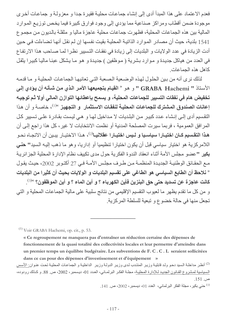فعدم الاعتماد على هذا المبدأ أدى إلى إنشاء جماعات محلية فقيرة جدا و معزولـة و جماعـات أخرى موجودة ضمن أقطاب ومراكز صناعية مما يؤدي إلى وجود فوارق كبيرة فيما يخص توزيع الموارد المالية بين هذه الجماعات المحلية، فظهرت جماعات محلية عاجزة ماليا و مثقلة بالديون من مجموع 1541 بلدية، حيث أن مصـادر المـوارد الذاتيـة المحليـة بقيت نفسها إن لـم نقل أنـهـا تـضـاءلت فـي حـين أدت الزيادة في عدد الولايات و البلديات إلى زيادة في نفقات التسيير نظر ا لمـا صـاحب هذا الارتفاع في العدد من هياكل جديدة و موارد بشرية ( موظفين ) جديدة و هو ما يشكل عبئـا ماليـا كبيرا يثقل كاهل هذه الجماعات.

لذلك نرى أنه من بين الحلول لهذه الوضعية الصعبة التي تعانيها الجماعات المحلية و ما قدمه الأستاذ " GRABA Hachemi " و هو « القيام بتجميعها الأمر الذي من شـأنـه أن يؤدي إلـى تخفيض هام في نفقات التسيير للجماعات المحلية، و يسمح بإعطائها التوازن المالي أولا ثم توجيه إعانات الصندوق المشترك للجماعات المحلية لنفقات الاستثمار و التجهيز <sup>»(1)</sup>، خاصــة و أن هذا النقسيم أدى إلى إنشاء عدد كبير من البلديات لا مداخيل لهـا و هـى ليست بقـادر ة علـى تـسيير كـل المرافق العمومية ، فربما سيرت المصلحة المدنية أو نظمت الانتخابات لا غير ، كل هذا راجع إلى أن هذا التقسيم كـان اختيـارا سياسـيا و لـيس اختيـارا عقلانيـا<sup>(2)</sup>، هـذا الاختيـار يبـين أن الاتجـاء نحـو اللامركزية هو اختيار سياسي قبل أن يكون اختيارا تنظيميا أو إداريا، وهو ما ذهب إليه السيد" حنى بِكيرٍ "عضو مجلس الأمة أثناء انعقاد الندوة الفكرية حول مدى تكييف نظام الإدارة المحلية الجزائرية مع الحقائق الوطنية الجديدة المنظمـة مـن طـرف مجلس الأمـة فـي 27 أكتـوبر 2002، حيث يقول " نلاحظ أن الطابع السياسي هو الطاغي على تقسيم البلديات و الولايات بحيث أن كثيرا من البلديات كانت عاجزة عن تسديد حتى حق البنزين فأين الكهرباء ؟ و أين الماء ؟ و أين الموظفون؟ »(3)<sub>.</sub> و من كل ما تقدم يظهر ما لعيوب النقسيم الإقليمي من نتائج سلبية على مالية الجماعات المحلية و التي تجعل منها في حالة خضوع و تبعية للسلطة المركزية.

<sup>(1)</sup> Voir GRABA Hachemi, op. cit., p. 53.

« Ce regroupement ne manquera pas d'entraîner un réduction certaine des dépenses de fonctionnement de la quasi totalité des collectivités locales et leur permettre d'atteindre dans un premier temps un équilibre budgétaire. Les subventions de F. C. C. L seraient sollicitées dans ce cas pour des dépenses d'investissement et d'équipement »

<sup>(2)</sup> أنظر مداخلة السيد دحو ولد قابلية وزير المنتدب لدى وزير الدولـة وزير الداخليـة و الجماعـات المحليـة تحت عنـوان: الأسس السياسية لمشروع القانون الجديد للإدارة المحلية، مجلّة الفكر البرلماني، العدد 01، ديسمبر ، 2002، ص. 88. و كذلك رودوده، ص. 151.

حنى بكير ، مجلة الفكر البرلماني، العدد 10)، ديسمبر ، 2002، ص. 141.  $^{(3)}$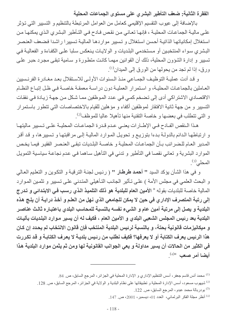الفقرة الثانية: ضعف التأطير البشري على مستوى الجماعات المحلية

بالإضافة إلى عيوب النقسيم الإقليمي كعامل من العوامل المر تبطة بالتنظيم و التسبير التي تؤثر علـى ماليــة الـجماعــات المـحليــة ، فإنـهـا تـعـانـي مـن نقـص فــادح فــي التــأطير البـشر ي الـذي يمكنهـا مـن استغلال إمكانياتها الذاتية أحسن استغلال و تسيير مواردها المالية تسييرا راشدا فضعف العنصر البشري سواء المنتخبين أو مستخدمي البلديات و الولايات ينعكس سلبا على الكفاءة و الفعالية في تسيير و إدارة الشؤون المحلية، ذلك أن القوانين مهمـا كانت متطـورة و سـامية تبقـى مجرد حبـر علـى ورق، إذا لم تجد من يحولها من الورق إلى الميدان<sup>(1)</sup>.

و قد أدت عمليــة التوظيـف الجمــاعي منـذ الـسنوات الأولــي للاسـتقلال بعـد مغــادرة الفرنـسبين العـاملين بالجماعـات المحليـة، و اسـتمرار العمليـة دون دراسـة معمقـة خاصـة فـي ظـل إتبـاع النظـام الاقتصادي الاشتراكي أدى إلى تضخم كمي في عدد الموظفين مما شكل من جهة زيادة في نفقات التسيير و من جهة ثانية الافتقار لموظفين أكفاء و مؤهلين للقيام بالاختصاصات التي تتطور باستمرار و التي تتطلب في بعضها و خاصة التقنية منها تأهيلا عاليا للموظف<sup>(2)</sup>.

هذا النقص الفـادح فـي الإطــارات يعنـي عـدم قـدرة الجماعـات المحليــة علـي تـسبير ماليتهـا و ارتباطها الدائم بالدولـة بدءا بتوزيـع و تحويل المـوارد الماليـة إلـى مراقبتهـا و تـسيير ها، و قد أقر المدير العام للضرائب بأن الجماعات المحلية و خاصة البلديات تبقى العنصر الفقير فيما يخص الموارد البشرية و تعاني نقصا في التأطير و تدني في التأهيل ساهما في عدم نجاعة سياسية التمويل المحلي<sup>(3)</sup>.

و في هذا الشأن يؤكد السيد " أحمد طرطار " ( رئيس لجنة الترقية و التكوين و التعليم العالي و البحث العلمي في مجلس الأمة ) على تـأثير الجانب التـأهيلي المتدني علـى تسبير و تثمـين المـوارد المالية خاصـة للبلديات بقوله « الأمين ا**لـعام للبلدية هو ذلك التلميذ الـذي رسب فـي الابتدائي و تـدرج** إلى رتبة المتصرف الإداري في حين لا يمكن للجامعي الذي نهل من العلم و أخذ درايـة أن يلـج هذه البلدية و يصل إلى مرتبة أمين عام و الشيء نفسه بالنسبة للمحاسب البلدي باعتباره ثالث عناصر البلدية بعد رئيس المجلس الشعبي البلدي و الأمين العام ، فكيف له أن يسير مـوارد البلديات بآليـات و ميكانيزمات قانونية بحتة، و بالنسبة لرئيس البلدية المنتخب فإن قانون الانتخاب لم يحدد إن كان هذا الرئيس يعرف الكتابة أو لا يعرفها؟ فكيف نطلب من رئيس بلديـة لا يعرف الكتابـة و قد تكررت في الكثير من الحالات أن يسير مداولة و يعي الجوانب القانونية لها ومن ثم يثمن موارد البلدية هذا أ**يضا أمر صعب** <sup>»(4)</sup>.

- (3) بودربالة محمد عبدو، المرجع السابق، ص 122.
- <sup>(4)</sup> أنظر مجلة الفكر البرلماني، العدد 10)، ديسمبر ، 2001، ص. 147.

<sup>&</sup>lt;sup>(1)</sup> محمد أنس قاسم جعفر ، أسس التنظيم الإدار ي و الإدار ة المحلية في الجز ائر ، المرجع السابق، ص<sub>ـ</sub> 84.

<sup>&</sup>lt;sup>(2)</sup> شيهوب مسعود، أسس الإدارة المحلية و تطبيقاتها على نظام البلدية و الولاية في الجزائر، المرجع السابق، ص 128 .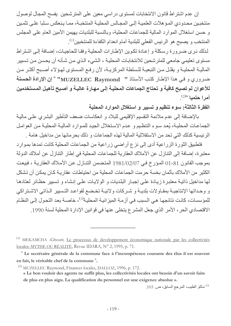إن عدم اشتراط قانون الانتخابات لمستوى دراسي معين على المترشحين يفسح المجال لوصول منتخبين محدودي المـؤ هلات العلميـة إلـى المجـالس المحليـة المنتخبـة، ممـا يـنعكس سـلبا علـى تثمـين و حسن استغلال الموارد المالية للجماعات المحلية، وبالنسبة للبلديات يهيمن الأمين العام على المجلس المنتخب و يصبح هو الرئيس الفعلى للبلدية أمام انعدام الكفاءة للمنتخبين<sup>(1)</sup>.

لذلك نرى ضرورة رسكلة و إعادة تكوين الإطارات المحلية وفقا للحاجيات، إضافة إلى اشتراط مستوى تعليمي جامعي للمترشحين للانتخابات المحلية ، الشيء الذي من شأنه أن يحسن من تسيير المالية المحلية و يقلل من التبعية للسلطة المركزية، لأن رفع المستوى لهؤلاء أصبح أكثر من ضروري و في هذا الإطار كتب الأستاذ " MUZELLEC Raymond" "إن الإرادة الحسنة للأعوان لم تصبح كافية و تحتاج الجماعات المحلية إلى مهارة عاليـة و أصبح تأهيل المستخدمين أمر إحتميا »(2)

الفقرة الثالثة: سوء تنظيم و تسيير و استغلال الموارد المحلية

بالإضافة إلى عدم ملائمة النقسيم الإقليمي للبلاد و انعكاسات ضعف التأطير البشري على مالية الجماعات المحلية، يُعد سوء التنظيم و عدم الاستغلال الجيد للموارد المالية المحلية من العوامل الرئيسية كذلك التي تحد من الاستقلالية المالية لهذه الجماعات و ذلك بحرمانها من مداخيل هامة .

فتطبيق الثورة الزراعية أدى إلى نزع أراضي زراعية من الجماعات المحلية كانت تمدها بموارد معتبر ة، إضافة إلى التنازل عن الأملاك العقارية للجماعات المحلية في إطار التنازل عن أملاك الدولة بموجب القانون 81-01 المؤرخ في 1981/02/07 المتضمن التنازل عن الأملاك العقارية ، فبيعت الكثير من الأملاك بأثمان بخسة حر مت الجماعات المحلبة من احتباطات عقار بـة كـان بمكـن أن تشكل لها مداخيل ذاتية معتبرة زيادة على إجبار البلديات و الولايات على إنشاء و تسبير حظائر لعتادها و وحداتها الإنتاجيــة بمقـاولات بلديــة و شـركات ولائيــة تخـضـع لقواعـد التـسيير الـذاتـي الاشـتراكي للمؤسسات، كانت نتائجها هي السبب في أزمـة الميز انيـة المحليـة<sup>(3)</sup>، خاصــة بعد التحول إلـي النظـام الاقتصادي الحر ، الأمر الذي جعل المشر ع يتخلى عنها في قوانين الإدار ة المحلية لسنة 1990.

(3) ماتلو الطيب، المرجع السابق، ص. 103.

<sup>(5)</sup> MEKAMCHA .Ghouti; Le processus de developpement économique nationale par les collectivités locales: MYTHE OU RÉALITÉ, Revue IDARA, N° 2, 1995, p. 71.

<sup>&</sup>quot;Le secrétaire générale de la commune face à l'incompétence courante des élus il est souvent en fait, le véritable chef de la commune".

<sup>&</sup>lt;sup>(2)</sup> MUZELLEC Raymond, Finances locales, DALLOZ, 1996, p. 172.

<sup>«</sup> Le bon vouloir des agents ne suffit plus, les collectivités locales ont besoin d'un savoir faire de plus en plus aigu. La qualification du personnel est une exigence absolue ».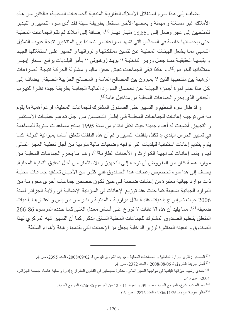يضاف إلى هذا سوء استغلال الأملاك العقارية المتبقية للجماعات المحلية، فالكثير من هذه الأملاك غير مستغلة و مهملة و بعضها الآخر مستغل بطريقة سببئة فقد أدى سوء التسبير و التبذير للمنتخبين إلى عجز وصل إلى 18,850 مليار دينـار<sup>(1)</sup>، إضـافة إلـى أمـلاك لـم تقم الجماعـات المحليـة حتى بإحصائها خاصة في المجالس التي تشهد صر اعات و انسدادا بين المنتخبين نتيجة عيوب التمثيل النسبي ممـا يشغل الهيئـات المحليـة عن تثمـين ممتلكاتهـا و ثرواتهـا و الـسهر علـى اسـتغلالها الجيد و بقيمهـا الحقيقيــة ممــا جعـل وزيـر الداخليــة " يزيــد زرهـونـى " يــأمر البلـديات برفـع أسـعار إيجـار ممتلكاتها للخواص<sup>(2)</sup>، و هكذا تبقى الجماعات تعيش عجزا ماليا و مشلولة الحركة نتيجة الصراعات الرهيبة بين منتخبيها الذين لا يميزون بين المصالح العامـة و المصـالح الحزبيـة الـضيقة. يـضـاف إلـى كل هذا عدم قدرة أجهزة الجباية عن تحصيل الموارد المالية الجبائية بطريقة جيدة نظرا للتهرب الجبائي الذي يحرم الجماعات المحلية من مداخيل هامة<sup>(3)</sup>.

و قد طال سوء التنظيم و التسيير حتى الصندوق المشترك للجماعات المحلية، فرغم أهمية ما يقوم بـه فـي توجيـه إعانــات للجماعــات المحليــة فـي إطــار التـضـامن مـن اجـل تـدعيم عمليـات الاسـتثمار و التجهيز . أضيفت له أعباء جديدة حيث تكفل ابتداء من سنة 1995 بمنح مساعدات سنوية للمساهمة في تسيير الحرس البلدي إذ تكفل بنفقات التسيير رغم أن هذه النفقات تتعلق أساسا بميز انية الدولـة. كمـا يقوم بنقديم إعانات استثنائية للبلديات التي تواجه وضعيات مالية متردية من أجل تغطية العجز المالي لهـا و يقدم إعانـات لمواجهـة الكوارث و الأحداث الطارئـة<sup>(4)</sup>، و هو مـا يحرم الجماعـات المحليـة مـن موارد هامــة كــان مـن المفروض أن توجـه إلـى التجهيز و الاسـتثمار مـن أجـل تحقيق التمنيــة المحليـة ِ يضاف إلى هذا سوء تخصيص إعانات هذا الصندوق ففي كثير من الأحيان تستفيد جماعات محلية ذات موارد جبائية معتبرة من إعانـات ضـخمة فـي حين تكون حصص جماعـات أخرى محرومـة من الموارد الجبائية ضعيفة كما حدث عند توزيع الإعانات في الميزانية الإضافية في ولايـة الجزائر لسنة 2006 حيث تم إدراج بلديات غنيـة مثـل دراريـة ، المدنيـة و بئـر مـراد رايـس و اعتبار هـا بلـديات ضعيفة <sup>(5)</sup>، مما يفيد أن هذه الإعانات لا توزع على أساس معدل الغني كما حدده المرسوم 86-266 المتعلق بتنظيم الصندوق المشترك للجماعات المحلية السابق الذكر كما أن التسيير شبه المركزي لهذا الصندوق و تبعيته المباشرة لوزير الداخلية يجعل من الإعانات التي يقدمها رهينة لأهواء السلطة

<sup>(2)</sup> أنظر جريدة الشروق لــ 2008/08/06 ، العدد 2372، ص. 4.

- <sup>(4)</sup> عبد الصديق شيخ، المرجع السابق، ص، 39. و المواد 11 و 12 من المرسوم 86-266، المرجع السابق.
	- $\,$ . $\,$ أنظر جريدة اليوم لــ 2006/11/26، العدد 2876 ، ص $\,$ .

<sup>&</sup>lt;sup>(1)</sup> المصدر : تقرير وزارة الداخلية و الجماعات المحلية ، جريدة الشروق اليومي لـ 2008/09/02، العدد 2395، ص.4.

<sup>&</sup>lt;sup>(3)</sup> حمدي رشيد، ميزانية البلدية في مواجهة العجز المالي، مذكرة ماجستير في القانون العام فرع إدارة و مالية عامـة، جامعـة الجزائر ، 2004 ص. 43..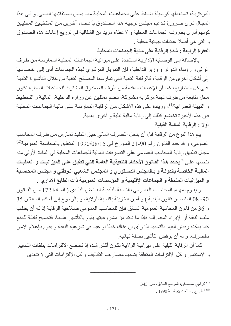المركزية، تستعملها كوسيلة ضغط على الجماعات المحلية مما يمس باستقلالها المالي وفي هذا المجال نرى ضرورة تدعيم مجلس توجيه هذا الصندوق بأعضاء آخرين من المنتخبين المحليين كونهم أدرى بظروف الجماعات المحلية و لإعطاء مزيد من الشفافية في توزيع إعانات هذه الصندوق و التي هي أصلا عائدات جبائية محلية .

الفقرة الرابعة : شدة الرقابة على مالية الجماعات المحلية

بالإضافة إلى الوصاية الإدارية المشددة على ميزانية الجماعات المحلية الممارسة من طرف الوالي و رؤساء الدوائر و وزير الداخلية، فإن التمويل المركزي لهذه الجماعات أدى إلى إخضاعها إلى أشكال أخرى من الرقابة، كالرقابة النقنية التي تمارسها المصالح النقنية من خلال التأشيرة النقنية على كل المشاريع، كما أن الإعانات المقدمة من طرف الصندوق المشترك للجماعات المحلية تكون محل متابعة من طرف لجنة مركزية مشتركة، تضم ممثلين عن وزارة الداخلية، المالية و التخطيط و التهيئة العمرانية<sup>(1)</sup>، وزيادة على هذه الأشكال من الرقابـة الممارسـة علـى ماليـة الجماعـات المحليـة فإن هذه الأخيرة تخضع كذلك إلى رقابة مالية قبلية و أخرى بعدية. أولا : الرقابة المالية القبلية

يتم هذا النوع من الرقابة قبل أن يدخل التصرف المالي حيز التنفيذ تمـارس مـن طـرف المحاسب العمومي، و قد حدد القانون رقم 90-21 المؤرخ في 15/80/08/15 المتعلق بالمحاسبة العمومية<sup>(2)</sup> مجال تطبيق رقابة المحاسب العمومي على التصرفات المالية للجماعات المحلية في المادة الأولى منه بنصها على « يحدد هذا القانون الأحكام التنفيذية العامـة التي تطبق على الميزانيـات و العمليـات الماليــة الخاصــة بالدولــة و بــالمجلس الدسـتورى و المجلس الـشعبي الـوطني و مجلس المحاسـبـة و الميزانيات الملحقة و الجماعات الإقليمية و المؤسسات العمومية ذات الطابع الإدار ي".

و يقـوم بمهـام المحاسـب العمـومي بالنـسبة للبلديــة القــابض البلـدي ( المــادة 172 مـن القــانون 90- 08 المتضمن قانون البلدية ) و أمين الخزينة بالنسبة للولاية، و بالرجوع إلى أحكام المـادتين 35 و 36 من قانون المحاسبة العمومية السابق فإن للمحاسب العمومي صلاحية الرقابة إذ لـه أن يطلب ملف النفقة أو الإيراد المقدم إليه فإذا ما تأكد من مشرو عيتها يقوم بالتأشير عليهـا، فتصبح قابلـة للدفع كما يمكنه رفض القيام بالتسديد إذا رأى أن هناك خطأ أو عيبا في شرعية النفقة و يقوم بـإعلام الآمر بالصرف، و له أن يرفض التأشير بصفة نهائية.

كما أن الرقابة القبلية على ميز انيـة الولايـة تكـون أكثـر شدة إذ تخـضـع الالتز امـات بنفقـات التسبير و الاستثمار و كل الالتزامات المتعلقة بتسديد مصاريف التكاليف و كل الالتزامات التي لا تتعدى

<sup>(1)</sup> كراجي مصطفى، المرجع السابق، ص. 345.

(2) أنظر ج ر، العدد 35 لسنة 1990 .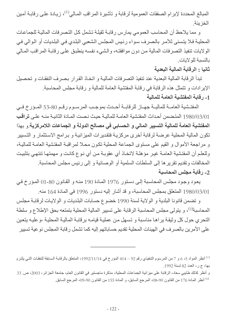المبالغ المحددة لإبرام الصفقات العمومية لرقابة و تأشيرة المراقب المـالـي<sup>(1)</sup>، زيـادة علـي رقابـة أمـين الخز بنة

و مما يلاحظ أن المحاسب العمومي يمارس رقابة ثقيلة تشمل كل التصرفات المالية للجماعات المحليـة فـلا يتسنى للأمـر بالـصـرف سـواء رئـيس المجلس الشعبي البلـدي فـي البلـديات أو الـوالـي فـي الولايات تنفيذ التصرفات المالية من دون موافقته، والشيء نفسه ينطبق على رقابة المراقب المالي بالنسبة للو لابات

## ثانيا : الرقابة المالية البعدية

تبدأ الرقابة المالية البعدية عند تنفيذ التصر فات الماليـة و اتخـاذ القر ار بـصر ف النفقـات و تحصيل الإيرادات و تتمثل هذه الرقابة في رقابة المفتشية العامة للمالية و رقابة مجلس المحاسبة. 1- رقابة المفتشية العامة للمالية

المفتشية العامــة للماليــة جهــاز للرقابــة أحـدث بموجـب المرســوم رقـم 80-53 المــؤرخ فــي 1980/03/01 المتضمن أحداث المفتشية العامة للمالية حيث نصت المادة الثانية منه على تراقب المفتشية العامة للمالية التسيير المالي و الحسابي في مصالح الدولة و الجماعات اللامركزية و بهذا تكون المالية المحلية عرضة لرقابة أخرى مركزية فتقديرات الميزانية و برامج الاستثمار و التسيير و مراجعة الأموال و القيم على مستوى الجماعة المحلية تكون محلا لمراقبة المفتشية العامة للمالية، وللعلم أن المفتشية العامـة غيـر مؤهلـة لاتخـاذ أي عقوبـة مـن أي نـو ع كانـت و مهمتهـا تنتهـي بتثبيت المخالفات و تقديم تقرير ها إلى السلطات السلمية أو الوصائية و إلى ر ئيس مجلس المحاسبة. 2- رقابة مجلس المحاسبة

يعود وجود مجلس المحاسبة إلى دستور 1976 المادة 190 منه و القانون 80-01 المؤرخ في 1980/03/01 المتعلق بمجلس المحاسبة، و قد أشار إليه دستور 1996 في المادة 164 منه.

و تضمن قانونا البلدية و الولاية لسنة 1990 خضوع حسابات البلديات و الولايات لرقابة مجلس المحاسبة<sup>(2)</sup>، و يتولى مجلس المحاسبة الرقابة على تسيير المالية المحلية بتمتعه بحق الإطلاع و سلطة التحري حول كل وثيقة براها مناسبة و تسهل من عملية قيامه برقابة المالية المحلية ،وعليه يتعين على الأمرين بالصرف في الهيئات المحلية تقديم حساباتهم إليه كما تشمل رقابة المجلس نوعية تسبير

<sup>&</sup>lt;sup>(1)</sup> أنظر المواد 5، 6 و 7 من المرسوم التنفيذي رقم 92 – 414 المؤرخ في 1992/11/14، المتعلق بالرقابـة السابقة للنفقـات التـي يلتزم بها، ج ر، العدد 82 لسنة 1992.

و أنظر كذلك طايبي سعاد، الرقابة على ميزانية الجماعات المحلية، مذكرة ماجستير في القانون العام، جامعة الجزائر، 2003، ص 33 <sup>(2)</sup> أنظر المادة 176 من القانون 90-08، المرجع السابق، و المادة 155 من القانون 90-09، المرجع السابق<sub>.</sub>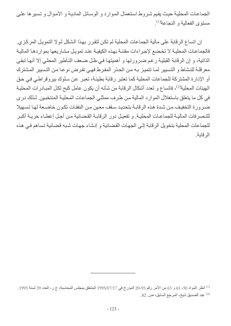الجماعات المحلية حيث يقيم شروط استعمال الموارد والوسائل المادية والأموال وتسيرها على مستوى الفعالية و النجاعة<sup>(1)</sup>.

إن اتساع الرقابة على مالية الجماعات المحلية لم تكن لتقرر بهذا الشكل لـولا التمويل المركزي. فالجماعات المحلية لا تخضع لإجراءات مقننة بهذه الكيفية عند تمويل مشاريعها بمواردها المالية الذاتية، و إن الرقابة القبلية رغم ضرورتها و أهميتها في ظل ضعف التـأطير المحلـي إلا أنهـا تبقـي معرقلة للنشاط و التسيير لمـا تتميز بـه مـن الحذر المفرط فهـى تفرض نوعـا مـن التسيير المشترك أو الإدارة المشتركة للجماعات المحلية كما تعتبر رقابة بطيئة، تعبر عن سلوك بيروقراطي في حق الهيئات المحلية<sup>(2)</sup>، فاتساع و تعدد أشكال الرقابة من شأنه أن يكون عامل كبح لكل المبادرات المحلية في كل ما يتعلَّق باستغلال الموارد المالية من طرف ممثلي الجماعات المحلية المنتخبين. لذلك نرى ضرورة التخفيف من شدة هذه الرقابة بتحديد سقف معين من النفقات تكون خاضعة لها تسهيلا للتصرفات المالية للجماعات المحلية وتفعيل دور الرقابة القضائية من أجل إعطاء حريبة أكبر للجماعات المحلية بتخويل الرقابة إلى الجهات القضائية و إنشاء جهات شبه قضائية تساهم في هذه الر قابة

<sup>&</sup>lt;sup>(1)</sup> أنظر المواد 50، 61 و 63 من الأمر رقم 95-20 المؤرخ في 1995/07/17 المتعلق بمجلس المحاسبة، ج ر، العدد 39 لسنة 1995. 2) عبد الصديق شيخ، المرجع السابق، ص 82.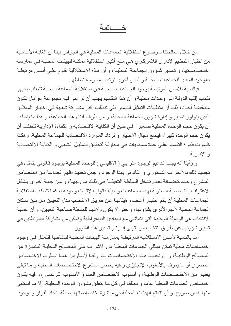## خــــاتمة

من خلال معالجتنا لموضـوع استقلالية الجماعـات المحليـة فـي الـجز ائـر بينـا أن الغايـة الأساسية من اختيار التنظيم الإداري اللامركزي هي منح أكبر استقلالية ممكنـة للهيئـات المحليـة فـي ممارسـة اختصاصاتها، و تسيير شؤون الجماعــة المحليــة، و أن هـذه الاسـتقلالية تقـوم علــى أسـس مرتبطــة بالوجود المادي للجماعات المحلية و أسس أخرى ترتبط بممارسة نشاطها.

فبالنسبة للأسس المرتبطة بوجود الجماعات المحلية فإن استقلالية الجماعة المحلية تتطلب بديهيا تقسيم إقليم الدولـة إلـى وحدات محليـة و أن هذا التقسيم يجب أن تراعـى فيـه مجموعـة عوامل تكون متناقضة أحبانا، ذلك أن متطلبات التمثيل الديمقر اطي تتطلب أكبر مشاركة شعبية في اختبار الممثلين الذين يتولون تسبير و إدارة شؤون الجماعة المحلية، و من طرف أبناء هذه الجماعة، و هذا ما يتطلب أن يكون حجم الوحدة المحلية صـغير اهـى حين أن الكفايـة الاقتـصـادية و الكفـاءة الإداريـة تتطلب أن يكون حجم الوحدة كبيرا، فيتسع مجال الاختيار و تزداد الموارد الاقتصادية للجماعة المحلية، وهكذا ظهرت فكرة التقسيم على عدة مستويات في محاولة لتحقيق التمثيل الشعبي و الكفاية الاقتصادية و الأداربة.

و رأينا أنه يجب تدعيم الوجود الترابي ( الإقليمي ) للوحدة المحلية بوجود قانوني يتمثل في تجسيد ذلك بالاعتراف الدستوري و القانوني بهذا الوجود و جعل تحديد إقليم الجماعة من اختصاص المشرع وحده كضمانة لعدم تدخل السلطة التنفيذية في ذلك من جهة، و من جهة أخرى يشكل الاعتراف بالشخصية المعنوية لهذه الجماعات وسيلة قانونية لإثبات وجودها، كما تتطلب استقلالية الجماعـات المحليــة أن يـتم اختيـار أعـضـاء هيئاتهـا عـن طريـق الانتخـاب بـدل التعيـين مـن بـين سـكان الجماعة المحلية لأنهم الأدري بشؤونها، و حتى لا يكون ولائهم للسلطة صـاحبة التعيين، و أن عمليـة الانتخاب هي الوسيلة الوحيدة التي تتماشى مع المبادئ الديمقر اطية وتمكن من مشاركة المواطنين في تسيير شؤونهم عن طريق انتخاب من يتولى إدارة و تسيير هذه الشؤون .

أمـا بالنسبة لأسس الاستقلالية المرتبطـة بممارسـة الهيئـات المحليـة لنشاطها فتتمثل فـى وجود اختصاصات محلية تمكن ممثلي الجماعات المحلية من الإشراف على المصالح المحلية المتميزة عن المصالح الوطنيـة، و أن تحديـد هـذه الاختـصاصات يـتم وفقـا لأسـلوبين همـا أسـلوب الاختـصـاص الحصري أو ما يعرف بالأسلوب الإنجليزي و فيه يحصر المشرع الاختصاصات المحلية و ما تبقى يعتبر من الاختصاصات الوطنية، و أسلوب الاختصاص العام ( الأسلوب الفرنسي ) و فيه يكون اختصاص الجماعات المحلية عاما و مطلقا في كل ما يتعلق بشؤون الوحدة المحلية، إلا ما استثنى منها بنص صريح. و أن تتمتع الهيئات المحلية في مباشرة اختصاصاتها بسلطة اتخاذ القرار و بوجود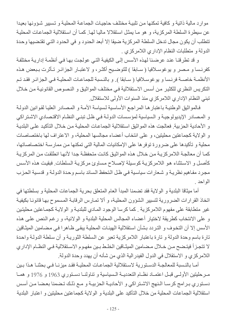موارد مالية ذاتية و كافية تمكنها من تلبية مختلف حاجيات الجماعة المحلية و تسبير شؤونها بعيدا عن سيطرة السلطة المركزية، و هو مـا يمثل استقلالا ماليـا لهـا. كمـا أن استقلالية الجماعـات المحليـة تتطلب أن يكون مجال تدخل السلطة المركزية ضبقا إلا أبعد الحدود و في الحدود التـي تقتضبها وحدة الدولة و متطلبات النظام الإداري اللامركزي .

و قد تطرقنا عند عرضنا لهذه الأسس إلى الكيفية التي عولجت بها في أنظمة إدارية مختلفة كفرنسا و مصر و يوغوسلافيا ( سـابقا ) للتوضـيح أكثـر، و لاعتبـار الجزائـر تـأثرت بـبعض هـذه الأنظمـة خاصــة فرنـسا و يوغوسـلافيا ( سـابقا ). و بالنـسبة للجماعـات المحليـة فـي الجزائـر فقد تـم النكريس النظري للكثير من أسس الاستقلالية في مختلف المواثيق و النصوص القانونية من خلال تبني النظام الإداري اللامركزي منذ السنوات الأولى للاستقلال.

فالمواثيق الوطنية باعتبار ها المراجع الأساسية لسياسة الأمـة و المصـادر العليـا لقوانين الدولـة و المصادر الإيديولوجية و السياسية لمؤسسات الدولـة في ظل تبني النظـام الاقتصـادي الاشـتراكي و الأحادية الحزبية. فعالجت هذه المواثيق استقلالية الجماعات المحلية من خلال التأكيد على البلدية و الولاية كجماعتين محليتين، و على انتخاب أعضاء مجالسها المحلية، و الاعتراف لها باختصاصات محلية و تأكيدها على ضرورة توفر ها على الإمكانيات المالية التي تمكنها من ممارسة اختصاصاتها، كمـا أن معالجـة اللامركزيـة مـن خـلال هذه المواثيق كانت متحفظـة جدا لأنهـا انطلقت مـن المركزيـة كأصل و الاستثناء هو اللامر كزية كوسيلة لإصلاح مساوئ مركزية السلطات فبقيت هذه الأسس مجرد مفاهيم نظرية و شعارات سياسية في ظل النحفظ السائد باسم وحدة الدولة و قدسية الحزب الو احد

أما ميثاقا البلدية و الولاية فقد تضمنا المبدأ العام المتعلق بحرية الجماعات المحلية و بسلطتها في اتخاذ القرارات الضرورية لتسيير الشؤون المحلية، و ألا تمـارس الرقابـة المسموح بهـا قانونـا بكيفيـة غير متطابقة على مفهوم اللامركزية . كما كرسا الوجود المـادي للبلديـة و الولايـة كجمـاعتين محليتين و على الانتخاب كطريقة لاختيار أعضاء المجالس المحلية البلدية و الولائية، و رغم النص على هذه الأسس إلا أن التخوف و التردد بشأن استقلالية الهيئات المحلية يبقى ظـاهرا فـي مـضـامين الميثـاقين تارة باسم وحدة الدولة و تارة باعتبار اللامركزية تعبر عن السلطة الثورية و أن سلطة الدولة واحدة لا تتجزأ فيتضح مـن خـلال مـضامين الميثـاقين الخلـط بـين مفهـوم الاسـتقلالية فـي النظـام الإداري اللامركزي و الاستقلال في الدول الفيدرالية الذي من شأنه أن يهدد وحدة الدولة.

أمـا بالنـسبة للمعالجـة الدسـتورية لاسـتقلالية الجماعـات المحليـة فقـد ميزنـا فـي بحثنـا هـذا بـين مرحليتين الأولى قبل اعتماد نظام التعدديـة السياسية وتتاولنـا دستوري 1963 و 1976 و همـا دستوري برامج كرسا النهج الاشتراكي و الأحاديـة الحزبيـة و مـع ذلك تـضمنا بعـضا مـن أسـس استقلالية الجماعات المحلية من خلال التأكيد على البلدية و الولاية كجماعتين محليتين و اعتبار البلدية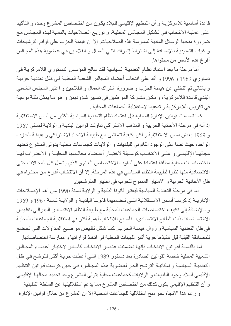قاعدة أساسية للامركزيـة و أن التنظيم الإقليمـى للبلاد يكون من اختصـاص المشر ع وحده و التأكيد على عملية الانتخاب في تشكيل المجالس المحلية، و توزيع الصلاحيات بالنسبة لهذه المجالس مع ضرورة منحها الوسائل المادية لممارسة هذه الصلاحيات. إلا أن هيمنة الحزب على قوائم الترشيحات و غياب التعديدية بالإضافة إلى اشتراط إشراك فئتي العمال و الفلاحين في عضوية هذه المجالس أفرِ غ هذه الأسس من محتواها.

أما مرحلة ما بعد اعتماد نظام التعددية السياسية فقد عالج المؤسس الدستوري اللامركزية في دستوري 1989 و 1996 و أكد على انتخاب أعضاء المجالس الشعبية المحلية في ظل تعددية حزبية و بالتالي تم التخلي عن هيمنة الحزب و ضرورة اشتراك العمال و الفلاحين و اعتبر المجلس الشعبي البلدي قاعدة اللامركزية، و مكان مشاركة المواطنين في تسيير شؤونهمن و هو ما يمثل نقلة نوعية في تكريس اللامركزية و تدعيما لاستقلالية الجماعات المحلية .

كما تضمنت قوانين الإدار ة المحلية قبل اعتماد نظام التعددية السياسية الكثير من أسس الاستقلالية إذ أنه في مرحلة الأحادية الحزبية و المذهب الاشتراكي تناولت قوانين البلدية و الولاية لسنتي 1967 و 1969 بعض أسس الاستقلالية و لكن بكيفية تتماشى مع طبيعة الاتجاه الاشتراكي و هيمنـة الحزب الواحد، حيث نصا على الوجود القانوني للبلديات و الولايات كجماعات محلية يتولى المشرع تحديد مجالهـا الإقليمـي و علـي الانتخـاب كوسـبلة لاختيـار أعـضـاء مجالـسها المحليـة و الاعتـراف لهـا باختصاصات محلية مطلقة اعتمادا على أسلوب الاختصاص العام و الذي يشمل كل المجالات حتى الاقتصادية منها نظرا لطبيعة النظام السياسي في هذه المرحلة. إلا أن الانتخاب أفرغ من محتواه في ظل الأحادية الحزبية و الامتياز الممنوح للحزب في اختيار المترشحين.

أما في مرحلة التعددية السياسية فيعتبر قانونا البلدية و الولايـة لسنة 1990 من أهم الإصـلاحات الإداريــة إذ كرســا أسـس الاسـنقلالية التــى تـضمنهما قانونــا البلديــة و الولايــة لـسنة 1967 و 1969 و بالإضافة إلى تكبيف اختصاصات الجماعات المحلية مع طبيعة النظام الاقتصادي الليبر الى بتقليص الاختصاصات ذات الطابع الاقتصادي، فأصبح للانتخاب أهمية أكثر في استقلالية الجماعات المحلية في ظل التعددية السياسية و زوال هيمنـة الحزب كمـا شكل تقليص مواضـيع المداولات التـي تخضـع للمصادقة القبلية قبل تنفيذها حرية أكبر للهيئات المحلية في اتخاذ قراراتها و ممارسة اختصاصاتها.

أما بالنسبة لقوانين الانتخاب فإنها تضمنت عنصر الانتخاب كأساس لاختيار أعضاء المجالس الشعبية المحلية خاصة القوانين الصادرة بعد دستور 1989 التي أعطت حرية أكثر للترشح في ظل التعدديـة الـسياسية و إمكانيـة الترشـح الحـر لعضوية هذه المجـالس، فـي حين كرست قوانين التنظيم الإقليمي للبلاد وجود البلديات و الولايات كجماعات محلية يتولى المشرع وحد تحديد مجالها الإقليمي و أن التنظيم الإقليمي يكون كذلك من اختصاص المشر ع مما يدعم استقلاليتها عن السلطة التنفيذية.

و رغم هذا الاتجاه نحو منح استقلالية للجماعات المحلية إلا أن المشر ع من خلال قوانين الإدار ة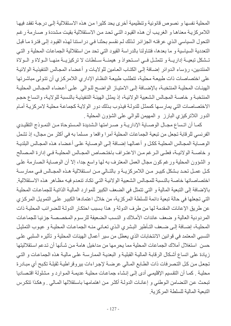المحلية نفسها و نصوص قانو نية وتنظيمية أخر ي يحد كثير ا من هذه الاستقلالية إلى در جـة تفقد فيهـا اللامركزيـة معناهـا و الغريب أن هذه القيود التـى تحد من الاستقلالية بقيت مشددة و صـار مة ر غـم التحول السياسي الذي عرفته الجزائر لذلك لم نقسم بحثنا في دراستنا لهذه القبود إلى فترة ما قبل النعددية السياسية و ما بعدها، فتناولنا بالدراسة القيود التي تحد من استقلالية الجماعات المحلية و التي تشكل تبعيـة إداريــة و تتمثّـل فــى اسـتحواذ و هيمنــة سـلطات لا تركيزيــة منهـا الــولاة و الــولاة المنتدبين، رؤساء الدوائر إضافة إلى الكتاب العامين للولايات و أعضاء المجالس التنفيذية الولائية على اختصاصات ذات طبيعة محلية، تتطلب طبيعة النظام الإداري اللامركزي أن تتولى مباشرتها الهيئـات المحليـة المنتخبـة، بالإضـافة إلـى الامتيـاز الواضـح للـوالـى علـى أعضـاء المجـالس المحليـة المنتخبة و خاصـة المجـالس الشعبية الولائيـة، إذ يمثل الهيئـة التنفيذيـة بالنسبة للولايـة، واتساع حجم الاختصاصات التي يمارسها كممثل للدولة فيذوب بذلك دور الولاية كجماعة محلية لامركزية أمام الدور اللاتركيزي البارز و المهيمن للوالي على الشؤون المحلية .

كمـا أن اتـساع مجـال الوصــاية الإداريــة و صــر امتها الـشديدة المـستوحاة مـن النمـوذج التقليـدي الفرنسي للرقابة تجعل من تبعية الجماعات المحلية أمرا واقعا و مسلما به في أكثر من مجال، إذ تشمل الوصباية المجالس المحلية ككل و أعمالها إضبافة إلى الوصباية على أعضاء هذه المجالس البلدية و خاصية الولائية، فعلى الرغم من الاعتراف باختصاص المجالس المحليبة في إدارة المصالح و الشؤون المحلية ورغم كون مجال العمل المعترف به لها واسع جدا، إلا أن الوصـاية الصـارمة علـى كـل عمـل تحـد بـشكل كبيـر مـن اللامركزيــة و بالتــالي مـن اسـتقلالية هـذه المجــالس فـي ممارســة اختصاصاتها خاصة بالنسبة للمجالس الشعبية الولائية التي تكاد تنعدم فيه مظـاهر ٍ هذه الاستقلالية ِ بالإضافة إلى التبعية المالية و التي تتمثل في الضعف الكبير للموارد المالية الذاتية للجماعات المحلية التي تجعلها في حالة تبعية دائمة للسلطة المركزية، من خلال اعتمادها الكبير على التمويل المركزي عن طريق الإعانات المقدمة لها من طرف الدولة و هذا بسبب احتكار الدولـة للضر ائب المحليـة ذات المردودية العالية و ضعف عائدات الأملاك و النسب الضعيفة للرسوم المخصصة جزئيا للجماعات المحلية، إضـافة إلـى ضـعف التـأطير البشري الذي تعـاني منـه الجماعـات المحليـة و عيـوب التمثيل النسبي المعتمد في قوانين الانتخابات الذي يعطل من سير أعمال الهيئات المحلية و تأثيره السلبي على حسن استغلال أملاك الجماعات المحلية مما يحرمها من مداخيل هامة من شأنها أن تدعم استقلاليتها زيادة على اتساع أشكال الرقابة المالية القبلية و البعدية الممارسة على مالية هذه الجماعات و التي تجعل من كل التصرفات ذات الطابع المالي عرضة لإجراءات بيروقراطية ثقيلة تكبح أي مبادرة محلية . كمـا أن التقسيم الإقليمـى أدى إلـى إنشاء جماعـات محليـة عديمـة المـوارد و مشلولة اقتـصـاديا تبحث عن التضامن الوطني و إعانات الدولة أكثر من اهتمامها باستقلالها المالي . وهكذا تتكرس التبعية المالية للسلطة المركزية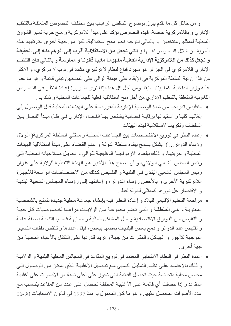و من خلال كل ما تقدم ببر ز ٍ بو ضوح التناقض الر هيب بين مختلف النصوص المتعلقة بـالتنظيم الإداري و باللامركزية خاصة، فهذه النصوص تؤكد على مبدأ اللامركزية و منح حرية تسير الشؤون المحلية لممثلين منتخبين و بالتالي التوجه نحو منح استقلالية، لكن من جهة أخرى يتم تقييد هذه الحرية من خلال النصوص نفسها و التي تجعل من الاستقلالية أقرب إلى الوهم منـه إلى الحقيقـة و تجعل كذلك من اللامركزية الإدارية الفعلية مفهومـا مغيبـا قانونـا و ممارسـة و بالنـالي فـإن التنظيم الإداري اللامركزي في الجزائر هو مجرد قناع لنظام لا تركيزي مشدد في ثوب لا مركزي، و الأكثر من هذا أن نية السلطة المركزية في الإبقاء على هيمنة الوالي على المنتخبين تبقى قائمة و هو مـا عبر عليه وزير الداخلية كما بيناه سابقا. ومن أجل كل هذا فإننا نرى ضرورة إعادة النظر في النصوص القانونية المتعلقة بالتنظيم الإداري من أجل منح استقلالية فعلية للجماعات المحلية و ذلك بـ :

- التقليص تدريجيا من شدة الوصـاية الإداريـة المفروضـة علـى الهيئـات المحليـة قبل الوصـول إلـى إلغائهـا كليـا و اسـتبدالها بر قابـة قـضـائية يـخـتص بـهـا القـضـاء الإدار ي فـي ظـل مبـدأ الفـصـل بـين السلطات وتكر بسا لاستقلالية لهذه الهيئات
- إعادة النظر في توزيع الاختصاصات بين الجماعات المحلية و ممثلي السلطة المركزية( الولاة، رؤساء الدوائر ... ) بشكل يسمح ببقاء سلطة الدولة و عدم القضاء على مبدأ استقلالية الهيئات المحلية و حريتها، و ذلك بالغاء الازدواجية الوظيفية للوالي و تحويل صلاحياته المحلية إلى رئيس المجلس الشعبي الـولائي، و أن يصبح هذا الأخير هو الـهيئـة التنفيذيـة للولايـة علـي غرار رئيس المجلس الشعبي البلدي في البلدية و التقليص كذلك من الاختصاصات الواسعة للأجهزة اللاتركيزية الأخرى و بالأخص رؤساء الدوائر ، و إعادتها إلى رؤساء المجالس الشعبية البلدية و الاقتصار عل دور هم كممثلي للدولة فقط .
- مراجعة التنظيم الإقليمي للبلاد و إعادة النظر فيه بإنشاء جماعة محلية جديدة تتمتع بالشخصية المعنوية و هي المنطقة و التي تضم مجموعة من الولايات مراعاة لخصوصيات كل جهة و التقليص من الفوارق الاقتصادية و حل المشاكل المالية و مجابهة قضايا التنمية بصفة عامة و نقليص عدد الدوائر و دمج بعض البلديات بعضها ببعض، فيقل عددها و تنقص نفقات التسبير الموجهة للأجور و الهياكل والمقرات من جهة و تزيد قدرتها علىي التكفل بالأعباء المحلية من جهة أخر ي
- إعادة النظر في النظام الانتخابي المعتمد في توزيع المقاعد في المجالس المحلية البلديـة و الولائيـة و ذلك بالاعتمــاد علـى نظــام التمثيـل النـسبي مــع تفـضيل الأغلبيــة الـذي يمكـن مـن الوصــول إلـي مجالس محلية متجانسة حيث تحصل القائمة التي تحوز على أعلى نسبة من الأصوات على أغلبية المقاعد و إذا حصلت أي قائمة على الأغلبية المطلقة تحصل على عدد من المقاعد يتناسب مع عدد الأصوات المحصل عليها. و هو ما كان المعمول به منذ 1997 في قانون الانتخابات 90-06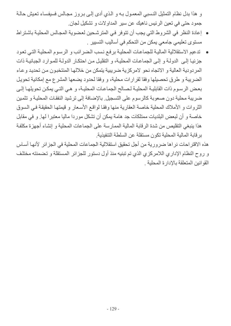و هذا بدل نظام التمثيل النسبي المعمول بـه و الذي أدى إلـى بـروز مجـالس فسيفساء تعيش حالـة جمود حتى في تعين الرئيس ناهيك عن سير المداولات و تشكيل لجان.

- إعادة النظر في الشروط التي يجب أن تتوفر في المترشحين لعضوية المجالس المحلية باشتراط مستوى تعليمي جامعي يمكن من التحكم في أساليب التسيير .
- تدعيم الاستقلالية الماليـة للجماعـات المحليـة برفـع نـسب الـضررائب و الرسـوم المحليـة التـي تـعود جزئيـا إلـى الدولــة و إلـى الجماعـات المحليـة، و النقليـل مـن احتكـار الدولــة للمـوارد الـجبائيــة ذات المر دو دية العالية و الاتجاه نحو لامر كز ية ضر ببية بتمكن من خلالها المنتخبون من تحديد و عـاء الضريبة و طرق تحصيلها وفقا لقرارات محلية، و وفقا لحدود يضعها المشرع مع إمكانية تحويل بعض الرسوم ذات القابلية المحلية لصالح الجماعات المحلية، و هي التي يمكن تحويلها إلى ضريبة محلية دون صعوبة كالرسوم على التسجيل بالإضافة إلى ترشيد النفقات المحلية و تثمين الثروات و الأملاك المحلية خاصة العقارية منها وفقا لواقع الأسعار و قيمتها الحقيقة في السوق خاصة و أن لبعض البلديات ممتلكات جد هامة يمكن أن تشكل موردا ماليا معتبرا لها. و في مقابل هذا ينبغي التقليص من شدة الرقابة المالية الممارسة على الجماعات المحلية و إنشاء أجهزة مكلفة بر قابة المالية المحلية تكون مستقلة عن السلطة التنفيذية.

هذه الاقتراحات نراها ضرورية من أجل تحقيق استقلالية الجماعات المحلية في الجزائر لأنها أساس و روح النظام الإداري اللامركزي الذي تم تبنيه منذ أول دستور للجزائر المستقلة و تضمنته مختلف القو انبن المتعلقة بالإدار ة المحلبة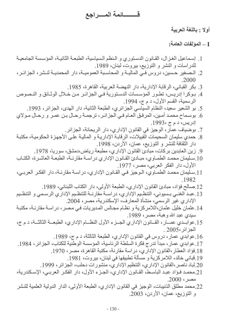# قــــــــائمة المــــراجع

أولا : باللغة العربية

#### J — المولفات العامة:

- 1. إسماعيل الغز ال، القـانون الدسـنور ي و الـنظم الـسياسية، الطبعـة الثانيـة، المؤسسة الجامعيـة للدراسات و النشر و التوزيع، بيروت، لبنان، 1989. 2. المصغير حسين، دروس في الماليــة و المحاسـبة العموميــة، دار المحمديــة لنـشر ، الجزائــر ، 2000 3. بكر القباني، الرقابة الإدارية، دار النهضة العربية، القاهرة، 1985. 4. بـوكرا إدريس، تطـور المؤسسات الدسـتورية فـي الجزائـر مـن خـلال الوثـائق و النـصوص الرسمية، القسم الأول، د م ج، 1994. 5. بو الشعير سعيد، النظام السياسي الجزائري، الطبعة الثانية، دار الهدى، الجزائر، 1993. 6. بوسماح محمد أمين، المرفق العـام فـي الجزائـر ، ترجمــة رحـال بـن عمـر و رحـال مـولاي إدريس، د م ج ،1993. 7. بوضياف عمار ، الوجيز في القانون الإداري، دار الريحانة، الجزائر. 8. حمدي سليمان السحيمات الّقبيلات، الرقابـة الإداريـة و الماليـة علـى الأجهزة الحكوميـة، مكتبـة دار الثقافة للنشر و التوزيع، عمان، الأردن، 1998. 9. زين العابدين بركات، مبادئ القانون الإدار ي، مطبعة رياض،دمشق، سوريا، 1978. 10 سليمان محمد الطمـاوي، مبـادئ القـانون الإداري دراسـة مقارنــة، الطبعـة العاشـرة، الكتـاب الأول، دار الفكر العربي، مصر، 1977. 11 سليمان محمد الطمـاوي، الـوجيز فـي القـانون الإداري، دراسـة مقارنـة، دار الفكـر العربـي، .1982 12 صالح فؤاد، مبادئ القانون الإداري، الطبعة الأولى، دار الكتاب اللبناني، 1989. 13.عبد الغنـي بـسيوني، التنظـيم الإداري، دراســة مقارنــة للتنظـيم الإداري الرسـمي و التنظـيم الإداري غير الرسمي، منشأة المعارف، الإسكندرية، مصر، 2004. 14. عثمان خليل عثمان،اللامركزية و نظـام مجـالس المديريات فـي مصـر، دراسـة مقارنـة، مكتبـة سيدي عبد الله وهبة، مصر، 1989. 15.عوابــدي عصــار ، القـــانون الإداري الجــز ء الأول النظــام الإداري، الطبعــة الثالثــة، د م ج، الجز ائر ،2005 . 16.عوابدي عمار، دروس في القانون الإداري، الطبعة الثالثة، د م ج، 1989. 17 عو ابدى عمار ، مبدأ ندرج فكر ة السلطة الر ئاسية، المؤسسة الوطنية للكتاب، الجز ائر ، 1984. 18.فؤاد العطار ،القانون الإداري، دراسة مقارنة، مكتبة القاهرة، مصر، 1970. 19 قباني خالد، اللامركزية و مسألة تطبيقها في لبنان، بيروت، 1981. 20 لباد ناصر ،القانون الإداري، التنظيم الإداري، منشور ات دحلب، الجزائر ، 1999. 21.محمد فـؤاد عبـد الباسـط، القـانون الإداري، الجـزء الأول، دار الفكـر العربـي، الإسـكندرية،  $.2000 \cdot$ مصر 22.محمد مطلق الذنيبات، الوجيز في القانون الإداري، الطبعة الأولى، الدار الدولية العلمية للنشر و التوزيع، عمان، الأردن، 2003.
	- $-130-$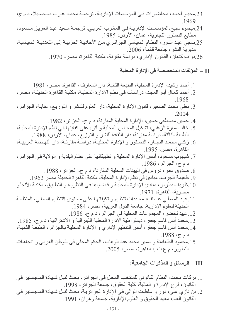- 23.محيو أحمد، محاضرات في المؤسسات الإداريـة، ترجمـة محمـد عـرب صـاصـيلا، د م ج، .1969
- 24.ميسوم سبيح،المؤسسات الإداريـة فـي المغرب العربـي، ترجمـة سـعيد عبد العزيـز مـسعود، مطابع الدستور التجارية، عمان، الأردن، 1985.
- 25 نـاجيّ عبد النـور ، النظـام الـسياسي الـجز ائـري مـن الأحاديــة الحزبيــة إلــى التعدديــة الـسياسية، مدير ية النشر ، جامعة قالمة، 2006.
	- 26 نو اف كنعان، القانو ن الإدار ي، در اسة مقار نة، مكتبة القاهر ة، مصر ، 1970 .

#### II – المولفات المتخصصة في الإدارة المحلية

- 1. أحمد رشيد، الإدار ة المحلية، الطبعة الثانية، دار المعارف، القاهر ة، مصر ، 1981.
- 2. أحمد كمـال أبـو المجد، در اسـات فـي نظـم الإدار ة المحليـة، مكتبـة القـاهر ة الـحديثـة، مـصـر ، .1968
- 3. بعلي محمد الصغير، قانون الإدارة المحلية، دار العلوم للنشر و التوزيع، عنابـة، الجزائر، 2004
	- 4. حسين مصطفى حسين، الإدار ة المحلية المقار نة، د م ج، الجز ائر ، 1982.
- 5. خالد سمارة الز غبي، تشكيل المجالس المحلية و أثر ه على كفايتها في نظم الإدارة المحلية، الطبعة الثالثة، دراسة مقارنة، دار الثقافة للنشر و التوزيع، عمان، الأردن، 1988.
- 6. زكي محمد النجـار ، الدسـتور و الإدار ة المحليـة، در اسـة مقارنـة، دار النهـضـة العربيـة، القاهر ة، مصر ، 1995.
- 7. شيهوب مسعود، أسس الإدارة المحلية و تطبيقاتها على نظام البلدية و الولاية في الجزائر ، د م ج، الجزائر، 1986.
	- 8. صدوق عمر ، دروس في الهيئات المحلية المقارنة، د م ج، الجزائر ، 1988.
	- 9. طعيمة الجرف، مبادئ في نظم الإدارة المحلية، مكتبة القّاهرة الحديثة مصر 1962.
- 10 ظريف بطرس، مبادئ الإدار ة المحلية و قضاياها في النظريـة و النطبيق، مكتبـة الأنجلـو مصر بة، القاهر ة، 1971.
- 11.عبد المعطى عساف، محددات تنظيم و تكيفاتها على مستوى التنظيم المحلي، المنظمة الحديثة للعلوم الإدارية، جامعة الدول العربية، مصر ، 1984.
	- 12. عبيد لخضر ، المجموعات المحلية في الجز ائر ، د م ج، 1986.
- 13 محمد أنس قاسم جعفر ، ديمقر اطية الإدار ة المحلية اللّيبر الية و الاشتر اكية، د م ج، 1985.
- 14 .محمد أنس قاسم جعفر ، أسس التنظيم الإداري و الإدارة المحليـة بـالجز ائر ، الطبعـة الثانيـة، د م ج، 1988.
- 15.محمود الطعامنة و سمير محمد عبد الوهاب، الحكم المحلي في الوطن العربي و اتجاهات التطوير ، م ع ت إ، القاهرة، مصر ، 2005.

## III – الرسائل و المذكرات الجامعية:

- 1. بر كات محمد، النظام القانو ني للمنتخب المحل في الجز ائر ، بحث لنيل شـهادة الماجستير ٍ في القانون، فرع الإدارة و المالية، كلية الحقوق، جامعة الجزائر، 1998.
- 2. بن تازي علي، دور و سلطات الوالي في الإدارة الجزائرية، بحث لنيل شهادة الماجستير في القانون العام، معهد الحقوق و العلوم الإدارية، جامعة و هر ان، 1991.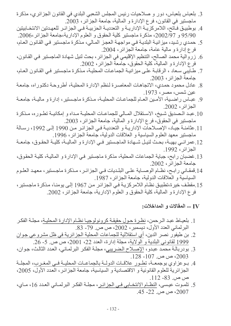- 3. بلعباس بلعباس، دور و صلاحيات رئيس المجلس الشعبي البلدي في القانون الجزائري، مذكرة ماجستير في القانون، فرع الإدارة و المالية، جامعة الجزآئر ، 2003.
- 4. بوطبيـق فـاتح، اللامر كزيــة الإدار يــة و التعدديــة الـحز بيــة فــى الـجز ائـر للعهـدتين الانتخــابيتين 95/90 و 2002/77، مذكرة ماجستير كلية الحقوق و العلوم الإدارية،جامعة الجزائر،2006.
- 5. حمدي رشيد، ميزانية البلدية في مواجهة العجز المالي، مذكرة ماجستير في القانون العام، فرع إدارة و مالية عامة، جامعة الجزائر، 2004.
- 6. زروالية محمد الصالح، التنظيم الإقليمي في الجزائر ، بحث لنيل شهادة الماجستير في القانون، فرع الإدارة و المالية، كلية الحقوق، جامعة الجزائر، 2002.
- 7. طـاليبي سـعاد ، الرقابــة علــي ميز انيــة الـجماعـات المحليــة، مـذكرة مـاجـستير فــي القـانون الـعـام، جامعة الجزائر ، 2003.
- 8. عادل محمود حمدي، الاتجاهات المعاصرة لنظم الإدارة المحلية، أطروحة دكتوراه، جامعة عبن شمس، مصر ، 1973.
- 9. عبـاس راضـية، الأمـين العـام للجماعـات المحليـة، مـذكرة ماجـستير، إدارة و ماليـة، جامعـة الجز ائر ، 2002.
- 10 عبد المصديق شبخ، الاستقلال المسالي للجماعيات المحليبة مداه و إمكانيبة تطـوره، مـذكرة ماجستير في الحقوقّ، فر ع الإدارة و المّالية، جامعة الجزائر، 2003.
- 11 عثامنـة جيـاد، الإصـلاحات الإداريـة و التعدديـة فـي الجزائـر مـن 1990 إلـي 1992، رسـالة ماجستير معهد العلوم السياسية و العلاقات الدولية، جامعة الجزائر ، 1996.
- 12.عمرانـي بهيــة، بحـث لنيـل شــهادة الماجـستير فــي الإدار ة و الماليــة، كليــة الحقـوق، جامعــة الجز ائر ، 1992.
- 13.غضبان رابح، جباية الجماعات المحلية، مذكرة ماجستير في الإدارة و المالية، كلية الحقوق، جامعة الجز ائر ، 2002.
- 14.قمقـاني رابـح، نظـام الوصــاية علــي البلـديات فــي الـجزائـر ، مـذكرة ماجـستير ، معهـد العلـوم السياسية و العلاقات الدولية، جامعة الجز ائر ، 1987.
- 15 مقطف خير ة،تطبيق نظـام اللامر كز يـة فـي الـجز ائـر ٍ من 1967 إلـي يومنـا، مـذكر ة ماجستير ، فرع الإدار ة و المالية، كلية الحقوق و العلوم الإدارية، جامعة الجز ائر ، 2002.

IV] \_\_ المقالات و المداخلات:

- 1. بلعيـاط عبد الـرحمن، <u>نظـرة حـول حقيقـة كرونولوجيـا نظـام الإدارة ال</u>محليـة، مجلـة الفكـر البر لماني العدد الأول، ديسمبر ، 2002، ص ص. 79- 83.
- 2. بن طيفور نصر الدين، أي استقلالية للجماعات المحلية الجز ائر ية في ظل مشر و عي جو ان 1999 لقانوني البلدية و الولاية، مجلة إدار ة، العدد 22، 2001، ص ص. 5- 26.
- 3. بودربالــة محمّد عبدو، الإصــلاح الـضريبي، مجلــة الفكر البرلمـاني، العدد الثالث، جوان،  $\overline{.1}$ 28 - $107$  ص ص. 107 -  $2003$
- 4. بيوعزاوي بوجمعية، تطور علاقات الدولية بالجماعيات المحليية في المغرب، المجلية الجزائرية للعلوم القانونية و الاقتصادية و السياسية، جامعة الجزائر، العدد الأول، 2005، ص ص. 83- 112.
- 5. تلمـوت عيـسي، النظـام الانتخـابي فـي الـجز ائـر ، مجلــة الفكـر البرلمــاني الـعـدد 16 ، مــاي، .45 -22 ص ص. 22- 45.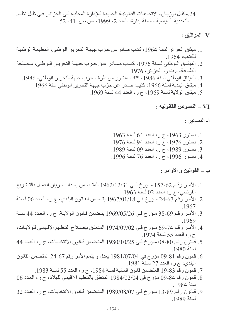24.مكلـل بوزيـان، الاتجاهـات القانونيــة الجديـدة لــلإدارـة المـحليــة فــى الـجزائـر\_ فــى ظـل نظــام التعددية السياسية ، مجلة إدار ة، العدد 2، 1999، ص ص 41- 52.

#### - المواثيق  $\bf V$

- 1. ميثاق الجزائر لسنة 1964، كتاب صادر عن حزب جبهة التحرير الـوطني، المطبعة الوطنية للكتاب، 1964
- 2. الميثـاق الـوطني لـسنة 1976، كتـاب صــادر عـن حـزب جبهــة التحريـر الـوطني، مـصلحة الطباعة، م ت و، الجزائر، 1976.
	- 3. الميثاق الوطني لسنة 1986، كتاب منشور من طرف حزب جبهة التحرير الوطني، 1986.
		- 4. ميثاق البلدية لسنة 1966، كتيب صادر عن حزب جبهة التحرير الوطني سنة 1966.
			- 5. ميثاق الولاية لسنة 1969، ج ر ، العدد 44 لسنة 1969.

VI – النصوص القانونية :

أ- الدساتير :

- 1. دستور 1963، ج ر، العدد 64 لسنة 1963. 2. دستور 1976، ج ر، العدد 94 لسنة 1976.
- 3. دستور 1989، ج ر، العدد 09 لسنة 1989.
- 4. دستور 1996، ج ر، العدد 76 لسنة 1996.

### ب ـــ المقوانين و الأوامر :

- 1. الأمـر رقـم 62-157 مـؤرخ فـي 1962/12/31 المتـضمن إمـداد سـريان العمـل بالتـشريع الفرنسي، ج ر، العدد 02 لسنة 1963.
- 2. الأمر رقم 67-24 مؤرخ في 1967/01/18 يتضمن القانون البلدي، ج ر ، العدد 06 لسنة 1967
- 3. الأمر رقم 69-38 مؤرخ في 1969/05/26 يتضمن قـانون الولايـة، ج ر ، العـدد 44 سـنة .1969
- 4. الأمـر رقم 74-69 مـؤرخ فـي 1974/07/02 المتعلـق بإصــلاح التنظـيم الإقليمـي للولايـات، ج ر ، العدد 55 لسنة 1974.
- 5. فَـانون رقم 80-08 مؤرخ فـي 1980/10/25 المتضمن قـانون الانتخابـات، ج ر ، العـدد 44 لسنة 1980 ـ
- 6. قانون رقم 81-09 مؤرخ في 1981/07/04 يعدل و يتمم الأمر رقم 67-24 المتضمن القانون البلدي، ج ر، العدد 27 لَسنة 1981.
	- 7. قانون رقم 83-19 المتضمن قانون المالية لسنة 1984، ج ر، العدد 55 لسنة 1983.
- 8. قانون رقم 84-09 مؤرخ في 2/02/04/1984 المتعلق بالتنظيم الإقليمي للبلاد، ج ر، العدد 06 سنة 1984
- 9. قـانون رقم 89-13 مـؤرخ فـي 989/08/07 المتضمن قـانون الانتخابـات، ج ر ، العـدد 32 لسنة 1989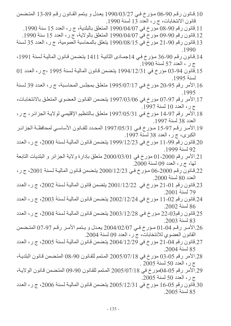- 10 قانون رقم 90-06 مؤرخ في 27/03/27 يعدل و يتمم القانون رقم 89-13 المتضمن قانون الانتخابات، ج ر ، العدد 13 لسنة 1990.
	- 11 قانون رقم 90-08 مؤرخ في 1990/04/07 المتعلق بالبلدية، ج ر ، العدد 15 سنة 1990.
	- 12 قانون رقم 90-09 مؤرخ في 1990/04/07 المتعلق بالولاية، ج ر، العدد 15 سنة 1990.
- 13.قانون رقم 90-21 مؤرخ في 15/08/15/1990 يتعلق بالمحاسبة العمومية، ج ر، العدد 35 لسنة  $.1990$
- 14 قانون رقم 90-36 مؤرخ في 14جمـادي الثانيـة 1411 يتـضمن قـانون الماليـة لـسنة 1991، ج ر ، العدد 57 لسنة 1990.
- 15.قانون 94-03 مؤرخ في 12/31/12/31 يتضمن قانون المالية لسنة 1995 ،ج ر، العدد 01 لسنة 1995.
- 16.الأمر رقم 95-20 مؤرخ في 1995/07/17 متعلق بمجلس المحاسبة، ج ر، العدد 39 لسنة 1995
- 17.الأمر رقم 97-07 مؤرخ في 03/06/1997 يتضمن القانون العضوي المتعلق بالانتخابات، ج ر، العدد 10 لسنة 1997.
- 18.الأمر رقم 14-97 مؤرخ في 1997/05/31 متعلق بـالتنظيم الإقليمـي لولايـة الجزائـر، ج ر، العدد 38 لسنة 1997
- 19.الأمر رقم 97-15 مـؤرخ فـي 1997/05/31 المحـدد للقـانون الأساسـي لمحافظـة الجزائـر الكبري، ج ر ، العدد 38 لسنة 1997.
- 20 قانون رقم 11-99 مؤرخ في 12/23/999/12 يتضمن قانون المالية لسنة 2000، ج ر ، العدد 92 لسنة 1999.
- 21.الأمر رقم 2000-01 مؤرخ في 2000/03/01 متعلق بإدارة ولاية الجزائر و البلديات التابعة لمها، ج ر ، العدد 09 لسنة 2000.
- 22.قـانون رقم 2000-06 مـؤرخ فـي 2000/12/23 يتـضمن قـانون الماليـة لـسنة 2001، ج ر ، العدد 80 لسنة 2000.
- 23.قانون رقم 10-21 مؤرخ في 2001/12/22 يتضمن قانون المالية لسنة 2002، ج ر، العدد 79 لسنة 2001.
- 24.قانون رقم 02-11 مؤرخ في 2002/12/24 يتضمن قانون المالية لسنة 2003، ج ر، العدد 86 لسنة 2002.
- 25.قانون رقم23-22 مؤرخ في 22/12/28 يتضمن قانون المالية لسنة 2004، ج ر، العدد 83 لسنة 2003.
- 26.الأمر رقم 04-01 مؤرخ في 2004/02/07 يعدل و يتمم الأمر رقم 97-07 المتضمن القانون العضوى للانتخابات، ج رِ ، العدد 09 لسنة 2004.
- 27.قانون رقم 04-21 مؤرخ في 2004/12/29 يتضمن قانون المالية لسنة 2005، ج ر، العدد 85 لسنة 2004.
- 28 الأمر رقم 05-03 مؤرخ في 2005/07/18 المتمم للقانون 90-08 المتضمن قانون البلدية، ج ر، العدد 50 لسنة 2005.
- 29.الأمر رقم 05-04مؤرخ في 2005/07/18 المتمم للقانون 90-09 المتضمن قانون الولاية، ج رِ ، العدد 50 لسنة 2005.
- 30.قَانون رقم 05-16 مؤرخ في 2005/12/31 يتضمن قانون المالية لسنة 2006، ج ر، العدد 85 لسنة 2005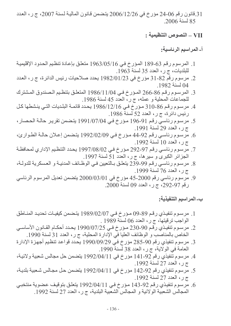31.قانون رقم 06-24 مؤرخ في 2/06/12/26 يتضمن قـانون الماليـة لـسنة 2007، ج ر ، الـعـدد 85 لسنة 2006.

أ- المراسيم الرئاسية:

- 1. المرسوم رقم 63-189 المؤرخ في 1963/05/16 متعلق بإعادة تنظيم الحدود الإقليمية للبلديات، ج ر، العدد 35 لسنة 1963.
- 2. مرسوم رقم 32-31 مؤرخ في 1982/01/23 يحدد صلاحيات رئيس الدائرة، ج ر، العدد 04 لسنة 1982
- 3. المرسوم رقم 86-266 المؤرخ في 1/04/11/04 المتعلق بتنظيم الصندوق المشترك للجماعات المحلية و عمله، ج ر، العدد 45 لسنة 1986.
- 4. مرسوم رقم 86-310 مؤرخ في 1986/12/16 يحدد قائمة البلديات التي ينشطها كل رئيس دائرة، ج ر، العدد 52 لسنة 1986.
- 5. مرسوم رئاسي رقم 91-196 مؤرخ في 196/07/04 يتضمن تقرير حالـة الحصار ، ج ر، العدد 29 لسنة 1991.
- 6. مرسوم رئاسي رقم 44-92 مؤرخ في 2/02/02/09 يتضمن إعلان حالة الطوارئ، ج ر ، العدد 10 لسنة 1992.
- 7. مرسوم رئاسي رقم 97-292 مؤرخ في 1997/08/02 يحدد التنظيم الإداري لمحافظة الجزائر الكبرى و سيرها، ج ر، العدد 51 لسنة 1997.
- 8. مرسوم رئاسي رقم 99-239 يتعلق بـالتعيين فـي الوظـائف المدنيــة و العسكرية للدولــة، ج ر، العدد 76 لسنة 1999.
- 9. مرسوم رئاسي رقم 2000-45 مؤرخ في 2000/03/01 يتضمن تعديل المرسوم الرئاسي رقم 97-292، ج ر، العدد 09 لسنة 2000.

ب- المراسيم التنفيذية:

- 1. مرسـوم تنفيـذي رقـم 89-09 مـؤرخ فـي 29/02/07 (1989 يتـضمن كيفيـات تـحديـد المنـاطق الواجب ترقيتها، ج ر، العدد 06 لسنّة 1989 .
- 2. مرسـوم تنفيـذي رقـم 90-230 مـؤرخ فـي 23/07/25 إيـدد أحكـام القـانون الأساسـي الخاص بالمناصب و الوظائف العليا في الإدارة المحلية، ج ر ، العدد 31 لسنة 1990.
- 3. مرسوم تنفيذي رقم 90-285 مؤرخ في 990/09/29 يحدد قواعد تنظيم أجهزة الإدارة العامة في الولاية، ج ر، العدد 38 لسنة 1990.
- 4. مرسوم تُنفيذي رقم 92-141 مؤرخ في 14/04/11 يتضمن حل مجالس شعبية ولائية، ج ر، العدد 27 لسنة 1992.
- 5. مرسوم تنفيذي رقم 92-142 مؤرخ في 142/04/11 يتضمن حل مجالس شعبية بلديـة، ج ر ، العدد 27 لسنة 1992.
- 6. مرسوم تنفيذي رقم 92-143 مؤرخ في 143/2/04/11 يتعلق بتوقيف عضوية منتخبي المجالس الشعبية الولائية و المجالس الشعبية البلدية، ج ر ، العدد 27 لسنة 1992.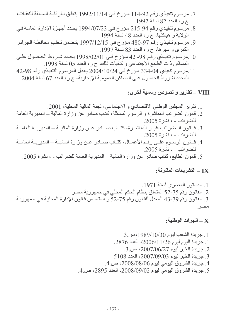- 7. مرسوم تنفيذي رقم 92-114 مؤرخ في 11/14/1992 يتعلق بالرقابة السابقة للنفقات، ج ر، العدد 82 لسنة 1992.
- 8. مرسوم تنفيذي رقم 94-215 مؤرخ في 2150/1994 يحدد أجهزة الإدارة العامـة فـي الولاية و هياكلها، ج ر، العدد 48 لسنة 1994.
- 9. مرسوم تنفيذي رقم 97-480 مؤرخ في 1997/12/15 يتضمن تنظيم محافظة الجزائر الكبرى و سيرها، ج ر، العدد 83 لسنة 1997.
- 10.مرسوم تنفيذي رقم 98- 42 مؤرخ في 1998/02/01 يحدد شروط الحصول على المساكن ذات الطابع الاجتماعي و كيفيات ذلك، ج ر ، العدد 05 لسنة 1998.
- 11 مرسوم تنفيذي 04-334 مؤرخ في 2004/10/24 يعدل المرسوم التنفيذي رقم 98-42 المحدد لشروط الحصول على المساكن العمومية الإيجارية، ج ر ، العدد 67 لسنة 2004.

VIII – تقارير و نصوص رسمية أخرى:

- 1. تقرير المجلس الوطني الاقتصادي و الاجتماعي، لجنة المالية المحلية، 2001. 2. قانون الضرائب المباشِّرة و الرسوم المماثلة، كُتَّاب صادر عن وزارة المالية ــ المديرية العامة
- للضر ائب ، نشر ۃ 2005 3. قــانون الــضرائب غيــر المباشــرة، كتــاب صـــادر عــن وزارة الماليــة ــ المديريــة العامــة للضرائب - ، نشرة 2005.
- 4. قبانون الرسـوم علـى رقـم الأعمـال، كتـاب صـادر عـن وزارة الماليــة ــ المديريــة العامــة للضرائب - ، نشرة 2005.
	- 5. قانون الطابع، كتاب صادر عن وزارة المالية ــ المديرية العامة للضرائب ، نشرة 2005.

IX – التشريعات المقارنـة:

X \_ الجرائد الوطنية: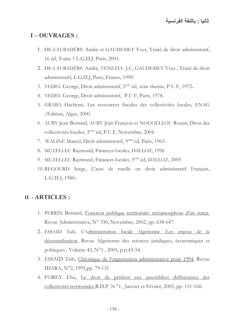## **I-OUVRAGES:**

- 1. DE-LAUBADÉRE André et GAUDEMET Yves, Traité de droit administratif, 16 éd, Tome 1 L.G.D.J; Paris, 2001.
- 2. DE-LAUBADÉRE André, VENEZIA J.C, GAUDEMET Yves, Traité de droit administratif, L.G.D.J, Paris, France, 1999.
- 3. VEDEL George, Droit administratif, 5<sup>éme</sup> éd, série themis, P U F, 1972.
- 4. VEDEL George, Droit administratif, P U F, Paris, 1978.
- 5. GRABA Hachemi, Les ressources fiscales des collectivités locales, ENAG /Edition, Alger, 2000.
- 6. AUBY Jean Bernard, AUBY Jean François et NOGOELLOU Rozen, Droit des collectivités locales, 3<sup>eme</sup> éd, P.U.F, Novembre, 2004.
- 7. WALINE Marcel, Droit administratif, 9<sup>éme</sup> éd, Paris, 1963.
- 8. MUZELLEC Raymond, Finances locales, DALLOZ, 1996
- 9. MUZELLEC Raymond, Finances locales, 5<sup>eme</sup> éd, DALLOZ, 2005
- 10. REGOURD Serge, L'acte de tutelle en droit administratif Français, L G D J, 1980.

### **II - ARTICLES:**

- 1. PERRIN Bernard, Fonction publique territoriale: métamorphose d'un statut, Revue Administrative, N° 330, Novembre, 2002, pp. 638-647.
- 2. ESSAID Taib, L'Administration locale Algérienne :Les enjeux de la décentralisation, Revue Algerienne des sciences juridiques, économiques et politiques, Volume 42, N°1, 2005, p p.43-54.
- 3. ESSAID Taib, Chronique de l'organisation administrative pour 1994, Revue IDARA, N°2, 1995,pp. 79-131.
- 4. FOREY Elsa, Le droit de pétition aux assemblées délibérantes des collectivités territoriales, R.D.P, N °1, Janvier et Février, 2005, pp. 151-168.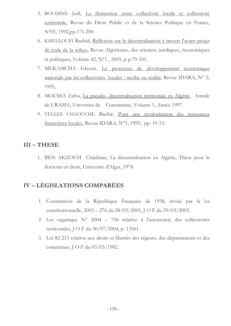- 5. BOUDINE Joêl, La distinction entre collectivité locale et collectivité territoriale, Revue du Droit Public et de la Science Politique en France,  $N^{\circ}01$ , 1992, pp.171-200.
- 6. KHELLOUFI Rachid, Réflexion sur la décentralisation à travers l'avant projet de code de la wilaya, Revue Algérienne, des sciences juridiques, économiques et politiques, Volume 42,  $N^{\circ}1$ , 2005, p p.79-101.
- 7. MEKAMCHA Ghouti, Le processus de développement économique nationale par les collectivités locales : mythe ou réalité, Revue IDARA, N° 2, 1995,
- 8. MOUSSA Zahia, La pseudo-décentralisation territoriale en Algérie, Annale de URAMA, Université de Constantine, Volume 1, Année 1997.
- 9. YELLES CHAOUCHE Bachir, Pour une revalorisation des ressources financières locales, Revue IDARA, N°1, 1995, pp. 19-33.

### $III - THESE$

1. BEN AKZOUH Châabane, La décentralisation en Algérie, Thèse pour le doctorat en droit, Université d'Alger, 1978.

## **IV-LÉGISLATIONS COMPARÉES**

- 1. Constitution de la République Française de 1958, révisé par la loi constitutionnelle, 2003 – 276 du 28/03/2003, J O F du 29/03/2003.
- 2. Loi organique  $N^{\circ}$  2004 758 relative à l'autonomie des collectivités territoriales, J O F du 30/07/2004, p. 13561.
- 3. Loi 82-213 relative aux droits et libertés des régions, des départements et des communes, J O F du 03/03/1982.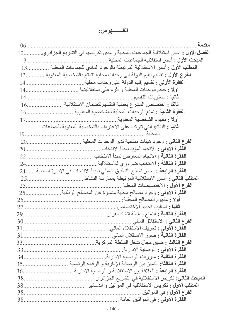# الف هرس:

| مقدمة<br>06.                                                                                      |  |
|---------------------------------------------------------------------------------------------------|--|
| ا <b>لفصل الأول :</b> أسس استقلالية الجماعات المحلية و مدى تكريسها في التشريع الجز ائر ي.<br>$12$ |  |
| المبحث الأول : أسس استقلالية الجماعات المحلية<br>$13$                                             |  |
| ا <b>لمطلب الأول :</b> أسس الاستقلالية المرتبطة بالوجود المادى للجماعات المحلية .<br>13           |  |
| الفرع الأول : تقسيم إقليم الدولة إلى وحدات محلية تتمتع بالشخصية المعنوية 13                       |  |
|                                                                                                   |  |
| أولا : حجم الوحدات المحلية و أثر ه على استقلاليتها                                                |  |
| ثانيا : مستويات التقسيم<br>14.                                                                    |  |
| ثالثًا : اختصاص المشرع بعملية التقسيم كضمان الاستقلالية<br>16                                     |  |
| ا <b>لفقرة الثانية :</b> تمتع الوحدات المحلية بالشخصية المعنوية                                   |  |
| أولا : مفهوم الشخصية المعنوية<br>17                                                               |  |
| <b>ثانيا :</b> النتائج التي تترتب على الاعتراف بالشخصية المعنوية للجماعات                         |  |
| المحلبة<br>19.                                                                                    |  |
| ا <b>لفرع الثاني :</b> وجود هيئات منتخبة تدير الوحدات المحلية<br>20                               |  |
| ا <b>لفقرة الأولى :</b> الاتجاه المؤيد لمبدأ الانتخاب<br>20.                                      |  |
| ا <b>لفقرة الثانية :</b> الاتجاه المعار ض لمبدأ الانتخاب<br>22                                    |  |
| ا <b>لفقرة الثالثة :</b> الانتخاب ضروري للاستقلالية<br>24.                                        |  |
| ا <b>لفقر ة الرابعة :</b> بعض نماذج التطبيق العملي لمبدأ الانتخاب في الإدار ة المحلية 24          |  |
| ا <b>لمطلب الثاني :</b> أسس الاستقلالية المرتبطة بممارسة النشاط<br>25                             |  |
| ا <b>لفرع الأول :</b> الاختصاصات المحلية .<br>25                                                  |  |
| ا <b>لفقرة الأولى :</b> وجود مصـالح محلية متميزة عن المصـالح الوطنية <sub>.</sub><br>25           |  |
| أولا : مفهوم المصالح المحلية:<br>25.                                                              |  |
| <b>ثانيا :</b> أساليب تحديد الاختصـاص<br>27.                                                      |  |
| ا <b>لفقرة الثانية :</b> التمتع بسلطة اتخاذ القر ار<br>29                                         |  |
|                                                                                                   |  |
|                                                                                                   |  |
|                                                                                                   |  |
|                                                                                                   |  |
| ا <b>لفقرة الأولى :</b> الوصاية الإدارية .                                                        |  |
|                                                                                                   |  |
|                                                                                                   |  |
|                                                                                                   |  |
|                                                                                                   |  |
|                                                                                                   |  |
| ا <b>لفرع الأول :</b> في المواثيق .                                                               |  |
|                                                                                                   |  |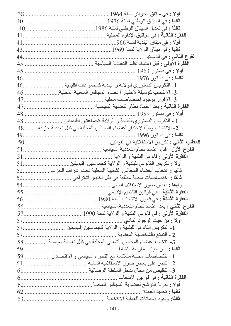| 38. | اولا : في ميثاق الجزائر لسنة 1964                                    |
|-----|----------------------------------------------------------------------|
| 40  |                                                                      |
|     |                                                                      |
| 41  | ا <b>لفقرة الثانية :</b> في مواثيق الإدار ة المحلية                  |
| 41  | أولا : في ميثاق البلدية لسنة 1966                                    |
| 43  |                                                                      |
| 44. | ا <b>لفرع الثّان<i>ى</i> :</b> فى الدساتير                           |
| 45  | ا <b>لفقرة الأولى :</b> قبل اعتماد نظام التعددية السياسية            |
| 45  | ا <b>ولا :</b> في دستور 1963                                         |
| 46  |                                                                      |
| 46. | 1_ التكريس الدستوري للولاية و البلدية كمجمو عات إقليمية              |
| 46  | 2- الانتخاب كوسيلة لاختيار أعضاء المجالس الشعبية المحلية .           |
| 47  | 3- الإقرار بوجود اختصاصات محلية<br>.                                 |
| 47. | ا <b>لفقرة الثانية :</b> بعد اعتماد نظام التعددية السياسية           |
| 48  | ا <b>ولا :</b> في دستور 1989                                         |
| 48. | 1 ـ النكريس الدستوري للبلدية و الولاية كجماعتين إقليميتين            |
|     | 2- الانتخاب وسلة لاختيار أعضاء المجالس المحلية في ظل تعددية حزبية 48 |
| 49. | <b>ثانیا :</b> فی دستور 1996                                         |
| 50  |                                                                      |
| 51  | الفرع الأول : قبل اعتماد نظام التعددية السياسية                      |
| 51  | ا <b>لفقرة الأولى :</b> قانوني البلدية و الولاية                     |
| 51  | أولا : تكريس القانوني للبلدية و الولاية كجماعتين إقليميتين           |
| 52  | <b>ثانيا :</b> انتخاب أعضاء المجالس الشعبية المحلية تحت إشراف الحزب  |
| 52  | ثالثًا : اختصـاصـات محلّية مطلقة في ظل اختيار اشتر اكي               |
|     |                                                                      |
|     |                                                                      |
|     |                                                                      |
|     |                                                                      |
|     |                                                                      |
|     | أولا : من حيث الوجود المادي                                          |
|     |                                                                      |
|     | 2 ـ النمنع بالشخصية المعنوية<br>57                                   |
|     | 3- انتخاب أعضاء المجالس الشعبي المحلية في ظل تعددية سياسية 58        |
|     | <b>ثانيا :</b> من حيث ممارسة النشاط                                  |
|     | 1- اختصاصات محلية متلائمة مع التحول السياسي و الاقتصادي 59           |
|     |                                                                      |
|     |                                                                      |
|     | ا <b>لفقرة الثانية :</b> في قوانين الانتخاب <sub>.</sub>             |
|     |                                                                      |
| 62  | ثانيا : تحديد العهدة                                                 |
|     |                                                                      |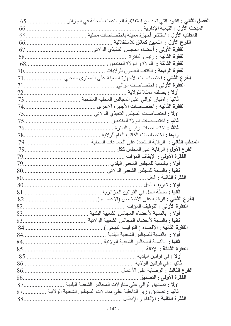|     | المبحث الأول : التبعية الإدار ية                                           |
|-----|----------------------------------------------------------------------------|
|     |                                                                            |
|     | ا <b>لفرع الأول :</b> التعبين كعائق للاستقلالية                            |
|     |                                                                            |
|     | ا <b>لفقرة الثانية :</b> رئيس الدائر ة                                     |
|     |                                                                            |
|     |                                                                            |
|     |                                                                            |
|     |                                                                            |
|     |                                                                            |
|     |                                                                            |
|     |                                                                            |
|     |                                                                            |
|     |                                                                            |
|     |                                                                            |
|     |                                                                            |
|     |                                                                            |
|     |                                                                            |
|     |                                                                            |
|     |                                                                            |
|     |                                                                            |
|     |                                                                            |
|     |                                                                            |
|     |                                                                            |
| 82. |                                                                            |
| 82. | ا <b>لفقرة الأولى :</b> التوقيف المؤقت                                     |
|     |                                                                            |
|     |                                                                            |
|     |                                                                            |
|     |                                                                            |
|     |                                                                            |
|     |                                                                            |
|     |                                                                            |
|     |                                                                            |
|     |                                                                            |
| 86. | ا <b>لفقرة الأولى :</b> التصديق                                            |
|     |                                                                            |
|     | <b>ثانيا :</b> تصديق وزير الداخلية على مداولات المجالس الشعبية الولائية 87 |
|     |                                                                            |